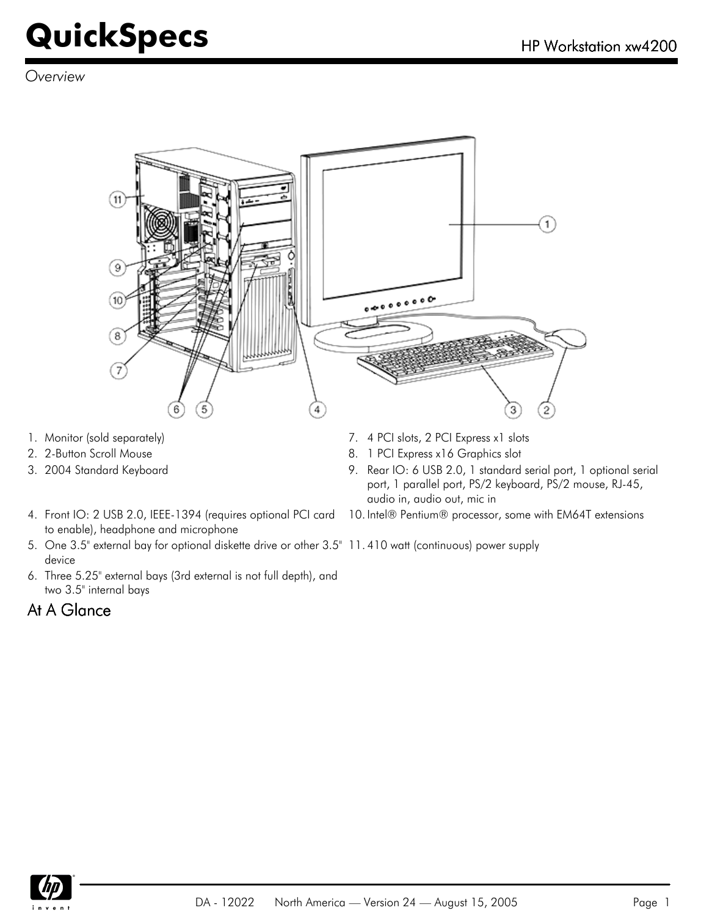*Overview*



- 
- 
- 
- 4. Front IO: 2 USB 2.0, IEEE-1394 (requires optional PCI card to enable), headphone and microphone
- 5. One 3.5" external bay for optional diskette drive or other 3.5" 11. 410 watt (continuous) power supply device
- 6. Three 5.25" external bays (3rd external is not full depth), and two 3.5" internal bays

### At A Glance

- 1. Monitor (sold separately) T. 4 PCI slots, 2 PCI Express x1 slots
- 2. 2-Button Scroll Mouse 8. 1 PCI Express x16 Graphics slot
- 3. 2004 Standard Keyboard 9. Rear IO: 6 USB 2.0, 1 standard serial port, 1 optional serial port, 1 parallel port, PS/2 keyboard, PS/2 mouse, RJ-45, audio in, audio out, mic in
	- 10. Intel® Pentium® processor, some with EM64T extensions
	-

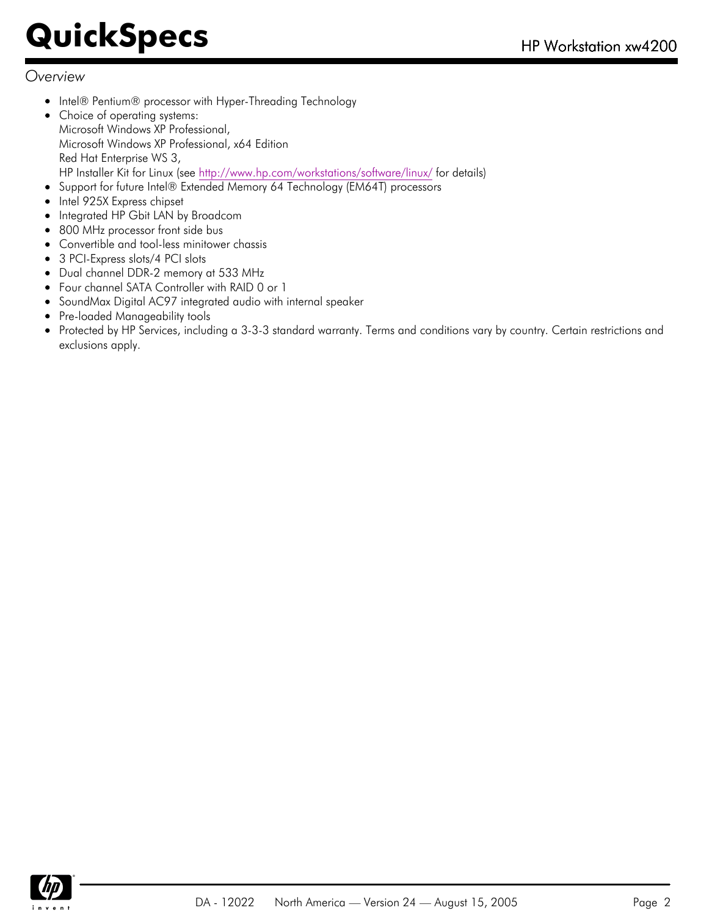#### *Overview*

- Intel® Pentium® processor with Hyper-Threading Technology
- Choice of operating systems: Microsoft Windows XP Professional, Microsoft Windows XP Professional, x64 Edition Red Hat Enterprise WS 3, HP Installer Kit for Linux (see<http://www.hp.com/workstations/software/linux/> for details)
- Support for future Intel® Extended Memory 64 Technology (EM64T) processors
- $\bullet$ Intel 925X Express chipset
- Integrated HP Gbit LAN by Broadcom
- 800 MHz processor front side bus
- Convertible and tool-less minitower chassis  $\bullet$
- 3 PCI-Express slots/4 PCI slots
- Dual channel DDR-2 memory at 533 MHz  $\bullet$
- Four channel SATA Controller with RAID 0 or 1  $\bullet$
- SoundMax Digital AC97 integrated audio with internal speaker  $\bullet$
- Pre-loaded Manageability tools
- Protected by HP Services, including a 3-3-3 standard warranty. Terms and conditions vary by country. Certain restrictions and  $\bullet$ exclusions apply.

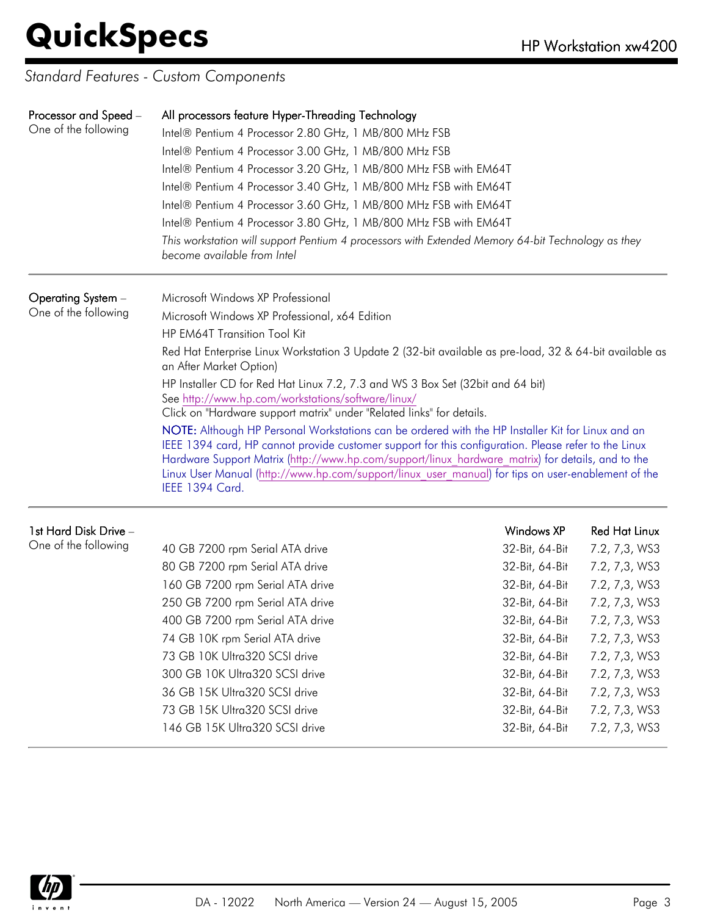*Standard Features - Custom Components*

| Processor and Speed -<br>One of the following | All processors feature Hyper-Threading Technology<br>Intel® Pentium 4 Processor 2.80 GHz, 1 MB/800 MHz FSB<br>Intel® Pentium 4 Processor 3.00 GHz, 1 MB/800 MHz FSB<br>Intel® Pentium 4 Processor 3.20 GHz, 1 MB/800 MHz FSB with EM64T<br>Intel® Pentium 4 Processor 3.40 GHz, 1 MB/800 MHz FSB with EM64T<br>Intel® Pentium 4 Processor 3.60 GHz, 1 MB/800 MHz FSB with EM64T<br>Intel® Pentium 4 Processor 3.80 GHz, 1 MB/800 MHz FSB with EM64T<br>This workstation will support Pentium 4 processors with Extended Memory 64-bit Technology as they<br>become available from Intel |                   |                      |  |  |
|-----------------------------------------------|-----------------------------------------------------------------------------------------------------------------------------------------------------------------------------------------------------------------------------------------------------------------------------------------------------------------------------------------------------------------------------------------------------------------------------------------------------------------------------------------------------------------------------------------------------------------------------------------|-------------------|----------------------|--|--|
| Operating System -                            | Microsoft Windows XP Professional                                                                                                                                                                                                                                                                                                                                                                                                                                                                                                                                                       |                   |                      |  |  |
| One of the following                          | Microsoft Windows XP Professional, x64 Edition                                                                                                                                                                                                                                                                                                                                                                                                                                                                                                                                          |                   |                      |  |  |
|                                               | HP EM64T Transition Tool Kit                                                                                                                                                                                                                                                                                                                                                                                                                                                                                                                                                            |                   |                      |  |  |
|                                               | Red Hat Enterprise Linux Workstation 3 Update 2 (32-bit available as pre-load, 32 & 64-bit available as<br>an After Market Option)                                                                                                                                                                                                                                                                                                                                                                                                                                                      |                   |                      |  |  |
|                                               | HP Installer CD for Red Hat Linux 7.2, 7.3 and WS 3 Box Set (32bit and 64 bit)<br>See http://www.hp.com/workstations/software/linux/<br>Click on "Hardware support matrix" under "Related links" for details.                                                                                                                                                                                                                                                                                                                                                                           |                   |                      |  |  |
|                                               | NOTE: Although HP Personal Workstations can be ordered with the HP Installer Kit for Linux and an<br>IEEE 1394 card, HP cannot provide customer support for this configuration. Please refer to the Linux<br>Hardware Support Matrix (http://www.hp.com/support/linux hardware matrix) for details, and to the<br>Linux User Manual (http://www.hp.com/support/linux user manual) for tips on user-enablement of the<br>IEEE 1394 Card.                                                                                                                                                 |                   |                      |  |  |
| 1st Hard Disk Drive -                         |                                                                                                                                                                                                                                                                                                                                                                                                                                                                                                                                                                                         | <b>Windows XP</b> | <b>Red Hat Linux</b> |  |  |
| One of the following                          | 40 GB 7200 rpm Serial ATA drive                                                                                                                                                                                                                                                                                                                                                                                                                                                                                                                                                         | 32-Bit, 64-Bit    | 7.2, 7,3, WS3        |  |  |
|                                               | 80 GB 7200 rpm Serial ATA drive                                                                                                                                                                                                                                                                                                                                                                                                                                                                                                                                                         | 32-Bit, 64-Bit    | 7.2, 7,3, WS3        |  |  |
|                                               | 160 GB 7200 rpm Serial ATA drive                                                                                                                                                                                                                                                                                                                                                                                                                                                                                                                                                        | 32-Bit, 64-Bit    | 7.2, 7,3, WS3        |  |  |
|                                               | 250 GB 7200 rpm Serial ATA drive                                                                                                                                                                                                                                                                                                                                                                                                                                                                                                                                                        | 32-Bit, 64-Bit    | 7.2, 7,3, WS3        |  |  |
|                                               | 400 GB 7200 rpm Serial ATA drive                                                                                                                                                                                                                                                                                                                                                                                                                                                                                                                                                        | 32-Bit, 64-Bit    | 7.2, 7,3, WS3        |  |  |
|                                               | 74 GB 10K rpm Serial ATA drive                                                                                                                                                                                                                                                                                                                                                                                                                                                                                                                                                          | 32-Bit, 64-Bit    | 7.2, 7,3, WS3        |  |  |
|                                               | 73 GB 10K Ultra320 SCSI drive                                                                                                                                                                                                                                                                                                                                                                                                                                                                                                                                                           | 32-Bit, 64-Bit    | 7.2, 7,3, WS3        |  |  |
|                                               | 300 GB 10K Ultra320 SCSI drive                                                                                                                                                                                                                                                                                                                                                                                                                                                                                                                                                          | 32-Bit, 64-Bit    | 7.2, 7,3, WS3        |  |  |
|                                               | 36 GB 15K Ultra320 SCSI drive                                                                                                                                                                                                                                                                                                                                                                                                                                                                                                                                                           | 32-Bit, 64-Bit    | 7.2, 7,3, WS3        |  |  |



73 GB 15K Ultra320 SCSI drive 32-Bit, 64-Bit 32-Bit, 64-Bit 32-Bit, 64-Bit 32, 7,3, WS3 146 GB 15K Ultra320 SCSI drive 32-Bit, 64-Bit 7.2, 7,3, WS3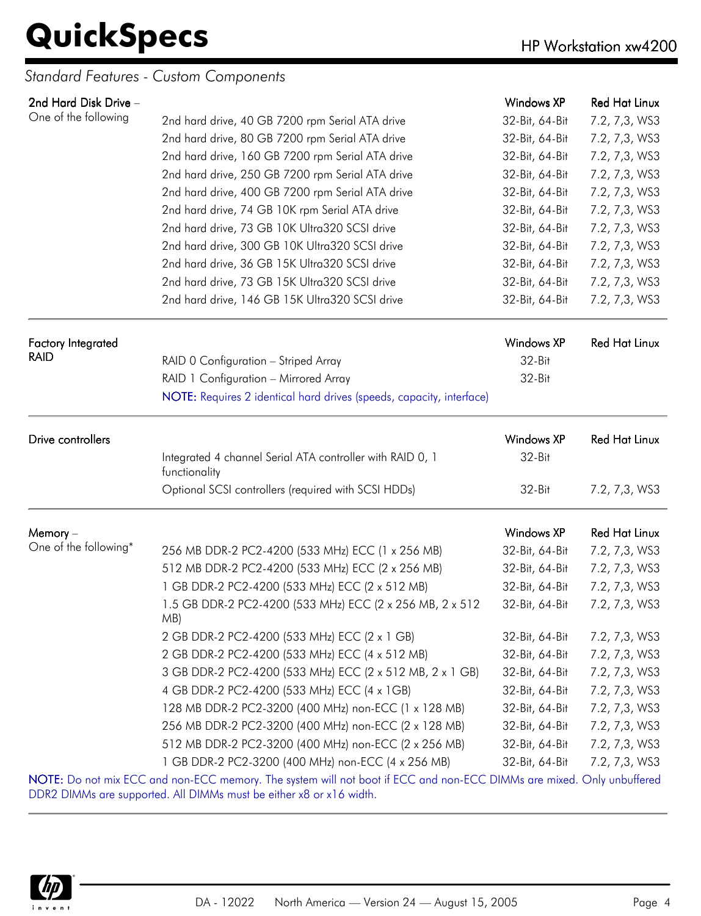### *Standard Features - Custom Components*

| 2nd Hard Disk Drive -     |                                                                                                                       | Windows XP        | <b>Red Hat Linux</b> |
|---------------------------|-----------------------------------------------------------------------------------------------------------------------|-------------------|----------------------|
| One of the following      | 2nd hard drive, 40 GB 7200 rpm Serial ATA drive                                                                       | 32-Bit, 64-Bit    | 7.2, 7,3, WS3        |
|                           | 2nd hard drive, 80 GB 7200 rpm Serial ATA drive                                                                       | 32-Bit, 64-Bit    | 7.2, 7,3, WS3        |
|                           | 2nd hard drive, 160 GB 7200 rpm Serial ATA drive                                                                      | 32-Bit, 64-Bit    | 7.2, 7,3, WS3        |
|                           | 2nd hard drive, 250 GB 7200 rpm Serial ATA drive                                                                      | 32-Bit, 64-Bit    | 7.2, 7,3, WS3        |
|                           | 2nd hard drive, 400 GB 7200 rpm Serial ATA drive                                                                      | 32-Bit, 64-Bit    | 7.2, 7,3, WS3        |
|                           | 2nd hard drive, 74 GB 10K rpm Serial ATA drive                                                                        | 32-Bit, 64-Bit    | 7.2, 7,3, WS3        |
|                           | 2nd hard drive, 73 GB 10K Ultra320 SCSI drive                                                                         | 32-Bit, 64-Bit    | 7.2, 7,3, WS3        |
|                           | 2nd hard drive, 300 GB 10K Ultra320 SCSI drive                                                                        | 32-Bit, 64-Bit    | 7.2, 7,3, WS3        |
|                           | 2nd hard drive, 36 GB 15K Ultra320 SCSI drive                                                                         | 32-Bit, 64-Bit    | 7.2, 7,3, WS3        |
|                           | 2nd hard drive, 73 GB 15K Ultra320 SCSI drive                                                                         | 32-Bit, 64-Bit    | 7.2, 7,3, WS3        |
|                           | 2nd hard drive, 146 GB 15K Ultra320 SCSI drive                                                                        | 32-Bit, 64-Bit    | 7.2, 7,3, WS3        |
|                           |                                                                                                                       |                   |                      |
| <b>Factory Integrated</b> |                                                                                                                       | <b>Windows XP</b> | <b>Red Hat Linux</b> |
| <b>RAID</b>               | RAID 0 Configuration - Striped Array                                                                                  | 32-Bit            |                      |
|                           | RAID 1 Configuration - Mirrored Array                                                                                 | 32-Bit            |                      |
|                           | NOTE: Requires 2 identical hard drives (speeds, capacity, interface)                                                  |                   |                      |
|                           |                                                                                                                       |                   |                      |
| Drive controllers         |                                                                                                                       | Windows XP        | <b>Red Hat Linux</b> |
|                           | Integrated 4 channel Serial ATA controller with RAID 0, 1<br>functionality                                            | 32-Bit            |                      |
|                           | Optional SCSI controllers (required with SCSI HDDs)                                                                   | 32-Bit            | 7.2, 7,3, WS3        |
| Memory-                   |                                                                                                                       | <b>Windows XP</b> | <b>Red Hat Linux</b> |
| One of the following*     | 256 MB DDR-2 PC2-4200 (533 MHz) ECC (1 x 256 MB)                                                                      | 32-Bit, 64-Bit    | 7.2, 7,3, WS3        |
|                           | 512 MB DDR-2 PC2-4200 (533 MHz) ECC (2 x 256 MB)                                                                      | 32-Bit, 64-Bit    | 7.2, 7,3, WS3        |
|                           | 1 GB DDR-2 PC2-4200 (533 MHz) ECC (2 x 512 MB)                                                                        | 32-Bit, 64-Bit    | 7.2, 7,3, WS3        |
|                           | 1.5 GB DDR-2 PC2-4200 (533 MHz) ECC (2 x 256 MB, 2 x 512                                                              | 32-Bit, 64-Bit    | 7.2, 7,3, WS3        |
|                           | MB)                                                                                                                   |                   |                      |
|                           | 2 GB DDR-2 PC2-4200 (533 MHz) ECC (2 x 1 GB)                                                                          | 32-Bit, 64-Bit    | 7.2, 7,3, WS3        |
|                           | 2 GB DDR-2 PC2-4200 (533 MHz) ECC (4 x 512 MB)                                                                        | 32-Bit, 64-Bit    | 7.2, 7,3, WS3        |
|                           | 3 GB DDR-2 PC2-4200 (533 MHz) ECC (2 x 512 MB, 2 x 1 GB)                                                              | 32-Bit, 64-Bit    | 7.2, 7,3, WS3        |
|                           | 4 GB DDR-2 PC2-4200 (533 MHz) ECC (4 x 1GB)                                                                           | 32-Bit, 64-Bit    | 7.2, 7,3, WS3        |
|                           | 128 MB DDR-2 PC2-3200 (400 MHz) non-ECC (1 x 128 MB)                                                                  | 32-Bit, 64-Bit    | 7.2, 7,3, WS3        |
|                           | 256 MB DDR-2 PC2-3200 (400 MHz) non-ECC (2 x 128 MB)                                                                  | 32-Bit, 64-Bit    | 7.2, 7,3, WS3        |
|                           | 512 MB DDR-2 PC2-3200 (400 MHz) non-ECC (2 x 256 MB)                                                                  | 32-Bit, 64-Bit    | 7.2, 7,3, WS3        |
|                           | 1 GB DDR-2 PC2-3200 (400 MHz) non-ECC (4 x 256 MB)                                                                    | 32-Bit, 64-Bit    | 7.2, 7,3, WS3        |
|                           | NOTE: Do not mix ECC and non-ECC memory. The system will not boot if ECC and non-ECC DIMMs are mixed. Only unbuffered |                   |                      |

DDR2 DIMMs are supported. All DIMMs must be either x8 or x16 width.

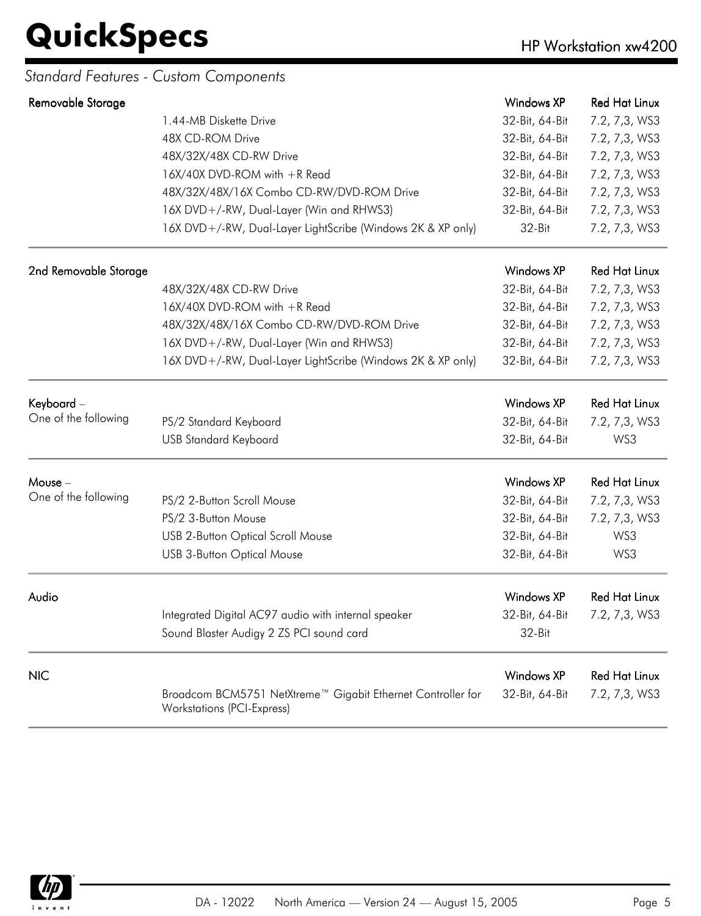### *Standard Features - Custom Components*

| Removable Storage     |                                                                                                  | Windows XP        | <b>Red Hat Linux</b> |
|-----------------------|--------------------------------------------------------------------------------------------------|-------------------|----------------------|
|                       | 1.44-MB Diskette Drive                                                                           | 32-Bit, 64-Bit    | 7.2, 7,3, WS3        |
|                       | 48X CD-ROM Drive                                                                                 | 32-Bit, 64-Bit    | 7.2, 7,3, WS3        |
|                       | 48X/32X/48X CD-RW Drive                                                                          | 32-Bit, 64-Bit    | 7.2, 7,3, WS3        |
|                       | 16X/40X DVD-ROM with +R Read                                                                     | 32-Bit, 64-Bit    | 7.2, 7,3, WS3        |
|                       | 48X/32X/48X/16X Combo CD-RW/DVD-ROM Drive                                                        | 32-Bit, 64-Bit    | 7.2, 7,3, WS3        |
|                       | 16X DVD+/-RW, Dual-Layer (Win and RHWS3)                                                         | 32-Bit, 64-Bit    | 7.2, 7,3, WS3        |
|                       | 16X DVD+/-RW, Dual-Layer LightScribe (Windows 2K & XP only)                                      | 32-Bit            | 7.2, 7,3, WS3        |
| 2nd Removable Storage |                                                                                                  | Windows XP        | <b>Red Hat Linux</b> |
|                       | 48X/32X/48X CD-RW Drive                                                                          | 32-Bit, 64-Bit    | 7.2, 7,3, WS3        |
|                       | 16X/40X DVD-ROM with +R Read                                                                     | 32-Bit, 64-Bit    | 7.2, 7,3, WS3        |
|                       | 48X/32X/48X/16X Combo CD-RW/DVD-ROM Drive                                                        | 32-Bit, 64-Bit    | 7.2, 7,3, WS3        |
|                       | 16X DVD+/-RW, Dual-Layer (Win and RHWS3)                                                         | 32-Bit, 64-Bit    | 7.2, 7,3, WS3        |
|                       | 16X DVD+/-RW, Dual-Layer LightScribe (Windows 2K & XP only)                                      | 32-Bit, 64-Bit    | 7.2, 7,3, WS3        |
| Keyboard -            |                                                                                                  | <b>Windows XP</b> | <b>Red Hat Linux</b> |
| One of the following  | PS/2 Standard Keyboard                                                                           | 32-Bit, 64-Bit    | 7.2, 7,3, WS3        |
|                       | <b>USB Standard Keyboard</b>                                                                     | 32-Bit, 64-Bit    | WS3                  |
| Mouse -               |                                                                                                  | <b>Windows XP</b> | <b>Red Hat Linux</b> |
| One of the following  | PS/2 2-Button Scroll Mouse                                                                       | 32-Bit, 64-Bit    | 7.2, 7,3, WS3        |
|                       | PS/2 3-Button Mouse                                                                              | 32-Bit, 64-Bit    | 7.2, 7,3, WS3        |
|                       | <b>USB 2-Button Optical Scroll Mouse</b>                                                         | 32-Bit, 64-Bit    | WS3                  |
|                       | <b>USB 3-Button Optical Mouse</b>                                                                | 32-Bit, 64-Bit    | WS3                  |
| Audio                 |                                                                                                  | <b>Windows XP</b> | <b>Red Hat Linux</b> |
|                       | Integrated Digital AC97 audio with internal speaker                                              | 32-Bit, 64-Bit    | 7.2, 7,3, WS3        |
|                       | Sound Blaster Audigy 2 ZS PCI sound card                                                         | 32-Bit            |                      |
| <b>NIC</b>            |                                                                                                  | <b>Windows XP</b> | <b>Red Hat Linux</b> |
|                       | Broadcom BCM5751 NetXtreme™ Gigabit Ethernet Controller for<br><b>Workstations (PCI-Express)</b> | 32-Bit, 64-Bit    | 7.2, 7,3, WS3        |

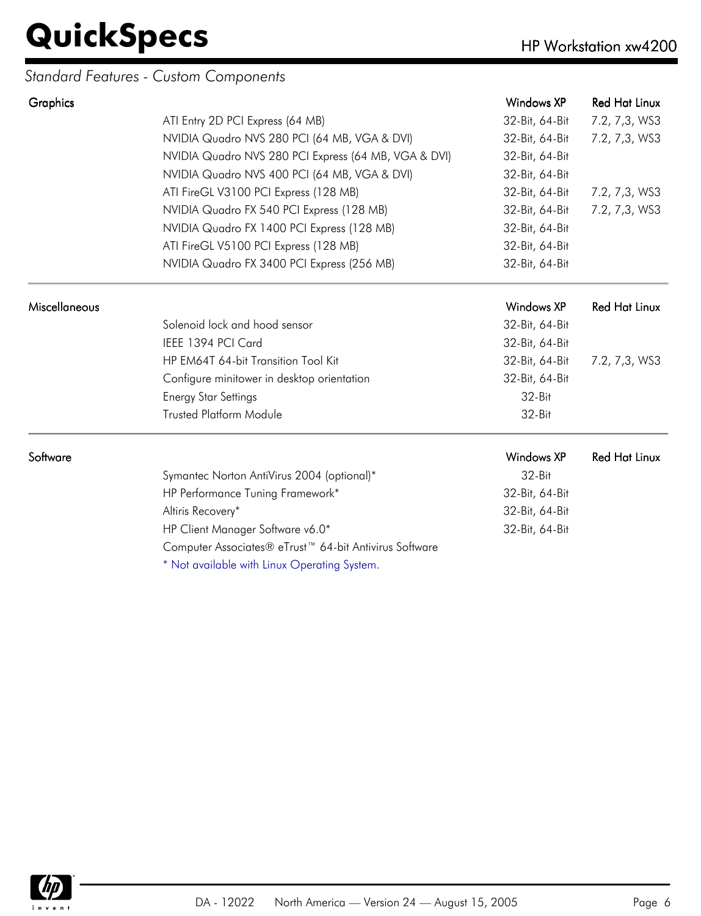### *Standard Features - Custom Components*

| Graphics             |                                                                    | Windows XP     | <b>Red Hat Linux</b> |
|----------------------|--------------------------------------------------------------------|----------------|----------------------|
|                      | ATI Entry 2D PCI Express (64 MB)                                   | 32-Bit, 64-Bit | 7.2, 7,3, WS3        |
|                      | NVIDIA Quadro NVS 280 PCI (64 MB, VGA & DVI)                       | 32-Bit, 64-Bit | 7.2, 7,3, WS3        |
|                      | NVIDIA Quadro NVS 280 PCI Express (64 MB, VGA & DVI)               | 32-Bit, 64-Bit |                      |
|                      | NVIDIA Quadro NVS 400 PCI (64 MB, VGA & DVI)                       | 32-Bit, 64-Bit |                      |
|                      | ATI FireGL V3100 PCI Express (128 MB)                              | 32-Bit, 64-Bit | 7.2, 7,3, WS3        |
|                      | NVIDIA Quadro FX 540 PCI Express (128 MB)                          | 32-Bit, 64-Bit | 7.2, 7,3, WS3        |
|                      | NVIDIA Quadro FX 1400 PCI Express (128 MB)                         | 32-Bit, 64-Bit |                      |
|                      | ATI FireGL V5100 PCI Express (128 MB)                              | 32-Bit, 64-Bit |                      |
|                      | NVIDIA Quadro FX 3400 PCI Express (256 MB)                         | 32-Bit, 64-Bit |                      |
| <b>Miscellaneous</b> |                                                                    | Windows XP     | <b>Red Hat Linux</b> |
|                      | Solenoid lock and hood sensor                                      | 32-Bit, 64-Bit |                      |
|                      | IEEE 1394 PCI Card                                                 | 32-Bit, 64-Bit |                      |
|                      | HP EM64T 64-bit Transition Tool Kit                                | 32-Bit, 64-Bit | 7.2, 7,3, WS3        |
|                      | Configure minitower in desktop orientation                         | 32-Bit, 64-Bit |                      |
|                      | <b>Energy Star Settings</b>                                        | 32-Bit         |                      |
|                      | <b>Trusted Platform Module</b>                                     | $32-Hit$       |                      |
| Software             |                                                                    | Windows XP     | <b>Red Hat Linux</b> |
|                      | Symantec Norton AntiVirus 2004 (optional)*                         | 32-Bit         |                      |
|                      | HP Performance Tuning Framework*                                   | 32-Bit, 64-Bit |                      |
|                      | Altiris Recovery*                                                  | 32-Bit, 64-Bit |                      |
|                      | HP Client Manager Software v6.0*                                   | 32-Bit, 64-Bit |                      |
|                      | Computer Associates® eTrust <sup>™</sup> 64-bit Antivirus Software |                |                      |
|                      | * Not available with Linux Operating System.                       |                |                      |

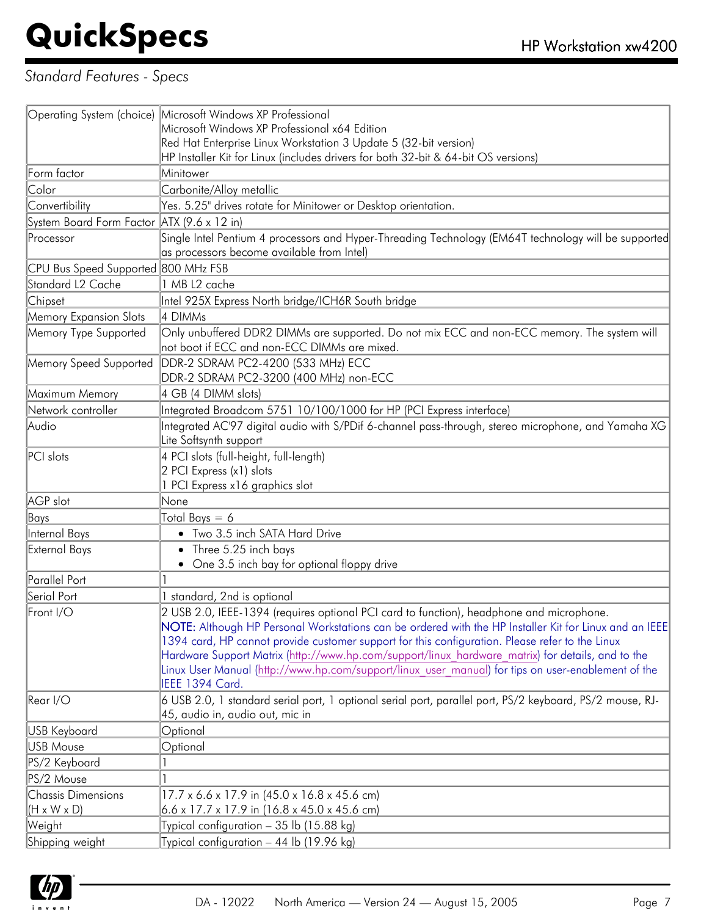### *Standard Features - Specs*

|                                                      | Operating System (choice) Microsoft Windows XP Professional                                                                                                                                                                                                                                                                                                                                                                                                                                                                         |
|------------------------------------------------------|-------------------------------------------------------------------------------------------------------------------------------------------------------------------------------------------------------------------------------------------------------------------------------------------------------------------------------------------------------------------------------------------------------------------------------------------------------------------------------------------------------------------------------------|
|                                                      | Microsoft Windows XP Professional x64 Edition                                                                                                                                                                                                                                                                                                                                                                                                                                                                                       |
|                                                      | Red Hat Enterprise Linux Workstation 3 Update 5 (32-bit version)                                                                                                                                                                                                                                                                                                                                                                                                                                                                    |
|                                                      | HP Installer Kit for Linux (includes drivers for both 32-bit & 64-bit OS versions)                                                                                                                                                                                                                                                                                                                                                                                                                                                  |
| Form factor                                          | Minitower                                                                                                                                                                                                                                                                                                                                                                                                                                                                                                                           |
| Color                                                | Carbonite/Alloy metallic                                                                                                                                                                                                                                                                                                                                                                                                                                                                                                            |
| Convertibility                                       | Yes. 5.25" drives rotate for Minitower or Desktop orientation.                                                                                                                                                                                                                                                                                                                                                                                                                                                                      |
| System Board Form Factor ATX (9.6 x 12 in)           |                                                                                                                                                                                                                                                                                                                                                                                                                                                                                                                                     |
| Processor                                            | Single Intel Pentium 4 processors and Hyper-Threading Technology (EM64T technology will be supported<br>as processors become available from Intel)                                                                                                                                                                                                                                                                                                                                                                                  |
| CPU Bus Speed Supported 800 MHz FSB                  |                                                                                                                                                                                                                                                                                                                                                                                                                                                                                                                                     |
| Standard L2 Cache                                    | 1 MB L2 cache                                                                                                                                                                                                                                                                                                                                                                                                                                                                                                                       |
| Chipset                                              | Intel 925X Express North bridge/ICH6R South bridge                                                                                                                                                                                                                                                                                                                                                                                                                                                                                  |
| Memory Expansion Slots                               | 4 DIMMs                                                                                                                                                                                                                                                                                                                                                                                                                                                                                                                             |
| Memory Type Supported                                | Only unbuffered DDR2 DIMMs are supported. Do not mix ECC and non-ECC memory. The system will<br>not boot if ECC and non-ECC DIMMs are mixed.                                                                                                                                                                                                                                                                                                                                                                                        |
| Memory Speed Supported                               | DDR-2 SDRAM PC2-4200 (533 MHz) ECC<br>DDR-2 SDRAM PC2-3200 (400 MHz) non-ECC                                                                                                                                                                                                                                                                                                                                                                                                                                                        |
| Maximum Memory                                       | 4 GB (4 DIMM slots)                                                                                                                                                                                                                                                                                                                                                                                                                                                                                                                 |
| Network controller                                   | Integrated Broadcom 5751 10/100/1000 for HP (PCI Express interface)                                                                                                                                                                                                                                                                                                                                                                                                                                                                 |
| Audio                                                | Integrated AC'97 digital audio with S/PDif 6-channel pass-through, stereo microphone, and Yamaha XG                                                                                                                                                                                                                                                                                                                                                                                                                                 |
|                                                      | Lite Softsynth support                                                                                                                                                                                                                                                                                                                                                                                                                                                                                                              |
| PCI slots                                            | 4 PCI slots (full-height, full-length)<br>2 PCI Express (x1) slots                                                                                                                                                                                                                                                                                                                                                                                                                                                                  |
|                                                      | 1 PCI Express x16 graphics slot                                                                                                                                                                                                                                                                                                                                                                                                                                                                                                     |
| AGP slot                                             | None                                                                                                                                                                                                                                                                                                                                                                                                                                                                                                                                |
| Bays                                                 | Total Bays $= 6$                                                                                                                                                                                                                                                                                                                                                                                                                                                                                                                    |
| Internal Bays                                        | • Two 3.5 inch SATA Hard Drive                                                                                                                                                                                                                                                                                                                                                                                                                                                                                                      |
| External Bays                                        | • Three 5.25 inch bays<br>• One 3.5 inch bay for optional floppy drive                                                                                                                                                                                                                                                                                                                                                                                                                                                              |
| Parallel Port                                        |                                                                                                                                                                                                                                                                                                                                                                                                                                                                                                                                     |
| Serial Port                                          | 1 standard, 2nd is optional                                                                                                                                                                                                                                                                                                                                                                                                                                                                                                         |
| Front I/O                                            | 2 USB 2.0, IEEE-1394 (requires optional PCI card to function), headphone and microphone.<br>NOTE: Although HP Personal Workstations can be ordered with the HP Installer Kit for Linux and an IEEE<br>1394 card, HP cannot provide customer support for this configuration. Please refer to the Linux<br>Hardware Support Matrix (http://www.hp.com/support/linux hardware matrix) for details, and to the<br>Linux User Manual (http://www.hp.com/support/linux user manual) for tips on user-enablement of the<br>IEEE 1394 Card. |
| Rear I/O                                             | 6 USB 2.0, 1 standard serial port, 1 optional serial port, parallel port, PS/2 keyboard, PS/2 mouse, RJ-<br>45, audio in, audio out, mic in                                                                                                                                                                                                                                                                                                                                                                                         |
| USB Keyboard                                         | Optional                                                                                                                                                                                                                                                                                                                                                                                                                                                                                                                            |
| USB Mouse                                            | Optional                                                                                                                                                                                                                                                                                                                                                                                                                                                                                                                            |
| PS/2 Keyboard                                        |                                                                                                                                                                                                                                                                                                                                                                                                                                                                                                                                     |
| PS/2 Mouse                                           |                                                                                                                                                                                                                                                                                                                                                                                                                                                                                                                                     |
| <b>Chassis Dimensions</b><br>$(H \times W \times D)$ | 17.7 x 6.6 x 17.9 in (45.0 x 16.8 x 45.6 cm)<br>$6.6 \times 17.7 \times 17.9$ in (16.8 x 45.0 x 45.6 cm)                                                                                                                                                                                                                                                                                                                                                                                                                            |
| Weight                                               | Typical configuration - 35 lb (15.88 kg)                                                                                                                                                                                                                                                                                                                                                                                                                                                                                            |
| Shipping weight                                      | Typical configuration - 44 lb (19.96 kg)                                                                                                                                                                                                                                                                                                                                                                                                                                                                                            |

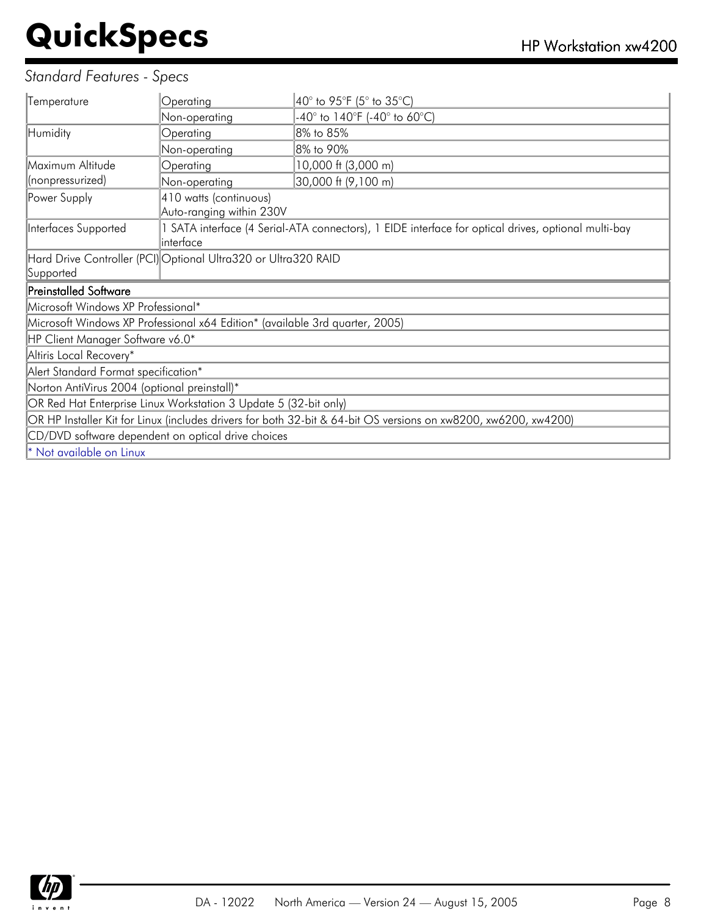### *Standard Features - Specs*

| Temperature                                                                                                     | Operating                                                                                                         | 40° to 95°F (5° to 35°C)     |  |
|-----------------------------------------------------------------------------------------------------------------|-------------------------------------------------------------------------------------------------------------------|------------------------------|--|
|                                                                                                                 | Non-operating                                                                                                     | -40° to 140°F (-40° to 60°C) |  |
| Humidity                                                                                                        | Operating                                                                                                         | 8% to 85%                    |  |
|                                                                                                                 | Non-operating                                                                                                     | 8% to 90%                    |  |
| Maximum Altitude                                                                                                | Operating                                                                                                         | 10,000 ft (3,000 m)          |  |
| (nonpressurized)                                                                                                | Non-operating                                                                                                     | 30,000 ft (9,100 m)          |  |
| Power Supply                                                                                                    | 410 watts (continuous)<br>Auto-ranging within 230V                                                                |                              |  |
| Interfaces Supported                                                                                            | 1 SATA interface (4 Serial-ATA connectors), 1 EIDE interface for optical drives, optional multi-bay<br>linterface |                              |  |
| Hard Drive Controller (PCI) Optional Ultra320 or Ultra320 RAID                                                  |                                                                                                                   |                              |  |
| Supported                                                                                                       |                                                                                                                   |                              |  |
| <b>Preinstalled Software</b>                                                                                    |                                                                                                                   |                              |  |
| Microsoft Windows XP Professional*                                                                              |                                                                                                                   |                              |  |
| Microsoft Windows XP Professional x64 Edition* (available 3rd quarter, 2005)                                    |                                                                                                                   |                              |  |
| HP Client Manager Software v6.0*                                                                                |                                                                                                                   |                              |  |
| Altiris Local Recovery*                                                                                         |                                                                                                                   |                              |  |
| Alert Standard Format specification*                                                                            |                                                                                                                   |                              |  |
| Norton AntiVirus 2004 (optional preinstall)*                                                                    |                                                                                                                   |                              |  |
| OR Red Hat Enterprise Linux Workstation 3 Update 5 (32-bit only)                                                |                                                                                                                   |                              |  |
| OR HP Installer Kit for Linux (includes drivers for both 32-bit & 64-bit OS versions on xw8200, xw6200, xw4200) |                                                                                                                   |                              |  |
| CD/DVD software dependent on optical drive choices                                                              |                                                                                                                   |                              |  |
|                                                                                                                 |                                                                                                                   |                              |  |
| * Not available on Linux                                                                                        |                                                                                                                   |                              |  |

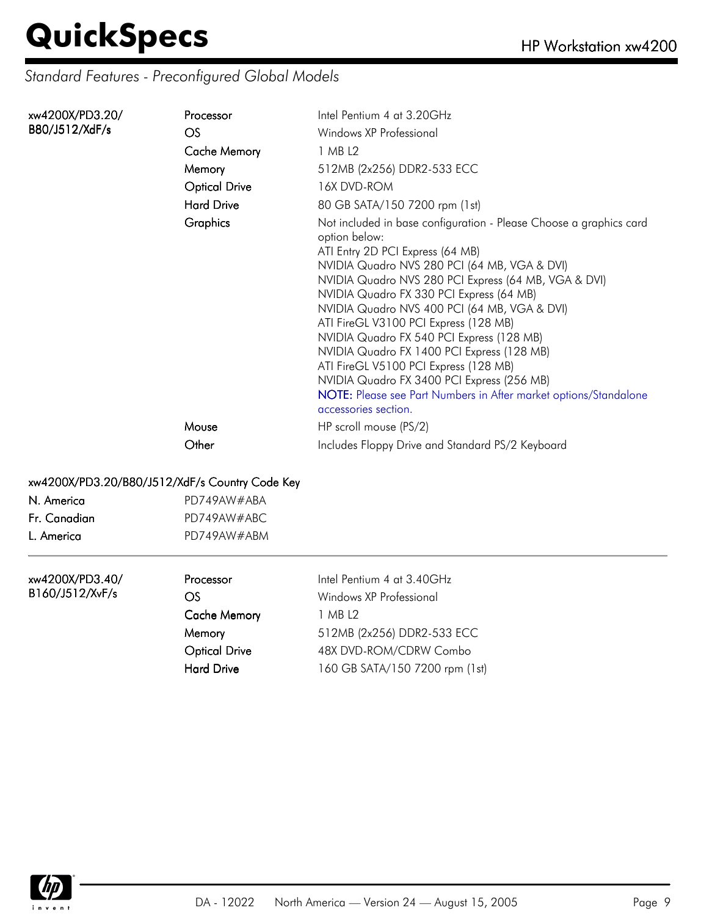### *Standard Features - Preconfigured Global Models*

| xw4200X/PD3.20/ | Processor            | Intel Pentium 4 at 3.20GHz                                                                                                                                                                                                                                                                                                                                                                                                                                                                                                                                                                                                                         |
|-----------------|----------------------|----------------------------------------------------------------------------------------------------------------------------------------------------------------------------------------------------------------------------------------------------------------------------------------------------------------------------------------------------------------------------------------------------------------------------------------------------------------------------------------------------------------------------------------------------------------------------------------------------------------------------------------------------|
| B80/J512/XdF/s  | <b>OS</b>            | Windows XP Professional                                                                                                                                                                                                                                                                                                                                                                                                                                                                                                                                                                                                                            |
|                 | <b>Cache Memory</b>  | 1 MB L2                                                                                                                                                                                                                                                                                                                                                                                                                                                                                                                                                                                                                                            |
|                 | Memory               | 512MB (2x256) DDR2-533 ECC                                                                                                                                                                                                                                                                                                                                                                                                                                                                                                                                                                                                                         |
|                 | <b>Optical Drive</b> | 16X DVD-ROM                                                                                                                                                                                                                                                                                                                                                                                                                                                                                                                                                                                                                                        |
|                 | <b>Hard Drive</b>    | 80 GB SATA/150 7200 rpm (1st)                                                                                                                                                                                                                                                                                                                                                                                                                                                                                                                                                                                                                      |
|                 | <b>Graphics</b>      | Not included in base configuration - Please Choose a graphics card<br>option below:<br>ATI Entry 2D PCI Express (64 MB)<br>NVIDIA Quadro NVS 280 PCI (64 MB, VGA & DVI)<br>NVIDIA Quadro NVS 280 PCI Express (64 MB, VGA & DVI)<br>NVIDIA Quadro FX 330 PCI Express (64 MB)<br>NVIDIA Quadro NVS 400 PCI (64 MB, VGA & DVI)<br>ATI FireGL V3100 PCI Express (128 MB)<br>NVIDIA Quadro FX 540 PCI Express (128 MB)<br>NVIDIA Quadro FX 1400 PCI Express (128 MB)<br>ATI FireGL V5100 PCI Express (128 MB)<br>NVIDIA Quadro FX 3400 PCI Express (256 MB)<br>NOTE: Please see Part Numbers in After market options/Standalone<br>accessories section. |
|                 | Mouse                | HP scroll mouse (PS/2)                                                                                                                                                                                                                                                                                                                                                                                                                                                                                                                                                                                                                             |
|                 | Other                | Includes Floppy Drive and Standard PS/2 Keyboard                                                                                                                                                                                                                                                                                                                                                                                                                                                                                                                                                                                                   |

#### xw4200X/PD3.20/B80/J512/XdF/s Country Code Key

| N. America   | PD749AW#ABA |  |
|--------------|-------------|--|
| Fr. Canadian | PD749AW#ABC |  |
| L. America   | PD749AW#ABM |  |

xw4200X/PD3.40/ B160/J512/XvF/s

| Processor            | Intel Pentium 4 at 3.40GHz     |
|----------------------|--------------------------------|
| OS                   | Windows XP Professional        |
| <b>Cache Memory</b>  | 1 MB 12                        |
| Memory               | 512MB (2x256) DDR2-533 ECC     |
| <b>Optical Drive</b> | 48X DVD-ROM/CDRW Combo         |
| <b>Hard Drive</b>    | 160 GB SATA/150 7200 rpm (1st) |
|                      |                                |

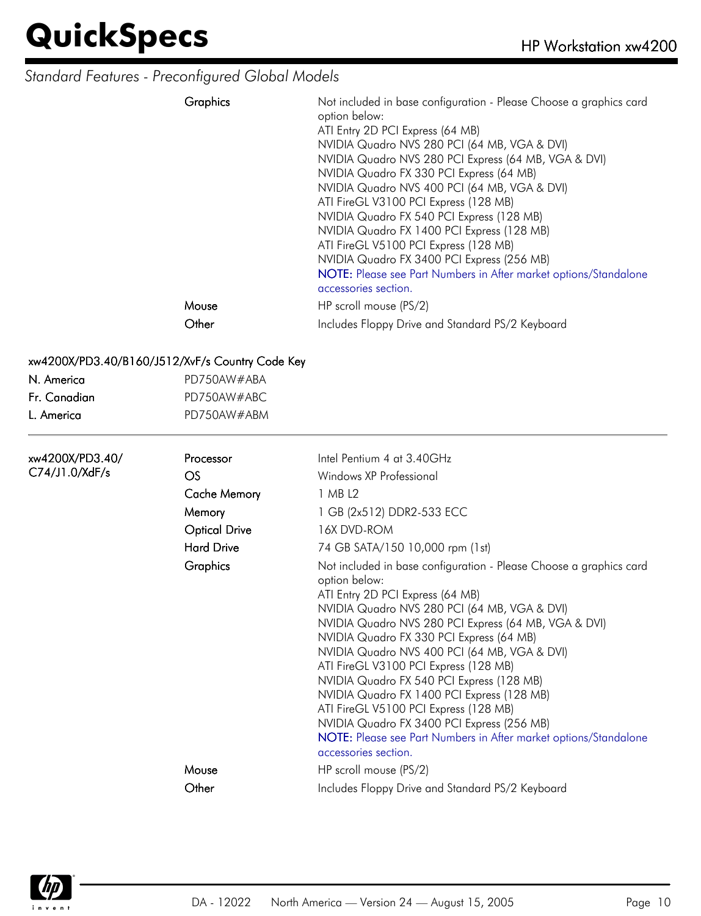### *Standard Features - Preconfigured Global Models*

| Graphics | Not included in base configuration - Please Choose a graphics card<br>option below:<br>ATI Entry 2D PCI Express (64 MB)<br>NVIDIA Quadro NVS 280 PCI (64 MB, VGA & DVI)<br>NVIDIA Quadro NVS 280 PCI Express (64 MB, VGA & DVI)<br>NVIDIA Quadro FX 330 PCI Express (64 MB)<br>NVIDIA Quadro NVS 400 PCI (64 MB, VGA & DVI)<br>ATI FireGL V3100 PCI Express (128 MB)<br>NVIDIA Quadro FX 540 PCI Express (128 MB)<br>NVIDIA Quadro FX 1400 PCI Express (128 MB)<br>ATI FireGL V5100 PCI Express (128 MB)<br>NVIDIA Quadro FX 3400 PCI Express (256 MB)<br>NOTE: Please see Part Numbers in After market options/Standalone<br>accessories section. |
|----------|----------------------------------------------------------------------------------------------------------------------------------------------------------------------------------------------------------------------------------------------------------------------------------------------------------------------------------------------------------------------------------------------------------------------------------------------------------------------------------------------------------------------------------------------------------------------------------------------------------------------------------------------------|
| Mouse    | HP scroll mouse (PS/2)                                                                                                                                                                                                                                                                                                                                                                                                                                                                                                                                                                                                                             |
| Other    | Includes Floppy Drive and Standard PS/2 Keyboard                                                                                                                                                                                                                                                                                                                                                                                                                                                                                                                                                                                                   |

#### xw4200X/PD3.40/B160/J512/XvF/s Country Code Key

| N. America     | PD750AW#ABA |
|----------------|-------------|
| . Fr. Canadian | PD750AW#ABC |
| L. America     | PD750AW#ABM |

| .xw4200X/PD3.40 | Processor            | Intel Pentium 4 at 3.40GHz                                                                                                                                                                                                                                                                                                                                                                                                                                                                                                                                                                                                                         |
|-----------------|----------------------|----------------------------------------------------------------------------------------------------------------------------------------------------------------------------------------------------------------------------------------------------------------------------------------------------------------------------------------------------------------------------------------------------------------------------------------------------------------------------------------------------------------------------------------------------------------------------------------------------------------------------------------------------|
| C74/J1.0/XdF/s  | <b>OS</b>            | Windows XP Professional                                                                                                                                                                                                                                                                                                                                                                                                                                                                                                                                                                                                                            |
|                 | <b>Cache Memory</b>  | 1 MB L2                                                                                                                                                                                                                                                                                                                                                                                                                                                                                                                                                                                                                                            |
|                 | Memory               | 1 GB (2x512) DDR2-533 ECC                                                                                                                                                                                                                                                                                                                                                                                                                                                                                                                                                                                                                          |
|                 | <b>Optical Drive</b> | 16X DVD-ROM                                                                                                                                                                                                                                                                                                                                                                                                                                                                                                                                                                                                                                        |
|                 | <b>Hard Drive</b>    | 74 GB SATA/150 10,000 rpm (1st)                                                                                                                                                                                                                                                                                                                                                                                                                                                                                                                                                                                                                    |
|                 | Graphics             | Not included in base configuration - Please Choose a graphics card<br>option below:<br>ATI Entry 2D PCI Express (64 MB)<br>NVIDIA Quadro NVS 280 PCI (64 MB, VGA & DVI)<br>NVIDIA Quadro NVS 280 PCI Express (64 MB, VGA & DVI)<br>NVIDIA Quadro FX 330 PCI Express (64 MB)<br>NVIDIA Quadro NVS 400 PCI (64 MB, VGA & DVI)<br>ATI FireGL V3100 PCI Express (128 MB)<br>NVIDIA Quadro FX 540 PCI Express (128 MB)<br>NVIDIA Quadro FX 1400 PCI Express (128 MB)<br>ATI FireGL V5100 PCI Express (128 MB)<br>NVIDIA Quadro FX 3400 PCI Express (256 MB)<br>NOTE: Please see Part Numbers in After market options/Standalone<br>accessories section. |
|                 | Mouse                | HP scroll mouse (PS/2)                                                                                                                                                                                                                                                                                                                                                                                                                                                                                                                                                                                                                             |
|                 | Other                | Includes Floppy Drive and Standard PS/2 Keyboard                                                                                                                                                                                                                                                                                                                                                                                                                                                                                                                                                                                                   |

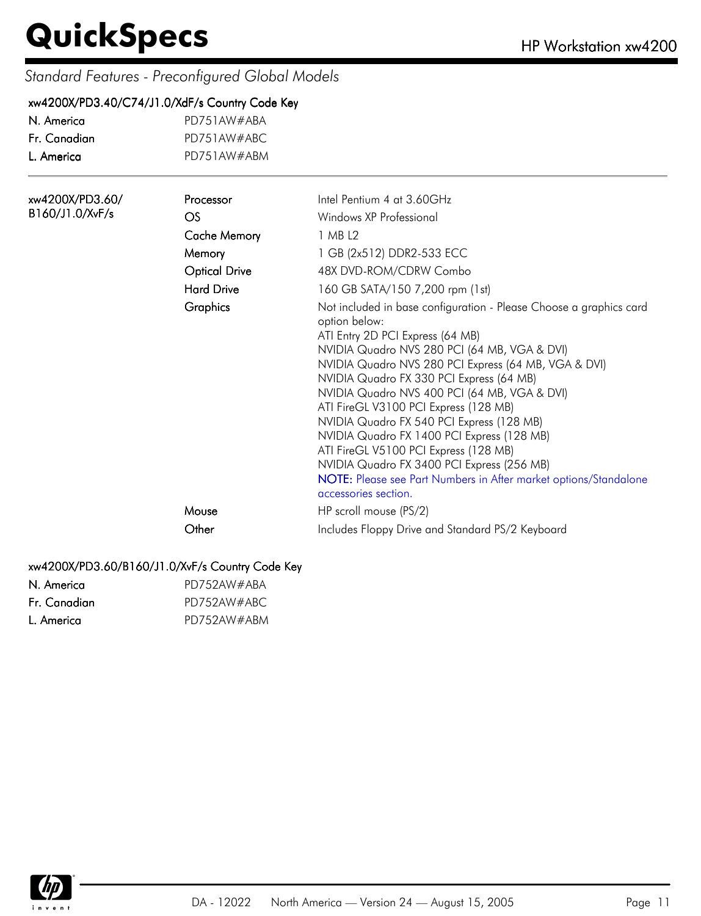### *Standard Features - Preconfigured Global Models*

#### xw4200X/PD3.40/C74/J1.0/XdF/s Country Code Key

| N America    | PD751AW#ABA |
|--------------|-------------|
| Fr. Canadian | PD751AW#ABC |
| L. America   | PD751AW#ABM |

| xw4200X/PD3.60/ | Processor            | Intel Pentium 4 at 3.60GHz                                                                                                                                                                                                                                                                                                                                                                                                                                                                                                                                                                                                                         |
|-----------------|----------------------|----------------------------------------------------------------------------------------------------------------------------------------------------------------------------------------------------------------------------------------------------------------------------------------------------------------------------------------------------------------------------------------------------------------------------------------------------------------------------------------------------------------------------------------------------------------------------------------------------------------------------------------------------|
| B160/J1.0/XvF/s | <b>OS</b>            | Windows XP Professional                                                                                                                                                                                                                                                                                                                                                                                                                                                                                                                                                                                                                            |
|                 | <b>Cache Memory</b>  | 1 MB L2                                                                                                                                                                                                                                                                                                                                                                                                                                                                                                                                                                                                                                            |
|                 | Memory               | 1 GB (2x512) DDR2-533 ECC                                                                                                                                                                                                                                                                                                                                                                                                                                                                                                                                                                                                                          |
|                 | <b>Optical Drive</b> | 48X DVD-ROM/CDRW Combo                                                                                                                                                                                                                                                                                                                                                                                                                                                                                                                                                                                                                             |
|                 | <b>Hard Drive</b>    | 160 GB SATA/150 7,200 rpm (1st)                                                                                                                                                                                                                                                                                                                                                                                                                                                                                                                                                                                                                    |
|                 | <b>Graphics</b>      | Not included in base configuration - Please Choose a graphics card<br>option below:<br>ATI Entry 2D PCI Express (64 MB)<br>NVIDIA Quadro NVS 280 PCI (64 MB, VGA & DVI)<br>NVIDIA Quadro NVS 280 PCI Express (64 MB, VGA & DVI)<br>NVIDIA Quadro FX 330 PCI Express (64 MB)<br>NVIDIA Quadro NVS 400 PCI (64 MB, VGA & DVI)<br>ATI FireGL V3100 PCI Express (128 MB)<br>NVIDIA Quadro FX 540 PCI Express (128 MB)<br>NVIDIA Quadro FX 1400 PCI Express (128 MB)<br>ATI FireGL V5100 PCI Express (128 MB)<br>NVIDIA Quadro FX 3400 PCI Express (256 MB)<br>NOTE: Please see Part Numbers in After market options/Standalone<br>accessories section. |
|                 | Mouse                | HP scroll mouse (PS/2)                                                                                                                                                                                                                                                                                                                                                                                                                                                                                                                                                                                                                             |
|                 | Other                | Includes Floppy Drive and Standard PS/2 Keyboard                                                                                                                                                                                                                                                                                                                                                                                                                                                                                                                                                                                                   |

#### xw4200X/PD3.60/B160/J1.0/XvF/s Country Code Key

| N. America   | PD752AW#ABA |
|--------------|-------------|
| Fr. Canadian | PD752AW#ABC |
| L. America   | PD752AW#ABM |

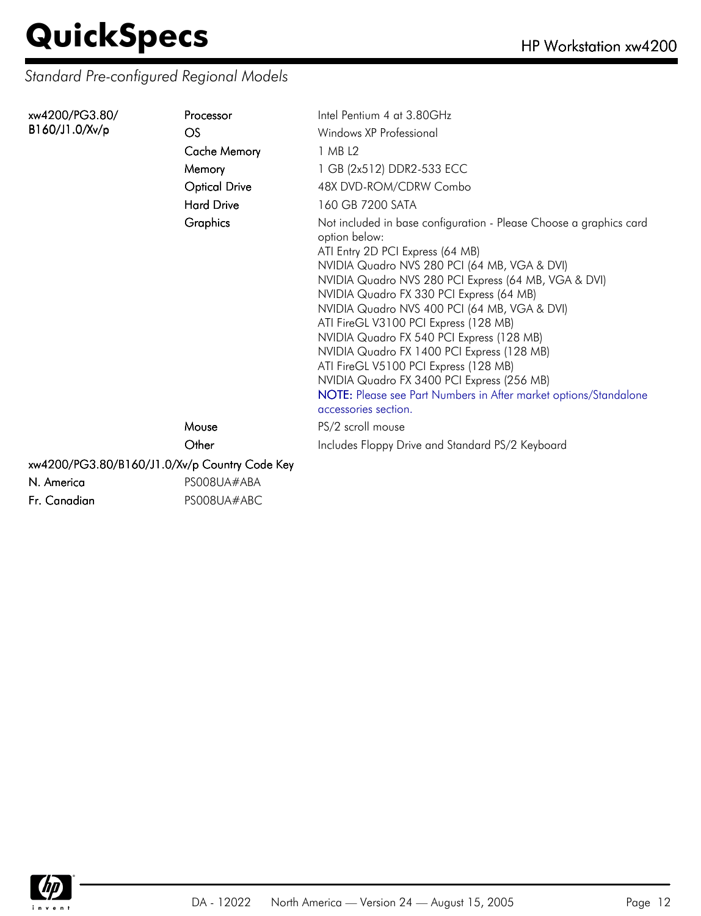*Standard Pre-configured Regional Models*

| xw4200/PG3.80/ | Processor                                     | Intel Pentium 4 at 3.80GHz                                                                                                                                                                                                                                                                                                                                                                                                                                                                                                                                                                                                                         |
|----------------|-----------------------------------------------|----------------------------------------------------------------------------------------------------------------------------------------------------------------------------------------------------------------------------------------------------------------------------------------------------------------------------------------------------------------------------------------------------------------------------------------------------------------------------------------------------------------------------------------------------------------------------------------------------------------------------------------------------|
| B160/J1.0/Xv/p | OS                                            | Windows XP Professional                                                                                                                                                                                                                                                                                                                                                                                                                                                                                                                                                                                                                            |
|                | <b>Cache Memory</b>                           | 1 MB L2                                                                                                                                                                                                                                                                                                                                                                                                                                                                                                                                                                                                                                            |
|                | Memory                                        | 1 GB (2x512) DDR2-533 ECC                                                                                                                                                                                                                                                                                                                                                                                                                                                                                                                                                                                                                          |
|                | <b>Optical Drive</b>                          | 48X DVD-ROM/CDRW Combo                                                                                                                                                                                                                                                                                                                                                                                                                                                                                                                                                                                                                             |
|                | <b>Hard Drive</b>                             | 160 GB 7200 SATA                                                                                                                                                                                                                                                                                                                                                                                                                                                                                                                                                                                                                                   |
|                | <b>Graphics</b>                               | Not included in base configuration - Please Choose a graphics card<br>option below:<br>ATI Entry 2D PCI Express (64 MB)<br>NVIDIA Quadro NVS 280 PCI (64 MB, VGA & DVI)<br>NVIDIA Quadro NVS 280 PCI Express (64 MB, VGA & DVI)<br>NVIDIA Quadro FX 330 PCI Express (64 MB)<br>NVIDIA Quadro NVS 400 PCI (64 MB, VGA & DVI)<br>ATI FireGL V3100 PCI Express (128 MB)<br>NVIDIA Quadro FX 540 PCI Express (128 MB)<br>NVIDIA Quadro FX 1400 PCI Express (128 MB)<br>ATI FireGL V5100 PCI Express (128 MB)<br>NVIDIA Quadro FX 3400 PCI Express (256 MB)<br>NOTE: Please see Part Numbers in After market options/Standalone<br>accessories section. |
|                | Mouse                                         | PS/2 scroll mouse                                                                                                                                                                                                                                                                                                                                                                                                                                                                                                                                                                                                                                  |
|                | Other                                         | Includes Floppy Drive and Standard PS/2 Keyboard                                                                                                                                                                                                                                                                                                                                                                                                                                                                                                                                                                                                   |
|                | xw4200/PG3.80/B160/J1.0/Xv/p Country Code Key |                                                                                                                                                                                                                                                                                                                                                                                                                                                                                                                                                                                                                                                    |
| N. America     | PS008UA#ABA                                   |                                                                                                                                                                                                                                                                                                                                                                                                                                                                                                                                                                                                                                                    |
| Fr. Canadian   | PS008UA#ABC                                   |                                                                                                                                                                                                                                                                                                                                                                                                                                                                                                                                                                                                                                                    |

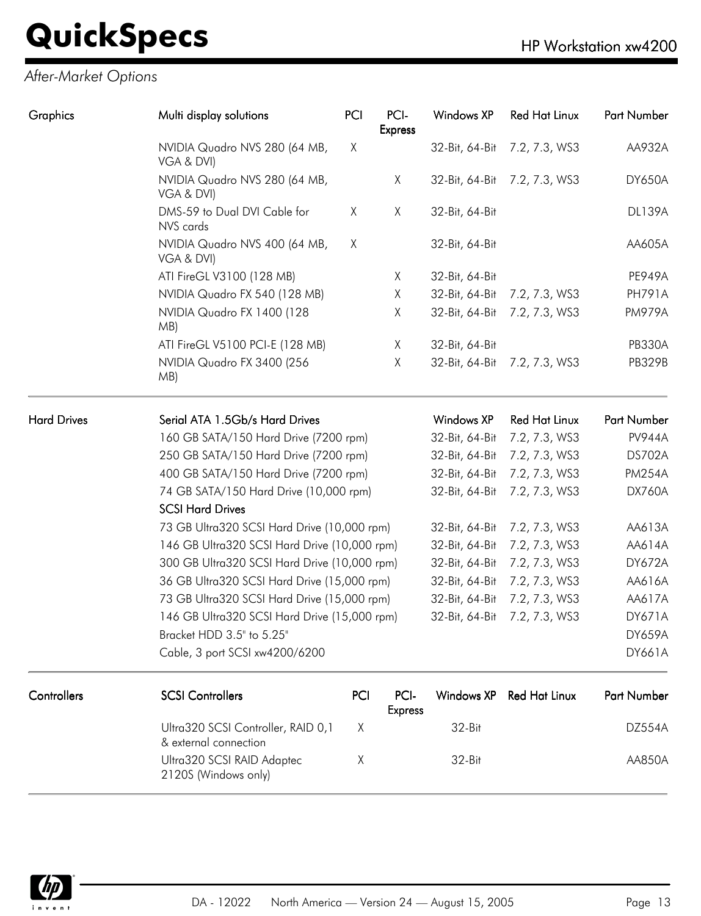| Graphics           | Multi display solutions                                     | PCI                                   | PCI-<br><b>Express</b> | Windows XP        | <b>Red Hat Linux</b> | <b>Part Number</b> |
|--------------------|-------------------------------------------------------------|---------------------------------------|------------------------|-------------------|----------------------|--------------------|
|                    | NVIDIA Quadro NVS 280 (64 MB,<br>VGA & DVI)                 | Χ                                     |                        | 32-Bit, 64-Bit    | 7.2, 7.3, WS3        | AA932A             |
|                    | NVIDIA Quadro NVS 280 (64 MB,<br>VGA & DVI)                 |                                       | X                      | 32-Bit, 64-Bit    | 7.2, 7.3, WS3        | <b>DY650A</b>      |
|                    | DMS-59 to Dual DVI Cable for<br>NVS cards                   | X                                     | X                      | 32-Bit, 64-Bit    |                      | <b>DL139A</b>      |
|                    | NVIDIA Quadro NVS 400 (64 MB,<br>VGA & DVI)                 | X                                     |                        | 32-Bit, 64-Bit    |                      | AA605A             |
|                    | ATI FireGL V3100 (128 MB)                                   |                                       | Χ                      | 32-Bit, 64-Bit    |                      | <b>PE949A</b>      |
|                    | NVIDIA Quadro FX 540 (128 MB)                               |                                       | Χ                      | 32-Bit, 64-Bit    | 7.2, 7.3, WS3        | <b>PH791A</b>      |
|                    | NVIDIA Quadro FX 1400 (128<br>MB)                           |                                       | X                      | 32-Bit, 64-Bit    | 7.2, 7.3, WS3        | <b>PM979A</b>      |
|                    | ATI FireGL V5100 PCI-E (128 MB)                             |                                       | X                      | 32-Bit, 64-Bit    |                      | <b>PB330A</b>      |
|                    | NVIDIA Quadro FX 3400 (256<br>MB)                           |                                       | X                      | 32-Bit, 64-Bit    | 7.2, 7.3, WS3        | <b>PB329B</b>      |
| <b>Hard Drives</b> | Serial ATA 1.5Gb/s Hard Drives                              |                                       |                        | <b>Windows XP</b> | <b>Red Hat Linux</b> | Part Number        |
|                    | 160 GB SATA/150 Hard Drive (7200 rpm)                       |                                       |                        | 32-Bit, 64-Bit    | 7.2, 7.3, WS3        | <b>PV944A</b>      |
|                    |                                                             | 250 GB SATA/150 Hard Drive (7200 rpm) |                        |                   | 7.2, 7.3, WS3        | DS702A             |
|                    | 400 GB SATA/150 Hard Drive (7200 rpm)                       |                                       |                        | 32-Bit, 64-Bit    | 7.2, 7.3, WS3        | <b>PM254A</b>      |
|                    | 74 GB SATA/150 Hard Drive (10,000 rpm)                      |                                       |                        | 32-Bit, 64-Bit    | 7.2, 7.3, WS3        | <b>DX760A</b>      |
|                    | <b>SCSI Hard Drives</b>                                     |                                       |                        |                   |                      |                    |
|                    | 73 GB Ultra320 SCSI Hard Drive (10,000 rpm)                 |                                       |                        | 32-Bit, 64-Bit    | 7.2, 7.3, WS3        | AA613A             |
|                    | 146 GB Ultra320 SCSI Hard Drive (10,000 rpm)                |                                       |                        | 32-Bit, 64-Bit    | 7.2, 7.3, WS3        | AA614A             |
|                    | 300 GB Ultra320 SCSI Hard Drive (10,000 rpm)                |                                       |                        | 32-Bit, 64-Bit    | 7.2, 7.3, WS3        | <b>DY672A</b>      |
|                    | 36 GB Ultra320 SCSI Hard Drive (15,000 rpm)                 |                                       |                        | 32-Bit, 64-Bit    | 7.2, 7.3, WS3        | AA616A             |
|                    | 73 GB Ultra320 SCSI Hard Drive (15,000 rpm)                 |                                       |                        | 32-Bit, 64-Bit    | 7.2, 7.3, WS3        | AA617A             |
|                    | 146 GB Ultra320 SCSI Hard Drive (15,000 rpm)                |                                       |                        | 32-Bit, 64-Bit    | 7.2, 7.3, WS3        | DY671A             |
|                    | Bracket HDD 3.5" to 5.25"                                   |                                       |                        |                   |                      | <b>DY659A</b>      |
|                    | Cable, 3 port SCSI xw4200/6200                              |                                       |                        |                   |                      | DY661A             |
| Controllers        | <b>SCSI Controllers</b>                                     | PCI                                   | PCI-<br><b>Express</b> | <b>Windows XP</b> | <b>Red Hat Linux</b> | Part Number        |
|                    | Ultra320 SCSI Controller, RAID 0,1<br>& external connection | Χ                                     |                        | 32-Bit            |                      | <b>DZ554A</b>      |
|                    | Ultra320 SCSI RAID Adaptec<br>2120S (Windows only)          | Χ                                     |                        | 32-Bit            |                      | AA850A             |

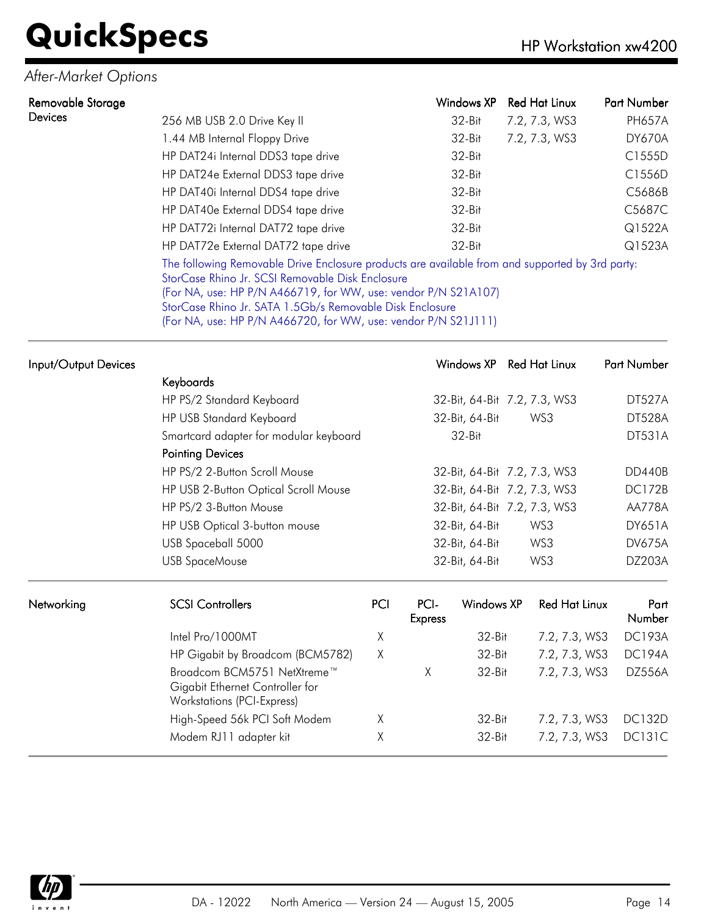### *After-Market Options*

| Removable Storage |                                                                                                                                                                                                                                                                                                                                                     | Windows XP | <b>Red Hat Linux</b> | Part Number   |
|-------------------|-----------------------------------------------------------------------------------------------------------------------------------------------------------------------------------------------------------------------------------------------------------------------------------------------------------------------------------------------------|------------|----------------------|---------------|
| Devices           | 256 MB USB 2.0 Drive Key II                                                                                                                                                                                                                                                                                                                         | $32-Hit$   | 7.2, 7.3, WS3        | <b>PH657A</b> |
|                   | 1.44 MB Internal Floppy Drive                                                                                                                                                                                                                                                                                                                       | 32-Bit     | 7.2, 7.3, WS3        | <b>DY670A</b> |
|                   | HP DAT24i Internal DDS3 tape drive                                                                                                                                                                                                                                                                                                                  | $32-Hit$   |                      | C1555D        |
|                   | HP DAT24e External DDS3 tape drive                                                                                                                                                                                                                                                                                                                  | $32-Hit$   |                      | C1556D        |
|                   | HP DAT40i Internal DDS4 tape drive                                                                                                                                                                                                                                                                                                                  | $32-Hit$   |                      | C5686B        |
|                   | HP DAT40e External DDS4 tape drive                                                                                                                                                                                                                                                                                                                  | $32-Hit$   |                      | C5687C        |
|                   | HP DAT72i Internal DAT72 tape drive                                                                                                                                                                                                                                                                                                                 | $32-Hit$   |                      | Q1522A        |
|                   | HP DAT72e External DAT72 tape drive                                                                                                                                                                                                                                                                                                                 | $32-Hit$   |                      | Q1523A        |
|                   | The following Removable Drive Enclosure products are available from and supported by 3rd party:<br>StorCase Rhino Jr. SCSI Removable Disk Enclosure<br>(For NA, use: HP P/N A466719, for WW, use: vendor P/N S21A107)<br>StorCase Rhino Jr. SATA 1.5Gb/s Removable Disk Enclosure<br>(For NA, use: HP P/N A466720, for WW, use: vendor P/N S21J111) |            |                      |               |

| Input/Output Devices |                                                                                                     |     |                              | Windows XP                   | Red Hat Linux        | Part Number    |
|----------------------|-----------------------------------------------------------------------------------------------------|-----|------------------------------|------------------------------|----------------------|----------------|
|                      | Keyboards                                                                                           |     |                              |                              |                      |                |
|                      | HP PS/2 Standard Keyboard                                                                           |     |                              | 32-Bit, 64-Bit 7.2, 7.3, WS3 |                      | DT527A         |
|                      | HP USB Standard Keyboard                                                                            |     |                              | 32-Bit, 64-Bit               | WS3                  | <b>DT528A</b>  |
|                      | Smartcard adapter for modular keyboard                                                              |     |                              | $32-Hit$                     |                      | <b>DT531A</b>  |
|                      | <b>Pointing Devices</b>                                                                             |     |                              |                              |                      |                |
|                      | HP PS/2 2-Button Scroll Mouse                                                                       |     |                              | 32-Bit, 64-Bit 7.2, 7.3, WS3 |                      | DD440B         |
|                      | HP USB 2-Button Optical Scroll Mouse                                                                |     | 32-Bit, 64-Bit 7.2, 7.3, WS3 |                              | <b>DC172B</b>        |                |
|                      | HP PS/2 3-Button Mouse                                                                              |     | 32-Bit, 64-Bit 7.2, 7.3, WS3 |                              |                      | AA778A         |
|                      | HP USB Optical 3-button mouse                                                                       |     | 32-Bit, 64-Bit               |                              | WS3                  | <b>DY651A</b>  |
|                      | USB Spaceball 5000                                                                                  |     | 32-Bit, 64-Bit<br>WS3        |                              |                      | <b>DV675A</b>  |
|                      | <b>USB SpaceMouse</b>                                                                               |     |                              | 32-Bit, 64-Bit               | WS3                  | DZ203A         |
| Networking           | <b>SCSI Controllers</b>                                                                             | PCI | PCI-<br><b>Express</b>       | <b>Windows XP</b>            | <b>Red Hat Linux</b> | Part<br>Number |
|                      | Intel Pro/1000MT                                                                                    | χ   |                              | $32-Hit$                     | 7.2, 7.3, WS3        | <b>DC193A</b>  |
|                      | HP Gigabit by Broadcom (BCM5782)                                                                    | χ   |                              | 32-Bit                       | 7.2, 7.3, WS3        | <b>DC194A</b>  |
|                      | Broadcom BCM5751 NetXtreme™<br>Gigabit Ethernet Controller for<br><b>Workstations (PCI-Express)</b> |     | Χ                            | 32-Bit                       | 7.2, 7.3, WS3        | DZ556A         |
|                      | High-Speed 56k PCI Soft Modem                                                                       | Χ   |                              | 32-Bit                       | 7.2, 7.3, WS3        | <b>DC132D</b>  |
|                      | Modem RJ11 adapter kit                                                                              | Χ   |                              | 32-Bit                       | 7.2, 7.3, WS3        | <b>DC131C</b>  |

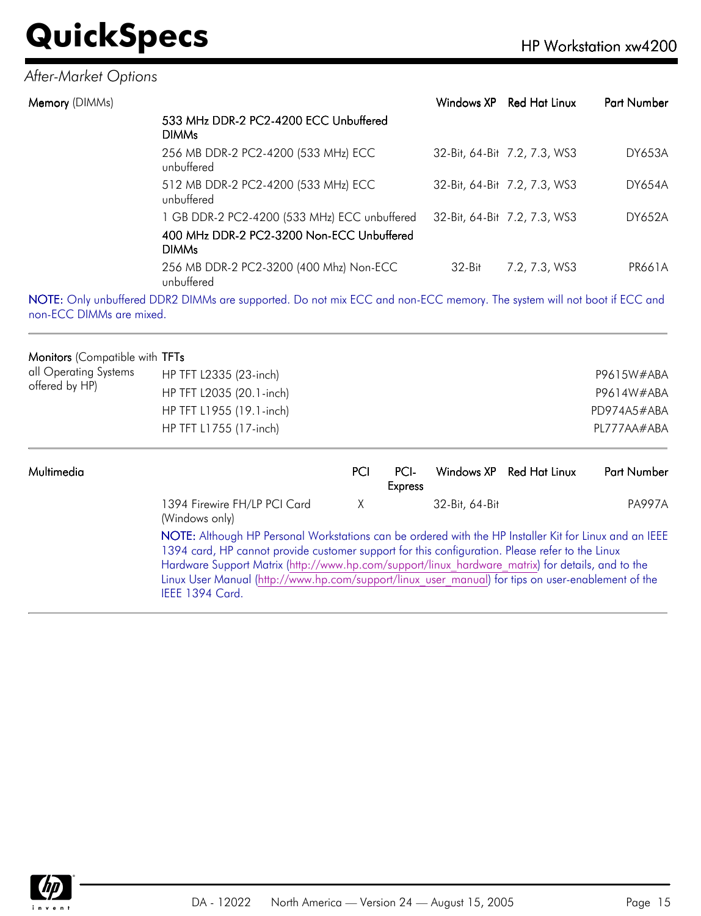### *After-Market Options*

| Memory (DIMMs) |                                                                                                                                                                                                                                                                                                                                                                                                                                                                                                           | Windows XP     | Red Hat Linux                           | Part Number   |
|----------------|-----------------------------------------------------------------------------------------------------------------------------------------------------------------------------------------------------------------------------------------------------------------------------------------------------------------------------------------------------------------------------------------------------------------------------------------------------------------------------------------------------------|----------------|-----------------------------------------|---------------|
|                | 533 MHz DDR-2 PC2-4200 ECC Unbuffered<br><b>DIMMs</b>                                                                                                                                                                                                                                                                                                                                                                                                                                                     |                |                                         |               |
|                | 256 MB DDR-2 PC2-4200 (533 MHz) ECC<br>unbuffered                                                                                                                                                                                                                                                                                                                                                                                                                                                         |                | 32-Bit, 64-Bit 7.2, 7.3, WS3            | <b>DY653A</b> |
|                | 512 MB DDR-2 PC2-4200 (533 MHz) ECC<br>unbuffered                                                                                                                                                                                                                                                                                                                                                                                                                                                         |                | 32-Bit, 64-Bit 7.2, 7.3, WS3            | <b>DY654A</b> |
|                | 1 GB DDR-2 PC2-4200 (533 MHz) ECC unbuffered                                                                                                                                                                                                                                                                                                                                                                                                                                                              |                | 32-Bit, 64-Bit 7.2, 7.3, WS3            | <b>DY652A</b> |
|                | 400 MHz DDR-2 PC2-3200 Non-ECC Unbuffered<br><b>DIMMs</b>                                                                                                                                                                                                                                                                                                                                                                                                                                                 |                |                                         |               |
|                | 256 MB DDR-2 PC2-3200 (400 Mhz) Non-ECC<br>unbuffered                                                                                                                                                                                                                                                                                                                                                                                                                                                     | $32 - Bit$     | 7.2, 7.3, WS3                           | <b>PR661A</b> |
| $\sqrt{2}$     | $\blacksquare$ $\blacksquare$ $\blacksquare$ $\blacksquare$ $\blacksquare$ $\blacksquare$ $\blacksquare$ $\blacksquare$ $\blacksquare$ $\blacksquare$ $\blacksquare$ $\blacksquare$ $\blacksquare$ $\blacksquare$ $\blacksquare$ $\blacksquare$ $\blacksquare$ $\blacksquare$ $\blacksquare$ $\blacksquare$ $\blacksquare$ $\blacksquare$ $\blacksquare$ $\blacksquare$ $\blacksquare$ $\blacksquare$ $\blacksquare$ $\blacksquare$ $\blacksquare$ $\blacksquare$ $\blacksquare$ $\blacks$<br>1.000001111 | $\overline{r}$ | THE CONTRACT CONTRACT CONTRACT CONTRACT |               |

NOTE: Only unbuffered DDR2 DIMMs are supported. Do not mix ECC and non-ECC memory. The system will not boot if ECC and non-ECC DIMMs are mixed.

#### Monitors (Compatible with TFTs

| all Operating Systems | HP TFT L2335 (23-inch)   | P9615W#ABA  |
|-----------------------|--------------------------|-------------|
| offered by HP)        | HP TFT L2035 (20.1-inch) | P9614W#ABA  |
|                       | HP TFT L1955 (19.1-inch) | PD974A5#ABA |
|                       | HP TFT L1755 (17-inch)   | PL777AA#ABA |
|                       |                          |             |

| Multimedia |                                                                                                                                                                                                                                                                                                                                                                                                                                                | PCI | PCI-<br><b>Express</b> |                | Windows XP Red Hat Linux | <b>Part Number</b> |
|------------|------------------------------------------------------------------------------------------------------------------------------------------------------------------------------------------------------------------------------------------------------------------------------------------------------------------------------------------------------------------------------------------------------------------------------------------------|-----|------------------------|----------------|--------------------------|--------------------|
|            | 1394 Firewire FH/LP PCI Card<br>(Windows only)                                                                                                                                                                                                                                                                                                                                                                                                 | X   |                        | 32-Bit, 64-Bit |                          | <b>PA997A</b>      |
|            | NOTE: Although HP Personal Workstations can be ordered with the HP Installer Kit for Linux and an IEEE<br>1394 card, HP cannot provide customer support for this configuration. Please refer to the Linux<br>Hardware Support Matrix (http://www.hp.com/support/linux hardware matrix) for details, and to the<br>Linux User Manual (http://www.hp.com/support/linux user manual) for tips on user-enablement of the<br><b>IEEE 1394 Card.</b> |     |                        |                |                          |                    |

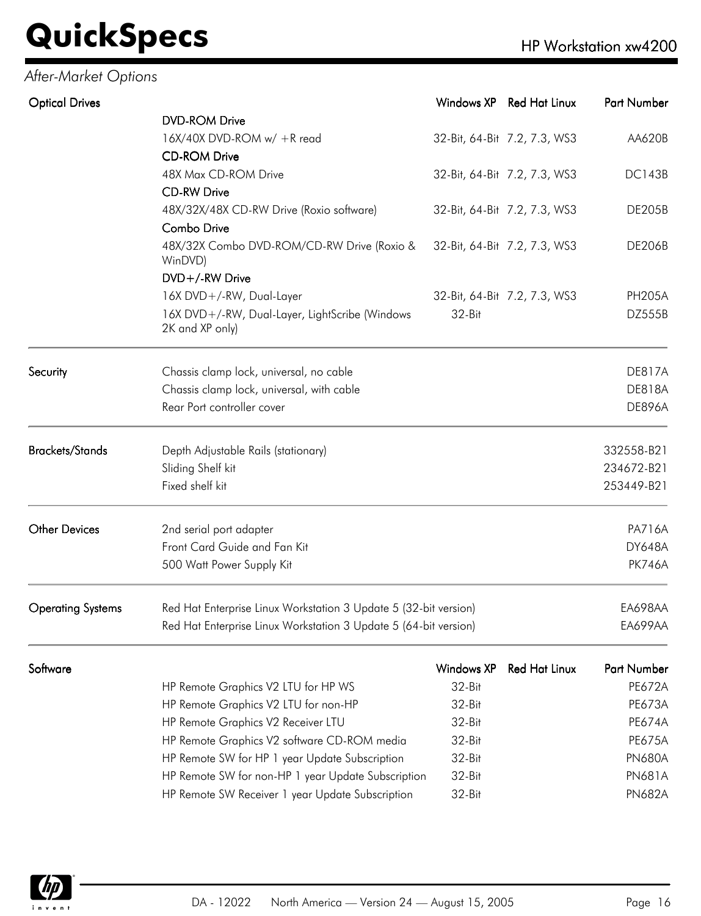### *After-Market Options*

| <b>Optical Drives</b>    |                                                                   | Windows XP        | <b>Red Hat Linux</b>         | Part Number        |
|--------------------------|-------------------------------------------------------------------|-------------------|------------------------------|--------------------|
|                          | <b>DVD-ROM Drive</b>                                              |                   |                              |                    |
|                          | $16X/40X$ DVD-ROM w/ +R read                                      |                   | 32-Bit, 64-Bit 7.2, 7.3, WS3 | AA620B             |
|                          | <b>CD-ROM Drive</b>                                               |                   |                              |                    |
|                          | 48X Max CD-ROM Drive                                              |                   | 32-Bit, 64-Bit 7.2, 7.3, WS3 | <b>DC143B</b>      |
|                          | <b>CD-RW Drive</b>                                                |                   |                              |                    |
|                          | 48X/32X/48X CD-RW Drive (Roxio software)                          |                   | 32-Bit, 64-Bit 7.2, 7.3, WS3 | <b>DE205B</b>      |
|                          | <b>Combo Drive</b>                                                |                   |                              |                    |
|                          | 48X/32X Combo DVD-ROM/CD-RW Drive (Roxio &<br>WinDVD)             |                   | 32-Bit, 64-Bit 7.2, 7.3, WS3 | <b>DE206B</b>      |
|                          | DVD+/-RW Drive                                                    |                   |                              |                    |
|                          | 16X DVD+/-RW, Dual-Layer                                          |                   | 32-Bit, 64-Bit 7.2, 7.3, WS3 | <b>PH205A</b>      |
|                          | 16X DVD+/-RW, Dual-Layer, LightScribe (Windows<br>2K and XP only) | 32-Bit            |                              | <b>DZ555B</b>      |
| Security                 | Chassis clamp lock, universal, no cable                           |                   |                              | <b>DE817A</b>      |
|                          | Chassis clamp lock, universal, with cable                         |                   |                              | <b>DE818A</b>      |
|                          | Rear Port controller cover                                        |                   |                              | <b>DE896A</b>      |
| <b>Brackets/Stands</b>   | Depth Adjustable Rails (stationary)                               |                   |                              | 332558-B21         |
|                          | Sliding Shelf kit                                                 |                   |                              | 234672-B21         |
|                          | Fixed shelf kit                                                   |                   |                              | 253449-B21         |
| <b>Other Devices</b>     | 2nd serial port adapter                                           |                   |                              | <b>PA716A</b>      |
|                          | Front Card Guide and Fan Kit                                      |                   |                              | <b>DY648A</b>      |
|                          | 500 Watt Power Supply Kit                                         |                   |                              | <b>PK746A</b>      |
| <b>Operating Systems</b> | Red Hat Enterprise Linux Workstation 3 Update 5 (32-bit version)  |                   |                              | <b>EA698AA</b>     |
|                          | Red Hat Enterprise Linux Workstation 3 Update 5 (64-bit version)  |                   |                              | EA699AA            |
| Software                 |                                                                   | <b>Windows XP</b> | <b>Red Hat Linux</b>         | <b>Part Number</b> |
|                          | HP Remote Graphics V2 LTU for HP WS                               | 32-Bit            |                              | <b>PE672A</b>      |
|                          | HP Remote Graphics V2 LTU for non-HP                              | 32-Bit            |                              | <b>PE673A</b>      |
|                          | HP Remote Graphics V2 Receiver LTU                                | 32-Bit            |                              | <b>PE674A</b>      |
|                          | HP Remote Graphics V2 software CD-ROM media                       | 32-Bit            |                              | <b>PE675A</b>      |
|                          | HP Remote SW for HP 1 year Update Subscription                    | 32-Bit            |                              | <b>PN680A</b>      |



HP Remote SW for non-HP 1 year Update Subscription 32-Bit PN681A HP Remote SW Receiver 1 year Update Subscription 32-Bit PN682A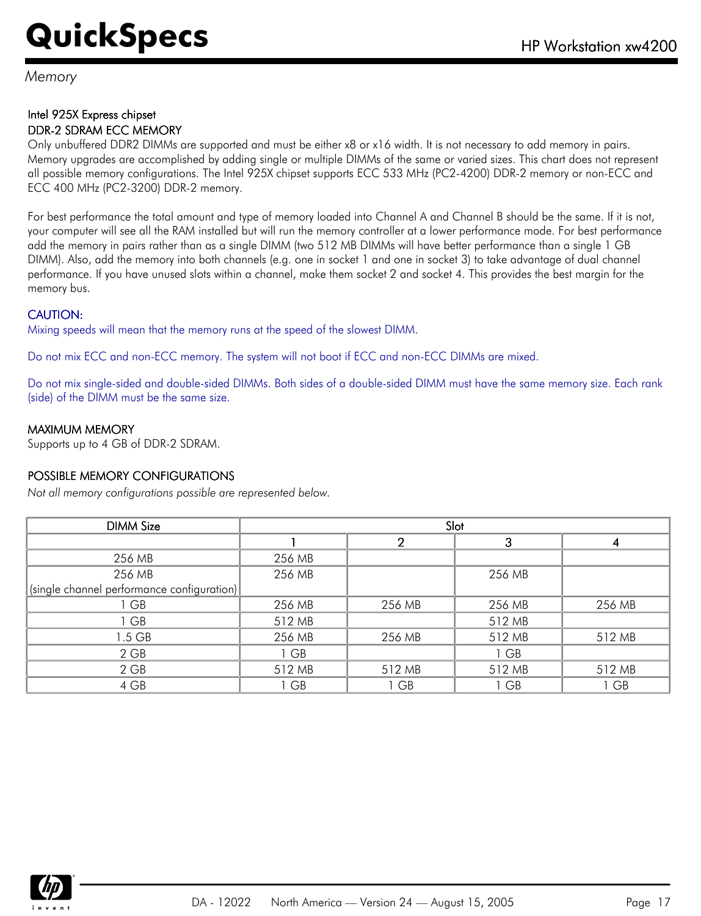*Memory*

#### Intel 925X Express chipset DDR-2 SDRAM ECC MEMORY

Only unbuffered DDR2 DIMMs are supported and must be either x8 or x16 width. It is not necessary to add memory in pairs. Memory upgrades are accomplished by adding single or multiple DIMMs of the same or varied sizes. This chart does not represent all possible memory configurations. The Intel 925X chipset supports ECC 533 MHz (PC2-4200) DDR-2 memory or non-ECC and ECC 400 MHz (PC2-3200) DDR-2 memory.

For best performance the total amount and type of memory loaded into Channel A and Channel B should be the same. If it is not, your computer will see all the RAM installed but will run the memory controller at a lower performance mode. For best performance add the memory in pairs rather than as a single DIMM (two 512 MB DIMMs will have better performance than a single 1 GB DIMM). Also, add the memory into both channels (e.g. one in socket 1 and one in socket 3) to take advantage of dual channel performance. If you have unused slots within a channel, make them socket 2 and socket 4. This provides the best margin for the memory bus.

#### CAUTION:

Mixing speeds will mean that the memory runs at the speed of the slowest DIMM.

Do not mix ECC and non-ECC memory. The system will not boot if ECC and non-ECC DIMMs are mixed.

Do not mix single-sided and double-sided DIMMs. Both sides of a double-sided DIMM must have the same memory size. Each rank (side) of the DIMM must be the same size.

#### MAXIMUM MEMORY

Supports up to 4 GB of DDR-2 SDRAM.

#### POSSIBLE MEMORY CONFIGURATIONS

*Not all memory configurations possible are represented below.*

| <b>DIMM Size</b>                                                 | Slot   |        |        |        |  |  |
|------------------------------------------------------------------|--------|--------|--------|--------|--|--|
|                                                                  |        | 2      | 3      | 4      |  |  |
| 256 MB                                                           | 256 MB |        |        |        |  |  |
| 256 MB                                                           | 256 MB |        | 256 MB |        |  |  |
| $ \left(\text{single channel performance configuration}\right) $ |        |        |        |        |  |  |
| 1 GB                                                             | 256 MB | 256 MB | 256 MB | 256 MB |  |  |
| 1 GB                                                             | 512 MB |        | 512 MB |        |  |  |
| $1.5$ GB                                                         | 256 MB | 256 MB | 512 MB | 512 MB |  |  |
| $2$ GB                                                           | 1 GB   |        | 1 GB   |        |  |  |
| $2$ GB                                                           | 512 MB | 512 MB | 512 MB | 512 MB |  |  |
| 4 GB                                                             | 1 GB   | 1 GB   | 1 GB   | 1 GB   |  |  |

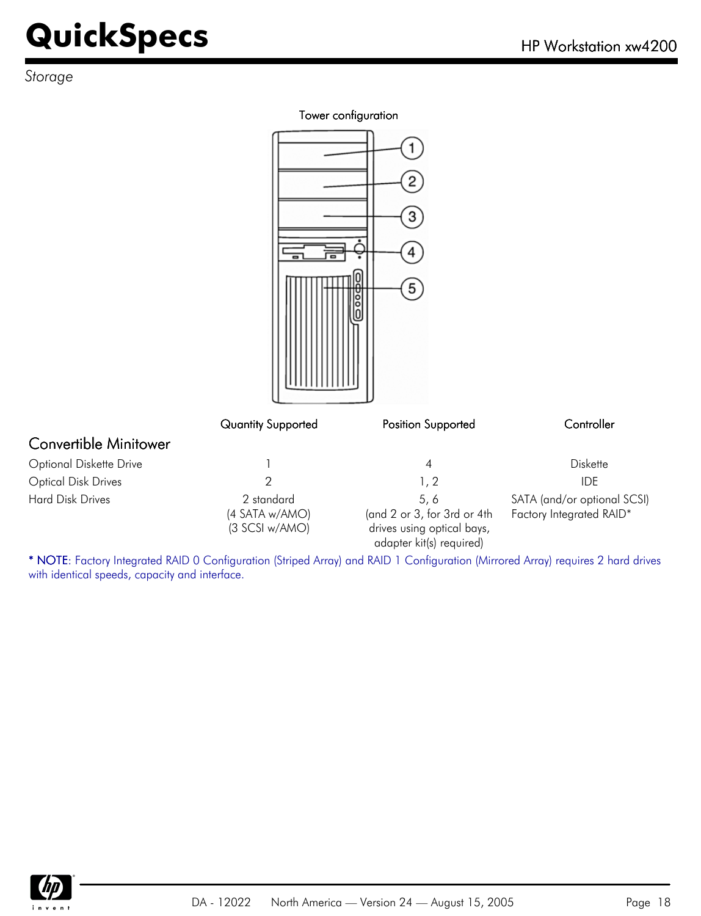*Storage*

#### Tower configuration

|                              |                              | $\mathbf{2}$<br>3<br>4<br>$\left(5\right)$ |                                                         |
|------------------------------|------------------------------|--------------------------------------------|---------------------------------------------------------|
|                              | Quantity Supported           | Position Supported                         | Controller                                              |
| <b>Convertible Minitower</b> |                              |                                            |                                                         |
| Optional Diskette Drive      |                              | $\overline{\mathcal{A}}$                   | Diskette                                                |
| <b>Optical Disk Drives</b>   | $\overline{2}$               | 1, 2                                       | <b>IDE</b>                                              |
| <b>Hard Disk Drives</b>      | 2 standard<br>(4 SATA w/AMO) | 5, 6<br>(and 2 or 3, for 3rd or 4th        | SATA (and/or optional SCSI)<br>Factory Integrated RAID* |

\* NOTE: Factory Integrated RAID 0 Configuration (Striped Array) and RAID 1 Configuration (Mirrored Array) requires 2 hard drives with identical speeds, capacity and interface.

drives using optical bays, adapter kit(s) required)

(3 SCSI w/AMO)

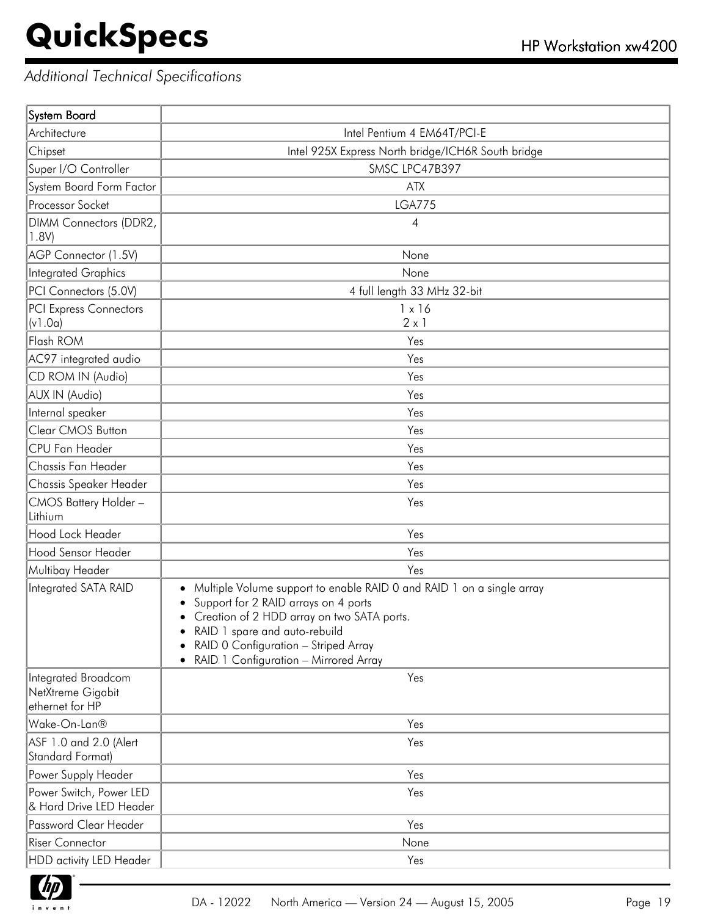### *Additional Technical Specifications*

| System Board                                                |                                                                                                                                                                                                                                                                                      |
|-------------------------------------------------------------|--------------------------------------------------------------------------------------------------------------------------------------------------------------------------------------------------------------------------------------------------------------------------------------|
| Architecture                                                | Intel Pentium 4 EM64T/PCI-E                                                                                                                                                                                                                                                          |
| Chipset                                                     | Intel 925X Express North bridge/ICH6R South bridge                                                                                                                                                                                                                                   |
| Super I/O Controller                                        | SMSC LPC47B397                                                                                                                                                                                                                                                                       |
| System Board Form Factor                                    | <b>ATX</b>                                                                                                                                                                                                                                                                           |
| Processor Socket                                            | <b>LGA775</b>                                                                                                                                                                                                                                                                        |
| DIMM Connectors (DDR2,<br>1.8V)                             | 4                                                                                                                                                                                                                                                                                    |
| AGP Connector (1.5V)                                        | None                                                                                                                                                                                                                                                                                 |
| <b>Integrated Graphics</b>                                  | None                                                                                                                                                                                                                                                                                 |
| PCI Connectors (5.0V)                                       | 4 full length 33 MHz 32-bit                                                                                                                                                                                                                                                          |
| PCI Express Connectors<br>(v1.0a)                           | $1 \times 16$<br>$2 \times 1$                                                                                                                                                                                                                                                        |
| Flash ROM                                                   | Yes                                                                                                                                                                                                                                                                                  |
| AC97 integrated audio                                       | Yes                                                                                                                                                                                                                                                                                  |
| CD ROM IN (Audio)                                           | Yes                                                                                                                                                                                                                                                                                  |
| AUX IN (Audio)                                              | Yes                                                                                                                                                                                                                                                                                  |
| Internal speaker                                            | Yes                                                                                                                                                                                                                                                                                  |
| Clear CMOS Button                                           | Yes                                                                                                                                                                                                                                                                                  |
| <b>CPU Fan Header</b>                                       | Yes                                                                                                                                                                                                                                                                                  |
| Chassis Fan Header                                          | Yes                                                                                                                                                                                                                                                                                  |
| Chassis Speaker Header                                      | Yes                                                                                                                                                                                                                                                                                  |
| CMOS Battery Holder-<br>Lithium                             | Yes                                                                                                                                                                                                                                                                                  |
| Hood Lock Header                                            | Yes                                                                                                                                                                                                                                                                                  |
| Hood Sensor Header                                          | Yes                                                                                                                                                                                                                                                                                  |
| Multibay Header                                             | Yes                                                                                                                                                                                                                                                                                  |
| Integrated SATA RAID                                        | Multiple Volume support to enable RAID 0 and RAID 1 on a single array<br>٠<br>Support for 2 RAID arrays on 4 ports<br>Creation of 2 HDD array on two SATA ports.<br>RAID 1 spare and auto-rebuild<br>RAID 0 Configuration - Striped Array<br>• RAID 1 Configuration - Mirrored Array |
| Integrated Broadcom<br>NetXtreme Gigabit<br>ethernet for HP | Yes                                                                                                                                                                                                                                                                                  |
| Wake-On-Lan®                                                | Yes                                                                                                                                                                                                                                                                                  |
| ASF 1.0 and 2.0 (Alert<br><b>Standard Format)</b>           | Yes                                                                                                                                                                                                                                                                                  |
| Power Supply Header                                         | Yes                                                                                                                                                                                                                                                                                  |
| Power Switch, Power LED<br>& Hard Drive LED Header          | Yes                                                                                                                                                                                                                                                                                  |
| Password Clear Header                                       | Yes                                                                                                                                                                                                                                                                                  |
| <b>Riser Connector</b>                                      | None                                                                                                                                                                                                                                                                                 |
| HDD activity LED Header                                     | Yes                                                                                                                                                                                                                                                                                  |

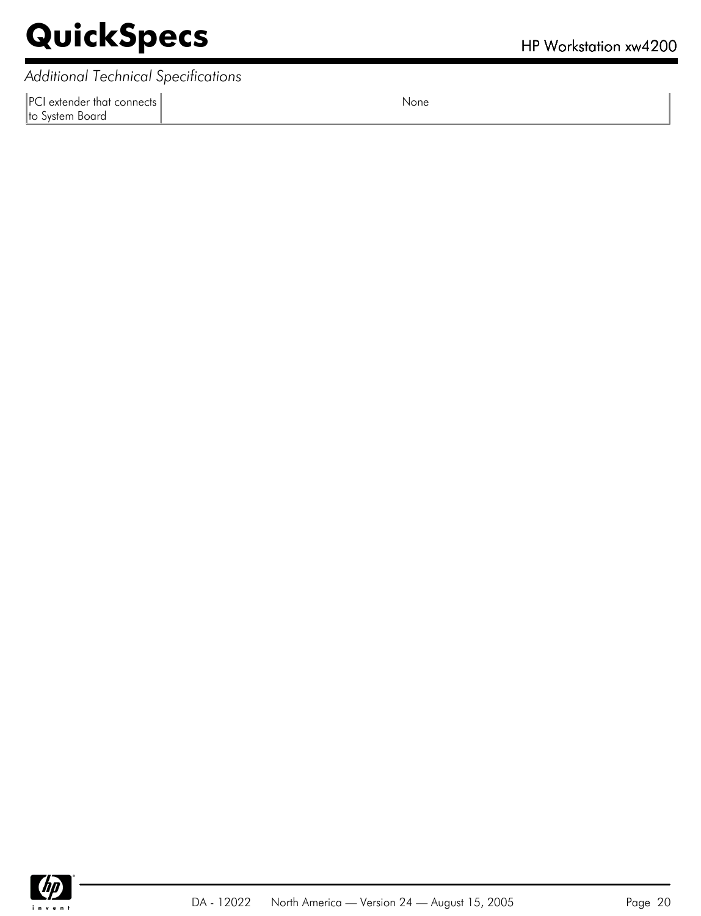*Additional Technical Specifications*

PCI extender that connects to System Board

None

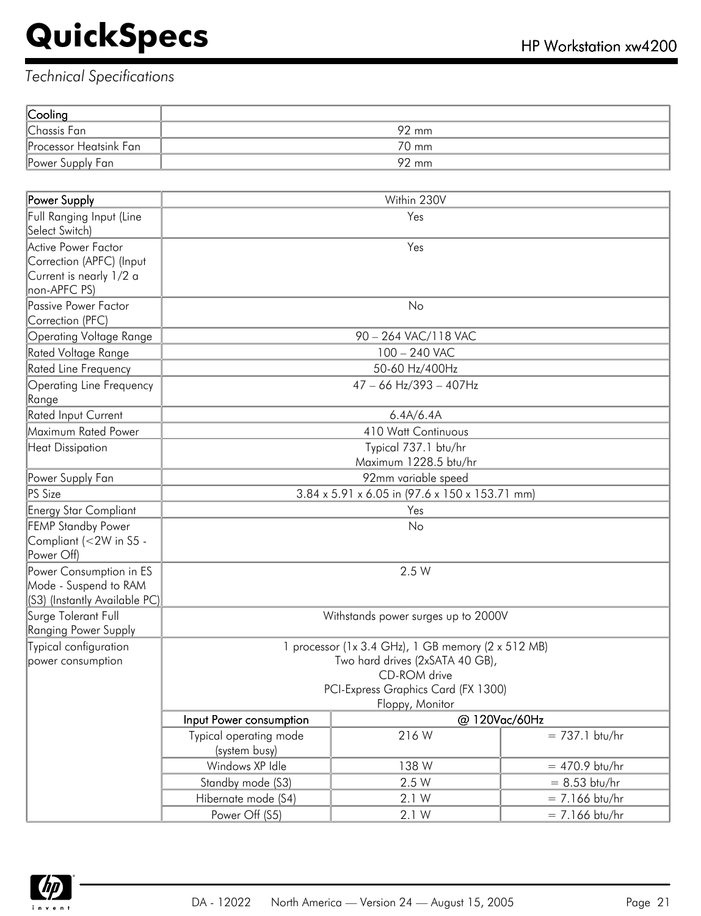| Cooling                |       |
|------------------------|-------|
| Chassis Fan            | 92 mm |
| Processor Heatsink Fan | 70 mm |
| Power Supply Fan       | 92 mm |

| Power Supply                    |                                                    | Within 230V                                    |                  |  |
|---------------------------------|----------------------------------------------------|------------------------------------------------|------------------|--|
| Full Ranging Input (Line        |                                                    | Yes                                            |                  |  |
| Select Switch)                  |                                                    |                                                |                  |  |
| Active Power Factor             |                                                    | Yes                                            |                  |  |
| Correction (APFC) (Input        |                                                    |                                                |                  |  |
| Current is nearly 1/2 a         |                                                    |                                                |                  |  |
| non-APFC PS)                    |                                                    |                                                |                  |  |
| Passive Power Factor            |                                                    | No                                             |                  |  |
| Correction (PFC)                |                                                    |                                                |                  |  |
| <b>Operating Voltage Range</b>  |                                                    | 90 - 264 VAC/118 VAC                           |                  |  |
| Rated Voltage Range             |                                                    | 100 - 240 VAC                                  |                  |  |
| Rated Line Frequency            |                                                    | 50-60 Hz/400Hz                                 |                  |  |
| <b>Operating Line Frequency</b> |                                                    | 47 - 66 Hz/393 - 407Hz                         |                  |  |
| Range                           |                                                    |                                                |                  |  |
| Rated Input Current             |                                                    | 6.4A/6.4A                                      |                  |  |
| Maximum Rated Power             |                                                    | <b>410 Watt Continuous</b>                     |                  |  |
| Heat Dissipation                |                                                    | Typical 737.1 btu/hr                           |                  |  |
|                                 |                                                    | Maximum 1228.5 btu/hr                          |                  |  |
| Power Supply Fan                | 92mm variable speed                                |                                                |                  |  |
| PS Size                         |                                                    | 3.84 x 5.91 x 6.05 in (97.6 x 150 x 153.71 mm) |                  |  |
| Energy Star Compliant           | Yes                                                |                                                |                  |  |
| <b>FEMP Standby Power</b>       |                                                    | No                                             |                  |  |
| Compliant (<2W in S5 -          |                                                    |                                                |                  |  |
| Power Off)                      |                                                    |                                                |                  |  |
| Power Consumption in ES         |                                                    | 2.5 W                                          |                  |  |
| Mode - Suspend to RAM           |                                                    |                                                |                  |  |
| (S3) (Instantly Available PC)   |                                                    |                                                |                  |  |
| Surge Tolerant Full             |                                                    | Withstands power surges up to 2000V            |                  |  |
| Ranging Power Supply            |                                                    |                                                |                  |  |
| Typical configuration           | 1 processor (1x 3.4 GHz), 1 GB memory (2 x 512 MB) |                                                |                  |  |
| power consumption               | Two hard drives (2xSATA 40 GB),                    |                                                |                  |  |
|                                 |                                                    | CD-ROM drive                                   |                  |  |
|                                 |                                                    | PCI-Express Graphics Card (FX 1300)            |                  |  |
|                                 |                                                    | Floppy, Monitor                                |                  |  |
|                                 | Input Power consumption                            | @ 120Vac/60Hz                                  |                  |  |
|                                 | Typical operating mode<br>(system busy)            | 216W                                           | $= 737.1$ btu/hr |  |
|                                 | Windows XP Idle                                    | 138 W                                          | $= 470.9$ btu/hr |  |
|                                 | Standby mode (S3)                                  | 2.5 W                                          | $= 8.53$ btu/hr  |  |
|                                 | Hibernate mode (S4)                                | 2.1 W                                          | $= 7.166$ btu/hr |  |
|                                 | Power Off (S5)                                     | 2.1 W                                          | $= 7.166$ btu/hr |  |

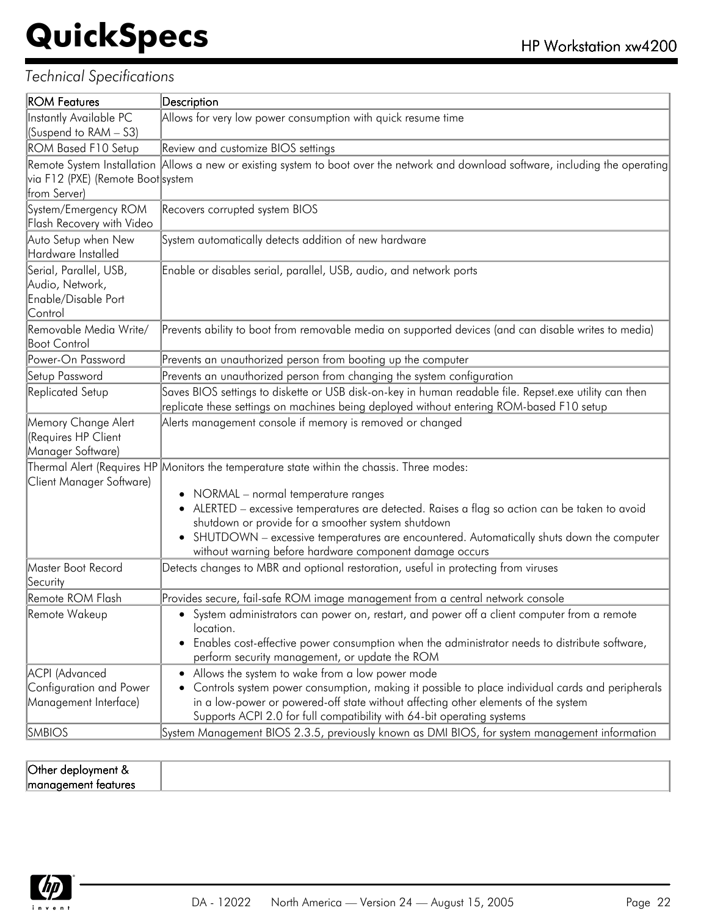| <b>ROM Features</b>                                                         | Description                                                                                                                                                                                                                                                                                                                                                                                                                                         |
|-----------------------------------------------------------------------------|-----------------------------------------------------------------------------------------------------------------------------------------------------------------------------------------------------------------------------------------------------------------------------------------------------------------------------------------------------------------------------------------------------------------------------------------------------|
| <b>Instantly Available PC</b>                                               | Allows for very low power consumption with quick resume time                                                                                                                                                                                                                                                                                                                                                                                        |
| (Suspend to RAM - S3)                                                       |                                                                                                                                                                                                                                                                                                                                                                                                                                                     |
| ROM Based F10 Setup                                                         | Review and customize BIOS settings                                                                                                                                                                                                                                                                                                                                                                                                                  |
| via F12 (PXE) (Remote Boot system                                           | Remote System Installation Allows a new or existing system to boot over the network and download software, including the operating                                                                                                                                                                                                                                                                                                                  |
| from Server)                                                                |                                                                                                                                                                                                                                                                                                                                                                                                                                                     |
| System/Emergency ROM<br>Flash Recovery with Video                           | Recovers corrupted system BIOS                                                                                                                                                                                                                                                                                                                                                                                                                      |
| Auto Setup when New<br>Hardware Installed                                   | System automatically detects addition of new hardware                                                                                                                                                                                                                                                                                                                                                                                               |
| Serial, Parallel, USB,<br>Audio, Network,<br>Enable/Disable Port<br>Control | Enable or disables serial, parallel, USB, audio, and network ports                                                                                                                                                                                                                                                                                                                                                                                  |
| Removable Media Write/<br><b>Boot Control</b>                               | Prevents ability to boot from removable media on supported devices (and can disable writes to media)                                                                                                                                                                                                                                                                                                                                                |
| Power-On Password                                                           | Prevents an unauthorized person from booting up the computer                                                                                                                                                                                                                                                                                                                                                                                        |
| Setup Password                                                              | Prevents an unauthorized person from changing the system configuration                                                                                                                                                                                                                                                                                                                                                                              |
| Replicated Setup                                                            | Saves BIOS settings to diskette or USB disk-on-key in human readable file. Repset.exe utility can then<br>replicate these settings on machines being deployed without entering ROM-based F10 setup                                                                                                                                                                                                                                                  |
| Memory Change Alert<br>(Requires HP Client<br>Manager Software)             | Alerts management console if memory is removed or changed                                                                                                                                                                                                                                                                                                                                                                                           |
| Client Manager Software)                                                    | Thermal Alert (Requires HP Monitors the temperature state within the chassis. Three modes:<br>• NORMAL - normal temperature ranges<br>• ALERTED - excessive temperatures are detected. Raises a flag so action can be taken to avoid<br>shutdown or provide for a smoother system shutdown<br>• SHUTDOWN - excessive temperatures are encountered. Automatically shuts down the computer<br>without warning before hardware component damage occurs |
| Master Boot Record<br>Security                                              | Detects changes to MBR and optional restoration, useful in protecting from viruses                                                                                                                                                                                                                                                                                                                                                                  |
| Remote ROM Flash                                                            | Provides secure, fail-safe ROM image management from a central network console                                                                                                                                                                                                                                                                                                                                                                      |
| Remote Wakeup                                                               | • System administrators can power on, restart, and power off a client computer from a remote<br>location.<br>Enables cost-effective power consumption when the administrator needs to distribute software,<br>perform security management, or update the ROM                                                                                                                                                                                        |
| <b>ACPI</b> (Advanced<br>Configuration and Power<br>Management Interface)   | • Allows the system to wake from a low power mode<br>Controls system power consumption, making it possible to place individual cards and peripherals<br>in a low-power or powered-off state without affecting other elements of the system                                                                                                                                                                                                          |
| <b>SMBIOS</b>                                                               | Supports ACPI 2.0 for full compatibility with 64-bit operating systems<br>System Management BIOS 2.3.5, previously known as DMI BIOS, for system management information                                                                                                                                                                                                                                                                             |

| $\lq$ Other $\kappa$<br>'N<br>1 J II I G |  |
|------------------------------------------|--|
| lmar<br>nures<br>men                     |  |

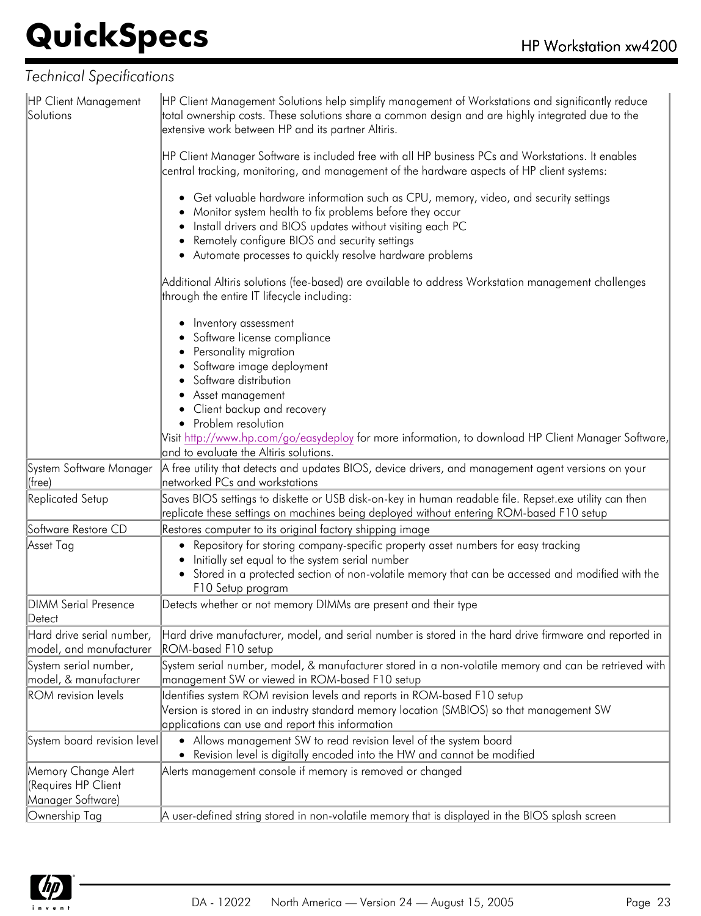| HP Client Management<br>Solutions                               | HP Client Management Solutions help simplify management of Workstations and significantly reduce<br>total ownership costs. These solutions share a common design and are highly integrated due to the<br>extensive work between HP and its partner Altiris. |
|-----------------------------------------------------------------|-------------------------------------------------------------------------------------------------------------------------------------------------------------------------------------------------------------------------------------------------------------|
|                                                                 | HP Client Manager Software is included free with all HP business PCs and Workstations. It enables<br>central tracking, monitoring, and management of the hardware aspects of HP client systems:                                                             |
|                                                                 | • Get valuable hardware information such as CPU, memory, video, and security settings<br>Monitor system health to fix problems before they occur<br>Install drivers and BIOS updates without visiting each PC                                               |
|                                                                 | Remotely configure BIOS and security settings<br>• Automate processes to quickly resolve hardware problems                                                                                                                                                  |
|                                                                 | Additional Altiris solutions (fee-based) are available to address Workstation management challenges<br>through the entire IT lifecycle including:                                                                                                           |
|                                                                 | Inventory assessment                                                                                                                                                                                                                                        |
|                                                                 | Software license compliance                                                                                                                                                                                                                                 |
|                                                                 | Personality migration<br>Software image deployment                                                                                                                                                                                                          |
|                                                                 | Software distribution                                                                                                                                                                                                                                       |
|                                                                 | Asset management                                                                                                                                                                                                                                            |
|                                                                 | Client backup and recovery                                                                                                                                                                                                                                  |
|                                                                 | • Problem resolution                                                                                                                                                                                                                                        |
|                                                                 | Visit http://www.hp.com/go/easydeploy for more information, to download HP Client Manager Software,                                                                                                                                                         |
|                                                                 | and to evaluate the Altiris solutions.                                                                                                                                                                                                                      |
| System Software Manager<br>(free)                               | A free utility that detects and updates BIOS, device drivers, and management agent versions on your<br>networked PCs and workstations                                                                                                                       |
| Replicated Setup                                                | Saves BIOS settings to diskette or USB disk-on-key in human readable file. Repset.exe utility can then<br>replicate these settings on machines being deployed without entering ROM-based F10 setup                                                          |
| Software Restore CD                                             | Restores computer to its original factory shipping image                                                                                                                                                                                                    |
| Asset Tag                                                       | Repository for storing company-specific property asset numbers for easy tracking<br>Initially set equal to the system serial number                                                                                                                         |
|                                                                 | • Stored in a protected section of non-volatile memory that can be accessed and modified with the<br>F10 Setup program                                                                                                                                      |
| <b>DIMM Serial Presence</b><br>Detect                           | Detects whether or not memory DIMMs are present and their type                                                                                                                                                                                              |
| Hard drive serial number,<br>model, and manufacturer            | Hard drive manufacturer, model, and serial number is stored in the hard drive firmware and reported in<br>ROM-based F10 setup                                                                                                                               |
| System serial number,<br>model, & manufacturer                  | System serial number, model, & manufacturer stored in a non-volatile memory and can be retrieved with<br>management SW or viewed in ROM-based F10 setup                                                                                                     |
| <b>ROM</b> revision levels                                      | Identifies system ROM revision levels and reports in ROM-based F10 setup<br>Version is stored in an industry standard memory location (SMBIOS) so that management SW<br>applications can use and report this information                                    |
| System board revision level                                     | • Allows management SW to read revision level of the system board<br>• Revision level is digitally encoded into the HW and cannot be modified                                                                                                               |
| Memory Change Alert<br>(Requires HP Client<br>Manager Software) | Alerts management console if memory is removed or changed                                                                                                                                                                                                   |
| Ownership Tag                                                   | A user-defined string stored in non-volatile memory that is displayed in the BIOS splash screen                                                                                                                                                             |
|                                                                 |                                                                                                                                                                                                                                                             |

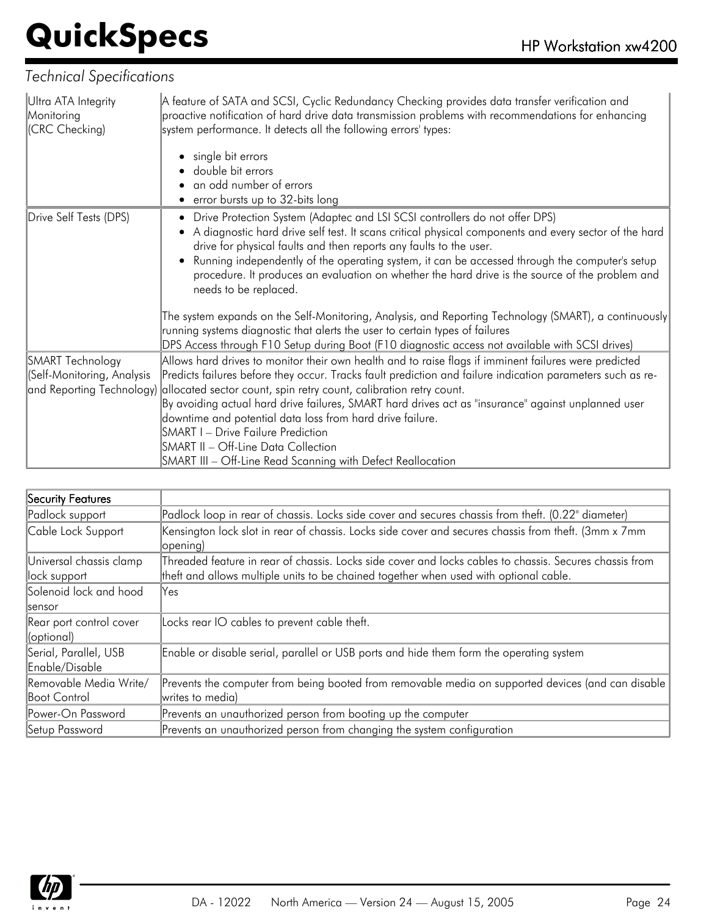| Ultra ATA Integrity<br>Monitoring<br>(CRC Checking)   | A feature of SATA and SCSI, Cyclic Redundancy Checking provides data transfer verification and<br>proactive notification of hard drive data transmission problems with recommendations for enhancing<br>system performance. It detects all the following errors' types:<br>single bit errors<br>double bit errors<br>an odd number of errors<br>• error bursts up to 32-bits long                                                                                                                                                                                                                   |
|-------------------------------------------------------|-----------------------------------------------------------------------------------------------------------------------------------------------------------------------------------------------------------------------------------------------------------------------------------------------------------------------------------------------------------------------------------------------------------------------------------------------------------------------------------------------------------------------------------------------------------------------------------------------------|
| Drive Self Tests (DPS)                                | • Drive Protection System (Adaptec and LSI SCSI controllers do not offer DPS)<br>A diagnostic hard drive self test. It scans critical physical components and every sector of the hard<br>drive for physical faults and then reports any faults to the user.<br>Running independently of the operating system, it can be accessed through the computer's setup<br>procedure. It produces an evaluation on whether the hard drive is the source of the problem and<br>needs to be replaced.<br>The system expands on the Self-Monitoring, Analysis, and Reporting Technology (SMART), a continuously |
|                                                       | running systems diagnostic that alerts the user to certain types of failures<br>DPS Access through F10 Setup during Boot (F10 diagnostic access not available with SCSI drives)                                                                                                                                                                                                                                                                                                                                                                                                                     |
| <b>SMART Technology</b><br>(Self-Monitoring, Analysis | Allows hard drives to monitor their own health and to raise flags if imminent failures were predicted<br>Predicts failures before they occur. Tracks fault prediction and failure indication parameters such as re-<br>and Reporting Technology) allocated sector count, spin retry count, calibration retry count.                                                                                                                                                                                                                                                                                 |
|                                                       | By avoiding actual hard drive failures, SMART hard drives act as "insurance" against unplanned user<br>downtime and potential data loss from hard drive failure.<br><b>SMART I - Drive Failure Prediction</b><br>SMART II - Off-Line Data Collection<br>SMART III - Off-Line Read Scanning with Defect Reallocation                                                                                                                                                                                                                                                                                 |

| Security Features                             |                                                                                                                                                                                                  |
|-----------------------------------------------|--------------------------------------------------------------------------------------------------------------------------------------------------------------------------------------------------|
| Padlock support                               | Padlock loop in rear of chassis. Locks side cover and secures chassis from theft. (0.22" diameter)                                                                                               |
| Cable Lock Support                            | Kensington lock slot in rear of chassis. Locks side cover and secures chassis from theft. (3mm x 7mm<br>opening)                                                                                 |
| Universal chassis clamp<br>lock support       | Threaded feature in rear of chassis. Locks side cover and locks cables to chassis. Secures chassis from<br>theft and allows multiple units to be chained together when used with optional cable. |
| Solenoid lock and hood<br><b>Isensor</b>      | Yes                                                                                                                                                                                              |
| Rear port control cover<br>(optional)         | Locks rear IO cables to prevent cable theft.                                                                                                                                                     |
| Serial, Parallel, USB<br>Enable/Disable       | Enable or disable serial, parallel or USB ports and hide them form the operating system                                                                                                          |
| Removable Media Write/<br><b>Boot Control</b> | Prevents the computer from being booted from removable media on supported devices (and can disable<br>writes to media)                                                                           |
| Power-On Password                             | Prevents an unauthorized person from booting up the computer                                                                                                                                     |
| Setup Password                                | Prevents an unauthorized person from changing the system configuration                                                                                                                           |

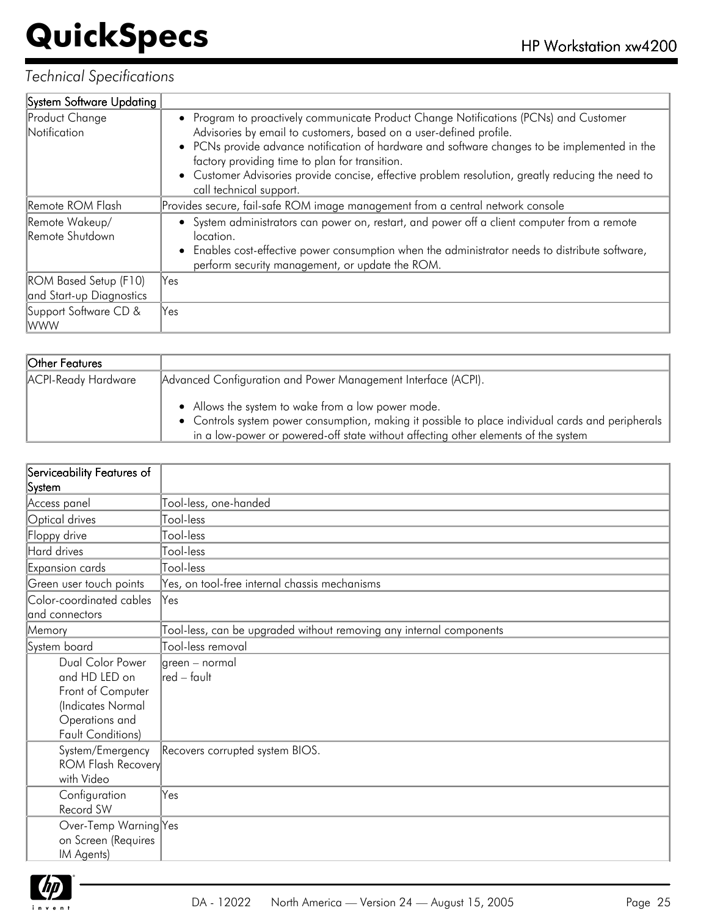| System Software Updating                                 |                                                                                                                                                                                                                                                                                                                                                                                                                                                |
|----------------------------------------------------------|------------------------------------------------------------------------------------------------------------------------------------------------------------------------------------------------------------------------------------------------------------------------------------------------------------------------------------------------------------------------------------------------------------------------------------------------|
| Product Change<br>Notification                           | • Program to proactively communicate Product Change Notifications (PCNs) and Customer<br>Advisories by email to customers, based on a user-defined profile.<br>• PCNs provide advance notification of hardware and software changes to be implemented in the<br>factory providing time to plan for transition.<br>• Customer Advisories provide concise, effective problem resolution, greatly reducing the need to<br>call technical support. |
| Remote ROM Flash                                         | Provides secure, fail-safe ROM image management from a central network console                                                                                                                                                                                                                                                                                                                                                                 |
| Remote Wakeup/<br>Remote Shutdown                        | • System administrators can power on, restart, and power off a client computer from a remote<br>location.<br>Enables cost-effective power consumption when the administrator needs to distribute software,<br>perform security management, or update the ROM.                                                                                                                                                                                  |
| <b>ROM Based Setup (F10)</b><br>and Start-up Diagnostics | lYes                                                                                                                                                                                                                                                                                                                                                                                                                                           |
| Support Software CD &<br> WWW                            | Yes                                                                                                                                                                                                                                                                                                                                                                                                                                            |

| <b>Other Features</b> |                                                                                                                                                                                                                                               |
|-----------------------|-----------------------------------------------------------------------------------------------------------------------------------------------------------------------------------------------------------------------------------------------|
| ACPI-Ready Hardware   | Advanced Configuration and Power Management Interface (ACPI).                                                                                                                                                                                 |
|                       | • Allows the system to wake from a low power mode.<br>• Controls system power consumption, making it possible to place individual cards and peripherals<br>in a low-power or powered-off state without affecting other elements of the system |

| Serviceability Features of |                                                                     |
|----------------------------|---------------------------------------------------------------------|
| System                     |                                                                     |
| Access panel               | Tool-less, one-handed                                               |
| Optical drives             | Tool-less                                                           |
| Floppy drive               | Tool-less                                                           |
| Hard drives                | Tool-less                                                           |
| Expansion cards            | Tool-less                                                           |
| Green user touch points    | Yes, on tool-free internal chassis mechanisms                       |
| Color-coordinated cables   | Yes                                                                 |
| and connectors             |                                                                     |
| Memory                     | Tool-less, can be upgraded without removing any internal components |
| System board               | Tool-less removal                                                   |
| Dual Color Power           | green – normal                                                      |
| and HD LED on              | lred – fault                                                        |
| Front of Computer          |                                                                     |
| (Indicates Normal          |                                                                     |
| Operations and             |                                                                     |
| <b>Fault Conditions)</b>   |                                                                     |
| System/Emergency           | Recovers corrupted system BIOS.                                     |
| <b>ROM Flash Recovery</b>  |                                                                     |
| with Video                 |                                                                     |
| Configuration              | Yes                                                                 |
| Record SW                  |                                                                     |
| Over-Temp Warning Yes      |                                                                     |
| on Screen (Requires        |                                                                     |
| IM Agents)                 |                                                                     |

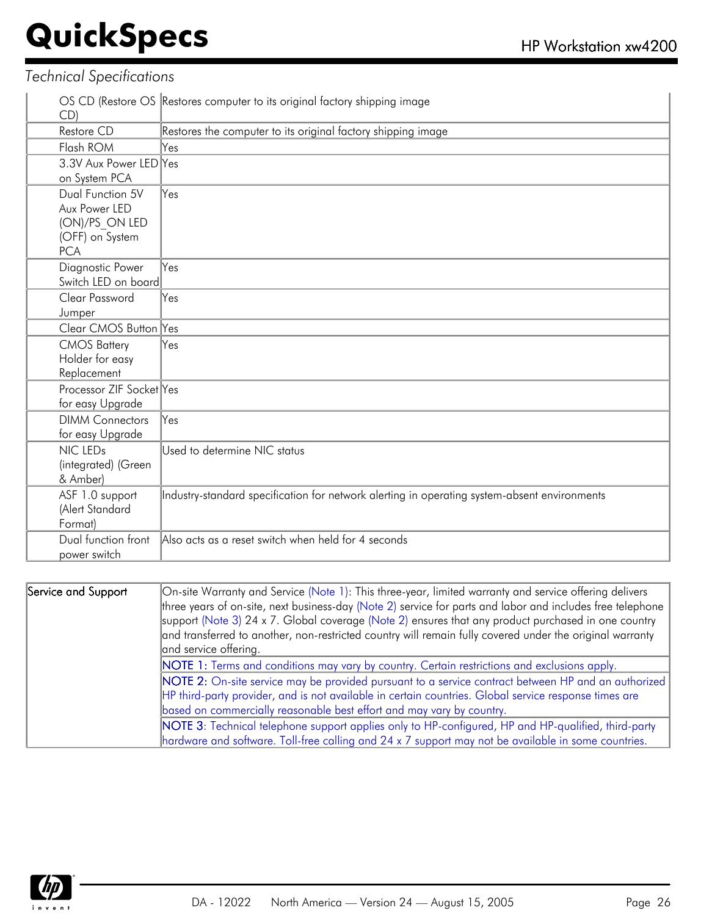| CD)                      | OS CD (Restore OS Restores computer to its original factory shipping image                   |
|--------------------------|----------------------------------------------------------------------------------------------|
| Restore CD               | Restores the computer to its original factory shipping image                                 |
| Flash ROM                | Yes                                                                                          |
| 3.3V Aux Power LED Yes   |                                                                                              |
| on System PCA            |                                                                                              |
| Dual Function 5V         | Yes                                                                                          |
| Aux Power LED            |                                                                                              |
| (ON)/PS ON LED           |                                                                                              |
| (OFF) on System          |                                                                                              |
| <b>PCA</b>               |                                                                                              |
| Diagnostic Power         | Yes                                                                                          |
| Switch LED on board      |                                                                                              |
| Clear Password           | Yes                                                                                          |
| Jumper                   |                                                                                              |
| Clear CMOS Button Yes    |                                                                                              |
| <b>CMOS Battery</b>      | Yes                                                                                          |
| Holder for easy          |                                                                                              |
| Replacement              |                                                                                              |
| Processor ZIF Socket Yes |                                                                                              |
| for easy Upgrade         |                                                                                              |
| <b>DIMM Connectors</b>   | Yes                                                                                          |
| for easy Upgrade         |                                                                                              |
| NIC LEDs                 | Used to determine NIC status                                                                 |
| (integrated) (Green      |                                                                                              |
| & Amber)                 |                                                                                              |
| ASF 1.0 support          | Industry-standard specification for network alerting in operating system-absent environments |
| (Alert Standard          |                                                                                              |
| Format)                  |                                                                                              |
| Dual function front      | Also acts as a reset switch when held for 4 seconds                                          |
| power switch             |                                                                                              |

| Service and Support | On-site Warranty and Service (Note 1): This three-year, limited warranty and service offering delivers     |  |  |  |  |  |
|---------------------|------------------------------------------------------------------------------------------------------------|--|--|--|--|--|
|                     | three years of on-site, next business-day (Note 2) service for parts and labor and includes free telephone |  |  |  |  |  |
|                     | support (Note 3) 24 x 7. Global coverage (Note 2) ensures that any product purchased in one country        |  |  |  |  |  |
|                     | and transferred to another, non-restricted country will remain fully covered under the original warranty   |  |  |  |  |  |
|                     | and service offering.                                                                                      |  |  |  |  |  |
|                     | NOTE 1: Terms and conditions may vary by country. Certain restrictions and exclusions apply.               |  |  |  |  |  |
|                     | NOTE 2: On-site service may be provided pursuant to a service contract between HP and an authorized        |  |  |  |  |  |
|                     | HP third-party provider, and is not available in certain countries. Global service response times are      |  |  |  |  |  |
|                     | based on commercially reasonable best effort and may vary by country.                                      |  |  |  |  |  |
|                     | NOTE 3: Technical telephone support applies only to HP-configured, HP and HP-qualified, third-party        |  |  |  |  |  |
|                     | hardware and software. Toll-free calling and 24 x 7 support may not be available in some countries.        |  |  |  |  |  |

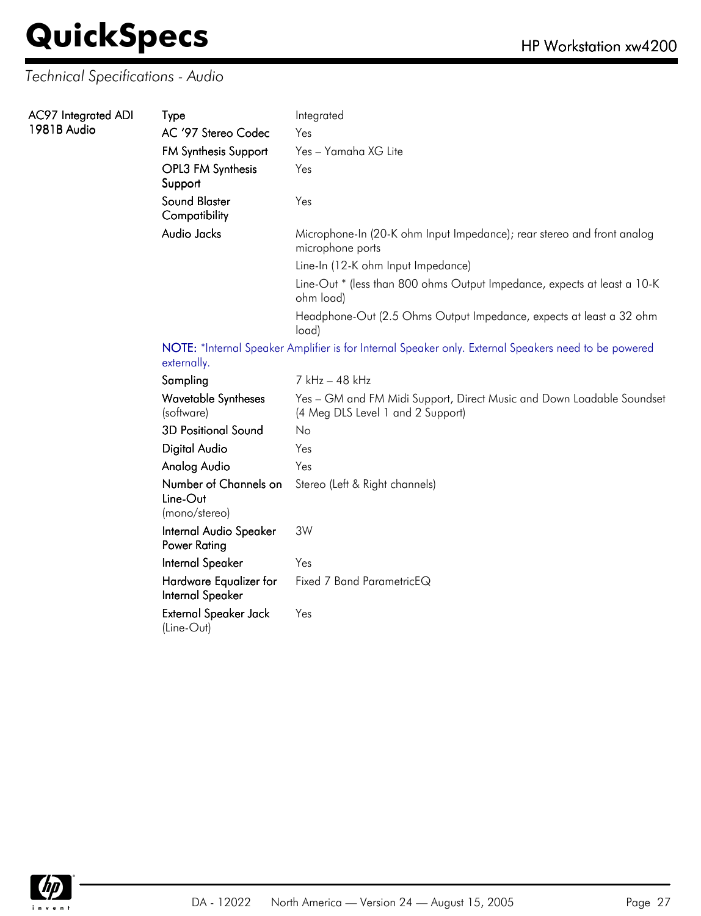### *Technical Specifications - Audio*

| AC97 Integrated ADI<br>1981B Audio | Type                           | Integrated                                                                                 |
|------------------------------------|--------------------------------|--------------------------------------------------------------------------------------------|
|                                    | AC '97 Stereo Codec            | Yes                                                                                        |
|                                    | <b>FM Synthesis Support</b>    | Yes – Yamaha XG Lite                                                                       |
|                                    | OPL3 FM Synthesis<br>Support   | Yes                                                                                        |
|                                    | Sound Blaster<br>Compatibility | Yes                                                                                        |
|                                    | Audio Jacks                    | Microphone-In (20-K ohm Input Impedance); rear stereo and front analog<br>microphone ports |
|                                    |                                | Line-In (12-K ohm Input Impedance)                                                         |
|                                    |                                | Line-Out * (less than 800 ohms Output Impedance, expects at least a 10-K<br>ohm load)      |
|                                    |                                | Headphone-Out (2.5 Ohms Output Impedance, expects at least a 32 ohm<br>load)               |

NOTE: \*Internal Speaker Amplifier is for Internal Speaker only. External Speakers need to be powered externally.

| Sampling                                           | 7 kHz – 48 kHz                                                                                             |
|----------------------------------------------------|------------------------------------------------------------------------------------------------------------|
| <b>Wavetable Syntheses</b><br>(software)           | Yes - GM and FM Midi Support, Direct Music and Down Loadable Soundset<br>(4 Meg DLS Level 1 and 2 Support) |
| <b>3D Positional Sound</b>                         | No                                                                                                         |
| Digital Audio                                      | Yes                                                                                                        |
| Analog Audio                                       | Yes                                                                                                        |
| Number of Channels on<br>Line-Out<br>(mono/stereo) | Stereo (Left & Right channels)                                                                             |
| Internal Audio Speaker<br>Power Rating             | 3W                                                                                                         |
| Internal Speaker                                   | Yes                                                                                                        |
| Hardware Equalizer for<br>Internal Speaker         | Fixed 7 Band ParametricEQ                                                                                  |
| External Speaker Jack<br>(Line-Out)                | Yes                                                                                                        |

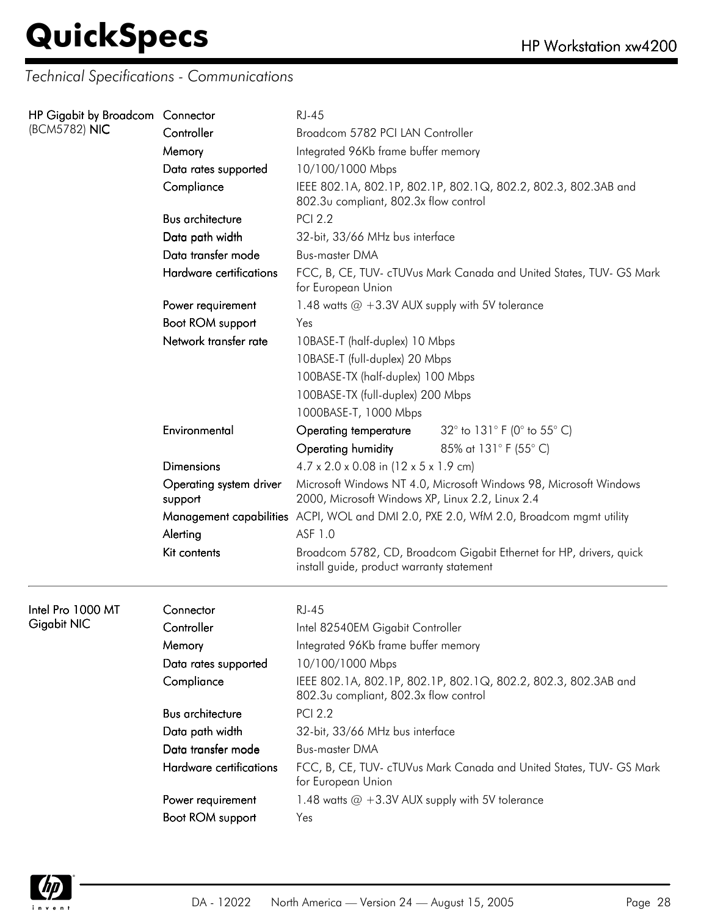*Technical Specifications - Communications*

| HP Gigabit by Broadcom Connector |                                    | <b>RJ-45</b>                                                                                                                |                                                                     |  |  |
|----------------------------------|------------------------------------|-----------------------------------------------------------------------------------------------------------------------------|---------------------------------------------------------------------|--|--|
| (BCM5782) NIC                    | Controller                         | Broadcom 5782 PCI LAN Controller                                                                                            |                                                                     |  |  |
|                                  | Memory                             | Integrated 96Kb frame buffer memory                                                                                         |                                                                     |  |  |
|                                  | Data rates supported               | 10/100/1000 Mbps<br>IEEE 802.1A, 802.1P, 802.1P, 802.1Q, 802.2, 802.3, 802.3AB and<br>802.3u compliant, 802.3x flow control |                                                                     |  |  |
|                                  | Compliance                         |                                                                                                                             |                                                                     |  |  |
|                                  | <b>Bus architecture</b>            | <b>PCI 2.2</b>                                                                                                              |                                                                     |  |  |
|                                  | Data path width                    | 32-bit, 33/66 MHz bus interface                                                                                             |                                                                     |  |  |
|                                  | Data transfer mode                 | <b>Bus-master DMA</b>                                                                                                       |                                                                     |  |  |
|                                  | Hardware certifications            | FCC, B, CE, TUV- cTUVus Mark Canada and United States, TUV- GS Mark<br>for European Union                                   |                                                                     |  |  |
|                                  | Power requirement                  | 1.48 watts $@ + 3.3V$ AUX supply with 5V tolerance                                                                          |                                                                     |  |  |
|                                  | Boot ROM support                   | Yes                                                                                                                         |                                                                     |  |  |
|                                  | Network transfer rate              | 10BASE-T (half-duplex) 10 Mbps                                                                                              |                                                                     |  |  |
|                                  |                                    | 10BASE-T (full-duplex) 20 Mbps                                                                                              |                                                                     |  |  |
|                                  |                                    | 100BASE-TX (half-duplex) 100 Mbps                                                                                           |                                                                     |  |  |
|                                  |                                    | 100BASE-TX (full-duplex) 200 Mbps                                                                                           |                                                                     |  |  |
|                                  |                                    | 1000BASE-T, 1000 Mbps                                                                                                       |                                                                     |  |  |
|                                  | Environmental                      | Operating temperature                                                                                                       | 32° to 131° F (0° to 55° C)                                         |  |  |
|                                  |                                    | Operating humidity                                                                                                          | 85% at 131° F (55° C)                                               |  |  |
|                                  | <b>Dimensions</b>                  | $4.7 \times 2.0 \times 0.08$ in (12 x 5 x 1.9 cm)                                                                           |                                                                     |  |  |
|                                  | Operating system driver<br>support | Microsoft Windows NT 4.0, Microsoft Windows 98, Microsoft Windows<br>2000, Microsoft Windows XP, Linux 2.2, Linux 2.4       |                                                                     |  |  |
|                                  |                                    | Management capabilities ACPI, WOL and DMI 2.0, PXE 2.0, WfM 2.0, Broadcom mgmt utility                                      |                                                                     |  |  |
|                                  | Alerting                           | ASF 1.0                                                                                                                     |                                                                     |  |  |
|                                  | Kit contents                       | Broadcom 5782, CD, Broadcom Gigabit Ethernet for HP, drivers, quick<br>install guide, product warranty statement            |                                                                     |  |  |
| Intel Pro 1000 MT                | Connector                          | <b>RJ-45</b>                                                                                                                |                                                                     |  |  |
| Gigabit NIC                      | Controller                         | Intel 82540EM Gigabit Controller                                                                                            |                                                                     |  |  |
|                                  | Memory                             | Integrated 96Kb frame buffer memory                                                                                         |                                                                     |  |  |
|                                  | Data rates supported               | 10/100/1000 Mbps                                                                                                            |                                                                     |  |  |
|                                  | Compliance                         | 802.3u compliant, 802.3x flow control                                                                                       | IEEE 802.1A, 802.1P, 802.1P, 802.1Q, 802.2, 802.3, 802.3AB and      |  |  |
|                                  | <b>Bus architecture</b>            | <b>PCI 2.2</b>                                                                                                              |                                                                     |  |  |
|                                  | Data path width                    | 32-bit, 33/66 MHz bus interface                                                                                             |                                                                     |  |  |
|                                  | Data transfer mode                 | <b>Bus-master DMA</b>                                                                                                       |                                                                     |  |  |
|                                  | Hardware certifications            | for European Union                                                                                                          | FCC, B, CE, TUV- cTUVus Mark Canada and United States, TUV- GS Mark |  |  |
|                                  | Power requirement                  | 1.48 watts $@ + 3.3V$ AUX supply with 5V tolerance                                                                          |                                                                     |  |  |
|                                  | Boot ROM support                   | Yes                                                                                                                         |                                                                     |  |  |
|                                  |                                    |                                                                                                                             |                                                                     |  |  |

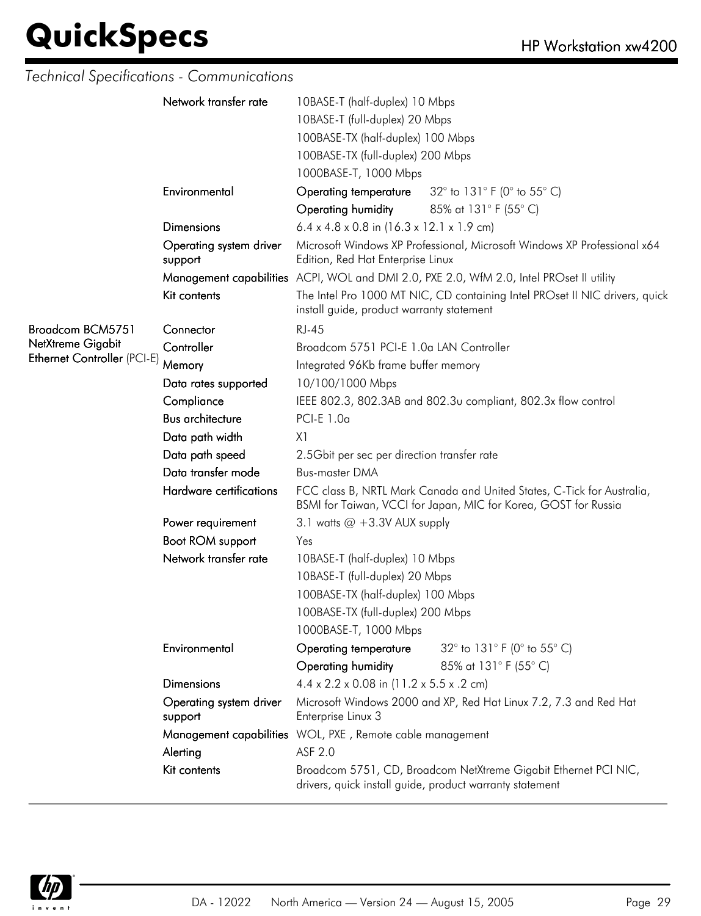### *Technical Specifications - Communications*

|                             | Network transfer rate              | 10BASE-T (half-duplex) 10 Mbps                                                                                                            |                                                                                          |  |  |
|-----------------------------|------------------------------------|-------------------------------------------------------------------------------------------------------------------------------------------|------------------------------------------------------------------------------------------|--|--|
|                             |                                    | 10BASE-T (full-duplex) 20 Mbps                                                                                                            |                                                                                          |  |  |
|                             |                                    | 100BASE-TX (half-duplex) 100 Mbps                                                                                                         |                                                                                          |  |  |
|                             |                                    | 100BASE-TX (full-duplex) 200 Mbps                                                                                                         |                                                                                          |  |  |
|                             |                                    | 1000BASE-T, 1000 Mbps                                                                                                                     |                                                                                          |  |  |
|                             | Environmental                      | Operating temperature                                                                                                                     | 32 $^{\circ}$ to 131 $^{\circ}$ F (0 $^{\circ}$ to 55 $^{\circ}$ C)                      |  |  |
|                             |                                    | Operating humidity                                                                                                                        | 85% at 131° F (55° C)                                                                    |  |  |
|                             | Dimensions                         | $6.4 \times 4.8 \times 0.8$ in $(16.3 \times 12.1 \times 1.9$ cm)                                                                         |                                                                                          |  |  |
|                             | Operating system driver<br>support | Edition, Red Hat Enterprise Linux                                                                                                         | Microsoft Windows XP Professional, Microsoft Windows XP Professional x64                 |  |  |
|                             |                                    |                                                                                                                                           | Management capabilities ACPI, WOL and DMI 2.0, PXE 2.0, WfM 2.0, Intel PROset II utility |  |  |
|                             | Kit contents                       | The Intel Pro 1000 MT NIC, CD containing Intel PROset II NIC drivers, quick<br>install guide, product warranty statement                  |                                                                                          |  |  |
| Broadcom BCM5751            | Connector                          | <b>RJ-45</b>                                                                                                                              |                                                                                          |  |  |
| NetXtreme Gigabit           | Controller                         | Broadcom 5751 PCI-E 1.0a LAN Controller                                                                                                   |                                                                                          |  |  |
| Ethernet Controller (PCI-E) | Memory                             | Integrated 96Kb frame buffer memory                                                                                                       |                                                                                          |  |  |
|                             | Data rates supported               | 10/100/1000 Mbps                                                                                                                          |                                                                                          |  |  |
|                             | Compliance                         | IEEE 802.3, 802.3AB and 802.3u compliant, 802.3x flow control                                                                             |                                                                                          |  |  |
|                             | <b>Bus architecture</b>            | PCI-E 1.0a                                                                                                                                |                                                                                          |  |  |
|                             | Data path width                    | X1                                                                                                                                        |                                                                                          |  |  |
|                             | Data path speed                    | 2.5Gbit per sec per direction transfer rate                                                                                               |                                                                                          |  |  |
|                             | Data transfer mode                 | <b>Bus-master DMA</b>                                                                                                                     |                                                                                          |  |  |
|                             | Hardware certifications            | FCC class B, NRTL Mark Canada and United States, C-Tick for Australia,<br>BSMI for Taiwan, VCCI for Japan, MIC for Korea, GOST for Russia |                                                                                          |  |  |
|                             | Power requirement                  | 3.1 watts $@ + 3.3V$ AUX supply                                                                                                           |                                                                                          |  |  |
|                             | Boot ROM support                   | Yes                                                                                                                                       |                                                                                          |  |  |
|                             | Network transfer rate              | 10BASE-T (half-duplex) 10 Mbps                                                                                                            |                                                                                          |  |  |
|                             |                                    | 10BASE-T (full-duplex) 20 Mbps                                                                                                            |                                                                                          |  |  |
|                             |                                    | 100BASE-TX (half-duplex) 100 Mbps                                                                                                         |                                                                                          |  |  |
|                             |                                    | 100BASE-TX (full-duplex) 200 Mbps                                                                                                         |                                                                                          |  |  |
|                             |                                    | 1000BASE-T, 1000 Mbps                                                                                                                     |                                                                                          |  |  |
|                             | Environmental                      | Operating temperature                                                                                                                     | 32° to 131° F (0° to 55° C)                                                              |  |  |
|                             |                                    | Operating humidity                                                                                                                        | 85% at 131° F (55° C)                                                                    |  |  |
|                             | <b>Dimensions</b>                  | $4.4 \times 2.2 \times 0.08$ in (11.2 x 5.5 x .2 cm)                                                                                      |                                                                                          |  |  |
|                             | Operating system driver<br>support | Microsoft Windows 2000 and XP, Red Hat Linux 7.2, 7.3 and Red Hat<br>Enterprise Linux 3                                                   |                                                                                          |  |  |
|                             |                                    | Management capabilities WOL, PXE, Remote cable management                                                                                 |                                                                                          |  |  |
|                             | Alerting                           | ASF 2.0                                                                                                                                   |                                                                                          |  |  |
|                             | Kit contents                       | Broadcom 5751, CD, Broadcom NetXtreme Gigabit Ethernet PCI NIC,<br>drivers, quick install guide, product warranty statement               |                                                                                          |  |  |

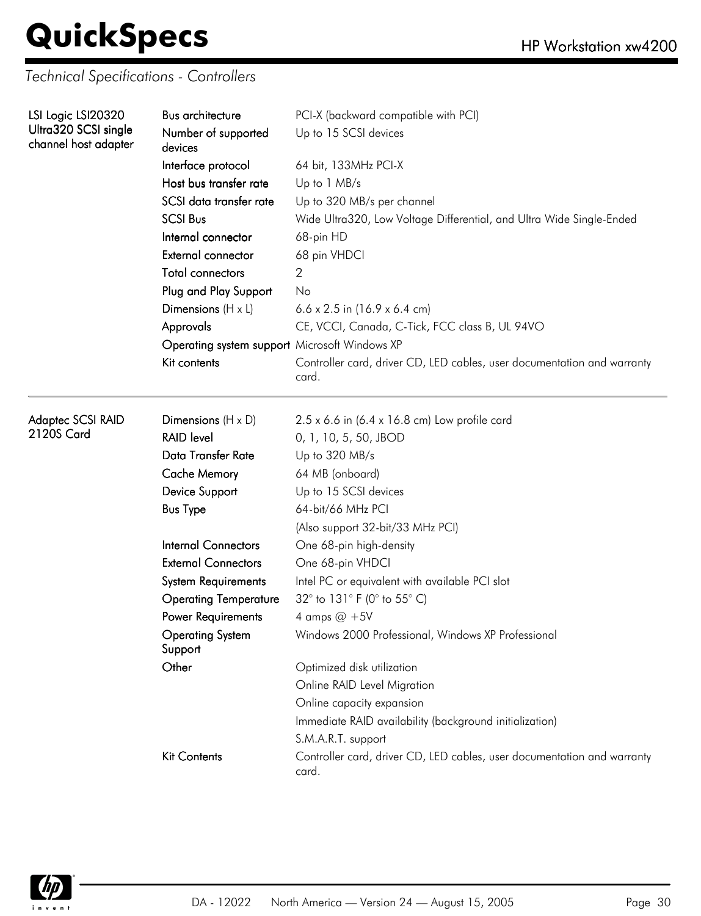*Technical Specifications - Controllers*

| LSI Logic LSI20320<br>Ultra320 SCSI single | Bus architecture                              | PCI-X (backward compatible with PCI)                                             |  |  |
|--------------------------------------------|-----------------------------------------------|----------------------------------------------------------------------------------|--|--|
| channel host adapter                       | Number of supported<br>devices                | Up to 15 SCSI devices                                                            |  |  |
|                                            | Interface protocol                            | 64 bit, 133MHz PCI-X                                                             |  |  |
|                                            | Host bus transfer rate                        | Up to 1 MB/s                                                                     |  |  |
|                                            | SCSI data transfer rate                       | Up to 320 MB/s per channel                                                       |  |  |
|                                            | <b>SCSI Bus</b>                               | Wide Ultra320, Low Voltage Differential, and Ultra Wide Single-Ended             |  |  |
|                                            | Internal connector                            | 68-pin HD                                                                        |  |  |
|                                            | External connector                            | 68 pin VHDCI                                                                     |  |  |
|                                            | <b>Total connectors</b>                       | 2                                                                                |  |  |
|                                            | Plug and Play Support                         | No                                                                               |  |  |
|                                            | Dimensions $(H \times L)$                     | 6.6 x 2.5 in $(16.9 \times 6.4 \text{ cm})$                                      |  |  |
|                                            | Approvals                                     | CE, VCCI, Canada, C-Tick, FCC class B, UL 94VO                                   |  |  |
|                                            | Operating system support Microsoft Windows XP |                                                                                  |  |  |
|                                            | Kit contents                                  | Controller card, driver CD, LED cables, user documentation and warranty<br>card. |  |  |
| Adaptec SCSI RAID                          | Dimensions $(H \times D)$                     | $2.5 \times 6.6$ in (6.4 x 16.8 cm) Low profile card                             |  |  |
| 2120S Card                                 | <b>RAID level</b>                             | 0, 1, 10, 5, 50, JBOD                                                            |  |  |
|                                            | Data Transfer Rate                            | Up to 320 MB/s                                                                   |  |  |
|                                            | <b>Cache Memory</b>                           | 64 MB (onboard)                                                                  |  |  |
|                                            | Device Support                                | Up to 15 SCSI devices                                                            |  |  |
|                                            | <b>Bus Type</b>                               | 64-bit/66 MHz PCI                                                                |  |  |
|                                            |                                               | (Also support 32-bit/33 MHz PCI)                                                 |  |  |
|                                            | <b>Internal Connectors</b>                    | One 68-pin high-density                                                          |  |  |
|                                            | <b>External Connectors</b>                    | One 68-pin VHDCI                                                                 |  |  |
|                                            | <b>System Requirements</b>                    | Intel PC or equivalent with available PCI slot                                   |  |  |
|                                            | <b>Operating Temperature</b>                  | 32° to 131° F (0° to 55° C)                                                      |  |  |
|                                            | Power Requirements                            | 4 amps $@+5V$                                                                    |  |  |
|                                            | <b>Operating System</b><br>Support            | Windows 2000 Professional, Windows XP Professional                               |  |  |
|                                            | Other                                         | Optimized disk utilization                                                       |  |  |
|                                            |                                               | Online RAID Level Migration                                                      |  |  |
|                                            |                                               | Online capacity expansion                                                        |  |  |
|                                            |                                               | Immediate RAID availability (background initialization)                          |  |  |
|                                            |                                               | S.M.A.R.T. support                                                               |  |  |
|                                            | <b>Kit Contents</b>                           | Controller card, driver CD, LED cables, user documentation and warranty<br>card. |  |  |

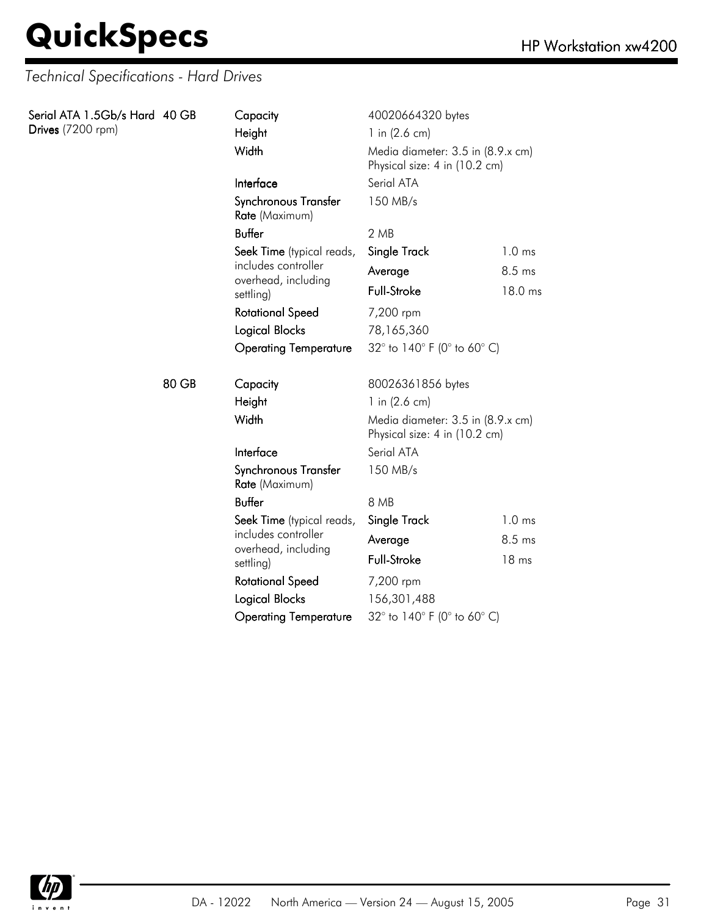| Drives (7200 rpm) | Serial ATA 1.5Gb/s Hard 40 GB<br>Capacity<br>Height<br>Width<br>Interface |                                        | 40020664320 bytes<br>1 in $(2.6 \text{ cm})$<br>Media diameter: 3.5 in (8.9.x cm)<br>Physical size: 4 in (10.2 cm)<br>Serial ATA |                   |
|-------------------|---------------------------------------------------------------------------|----------------------------------------|----------------------------------------------------------------------------------------------------------------------------------|-------------------|
|                   |                                                                           | Synchronous Transfer<br>Rate (Maximum) | 150 MB/s                                                                                                                         |                   |
|                   |                                                                           | <b>Buffer</b>                          | 2MB                                                                                                                              |                   |
|                   |                                                                           | Seek Time (typical reads,              | Single Track                                                                                                                     | 1.0 <sub>ms</sub> |
|                   |                                                                           | includes controller                    | Average                                                                                                                          | 8.5 ms            |
|                   |                                                                           | overhead, including<br>settling)       | Full-Stroke                                                                                                                      | 18.0 ms           |
|                   |                                                                           | <b>Rotational Speed</b>                | 7,200 rpm                                                                                                                        |                   |
|                   |                                                                           | Logical Blocks                         | 78,165,360                                                                                                                       |                   |
|                   |                                                                           | <b>Operating Temperature</b>           | 32° to 140° F (0° to 60° C)                                                                                                      |                   |
|                   | 80 GB                                                                     | Capacity                               | 80026361856 bytes                                                                                                                |                   |
|                   |                                                                           | Height                                 | 1 in $(2.6 \text{ cm})$                                                                                                          |                   |
|                   |                                                                           | Width                                  | Media diameter: 3.5 in (8.9.x cm)<br>Physical size: 4 in (10.2 cm)                                                               |                   |
|                   |                                                                           | Interface                              | Serial ATA                                                                                                                       |                   |
|                   |                                                                           | Synchronous Transfer<br>Rate (Maximum) | 150 MB/s                                                                                                                         |                   |
|                   |                                                                           | <b>Buffer</b>                          | 8 MB                                                                                                                             |                   |
|                   |                                                                           | Seek Time (typical reads,              | Single Track                                                                                                                     | 1.0 <sub>ms</sub> |
|                   |                                                                           | includes controller                    | Average                                                                                                                          | 8.5 ms            |
|                   |                                                                           | overhead, including<br>settling)       | Full-Stroke                                                                                                                      | 18 ms             |
|                   |                                                                           | <b>Rotational Speed</b>                | 7,200 rpm                                                                                                                        |                   |
|                   |                                                                           | Logical Blocks                         | 156,301,488                                                                                                                      |                   |
|                   |                                                                           | <b>Operating Temperature</b>           | 32° to 140° F (0° to 60° C)                                                                                                      |                   |

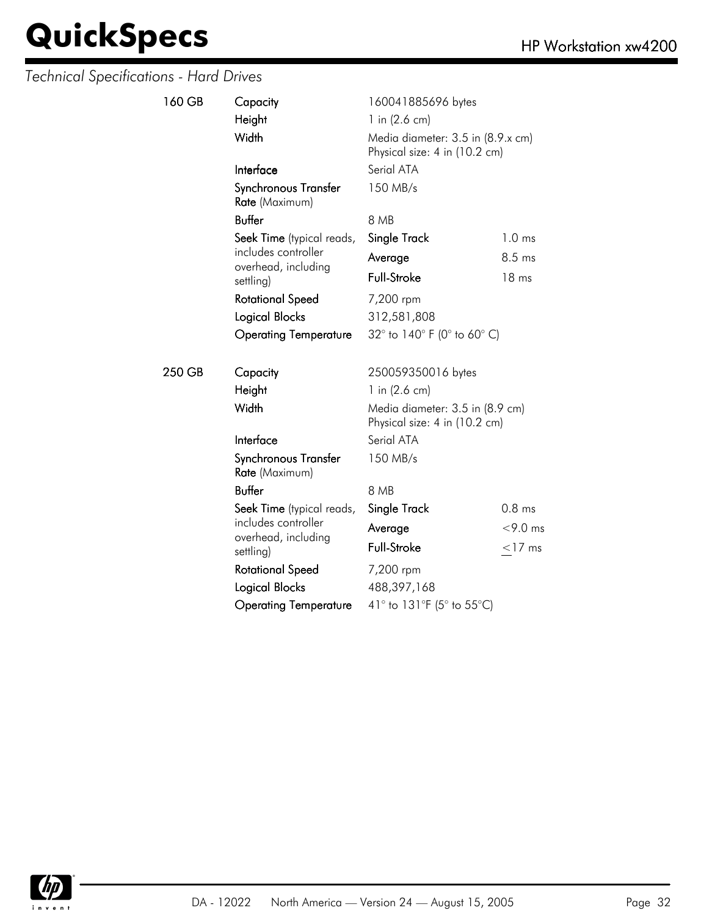| 160 GB | Capacity<br>Height<br>Width                         | 160041885696 bytes<br>1 in $(2.6 \text{ cm})$<br>Media diameter: 3.5 in (8.9.x cm)<br>Physical size: 4 in (10.2 cm) |                   |  |
|--------|-----------------------------------------------------|---------------------------------------------------------------------------------------------------------------------|-------------------|--|
|        | Interface<br>Synchronous Transfer<br>Rate (Maximum) | Serial ATA<br>150 MB/s                                                                                              |                   |  |
|        | <b>Buffer</b>                                       | 8 MB                                                                                                                |                   |  |
|        | Seek Time (typical reads,                           | Single Track                                                                                                        | 1.0 <sub>ms</sub> |  |
|        | includes controller                                 | Average                                                                                                             | $8.5 \text{ ms}$  |  |
|        | overhead, including<br>settling)                    | <b>Full-Stroke</b>                                                                                                  | 18 ms             |  |
|        | <b>Rotational Speed</b>                             | 7,200 rpm                                                                                                           |                   |  |
|        | Logical Blocks                                      | 312,581,808                                                                                                         |                   |  |
|        | <b>Operating Temperature</b>                        | 32° to 140° F (0° to 60° C)                                                                                         |                   |  |
| 250 GB | Capacity                                            | 250059350016 bytes                                                                                                  |                   |  |
|        | Height                                              | 1 in $(2.6 \text{ cm})$                                                                                             |                   |  |
|        | Width                                               | Media diameter: 3.5 in (8.9 cm)<br>Physical size: 4 in (10.2 cm)                                                    |                   |  |
|        | Interface                                           | Serial ATA                                                                                                          |                   |  |
|        | Synchronous Transfer<br>Rate (Maximum)              | 150 MB/s                                                                                                            |                   |  |
|        | <b>Buffer</b>                                       | 8 MB                                                                                                                |                   |  |
|        | Seek Time (typical reads,                           | Single Track                                                                                                        | 0.8 <sub>ms</sub> |  |
|        | includes controller                                 | Average                                                                                                             | $<$ 9.0 ms        |  |
|        | overhead, including<br>settling)                    | <b>Full-Stroke</b>                                                                                                  | $<$ 17 ms         |  |
|        | <b>Rotational Speed</b>                             | 7,200 rpm                                                                                                           |                   |  |
|        | <b>Logical Blocks</b>                               | 488,397,168                                                                                                         |                   |  |
|        | <b>Operating Temperature</b>                        | 41° to 131°F (5° to 55°C)                                                                                           |                   |  |

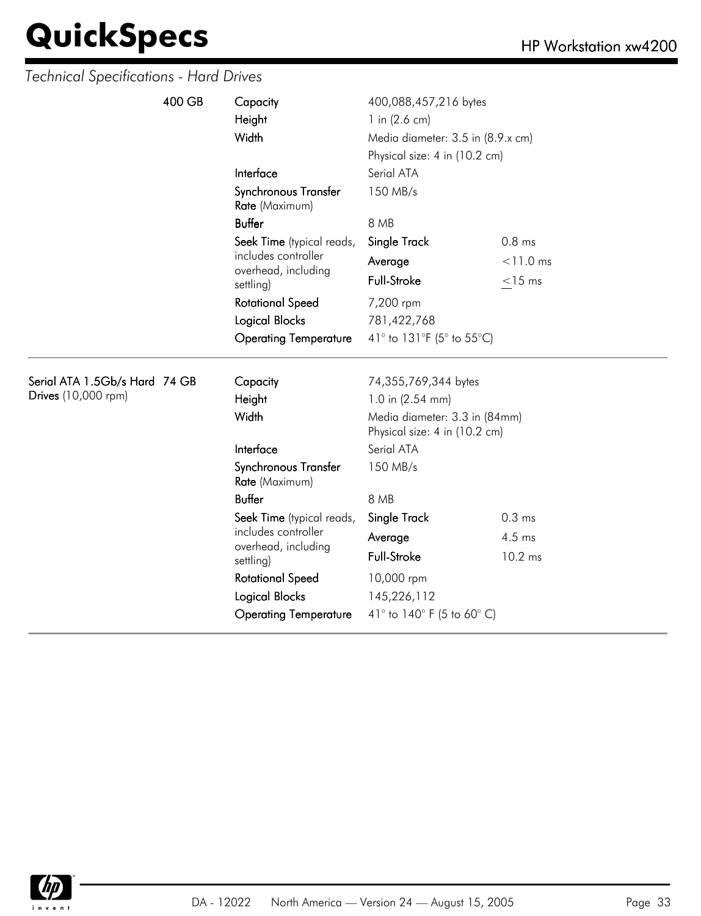| Height<br>1 in $(2.6 \text{ cm})$<br>Width<br>Media diameter: 3.5 in (8.9.x cm)<br>Physical size: 4 in (10.2 cm) | 400,088,457,216 bytes |  |  |
|------------------------------------------------------------------------------------------------------------------|-----------------------|--|--|
| Interface<br>Serial ATA                                                                                          |                       |  |  |
| 150 MB/s<br>Synchronous Transfer<br>Rate (Maximum)                                                               |                       |  |  |
| <b>Buffer</b><br>8 MB                                                                                            |                       |  |  |
| $0.8$ ms<br>Seek Time (typical reads,<br>Single Track                                                            |                       |  |  |
| includes controller<br>$< 11.0$ ms<br>Average<br>overhead, including                                             |                       |  |  |
| Full-Stroke<br>$<$ 15 ms<br>settling)                                                                            |                       |  |  |
| <b>Rotational Speed</b><br>7,200 rpm                                                                             |                       |  |  |
| Logical Blocks<br>781,422,768                                                                                    |                       |  |  |
| 41° to 131°F (5° to 55°C)<br><b>Operating Temperature</b>                                                        |                       |  |  |
|                                                                                                                  |                       |  |  |
| Serial ATA 1.5Gb/s Hard 74 GB<br>Capacity<br>74,355,769,344 bytes                                                |                       |  |  |
| Drives (10,000 rpm)<br>Height<br>1.0 in (2.54 mm)                                                                |                       |  |  |
| Width<br>Media diameter: 3.3 in (84mm)<br>Physical size: 4 in (10.2 cm)                                          |                       |  |  |
| Serial ATA<br>Interface                                                                                          |                       |  |  |
| Synchronous Transfer<br>150 MB/s<br>Rate (Maximum)                                                               |                       |  |  |
| <b>Buffer</b><br>8 MB                                                                                            |                       |  |  |
| Single Track<br>0.3 <sub>ms</sub><br>Seek Time (typical reads,                                                   |                       |  |  |
| includes controller<br>$4.5$ ms<br>Average                                                                       |                       |  |  |
| overhead, including<br><b>Full-Stroke</b><br>10.2 ms<br>settling)                                                |                       |  |  |
| <b>Rotational Speed</b><br>10,000 rpm                                                                            |                       |  |  |
| Logical Blocks<br>145,226,112                                                                                    |                       |  |  |

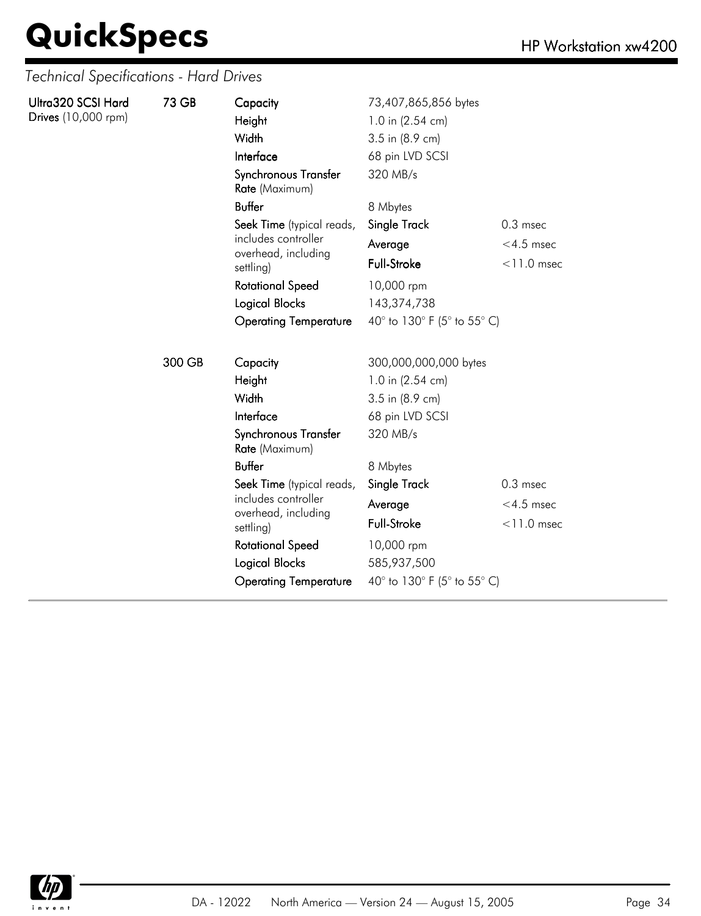| Ultra320 SCSI Hard  | 73 GB  | Capacity                               | 73,407,865,856 bytes        |               |
|---------------------|--------|----------------------------------------|-----------------------------|---------------|
| Drives (10,000 rpm) |        | Height                                 | 1.0 in (2.54 cm)            |               |
|                     |        | Width                                  | 3.5 in (8.9 cm)             |               |
|                     |        | Interface                              | 68 pin LVD SCSI             |               |
|                     |        | Synchronous Transfer<br>Rate (Maximum) | 320 MB/s                    |               |
|                     |        | <b>Buffer</b>                          | 8 Mbytes                    |               |
|                     |        | Seek Time (typical reads,              | Single Track                | $0.3$ msec    |
|                     |        | includes controller                    | Average                     | $<$ 4.5 msec  |
|                     |        | overhead, including<br>settling)       | Full-Stroke                 | $<$ 11.0 msec |
|                     |        | <b>Rotational Speed</b>                | 10,000 rpm                  |               |
|                     |        | Logical Blocks                         | 143,374,738                 |               |
|                     |        | <b>Operating Temperature</b>           | 40° to 130° F (5° to 55° C) |               |
|                     | 300 GB | Capacity                               | 300,000,000,000 bytes       |               |
|                     |        | Height                                 | 1.0 in (2.54 cm)            |               |
|                     |        | Width                                  | 3.5 in (8.9 cm)             |               |
|                     |        | Interface                              | 68 pin LVD SCSI             |               |
|                     |        | Synchronous Transfer<br>Rate (Maximum) | 320 MB/s                    |               |
|                     |        | <b>Buffer</b>                          | 8 Mbytes                    |               |
|                     |        | Seek Time (typical reads,              | Single Track                | $0.3$ msec    |
|                     |        | includes controller                    | Average                     | $<$ 4.5 msec  |
|                     |        | overhead, including<br>settling)       | <b>Full-Stroke</b>          | $<$ 11.0 msec |
|                     |        | <b>Rotational Speed</b>                | 10,000 rpm                  |               |
|                     |        | Logical Blocks                         | 585,937,500                 |               |
|                     |        | <b>Operating Temperature</b>           | 40° to 130° F (5° to 55° C) |               |

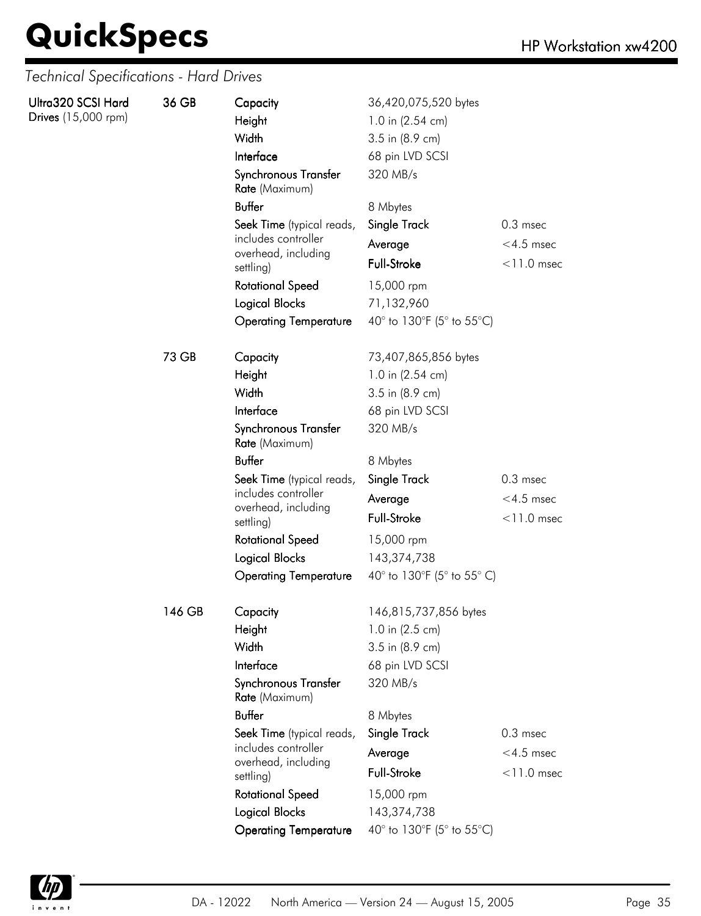| Ultra320 SCSI Hard<br>Drives (15,000 rpm) | 36 GB  | Capacity<br>Height<br>Width<br>Interface<br>Synchronous Transfer<br>Rate (Maximum) | 36,420,075,520 bytes<br>1.0 in (2.54 cm)<br>3.5 in (8.9 cm)<br>68 pin LVD SCSI<br>320 MB/s |               |
|-------------------------------------------|--------|------------------------------------------------------------------------------------|--------------------------------------------------------------------------------------------|---------------|
|                                           |        | <b>Buffer</b>                                                                      | 8 Mbytes                                                                                   |               |
|                                           |        | Seek Time (typical reads,                                                          | Single Track                                                                               | $0.3$ msec    |
|                                           |        | includes controller                                                                | Average                                                                                    | $<$ 4.5 msec  |
|                                           |        | overhead, including<br>settling)                                                   | Full-Stroke                                                                                | $<$ 11.0 msec |
|                                           |        | <b>Rotational Speed</b>                                                            | 15,000 rpm                                                                                 |               |
|                                           |        | Logical Blocks                                                                     | 71,132,960                                                                                 |               |
|                                           |        | <b>Operating Temperature</b>                                                       | 40° to 130°F (5° to 55°C)                                                                  |               |
|                                           | 73 GB  | Capacity                                                                           | 73,407,865,856 bytes                                                                       |               |
|                                           |        | Height                                                                             | 1.0 in (2.54 cm)                                                                           |               |
|                                           |        | Width                                                                              | 3.5 in (8.9 cm)                                                                            |               |
|                                           |        | Interface                                                                          | 68 pin LVD SCSI                                                                            |               |
|                                           |        | Synchronous Transfer<br>Rate (Maximum)                                             | 320 MB/s                                                                                   |               |
|                                           |        | <b>Buffer</b>                                                                      | 8 Mbytes                                                                                   |               |
|                                           |        | Seek Time (typical reads,                                                          | Single Track                                                                               | $0.3$ msec    |
|                                           |        | includes controller<br>overhead, including                                         | Average                                                                                    | $<$ 4.5 msec  |
|                                           |        | settling)                                                                          | Full-Stroke                                                                                | $<$ 11.0 msec |
|                                           |        | <b>Rotational Speed</b>                                                            | 15,000 rpm                                                                                 |               |
|                                           |        | <b>Logical Blocks</b>                                                              | 143,374,738                                                                                |               |
|                                           |        | <b>Operating Temperature</b>                                                       | 40° to 130°F (5° to 55° C)                                                                 |               |
|                                           | 146 GB | Capacity                                                                           | 146,815,737,856 bytes                                                                      |               |
|                                           |        | Height                                                                             | 1.0 in (2.5 cm)                                                                            |               |
|                                           |        | Width                                                                              | 3.5 in (8.9 cm)                                                                            |               |
|                                           |        | Interface                                                                          | 68 pin LVD SCSI                                                                            |               |
|                                           |        | Synchronous Transfer<br>Rate (Maximum)                                             | 320 MB/s                                                                                   |               |
|                                           |        | <b>Buffer</b>                                                                      | 8 Mbytes                                                                                   |               |
|                                           |        | Seek Time (typical reads,                                                          | Single Track                                                                               | $0.3$ msec    |
|                                           |        | includes controller<br>overhead, including                                         | Average                                                                                    | $<$ 4.5 msec  |
|                                           |        | settling)                                                                          | Full-Stroke                                                                                | $<$ 11.0 msec |
|                                           |        | <b>Rotational Speed</b>                                                            | 15,000 rpm                                                                                 |               |
|                                           |        | Logical Blocks                                                                     | 143,374,738                                                                                |               |
|                                           |        | <b>Operating Temperature</b>                                                       | 40° to 130°F (5° to 55°C)                                                                  |               |

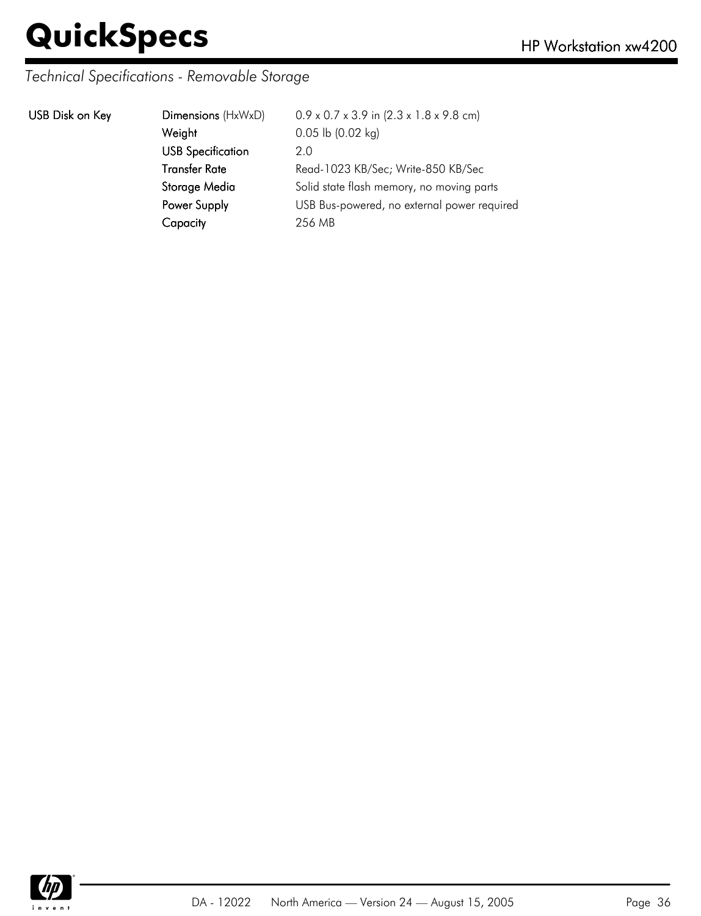### *Technical Specifications - Removable Storage*

| USB Disk on Key | Dimensions (HxWxD)       | $0.9 \times 0.7 \times 3.9$ in $(2.3 \times 1.8 \times 9.8$ cm) |
|-----------------|--------------------------|-----------------------------------------------------------------|
|                 | Weight                   | $0.05$ lb $(0.02$ kg)                                           |
|                 | <b>USB Specification</b> | 2.0                                                             |
|                 | <b>Transfer Rate</b>     | Read-1023 KB/Sec; Write-850 KB/Sec                              |
|                 | Storage Media            | Solid state flash memory, no moving parts                       |
|                 | Power Supply             | USB Bus-powered, no external power required                     |
|                 | Capacity                 | 256 MB                                                          |
|                 |                          |                                                                 |

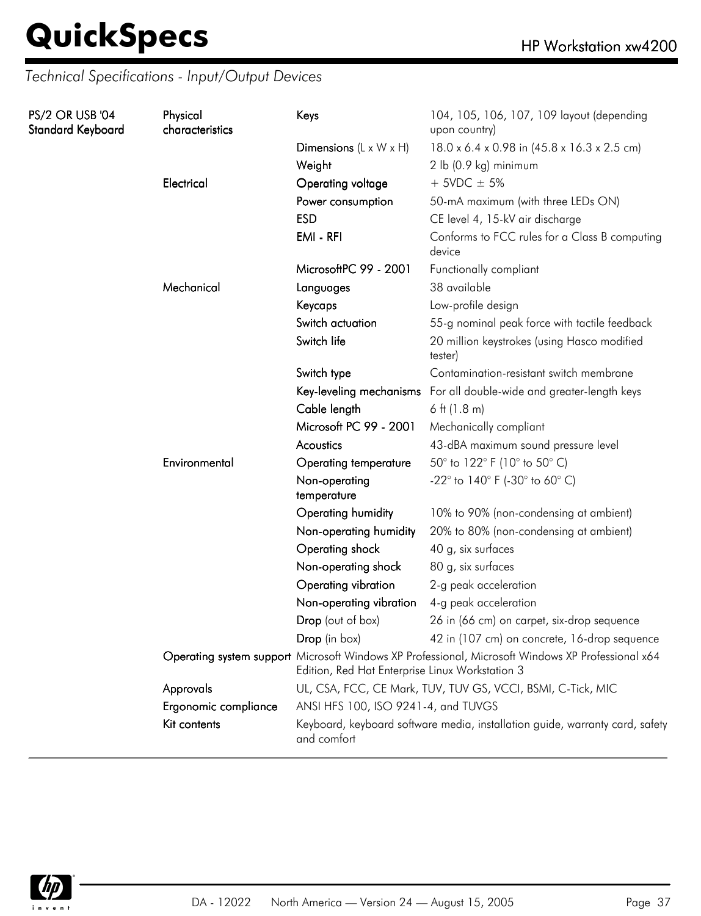### *Technical Specifications - Input/Output Devices*

| PS/2 OR USB '04<br>Standard Keyboard | Physical<br>characteristics | Keys                                                                                                                                                 | 104, 105, 106, 107, 109 layout (depending<br>upon country)             |  |
|--------------------------------------|-----------------------------|------------------------------------------------------------------------------------------------------------------------------------------------------|------------------------------------------------------------------------|--|
|                                      |                             | Dimensions $(L \times W \times H)$                                                                                                                   | 18.0 x 6.4 x 0.98 in (45.8 x 16.3 x 2.5 cm)                            |  |
|                                      |                             | Weight                                                                                                                                               | 2 lb (0.9 kg) minimum                                                  |  |
|                                      | Electrical                  | Operating voltage                                                                                                                                    | $+$ 5VDC $\pm$ 5%                                                      |  |
|                                      |                             | Power consumption                                                                                                                                    | 50-mA maximum (with three LEDs ON)                                     |  |
|                                      |                             | <b>ESD</b>                                                                                                                                           | CE level 4, 15-kV air discharge                                        |  |
|                                      |                             | EMI - RFI                                                                                                                                            | Conforms to FCC rules for a Class B computing<br>device                |  |
|                                      |                             | MicrosoftPC 99 - 2001                                                                                                                                | Functionally compliant                                                 |  |
|                                      | Mechanical                  | Languages                                                                                                                                            | 38 available                                                           |  |
|                                      |                             | Keycaps                                                                                                                                              | Low-profile design                                                     |  |
|                                      |                             | Switch actuation                                                                                                                                     | 55-g nominal peak force with tactile feedback                          |  |
|                                      |                             | Switch life                                                                                                                                          | 20 million keystrokes (using Hasco modified<br>tester)                 |  |
|                                      |                             | Switch type                                                                                                                                          | Contamination-resistant switch membrane                                |  |
|                                      |                             |                                                                                                                                                      | Key-leveling mechanisms For all double-wide and greater-length keys    |  |
|                                      |                             | Cable length                                                                                                                                         | 6 ft $(1.8 \text{ m})$                                                 |  |
|                                      |                             | Microsoft PC 99 - 2001                                                                                                                               | Mechanically compliant                                                 |  |
|                                      |                             | Acoustics                                                                                                                                            | 43-dBA maximum sound pressure level                                    |  |
|                                      | Environmental               | <b>Operating temperature</b>                                                                                                                         | 50° to 122° F (10° to 50° C)                                           |  |
|                                      |                             | Non-operating<br>temperature                                                                                                                         | -22 $^{\circ}$ to 140 $^{\circ}$ F (-30 $^{\circ}$ to 60 $^{\circ}$ C) |  |
|                                      |                             | Operating humidity                                                                                                                                   | 10% to 90% (non-condensing at ambient)                                 |  |
|                                      |                             | Non-operating humidity                                                                                                                               | 20% to 80% (non-condensing at ambient)                                 |  |
|                                      |                             | Operating shock                                                                                                                                      | 40 g, six surfaces                                                     |  |
|                                      |                             | Non-operating shock                                                                                                                                  | 80 g, six surfaces                                                     |  |
|                                      |                             | Operating vibration                                                                                                                                  | 2-g peak acceleration                                                  |  |
|                                      |                             | Non-operating vibration                                                                                                                              | 4-g peak acceleration                                                  |  |
|                                      |                             | Drop (out of box)                                                                                                                                    | 26 in (66 cm) on carpet, six-drop sequence                             |  |
|                                      |                             | Drop (in box)                                                                                                                                        | 42 in (107 cm) on concrete, 16-drop sequence                           |  |
|                                      |                             | Operating system support Microsoft Windows XP Professional, Microsoft Windows XP Professional x64<br>Edition, Red Hat Enterprise Linux Workstation 3 |                                                                        |  |
|                                      | Approvals                   | UL, CSA, FCC, CE Mark, TUV, TUV GS, VCCI, BSMI, C-Tick, MIC                                                                                          |                                                                        |  |
|                                      | Ergonomic compliance        | ANSI HFS 100, ISO 9241-4, and TUVGS                                                                                                                  |                                                                        |  |
|                                      | Kit contents                | Keyboard, keyboard software media, installation guide, warranty card, safety<br>and comfort                                                          |                                                                        |  |

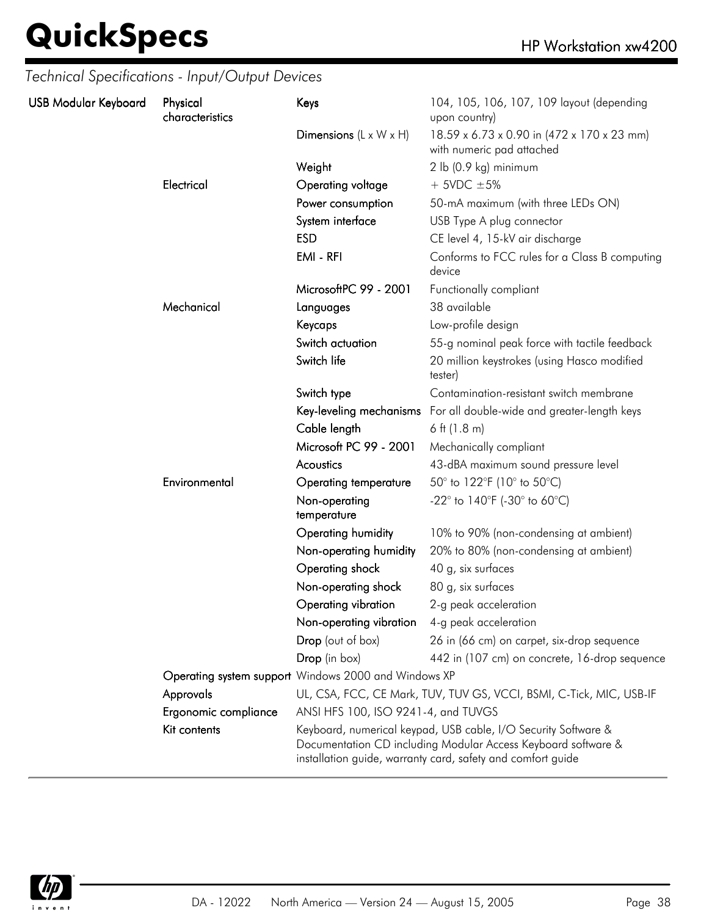| Technical Specifications - Input/Output Devices |                             |                                    |                                                                         |
|-------------------------------------------------|-----------------------------|------------------------------------|-------------------------------------------------------------------------|
| <b>USB Modular Keyboard</b>                     | Physical<br>characteristics | Keys                               | 104, 105, 106, 107, 109 layout (depending<br>upon country)              |
|                                                 |                             | Dimensions $(L \times W \times H)$ | 18.59 x 6.73 x 0.90 in (472 x 170 x 23 mm)<br>with numeric pad attached |
|                                                 |                             | Weight                             | $2$ lb (0.9 kg) minimum                                                 |
|                                                 | Electrical                  | Operating voltage                  | $+$ 5VDC $\pm$ 5%                                                       |
|                                                 |                             | Power consumption                  | 50-mA maximum (with three LEDs ON)                                      |
|                                                 |                             | System interface                   | USB Type A plug connector                                               |
|                                                 |                             | <b>ESD</b>                         | CE level 4, 15-kV air discharge                                         |
|                                                 |                             | EMI - RFI                          | Conforms to FCC rules for a Class B comput<br>المصنيحات                 |

| characteristics      |                                                                                                                                                                                                | upon country)                                                           |  |
|----------------------|------------------------------------------------------------------------------------------------------------------------------------------------------------------------------------------------|-------------------------------------------------------------------------|--|
|                      | Dimensions $(L \times W \times H)$                                                                                                                                                             | 18.59 x 6.73 x 0.90 in (472 x 170 x 23 mm)<br>with numeric pad attached |  |
|                      | Weight                                                                                                                                                                                         | 2 lb (0.9 kg) minimum                                                   |  |
| Electrical           | Operating voltage                                                                                                                                                                              | $+5VDC \pm 5%$                                                          |  |
|                      | Power consumption                                                                                                                                                                              | 50-mA maximum (with three LEDs ON)                                      |  |
|                      | System interface                                                                                                                                                                               | USB Type A plug connector                                               |  |
|                      | <b>ESD</b>                                                                                                                                                                                     | CE level 4, 15-kV air discharge                                         |  |
|                      | EMI - RFI                                                                                                                                                                                      | Conforms to FCC rules for a Class B computing<br>device                 |  |
|                      | MicrosoftPC 99 - 2001                                                                                                                                                                          | Functionally compliant                                                  |  |
| Mechanical           | Languages                                                                                                                                                                                      | 38 available                                                            |  |
|                      | Keycaps                                                                                                                                                                                        | Low-profile design                                                      |  |
|                      | Switch actuation                                                                                                                                                                               | 55-g nominal peak force with tactile feedback                           |  |
|                      | Switch life                                                                                                                                                                                    | 20 million keystrokes (using Hasco modified<br>tester)                  |  |
|                      | Switch type                                                                                                                                                                                    | Contamination-resistant switch membrane                                 |  |
|                      | Key-leveling mechanisms                                                                                                                                                                        | For all double-wide and greater-length keys                             |  |
|                      | Cable length                                                                                                                                                                                   | 6 ft $(1.8 \text{ m})$                                                  |  |
|                      | Microsoft PC 99 - 2001                                                                                                                                                                         | Mechanically compliant                                                  |  |
|                      | Acoustics                                                                                                                                                                                      | 43-dBA maximum sound pressure level                                     |  |
| Environmental        | <b>Operating temperature</b>                                                                                                                                                                   | 50° to 122°F (10° to 50°C)                                              |  |
|                      | Non-operating<br>temperature                                                                                                                                                                   | -22 $^{\circ}$ to 140 $^{\circ}$ F (-30 $^{\circ}$ to 60 $^{\circ}$ C)  |  |
|                      | Operating humidity                                                                                                                                                                             | 10% to 90% (non-condensing at ambient)                                  |  |
|                      | Non-operating humidity                                                                                                                                                                         | 20% to 80% (non-condensing at ambient)                                  |  |
|                      | Operating shock                                                                                                                                                                                | 40 g, six surfaces                                                      |  |
|                      | Non-operating shock                                                                                                                                                                            | 80 g, six surfaces                                                      |  |
|                      | Operating vibration                                                                                                                                                                            | 2-g peak acceleration                                                   |  |
|                      | Non-operating vibration                                                                                                                                                                        | 4-g peak acceleration                                                   |  |
|                      | Drop (out of box)                                                                                                                                                                              | 26 in (66 cm) on carpet, six-drop sequence                              |  |
|                      | Drop (in box)                                                                                                                                                                                  | 442 in (107 cm) on concrete, 16-drop sequence                           |  |
|                      | Operating system support Windows 2000 and Windows XP                                                                                                                                           |                                                                         |  |
| Approvals            |                                                                                                                                                                                                | UL, CSA, FCC, CE Mark, TUV, TUV GS, VCCI, BSMI, C-Tick, MIC, USB-IF     |  |
| Ergonomic compliance | ANSI HFS 100, ISO 9241-4, and TUVGS                                                                                                                                                            |                                                                         |  |
| Kit contents         | Keyboard, numerical keypad, USB cable, I/O Security Software &<br>Documentation CD including Modular Access Keyboard software &<br>installation guide, warranty card, safety and comfort guide |                                                                         |  |

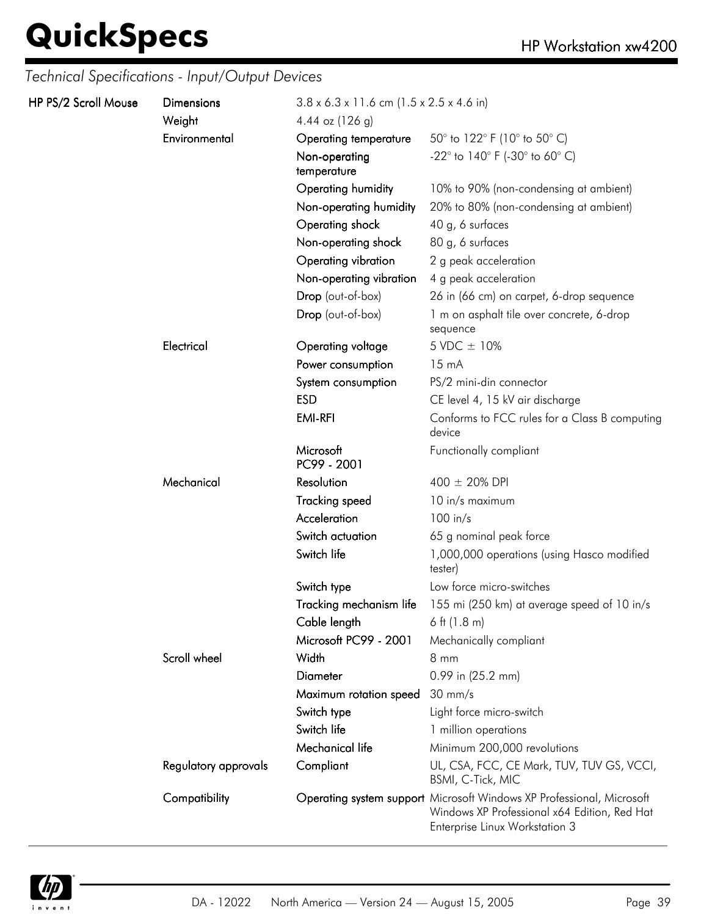*Technical Specifications - Input/Output Devices*

| HP PS/2 Scroll Mouse | <b>Dimensions</b><br>Weight | $3.8 \times 6.3 \times 11.6$ cm (1.5 x 2.5 x 4.6 in)<br>4.44 oz $(126 g)$ |                                                                                                                                                         |  |
|----------------------|-----------------------------|---------------------------------------------------------------------------|---------------------------------------------------------------------------------------------------------------------------------------------------------|--|
|                      | Environmental               | Operating temperature                                                     | 50 $^{\circ}$ to 122 $^{\circ}$ F (10 $^{\circ}$ to 50 $^{\circ}$ C)                                                                                    |  |
|                      |                             | Non-operating<br>temperature                                              | -22 $^{\circ}$ to 140 $^{\circ}$ F (-30 $^{\circ}$ to 60 $^{\circ}$ C)                                                                                  |  |
|                      |                             | Operating humidity                                                        | 10% to 90% (non-condensing at ambient)                                                                                                                  |  |
|                      |                             | Non-operating humidity                                                    | 20% to 80% (non-condensing at ambient)                                                                                                                  |  |
|                      |                             | Operating shock                                                           | 40 g, 6 surfaces                                                                                                                                        |  |
|                      |                             | Non-operating shock                                                       | 80 g, 6 surfaces                                                                                                                                        |  |
|                      |                             | Operating vibration                                                       | 2 g peak acceleration                                                                                                                                   |  |
|                      |                             | Non-operating vibration                                                   | 4 g peak acceleration                                                                                                                                   |  |
|                      |                             | Drop (out-of-box)                                                         | 26 in (66 cm) on carpet, 6-drop sequence                                                                                                                |  |
|                      |                             | Drop (out-of-box)                                                         | 1 m on asphalt tile over concrete, 6-drop<br>sequence                                                                                                   |  |
|                      | Electrical                  | Operating voltage                                                         | 5 VDC ± 10%                                                                                                                                             |  |
|                      |                             | Power consumption                                                         | $15 \text{ mA}$                                                                                                                                         |  |
|                      |                             | System consumption                                                        | PS/2 mini-din connector                                                                                                                                 |  |
|                      |                             | <b>ESD</b>                                                                | CE level 4, 15 kV air discharge                                                                                                                         |  |
|                      |                             | <b>EMI-RFI</b>                                                            | Conforms to FCC rules for a Class B computing<br>device                                                                                                 |  |
|                      |                             | Microsoft<br>PC99 - 2001                                                  | Functionally compliant                                                                                                                                  |  |
|                      | Mechanical                  | Resolution                                                                | $400 \pm 20\%$ DPI                                                                                                                                      |  |
|                      |                             | <b>Tracking speed</b>                                                     | 10 in/s maximum                                                                                                                                         |  |
|                      |                             | Acceleration                                                              | $100$ in/s                                                                                                                                              |  |
|                      |                             | Switch actuation                                                          | 65 g nominal peak force                                                                                                                                 |  |
|                      |                             | Switch life                                                               | 1,000,000 operations (using Hasco modified<br>tester)                                                                                                   |  |
|                      |                             | Switch type                                                               | Low force micro-switches                                                                                                                                |  |
|                      |                             | Tracking mechanism life                                                   | 155 mi (250 km) at average speed of 10 in/s                                                                                                             |  |
|                      |                             | Cable length                                                              | 6 ft $(1.8 \text{ m})$                                                                                                                                  |  |
|                      |                             | Microsoft PC99 - 2001                                                     | Mechanically compliant                                                                                                                                  |  |
|                      | Scroll wheel                | Width                                                                     | $8 \, \text{mm}$                                                                                                                                        |  |
|                      |                             | <b>Diameter</b>                                                           | 0.99 in (25.2 mm)                                                                                                                                       |  |
|                      |                             | Maximum rotation speed                                                    | $30 \text{ mm/s}$                                                                                                                                       |  |
|                      |                             | Switch type                                                               | Light force micro-switch                                                                                                                                |  |
|                      |                             | Switch life                                                               | 1 million operations                                                                                                                                    |  |
|                      |                             | Mechanical life                                                           | Minimum 200,000 revolutions                                                                                                                             |  |
|                      | Regulatory approvals        | Compliant                                                                 | UL, CSA, FCC, CE Mark, TUV, TUV GS, VCCI,<br>BSMI, C-Tick, MIC                                                                                          |  |
|                      | Compatibility               |                                                                           | Operating system support Microsoft Windows XP Professional, Microsoft<br>Windows XP Professional x64 Edition, Red Hat<br>Enterprise Linux Workstation 3 |  |

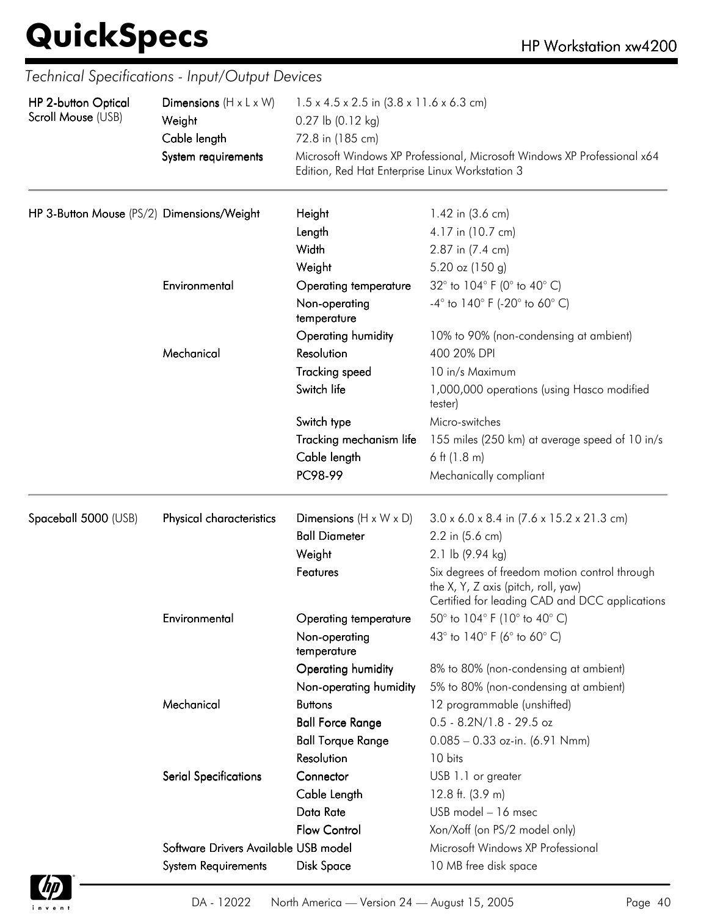| HP 2-button Optical<br>Scroll Mouse (USB)  | Dimensions $(H \times L \times W)$<br>Weight<br>Cable length<br>System requirements | $1.5 \times 4.5 \times 2.5$ in $(3.8 \times 11.6 \times 6.3$ cm)<br>$0.27$ lb $(0.12$ kg)<br>72.8 in (185 cm)<br>Microsoft Windows XP Professional, Microsoft Windows XP Professional x64<br>Edition, Red Hat Enterprise Linux Workstation 3 |                                                                                                                                        |
|--------------------------------------------|-------------------------------------------------------------------------------------|----------------------------------------------------------------------------------------------------------------------------------------------------------------------------------------------------------------------------------------------|----------------------------------------------------------------------------------------------------------------------------------------|
| HP 3-Button Mouse (PS/2) Dimensions/Weight |                                                                                     | Height                                                                                                                                                                                                                                       | 1.42 in (3.6 cm)                                                                                                                       |
|                                            |                                                                                     | Length                                                                                                                                                                                                                                       | 4.17 in (10.7 cm)                                                                                                                      |
|                                            |                                                                                     | Width                                                                                                                                                                                                                                        | 2.87 in (7.4 cm)                                                                                                                       |
|                                            |                                                                                     | Weight                                                                                                                                                                                                                                       | 5.20 oz (150 g)                                                                                                                        |
|                                            | Environmental                                                                       | <b>Operating temperature</b>                                                                                                                                                                                                                 | 32° to 104° F (0° to 40° C)                                                                                                            |
|                                            |                                                                                     | Non-operating<br>temperature                                                                                                                                                                                                                 | $-4^{\circ}$ to $140^{\circ}$ F (-20 $^{\circ}$ to 60 $^{\circ}$ C)                                                                    |
|                                            | Mechanical                                                                          | Operating humidity<br>Resolution                                                                                                                                                                                                             | 10% to 90% (non-condensing at ambient)<br>400 20% DPI                                                                                  |
|                                            |                                                                                     | <b>Tracking speed</b>                                                                                                                                                                                                                        | 10 in/s Maximum                                                                                                                        |
|                                            |                                                                                     | Switch life                                                                                                                                                                                                                                  | 1,000,000 operations (using Hasco modified<br>tester)                                                                                  |
|                                            |                                                                                     | Switch type                                                                                                                                                                                                                                  | Micro-switches                                                                                                                         |
|                                            |                                                                                     | Tracking mechanism life                                                                                                                                                                                                                      | 155 miles (250 km) at average speed of 10 in/s                                                                                         |
|                                            |                                                                                     | Cable length                                                                                                                                                                                                                                 | 6 ft $(1.8 \text{ m})$                                                                                                                 |
|                                            |                                                                                     | PC98-99                                                                                                                                                                                                                                      | Mechanically compliant                                                                                                                 |
| Spaceball 5000 (USB)                       | Physical characteristics                                                            | Dimensions ( $H \times W \times D$ )                                                                                                                                                                                                         | $3.0 \times 6.0 \times 8.4$ in $(7.6 \times 15.2 \times 21.3$ cm)                                                                      |
|                                            |                                                                                     | <b>Ball Diameter</b>                                                                                                                                                                                                                         | 2.2 in (5.6 cm)                                                                                                                        |
|                                            |                                                                                     | Weight                                                                                                                                                                                                                                       | 2.1 lb (9.94 kg)                                                                                                                       |
|                                            |                                                                                     | Features                                                                                                                                                                                                                                     | Six degrees of freedom motion control through<br>the X, Y, Z axis (pitch, roll, yaw)<br>Certified for leading CAD and DCC applications |
|                                            | Environmental                                                                       | Operating temperature                                                                                                                                                                                                                        | 50 $^{\circ}$ to 104 $^{\circ}$ F (10 $^{\circ}$ to 40 $^{\circ}$ C)                                                                   |
|                                            |                                                                                     | Non-operating<br>temperature                                                                                                                                                                                                                 | 43° to 140° F (6° to 60° C)                                                                                                            |
|                                            |                                                                                     | Operating humidity                                                                                                                                                                                                                           | 8% to 80% (non-condensing at ambient)                                                                                                  |
|                                            |                                                                                     | Non-operating humidity                                                                                                                                                                                                                       | 5% to 80% (non-condensing at ambient)                                                                                                  |
|                                            | Mechanical                                                                          | <b>Buttons</b>                                                                                                                                                                                                                               | 12 programmable (unshifted)                                                                                                            |
|                                            |                                                                                     | <b>Ball Force Range</b>                                                                                                                                                                                                                      | $0.5 - 8.2N/1.8 - 29.5$ oz                                                                                                             |
|                                            |                                                                                     | <b>Ball Torque Range</b>                                                                                                                                                                                                                     | $0.085 - 0.33$ oz-in. (6.91 Nmm)                                                                                                       |
|                                            |                                                                                     | Resolution                                                                                                                                                                                                                                   | 10 bits                                                                                                                                |
|                                            | <b>Serial Specifications</b>                                                        | Connector                                                                                                                                                                                                                                    | USB 1.1 or greater                                                                                                                     |
|                                            |                                                                                     | Cable Length                                                                                                                                                                                                                                 | 12.8 ft. $(3.9 m)$                                                                                                                     |
|                                            |                                                                                     | Data Rate                                                                                                                                                                                                                                    | USB model - 16 msec                                                                                                                    |
|                                            |                                                                                     | <b>Flow Control</b>                                                                                                                                                                                                                          | Xon/Xoff (on PS/2 model only)                                                                                                          |
|                                            | Software Drivers Available USB model                                                |                                                                                                                                                                                                                                              | Microsoft Windows XP Professional                                                                                                      |
|                                            | <b>System Requirements</b>                                                          | <b>Disk Space</b>                                                                                                                                                                                                                            | 10 MB free disk space                                                                                                                  |

*Technical Specifications - Input/Output Devices*

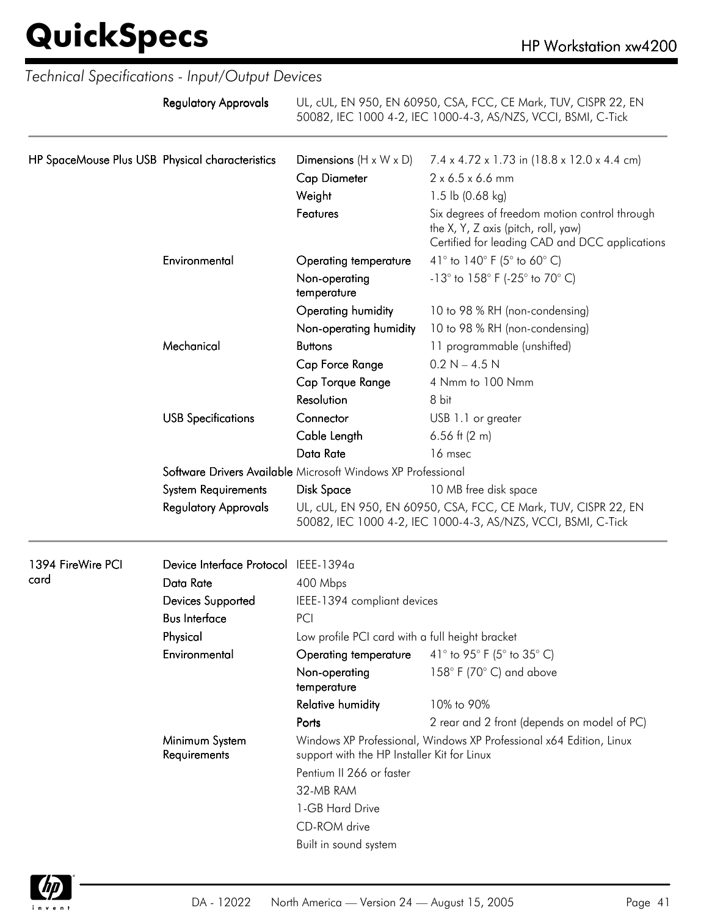|                                                 | Technical Specifications - Input/Output Devices |                                                                                                                    |                                                                                                                                        |
|-------------------------------------------------|-------------------------------------------------|--------------------------------------------------------------------------------------------------------------------|----------------------------------------------------------------------------------------------------------------------------------------|
|                                                 | <b>Regulatory Approvals</b>                     |                                                                                                                    | UL, cUL, EN 950, EN 60950, CSA, FCC, CE Mark, TUV, CISPR 22, EN<br>50082, IEC 1000 4-2, IEC 1000-4-3, AS/NZS, VCCI, BSMI, C-Tick       |
| HP SpaceMouse Plus USB Physical characteristics |                                                 | Dimensions $(H \times W \times D)$                                                                                 | 7.4 x 4.72 x 1.73 in (18.8 x 12.0 x 4.4 cm)                                                                                            |
|                                                 |                                                 | <b>Cap Diameter</b>                                                                                                | 2 x 6.5 x 6.6 mm                                                                                                                       |
|                                                 |                                                 | Weight                                                                                                             | 1.5 lb $(0.68 \text{ kg})$                                                                                                             |
|                                                 |                                                 | Features                                                                                                           | Six degrees of freedom motion control through<br>the X, Y, Z axis (pitch, roll, yaw)<br>Certified for leading CAD and DCC applications |
|                                                 | Environmental                                   | Operating temperature                                                                                              | 41 $\degree$ to 140 $\degree$ F (5 $\degree$ to 60 $\degree$ C)                                                                        |
|                                                 |                                                 | Non-operating<br>temperature                                                                                       | $-13^{\circ}$ to $158^{\circ}$ F (-25° to 70° C)                                                                                       |
|                                                 |                                                 | Operating humidity                                                                                                 | 10 to 98 % RH (non-condensing)                                                                                                         |
|                                                 |                                                 | Non-operating humidity                                                                                             | 10 to 98 % RH (non-condensing)                                                                                                         |
|                                                 | Mechanical                                      | <b>Buttons</b>                                                                                                     | 11 programmable (unshifted)                                                                                                            |
|                                                 |                                                 | Cap Force Range                                                                                                    | $0.2 N - 4.5 N$                                                                                                                        |
|                                                 |                                                 | Cap Torque Range                                                                                                   | 4 Nmm to 100 Nmm                                                                                                                       |
|                                                 |                                                 | Resolution                                                                                                         | 8 bit                                                                                                                                  |
|                                                 | <b>USB Specifications</b>                       | Connector                                                                                                          | USB 1.1 or greater                                                                                                                     |
|                                                 |                                                 | Cable Length                                                                                                       | 6.56 ft $(2 m)$                                                                                                                        |
|                                                 |                                                 | Data Rate                                                                                                          | 16 msec                                                                                                                                |
|                                                 |                                                 | Software Drivers Available Microsoft Windows XP Professional                                                       |                                                                                                                                        |
|                                                 | <b>System Requirements</b>                      | Disk Space                                                                                                         | 10 MB free disk space                                                                                                                  |
|                                                 | <b>Regulatory Approvals</b>                     |                                                                                                                    | UL, cUL, EN 950, EN 60950, CSA, FCC, CE Mark, TUV, CISPR 22, EN<br>50082, IEC 1000 4-2, IEC 1000-4-3, AS/NZS, VCCI, BSMI, C-Tick       |
| 1394 FireWire PCI                               | Device Interface Protocol IEEE-1394a            |                                                                                                                    |                                                                                                                                        |
| card                                            | Data Rate                                       | 400 Mbps                                                                                                           |                                                                                                                                        |
|                                                 | Devices Supported                               | IEEE-1394 compliant devices                                                                                        |                                                                                                                                        |
|                                                 | <b>Bus Interface</b>                            | PCI                                                                                                                |                                                                                                                                        |
|                                                 | Physical                                        | Low profile PCI card with a full height bracket                                                                    |                                                                                                                                        |
|                                                 | Environmental                                   | Operating temperature                                                                                              | 41° to 95° F (5° to 35° C)                                                                                                             |
|                                                 |                                                 | Non-operating<br>temperature                                                                                       | 158° F (70° C) and above                                                                                                               |
|                                                 |                                                 | <b>Relative humidity</b>                                                                                           | 10% to 90%                                                                                                                             |
|                                                 |                                                 | Ports                                                                                                              | 2 rear and 2 front (depends on model of PC)                                                                                            |
|                                                 | Minimum System<br>Requirements                  | Windows XP Professional, Windows XP Professional x64 Edition, Linux<br>support with the HP Installer Kit for Linux |                                                                                                                                        |
|                                                 |                                                 | Pentium II 266 or faster                                                                                           |                                                                                                                                        |
|                                                 |                                                 | 32-MB RAM                                                                                                          |                                                                                                                                        |
|                                                 |                                                 | 1-GB Hard Drive                                                                                                    |                                                                                                                                        |
|                                                 |                                                 | CD-ROM drive                                                                                                       |                                                                                                                                        |
|                                                 |                                                 | Built in sound system                                                                                              |                                                                                                                                        |

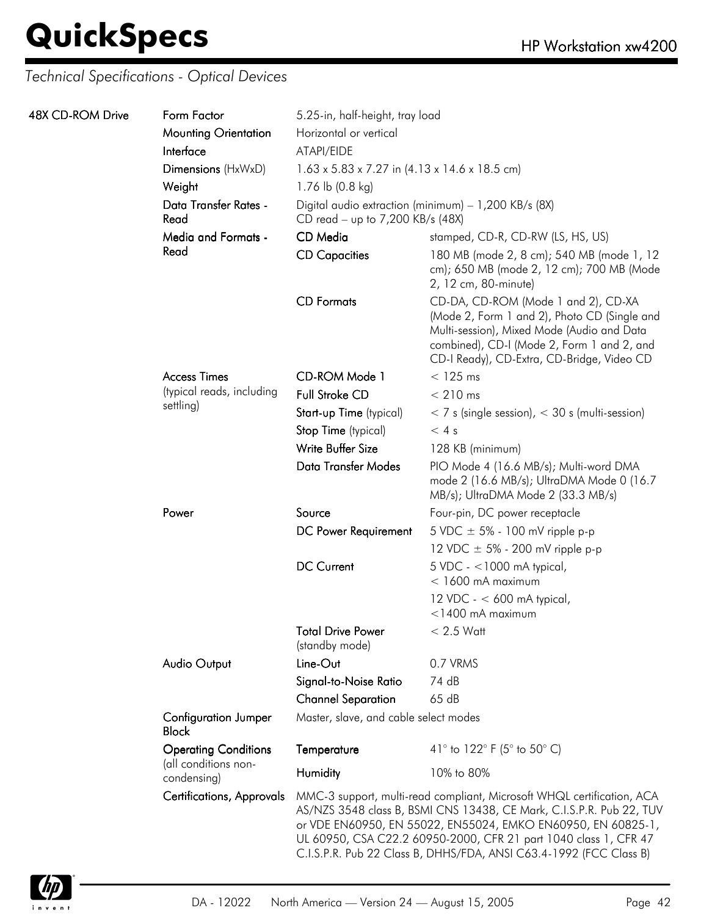### *Technical Specifications - Optical Devices*

| 48X CD-ROM Drive | Form Factor                                         | 5.25-in, half-height, tray load                                                          |                                                                                                                                                                                                                                                                                                                                                          |  |
|------------------|-----------------------------------------------------|------------------------------------------------------------------------------------------|----------------------------------------------------------------------------------------------------------------------------------------------------------------------------------------------------------------------------------------------------------------------------------------------------------------------------------------------------------|--|
|                  | <b>Mounting Orientation</b>                         | Horizontal or vertical                                                                   |                                                                                                                                                                                                                                                                                                                                                          |  |
|                  | Interface                                           | ATAPI/EIDE                                                                               |                                                                                                                                                                                                                                                                                                                                                          |  |
|                  | Dimensions (HxWxD)                                  | $1.63 \times 5.83 \times 7.27$ in $(4.13 \times 14.6 \times 18.5$ cm)                    |                                                                                                                                                                                                                                                                                                                                                          |  |
|                  | Weight                                              | 1.76 lb (0.8 kg)                                                                         |                                                                                                                                                                                                                                                                                                                                                          |  |
|                  | Data Transfer Rates -<br>Read                       | Digital audio extraction (minimum) - 1,200 KB/s (8X)<br>CD read - up to 7,200 KB/s (48X) |                                                                                                                                                                                                                                                                                                                                                          |  |
|                  | <b>Media and Formats -</b>                          | CD Media                                                                                 | stamped, CD-R, CD-RW (LS, HS, US)                                                                                                                                                                                                                                                                                                                        |  |
|                  | Read                                                | <b>CD Capacities</b>                                                                     | 180 MB (mode 2, 8 cm); 540 MB (mode 1, 12<br>cm); 650 MB (mode 2, 12 cm); 700 MB (Mode<br>2, 12 cm, 80-minute)                                                                                                                                                                                                                                           |  |
|                  |                                                     | <b>CD</b> Formats                                                                        | CD-DA, CD-ROM (Mode 1 and 2), CD-XA<br>(Mode 2, Form 1 and 2), Photo CD (Single and<br>Multi-session), Mixed Mode (Audio and Data<br>combined), CD-I (Mode 2, Form 1 and 2, and<br>CD-I Ready), CD-Extra, CD-Bridge, Video CD                                                                                                                            |  |
|                  | <b>Access Times</b>                                 | CD-ROM Mode 1                                                                            | $<$ 125 ms                                                                                                                                                                                                                                                                                                                                               |  |
|                  | (typical reads, including                           | <b>Full Stroke CD</b>                                                                    | $< 210$ ms                                                                                                                                                                                                                                                                                                                                               |  |
|                  | settling)                                           | Start-up Time (typical)                                                                  | $<$ 7 s (single session), $<$ 30 s (multi-session)                                                                                                                                                                                                                                                                                                       |  |
|                  |                                                     | Stop Time (typical)                                                                      | < 4s                                                                                                                                                                                                                                                                                                                                                     |  |
|                  |                                                     | Write Buffer Size                                                                        | 128 KB (minimum)                                                                                                                                                                                                                                                                                                                                         |  |
|                  |                                                     | Data Transfer Modes                                                                      | PIO Mode 4 (16.6 MB/s); Multi-word DMA<br>mode 2 (16.6 MB/s); UltraDMA Mode 0 (16.7<br>MB/s); UltraDMA Mode 2 (33.3 MB/s)                                                                                                                                                                                                                                |  |
|                  | Power                                               | Source                                                                                   | Four-pin, DC power receptacle                                                                                                                                                                                                                                                                                                                            |  |
|                  |                                                     | DC Power Requirement                                                                     | 5 VDC $\pm$ 5% - 100 mV ripple p-p                                                                                                                                                                                                                                                                                                                       |  |
|                  |                                                     |                                                                                          | 12 VDC $\pm$ 5% - 200 mV ripple p-p                                                                                                                                                                                                                                                                                                                      |  |
|                  |                                                     | <b>DC Current</b>                                                                        | $5$ VDC - <1000 mA typical,<br>$<$ 1600 mA maximum                                                                                                                                                                                                                                                                                                       |  |
|                  |                                                     |                                                                                          | 12 VDC - $<$ 600 mA typical,<br>$<$ 1400 mA maximum                                                                                                                                                                                                                                                                                                      |  |
|                  |                                                     | <b>Total Drive Power</b><br>(standby mode)                                               | $< 2.5$ Watt                                                                                                                                                                                                                                                                                                                                             |  |
|                  | <b>Audio Output</b>                                 | Line-Out                                                                                 | 0.7 VRMS                                                                                                                                                                                                                                                                                                                                                 |  |
|                  |                                                     | Signal-to-Noise Ratio                                                                    | 74 dB                                                                                                                                                                                                                                                                                                                                                    |  |
|                  |                                                     | <b>Channel Separation</b>                                                                | 65dB                                                                                                                                                                                                                                                                                                                                                     |  |
|                  | <b>Configuration Jumper</b><br><b>Block</b>         | Master, slave, and cable select modes                                                    |                                                                                                                                                                                                                                                                                                                                                          |  |
|                  | <b>Operating Conditions</b><br>(all conditions non- | Temperature                                                                              | 41° to 122° F (5° to 50° C)                                                                                                                                                                                                                                                                                                                              |  |
|                  | condensing)                                         | Humidity                                                                                 | 10% to 80%                                                                                                                                                                                                                                                                                                                                               |  |
|                  | <b>Certifications, Approvals</b>                    |                                                                                          | MMC-3 support, multi-read compliant, Microsoft WHQL certification, ACA<br>AS/NZS 3548 class B, BSMI CNS 13438, CE Mark, C.I.S.P.R. Pub 22, TUV<br>or VDE EN60950, EN 55022, EN55024, EMKO EN60950, EN 60825-1,<br>UL 60950, CSA C22.2 60950-2000, CFR 21 part 1040 class 1, CFR 47<br>C.I.S.P.R. Pub 22 Class B, DHHS/FDA, ANSI C63.4-1992 (FCC Class B) |  |

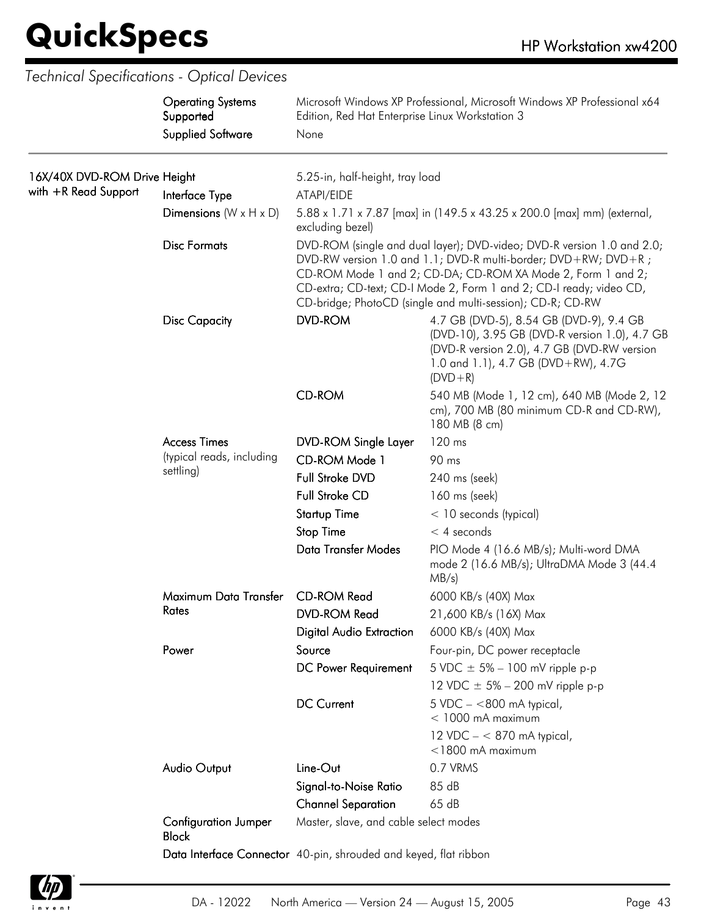*Technical Specifications - Optical Devices*

|                                                      | <b>Operating Systems</b><br>Supported<br><b>Supplied Software</b> | Microsoft Windows XP Professional, Microsoft Windows XP Professional x64<br>Edition, Red Hat Enterprise Linux Workstation 3 |                                                                                                                                                                                                                                                                                                                                              |  |
|------------------------------------------------------|-------------------------------------------------------------------|-----------------------------------------------------------------------------------------------------------------------------|----------------------------------------------------------------------------------------------------------------------------------------------------------------------------------------------------------------------------------------------------------------------------------------------------------------------------------------------|--|
|                                                      |                                                                   | None                                                                                                                        |                                                                                                                                                                                                                                                                                                                                              |  |
| 16X/40X DVD-ROM Drive Height<br>with +R Read Support | Interface Type                                                    | 5.25-in, half-height, tray load<br>ATAPI/EIDE                                                                               |                                                                                                                                                                                                                                                                                                                                              |  |
|                                                      | Dimensions $(W \times H \times D)$                                | 5.88 x 1.71 x 7.87 [max] in (149.5 x 43.25 x 200.0 [max] mm) (external,<br>excluding bezel)                                 |                                                                                                                                                                                                                                                                                                                                              |  |
|                                                      | <b>Disc Formats</b>                                               |                                                                                                                             | DVD-ROM (single and dual layer); DVD-video; DVD-R version 1.0 and 2.0;<br>DVD-RW version 1.0 and 1.1; DVD-R multi-border; DVD+RW; DVD+R;<br>CD-ROM Mode 1 and 2; CD-DA; CD-ROM XA Mode 2, Form 1 and 2;<br>CD-extra; CD-text; CD-I Mode 2, Form 1 and 2; CD-I ready; video CD,<br>CD-bridge; PhotoCD (single and multi-session); CD-R; CD-RW |  |
|                                                      | <b>Disc Capacity</b>                                              | <b>DVD-ROM</b>                                                                                                              | 4.7 GB (DVD-5), 8.54 GB (DVD-9), 9.4 GB<br>(DVD-10), 3.95 GB (DVD-R version 1.0), 4.7 GB<br>(DVD-R version 2.0), 4.7 GB (DVD-RW version<br>1.0 and 1.1), 4.7 GB (DVD+RW), 4.7G<br>$(DVD + R)$                                                                                                                                                |  |
|                                                      |                                                                   | <b>CD-ROM</b>                                                                                                               | 540 MB (Mode 1, 12 cm), 640 MB (Mode 2, 12<br>cm), 700 MB (80 minimum CD-R and CD-RW),<br>180 MB (8 cm)                                                                                                                                                                                                                                      |  |
|                                                      | <b>Access Times</b><br>(typical reads, including<br>settling)     | <b>DVD-ROM Single Layer</b>                                                                                                 | 120 ms                                                                                                                                                                                                                                                                                                                                       |  |
|                                                      |                                                                   | CD-ROM Mode 1                                                                                                               | 90 ms                                                                                                                                                                                                                                                                                                                                        |  |
|                                                      |                                                                   | Full Stroke DVD                                                                                                             | 240 ms (seek)                                                                                                                                                                                                                                                                                                                                |  |
|                                                      |                                                                   | <b>Full Stroke CD</b>                                                                                                       | 160 ms (seek)                                                                                                                                                                                                                                                                                                                                |  |
|                                                      |                                                                   | <b>Startup Time</b>                                                                                                         | $<$ 10 seconds (typical)                                                                                                                                                                                                                                                                                                                     |  |
|                                                      |                                                                   | <b>Stop Time</b>                                                                                                            | $<$ 4 seconds                                                                                                                                                                                                                                                                                                                                |  |
|                                                      |                                                                   | <b>Data Transfer Modes</b>                                                                                                  | PIO Mode 4 (16.6 MB/s); Multi-word DMA<br>mode 2 (16.6 MB/s); UltraDMA Mode 3 (44.4<br>MB/s)                                                                                                                                                                                                                                                 |  |
|                                                      | Maximum Data Transfer                                             | <b>CD-ROM Read</b>                                                                                                          | 6000 KB/s (40X) Max                                                                                                                                                                                                                                                                                                                          |  |
|                                                      | Rates                                                             | <b>DVD-ROM Read</b>                                                                                                         | 21,600 KB/s (16X) Max                                                                                                                                                                                                                                                                                                                        |  |
|                                                      |                                                                   | <b>Digital Audio Extraction</b>                                                                                             | 6000 KB/s (40X) Max                                                                                                                                                                                                                                                                                                                          |  |
|                                                      | Power                                                             | Source                                                                                                                      | Four-pin, DC power receptacle                                                                                                                                                                                                                                                                                                                |  |
|                                                      |                                                                   | DC Power Requirement                                                                                                        | 5 VDC $\pm$ 5% – 100 mV ripple p-p                                                                                                                                                                                                                                                                                                           |  |
|                                                      |                                                                   |                                                                                                                             | 12 VDC $\pm$ 5% – 200 mV ripple p-p                                                                                                                                                                                                                                                                                                          |  |
|                                                      |                                                                   | <b>DC Current</b>                                                                                                           | $5$ VDC $-$ <800 mA typical,<br>$<$ 1000 mA maximum                                                                                                                                                                                                                                                                                          |  |
|                                                      |                                                                   |                                                                                                                             | 12 VDC $- < 870$ mA typical,<br>$<$ 1800 mA maximum                                                                                                                                                                                                                                                                                          |  |
|                                                      | <b>Audio Output</b>                                               | Line-Out                                                                                                                    | 0.7 VRMS                                                                                                                                                                                                                                                                                                                                     |  |
|                                                      |                                                                   | Signal-to-Noise Ratio                                                                                                       | 85 dB                                                                                                                                                                                                                                                                                                                                        |  |
|                                                      |                                                                   | <b>Channel Separation</b>                                                                                                   | 65 dB                                                                                                                                                                                                                                                                                                                                        |  |
|                                                      | <b>Configuration Jumper</b><br><b>Block</b>                       | Master, slave, and cable select modes                                                                                       |                                                                                                                                                                                                                                                                                                                                              |  |
|                                                      |                                                                   | Data Interface Connector 40-pin, shrouded and keyed, flat ribbon                                                            |                                                                                                                                                                                                                                                                                                                                              |  |

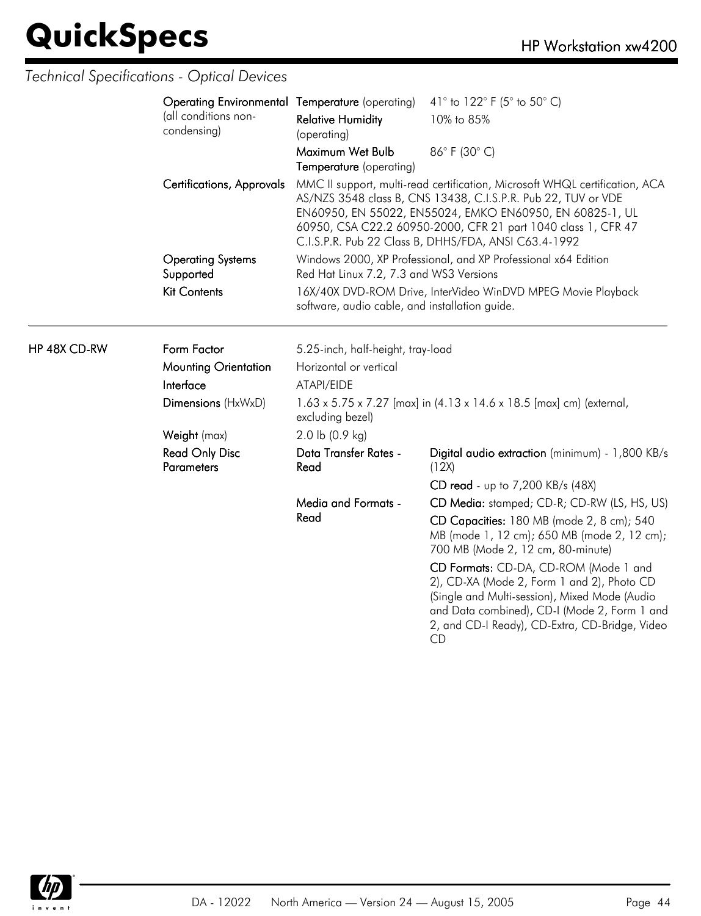HP 48X CD-RW

### *Technical Specifications - Optical Devices*

| <b>Operating Environmental Temperature (operating)</b> |                                                                                                                | 41 $\degree$ to 122 $\degree$ F (5 $\degree$ to 50 $\degree$ C)                                                                                                                                                                                                                                                                   |  |
|--------------------------------------------------------|----------------------------------------------------------------------------------------------------------------|-----------------------------------------------------------------------------------------------------------------------------------------------------------------------------------------------------------------------------------------------------------------------------------------------------------------------------------|--|
| (all conditions non-<br>condensing)                    | <b>Relative Humidity</b><br>(operating)                                                                        | 10% to 85%                                                                                                                                                                                                                                                                                                                        |  |
|                                                        | Maximum Wet Bulb<br>Temperature (operating)                                                                    | 86°F (30°C)                                                                                                                                                                                                                                                                                                                       |  |
| <b>Certifications, Approvals</b>                       |                                                                                                                | MMC II support, multi-read certification, Microsoft WHQL certification, ACA<br>AS/NZS 3548 class B, CNS 13438, C.I.S.P.R. Pub 22, TUV or VDE<br>EN60950, EN 55022, EN55024, EMKO EN60950, EN 60825-1, UL<br>60950, CSA C22.2 60950-2000, CFR 21 part 1040 class 1, CFR 47<br>C.I.S.P.R. Pub 22 Class B, DHHS/FDA, ANSI C63.4-1992 |  |
| <b>Operating Systems</b><br>Supported                  | Red Hat Linux 7.2, 7.3 and WS3 Versions                                                                        | Windows 2000, XP Professional, and XP Professional x64 Edition                                                                                                                                                                                                                                                                    |  |
| <b>Kit Contents</b>                                    | 16X/40X DVD-ROM Drive, InterVideo WinDVD MPEG Movie Playback<br>software, audio cable, and installation guide. |                                                                                                                                                                                                                                                                                                                                   |  |
| Form Factor                                            | 5.25-inch, half-height, tray-load                                                                              |                                                                                                                                                                                                                                                                                                                                   |  |
| <b>Mounting Orientation</b>                            | Horizontal or vertical                                                                                         |                                                                                                                                                                                                                                                                                                                                   |  |
| Interface                                              | ATAPI/EIDE                                                                                                     |                                                                                                                                                                                                                                                                                                                                   |  |
| Dimensions (HxWxD)                                     | excluding bezel)                                                                                               | 1.63 x 5.75 x 7.27 [max] in (4.13 x 14.6 x 18.5 [max] cm) (external,                                                                                                                                                                                                                                                              |  |
| Weight (max)                                           | 2.0 lb (0.9 kg)                                                                                                |                                                                                                                                                                                                                                                                                                                                   |  |
| <b>Read Only Disc</b><br><b>Parameters</b>             | Data Transfer Rates -<br>Read                                                                                  | Digital audio extraction (minimum) - 1,800 KB/s<br>(12X)                                                                                                                                                                                                                                                                          |  |
|                                                        |                                                                                                                | CD read - up to 7,200 KB/s (48X)                                                                                                                                                                                                                                                                                                  |  |
|                                                        | Media and Formats -                                                                                            | CD Media: stamped; CD-R; CD-RW (LS, HS, US)                                                                                                                                                                                                                                                                                       |  |
|                                                        | Read                                                                                                           | CD Capacities: 180 MB (mode 2, 8 cm); 540<br>MB (mode 1, 12 cm); 650 MB (mode 2, 12 cm);<br>700 MB (Mode 2, 12 cm, 80-minute)                                                                                                                                                                                                     |  |
|                                                        |                                                                                                                | CD Formats: CD-DA, CD-ROM (Mode 1 and<br>2), CD-XA (Mode 2, Form 1 and 2), Photo CD<br>(Single and Multi-session), Mixed Mode (Audio<br>and Data combined), CD-I (Mode 2, Form 1 and<br>2, and CD-I Ready), CD-Extra, CD-Bridge, Video                                                                                            |  |

CD

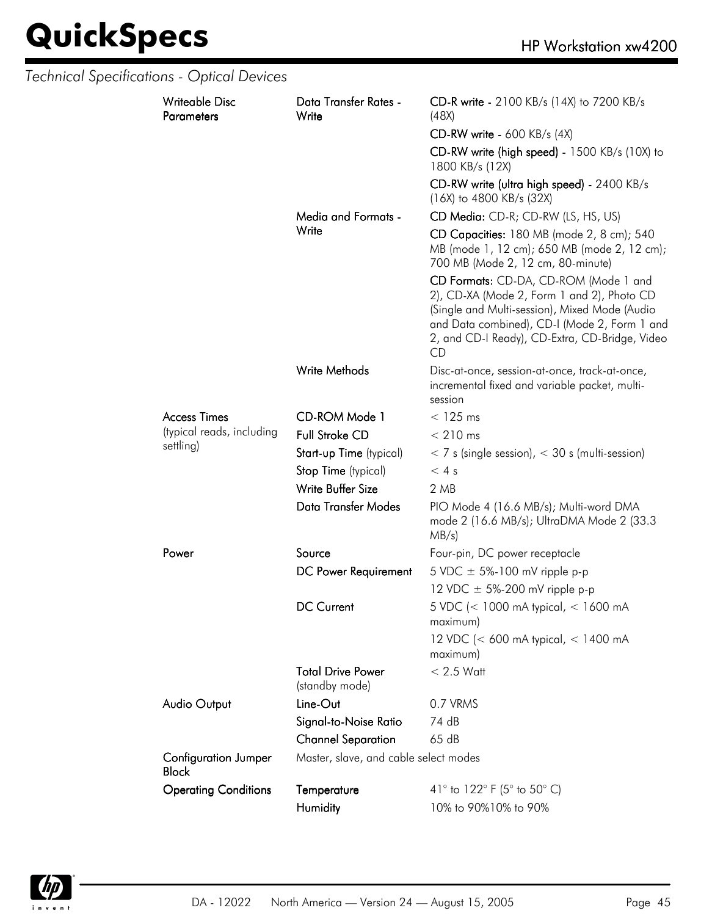|  | Technical Specifications - Optical Devices  |                                            |                                                                                                                                                                                                                                              |
|--|---------------------------------------------|--------------------------------------------|----------------------------------------------------------------------------------------------------------------------------------------------------------------------------------------------------------------------------------------------|
|  | <b>Writeable Disc</b><br><b>Parameters</b>  | Data Transfer Rates -<br>Write             | CD-R write - 2100 KB/s (14X) to 7200 KB/s<br>(48X)                                                                                                                                                                                           |
|  |                                             |                                            | $CD-RW$ write - 600 KB/s (4X)                                                                                                                                                                                                                |
|  |                                             |                                            | CD-RW write (high speed) - 1500 KB/s (10X) to<br>1800 KB/s (12X)                                                                                                                                                                             |
|  |                                             |                                            | CD-RW write (ultra high speed) - 2400 KB/s<br>(16X) to 4800 KB/s (32X)                                                                                                                                                                       |
|  |                                             | Media and Formats -                        | CD Media: CD-R; CD-RW (LS, HS, US)                                                                                                                                                                                                           |
|  |                                             | Write                                      | CD Capacities: 180 MB (mode 2, 8 cm); 540<br>MB (mode 1, 12 cm); 650 MB (mode 2, 12 cm);<br>700 MB (Mode 2, 12 cm, 80-minute)                                                                                                                |
|  |                                             |                                            | CD Formats: CD-DA, CD-ROM (Mode 1 and<br>2), CD-XA (Mode 2, Form 1 and 2), Photo CD<br>(Single and Multi-session), Mixed Mode (Audio<br>and Data combined), CD-I (Mode 2, Form 1 and<br>2, and CD-I Ready), CD-Extra, CD-Bridge, Video<br>CD |
|  |                                             | Write Methods                              | Disc-at-once, session-at-once, track-at-once,<br>incremental fixed and variable packet, multi-<br>session                                                                                                                                    |
|  | <b>Access Times</b>                         | CD-ROM Mode 1                              | $<$ 125 ms                                                                                                                                                                                                                                   |
|  | (typical reads, including                   | <b>Full Stroke CD</b>                      | $< 210$ ms                                                                                                                                                                                                                                   |
|  | settling)                                   | Start-up Time (typical)                    | $<$ 7 s (single session), $<$ 30 s (multi-session)                                                                                                                                                                                           |
|  |                                             | Stop Time (typical)                        | < 4s                                                                                                                                                                                                                                         |
|  |                                             | Write Buffer Size                          | 2 MB                                                                                                                                                                                                                                         |
|  |                                             | <b>Data Transfer Modes</b>                 | PIO Mode 4 (16.6 MB/s); Multi-word DMA<br>mode 2 (16.6 MB/s); UltraDMA Mode 2 (33.3<br>MB/s)                                                                                                                                                 |
|  | Power                                       | Source                                     | Four-pin, DC power receptacle                                                                                                                                                                                                                |
|  |                                             | DC Power Requirement                       | 5 VDC $\pm$ 5%-100 mV ripple p-p                                                                                                                                                                                                             |
|  |                                             |                                            | 12 VDC $\pm$ 5%-200 mV ripple p-p                                                                                                                                                                                                            |
|  |                                             | DC Current                                 | 5 VDC (< 1000 mA typical, < 1600 mA<br>maximum)                                                                                                                                                                                              |
|  |                                             |                                            | 12 VDC (< 600 mA typical, < 1400 mA<br>maximum)                                                                                                                                                                                              |
|  |                                             | <b>Total Drive Power</b><br>(standby mode) | $< 2.5$ Watt                                                                                                                                                                                                                                 |
|  | <b>Audio Output</b>                         | Line-Out                                   | 0.7 VRMS                                                                                                                                                                                                                                     |
|  |                                             | Signal-to-Noise Ratio                      | 74 dB                                                                                                                                                                                                                                        |
|  |                                             | <b>Channel Separation</b>                  | 65 dB                                                                                                                                                                                                                                        |
|  | <b>Configuration Jumper</b><br><b>Block</b> | Master, slave, and cable select modes      |                                                                                                                                                                                                                                              |
|  | <b>Operating Conditions</b>                 | Temperature                                | 41° to 122° F (5° to 50° C)                                                                                                                                                                                                                  |
|  |                                             | Humidity                                   | 10% to 90%10% to 90%                                                                                                                                                                                                                         |

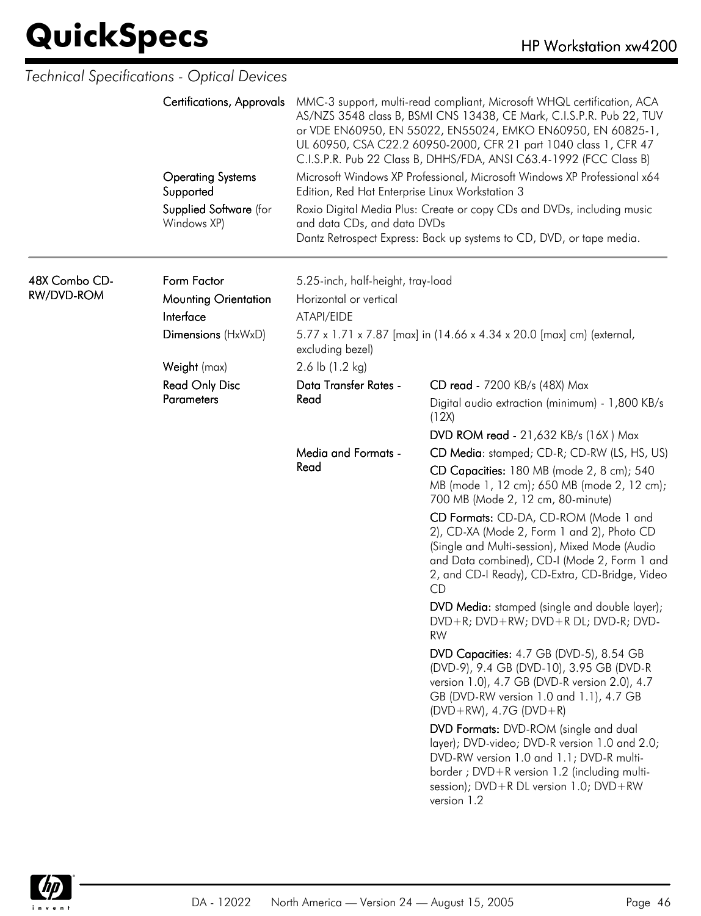|               | Technical Specifications - Optical Devices |                                                                                                                                                                                                                                                                                                                                                          |                                                                                                                                                                                                                                                     |  |  |
|---------------|--------------------------------------------|----------------------------------------------------------------------------------------------------------------------------------------------------------------------------------------------------------------------------------------------------------------------------------------------------------------------------------------------------------|-----------------------------------------------------------------------------------------------------------------------------------------------------------------------------------------------------------------------------------------------------|--|--|
|               | Certifications, Approvals                  | MMC-3 support, multi-read compliant, Microsoft WHQL certification, ACA<br>AS/NZS 3548 class B, BSMI CNS 13438, CE Mark, C.I.S.P.R. Pub 22, TUV<br>or VDE EN60950, EN 55022, EN55024, EMKO EN60950, EN 60825-1,<br>UL 60950, CSA C22.2 60950-2000, CFR 21 part 1040 class 1, CFR 47<br>C.I.S.P.R. Pub 22 Class B, DHHS/FDA, ANSI C63.4-1992 (FCC Class B) |                                                                                                                                                                                                                                                     |  |  |
|               | <b>Operating Systems</b><br>Supported      | Edition, Red Hat Enterprise Linux Workstation 3                                                                                                                                                                                                                                                                                                          | Microsoft Windows XP Professional, Microsoft Windows XP Professional x64                                                                                                                                                                            |  |  |
|               | Supplied Software (for<br>Windows XP)      | and data CDs, and data DVDs                                                                                                                                                                                                                                                                                                                              | Roxio Digital Media Plus: Create or copy CDs and DVDs, including music<br>Dantz Retrospect Express: Back up systems to CD, DVD, or tape media.                                                                                                      |  |  |
| 48X Combo CD- | Form Factor                                | 5.25-inch, half-height, tray-load                                                                                                                                                                                                                                                                                                                        |                                                                                                                                                                                                                                                     |  |  |
| RW/DVD-ROM    | <b>Mounting Orientation</b>                | Horizontal or vertical                                                                                                                                                                                                                                                                                                                                   |                                                                                                                                                                                                                                                     |  |  |
|               | Interface                                  | ATAPI/EIDE                                                                                                                                                                                                                                                                                                                                               |                                                                                                                                                                                                                                                     |  |  |
|               | Dimensions (HxWxD)                         | 5.77 x 1.71 x 7.87 [max] in (14.66 x 4.34 x 20.0 [max] cm) (external,<br>excluding bezel)                                                                                                                                                                                                                                                                |                                                                                                                                                                                                                                                     |  |  |
|               | Weight (max)                               | 2.6 lb (1.2 kg)                                                                                                                                                                                                                                                                                                                                          |                                                                                                                                                                                                                                                     |  |  |
|               | <b>Read Only Disc</b>                      | Data Transfer Rates -                                                                                                                                                                                                                                                                                                                                    | CD read - 7200 KB/s (48X) Max                                                                                                                                                                                                                       |  |  |
|               | <b>Parameters</b>                          | Read                                                                                                                                                                                                                                                                                                                                                     | Digital audio extraction (minimum) - 1,800 KB/s<br>(12X)                                                                                                                                                                                            |  |  |
|               |                                            |                                                                                                                                                                                                                                                                                                                                                          | <b>DVD ROM read - 21,632 KB/s (16X) Max</b>                                                                                                                                                                                                         |  |  |
|               |                                            | <b>Media and Formats -</b><br>Read                                                                                                                                                                                                                                                                                                                       | CD Media: stamped; CD-R; CD-RW (LS, HS, US)                                                                                                                                                                                                         |  |  |
|               |                                            |                                                                                                                                                                                                                                                                                                                                                          | CD Capacities: 180 MB (mode 2, 8 cm); 540<br>MB (mode 1, 12 cm); 650 MB (mode 2, 12 cm);<br>700 MB (Mode 2, 12 cm, 80-minute)                                                                                                                       |  |  |
|               |                                            |                                                                                                                                                                                                                                                                                                                                                          | CD Formats: CD-DA, CD-ROM (Mode 1 and<br>2), CD-XA (Mode 2, Form 1 and 2), Photo CD<br>(Single and Multi-session), Mixed Mode (Audio<br>and Data combined), CD-I (Mode 2, Form 1 and<br>2, and CD-I Ready), CD-Extra, CD-Bridge, Video<br><b>CD</b> |  |  |
|               |                                            |                                                                                                                                                                                                                                                                                                                                                          | DVD Media: stamped (single and double layer);<br>DVD+R; DVD+RW; DVD+R DL; DVD-R; DVD-<br><b>RW</b>                                                                                                                                                  |  |  |
|               |                                            |                                                                                                                                                                                                                                                                                                                                                          | DVD Capacities: 4.7 GB (DVD-5), 8.54 GB<br>(DVD-9), 9.4 GB (DVD-10), 3.95 GB (DVD-R<br>version 1.0), 4.7 GB (DVD-R version 2.0), 4.7<br>GB (DVD-RW version 1.0 and 1.1), 4.7 GB<br>$(DVD+RW)$ , 4.7G $(DVD+R)$                                      |  |  |
|               |                                            |                                                                                                                                                                                                                                                                                                                                                          | DVD Formats: DVD-ROM (single and dual<br>layer); DVD-video; DVD-R version 1.0 and 2.0;<br>DVD-RW version 1.0 and 1.1; DVD-R multi-<br>border; DVD+R version 1.2 (including multi-<br>session); DVD+R DL version 1.0; DVD+RW<br>version 1.2          |  |  |

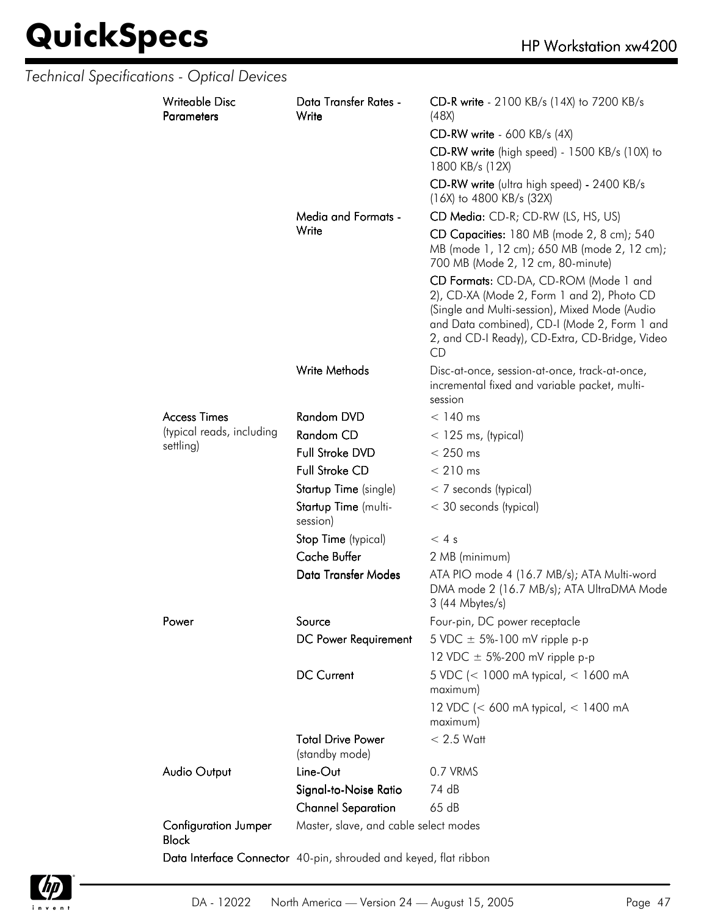|  | Technical Specifications - Optical Devices  |                                                                  |                                                                                                                                                                                                                                              |
|--|---------------------------------------------|------------------------------------------------------------------|----------------------------------------------------------------------------------------------------------------------------------------------------------------------------------------------------------------------------------------------|
|  | <b>Writeable Disc</b><br><b>Parameters</b>  | Data Transfer Rates -<br>Write                                   | CD-R write - 2100 KB/s (14X) to 7200 KB/s<br>(48X)                                                                                                                                                                                           |
|  |                                             |                                                                  | <b>CD-RW write - 600 KB/s (4X)</b>                                                                                                                                                                                                           |
|  |                                             |                                                                  | CD-RW write (high speed) - 1500 KB/s (10X) to<br>1800 KB/s (12X)                                                                                                                                                                             |
|  |                                             |                                                                  | CD-RW write (ultra high speed) - 2400 KB/s<br>$(16X)$ to 4800 KB/s $(32X)$                                                                                                                                                                   |
|  |                                             | <b>Media and Formats -</b>                                       | CD Media: CD-R; CD-RW (LS, HS, US)                                                                                                                                                                                                           |
|  |                                             | Write                                                            | CD Capacities: 180 MB (mode 2, 8 cm); 540<br>MB (mode 1, 12 cm); 650 MB (mode 2, 12 cm);<br>700 MB (Mode 2, 12 cm, 80-minute)                                                                                                                |
|  |                                             |                                                                  | CD Formats: CD-DA, CD-ROM (Mode 1 and<br>2), CD-XA (Mode 2, Form 1 and 2), Photo CD<br>(Single and Multi-session), Mixed Mode (Audio<br>and Data combined), CD-I (Mode 2, Form 1 and<br>2, and CD-I Ready), CD-Extra, CD-Bridge, Video<br>CD |
|  |                                             | <b>Write Methods</b>                                             | Disc-at-once, session-at-once, track-at-once,<br>incremental fixed and variable packet, multi-<br>session                                                                                                                                    |
|  | <b>Access Times</b>                         | <b>Random DVD</b>                                                | $< 140$ ms                                                                                                                                                                                                                                   |
|  | (typical reads, including                   | Random CD                                                        | $<$ 125 ms, (typical)                                                                                                                                                                                                                        |
|  | settling)                                   | Full Stroke DVD                                                  | $< 250$ ms                                                                                                                                                                                                                                   |
|  |                                             | <b>Full Stroke CD</b>                                            | $< 210$ ms                                                                                                                                                                                                                                   |
|  |                                             | Startup Time (single)                                            | $<$ 7 seconds (typical)                                                                                                                                                                                                                      |
|  |                                             | Startup Time (multi-<br>session)                                 | < 30 seconds (typical)                                                                                                                                                                                                                       |
|  |                                             | Stop Time (typical)                                              | $< 4$ s                                                                                                                                                                                                                                      |
|  |                                             | <b>Cache Buffer</b>                                              | 2 MB (minimum)                                                                                                                                                                                                                               |
|  |                                             | Data Transfer Modes                                              | ATA PIO mode 4 (16.7 MB/s); ATA Multi-word<br>DMA mode 2 (16.7 MB/s); ATA UltraDMA Mode<br>3 (44 Mbytes/s)                                                                                                                                   |
|  | Power                                       | Source                                                           | Four-pin, DC power receptacle                                                                                                                                                                                                                |
|  |                                             | DC Power Requirement                                             | 5 VDC $\pm$ 5%-100 mV ripple p-p                                                                                                                                                                                                             |
|  |                                             |                                                                  | 12 VDC $\pm$ 5%-200 mV ripple p-p                                                                                                                                                                                                            |
|  |                                             | <b>DC Current</b>                                                | 5 VDC (< 1000 mA typical, < 1600 mA<br>maximum)                                                                                                                                                                                              |
|  |                                             |                                                                  | 12 VDC (< 600 mA typical, < 1400 mA<br>maximum)                                                                                                                                                                                              |
|  |                                             | <b>Total Drive Power</b><br>(standby mode)                       | $< 2.5$ Watt                                                                                                                                                                                                                                 |
|  | <b>Audio Output</b>                         | Line-Out                                                         | 0.7 VRMS                                                                                                                                                                                                                                     |
|  |                                             | Signal-to-Noise Ratio                                            | 74 dB                                                                                                                                                                                                                                        |
|  |                                             | <b>Channel Separation</b>                                        | 65 dB                                                                                                                                                                                                                                        |
|  | <b>Configuration Jumper</b><br><b>Block</b> | Master, slave, and cable select modes                            |                                                                                                                                                                                                                                              |
|  |                                             | Data Interface Connector 40-pin, shrouded and keyed, flat ribbon |                                                                                                                                                                                                                                              |

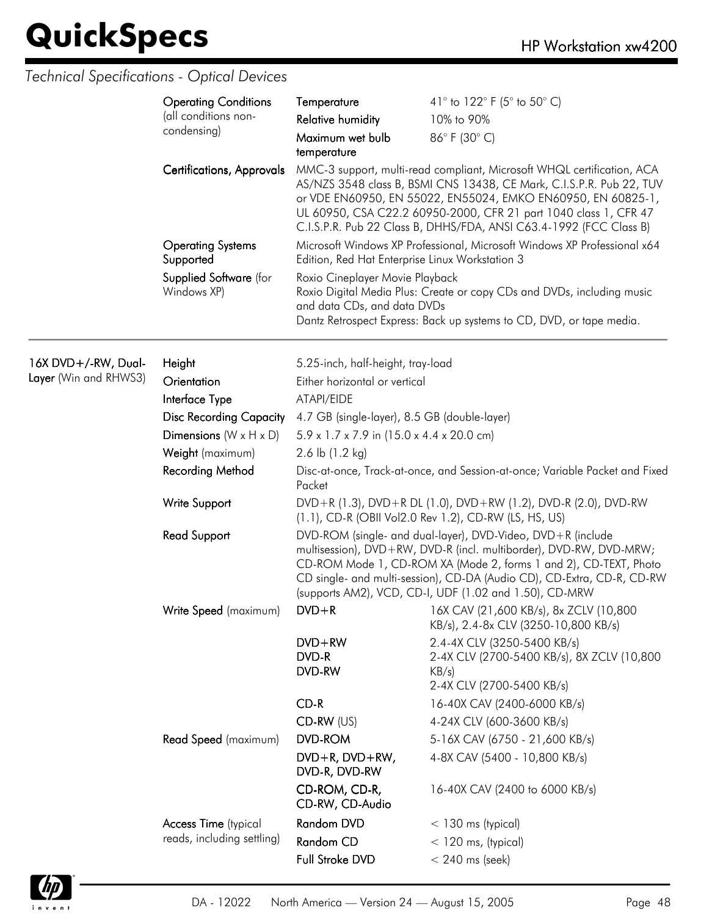### *Technical Specifications - Optical Devices*

|                                  | <b>Operating Conditions</b><br>(all conditions non-<br>condensing)             | Temperature<br><b>Relative humidity</b><br>Maximum wet bulb<br>temperature                                                                                                                                                                                                                                                                               | 41° to 122° F (5° to 50° C)<br>10% to 90%<br>86°F (30°C)                                                                                       |  |
|----------------------------------|--------------------------------------------------------------------------------|----------------------------------------------------------------------------------------------------------------------------------------------------------------------------------------------------------------------------------------------------------------------------------------------------------------------------------------------------------|------------------------------------------------------------------------------------------------------------------------------------------------|--|
| <b>Certifications, Approvals</b> |                                                                                | MMC-3 support, multi-read compliant, Microsoft WHQL certification, ACA<br>AS/NZS 3548 class B, BSMI CNS 13438, CE Mark, C.I.S.P.R. Pub 22, TUV<br>or VDE EN60950, EN 55022, EN55024, EMKO EN60950, EN 60825-1,<br>UL 60950, CSA C22.2 60950-2000, CFR 21 part 1040 class 1, CFR 47<br>C.I.S.P.R. Pub 22 Class B, DHHS/FDA, ANSI C63.4-1992 (FCC Class B) |                                                                                                                                                |  |
|                                  | <b>Operating Systems</b><br>Supported<br>Supplied Software (for<br>Windows XP) | Edition, Red Hat Enterprise Linux Workstation 3                                                                                                                                                                                                                                                                                                          | Microsoft Windows XP Professional, Microsoft Windows XP Professional x64                                                                       |  |
|                                  |                                                                                | Roxio Cineplayer Movie Playback<br>and data CDs, and data DVDs                                                                                                                                                                                                                                                                                           | Roxio Digital Media Plus: Create or copy CDs and DVDs, including music<br>Dantz Retrospect Express: Back up systems to CD, DVD, or tape media. |  |
| 16X DVD+/-RW, Dual-              | Height                                                                         | 5.25-inch, half-height, tray-load                                                                                                                                                                                                                                                                                                                        |                                                                                                                                                |  |
| Layer (Win and RHWS3)            | Orientation                                                                    | Either horizontal or vertical                                                                                                                                                                                                                                                                                                                            |                                                                                                                                                |  |
|                                  | Interface Type                                                                 | ATAPI/EIDE                                                                                                                                                                                                                                                                                                                                               |                                                                                                                                                |  |
|                                  | <b>Disc Recording Capacity</b>                                                 | 4.7 GB (single-layer), 8.5 GB (double-layer)                                                                                                                                                                                                                                                                                                             |                                                                                                                                                |  |
|                                  | Dimensions ( $W \times H \times D$ )                                           | 5.9 x 1.7 x 7.9 in (15.0 x 4.4 x 20.0 cm)                                                                                                                                                                                                                                                                                                                |                                                                                                                                                |  |
|                                  | Weight (maximum)                                                               | 2.6 lb $(1.2 \text{ kg})$                                                                                                                                                                                                                                                                                                                                |                                                                                                                                                |  |
|                                  | <b>Recording Method</b>                                                        | Disc-at-once, Track-at-once, and Session-at-once; Variable Packet and Fixed<br>Packet                                                                                                                                                                                                                                                                    |                                                                                                                                                |  |
|                                  | Write Support                                                                  |                                                                                                                                                                                                                                                                                                                                                          | DVD+R (1.3), DVD+R DL (1.0), DVD+RW (1.2), DVD-R (2.0), DVD-RW<br>(1.1), CD-R (OBII Vol2.0 Rev 1.2), CD-RW (LS, HS, US)                        |  |
|                                  | <b>Read Support</b>                                                            | DVD-ROM (single- and dual-layer), DVD-Video, DVD+R (include<br>multisession), DVD+RW, DVD-R (incl. multiborder), DVD-RW, DVD-MRW;<br>CD-ROM Mode 1, CD-ROM XA (Mode 2, forms 1 and 2), CD-TEXT, Photo<br>CD single- and multi-session), CD-DA (Audio CD), CD-Extra, CD-R, CD-RW<br>(supports AM2), VCD, CD-I, UDF (1.02 and 1.50), CD-MRW                |                                                                                                                                                |  |
|                                  | Write Speed (maximum)                                                          | $DVD + R$                                                                                                                                                                                                                                                                                                                                                | 16X CAV (21,600 KB/s), 8x ZCLV (10,800<br>$KB/s$ , 2.4-8x CLV (3250-10,800 KB/s)                                                               |  |
|                                  |                                                                                | $DVD + RW$<br>DVD-R<br>DVD-RW                                                                                                                                                                                                                                                                                                                            | 2.4-4X CLV (3250-5400 KB/s)<br>2-4X CLV (2700-5400 KB/s), 8X ZCLV (10,800<br>KB/s)<br>2-4X CLV (2700-5400 KB/s)                                |  |
|                                  |                                                                                | $CD-R$                                                                                                                                                                                                                                                                                                                                                   | 16-40X CAV (2400-6000 KB/s)                                                                                                                    |  |
|                                  |                                                                                | $CD-RW$ (US)                                                                                                                                                                                                                                                                                                                                             | 4-24X CLV (600-3600 KB/s)                                                                                                                      |  |
|                                  | Read Speed (maximum)                                                           | <b>DVD-ROM</b>                                                                                                                                                                                                                                                                                                                                           | 5-16X CAV (6750 - 21,600 KB/s)                                                                                                                 |  |
|                                  |                                                                                | DVD+R, DVD+RW,<br>DVD-R, DVD-RW                                                                                                                                                                                                                                                                                                                          | 4-8X CAV (5400 - 10,800 KB/s)                                                                                                                  |  |
|                                  |                                                                                | CD-ROM, CD-R,<br>CD-RW, CD-Audio                                                                                                                                                                                                                                                                                                                         | 16-40X CAV (2400 to 6000 KB/s)                                                                                                                 |  |
|                                  | <b>Access Time</b> (typical                                                    | Random DVD                                                                                                                                                                                                                                                                                                                                               | $<$ 130 ms (typical)                                                                                                                           |  |
|                                  | reads, including settling)                                                     | Random CD                                                                                                                                                                                                                                                                                                                                                | $<$ 120 ms, (typical)                                                                                                                          |  |
|                                  |                                                                                | Full Stroke DVD                                                                                                                                                                                                                                                                                                                                          | $< 240$ ms (seek)                                                                                                                              |  |

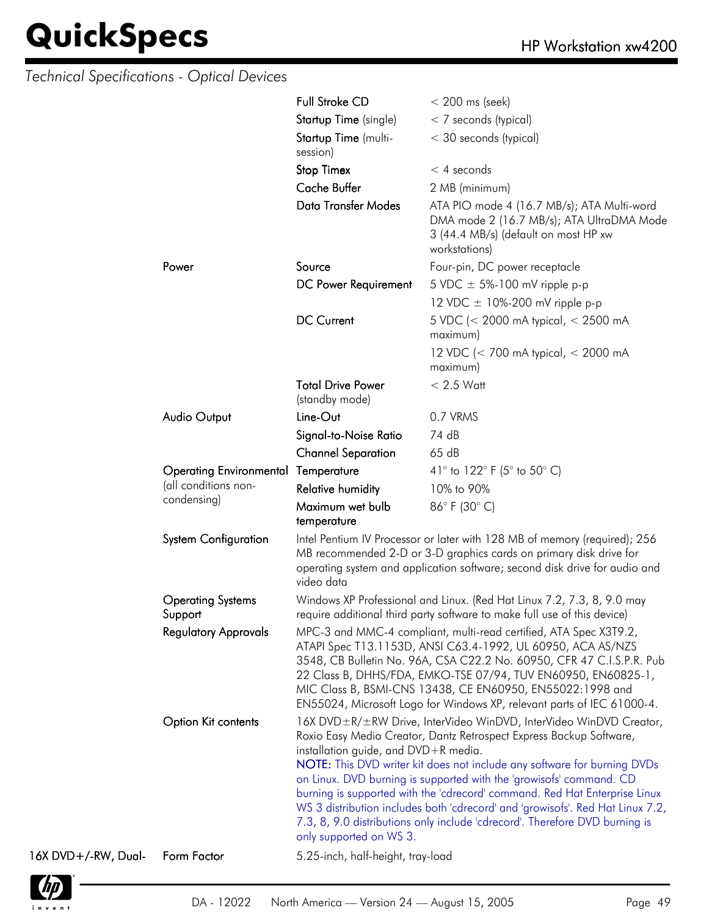|                     | Technical Specifications - Optical Devices |                                                                 |                                                                                                                                                                                                                                                                                                                                                                                                                                                                                                                                                 |
|---------------------|--------------------------------------------|-----------------------------------------------------------------|-------------------------------------------------------------------------------------------------------------------------------------------------------------------------------------------------------------------------------------------------------------------------------------------------------------------------------------------------------------------------------------------------------------------------------------------------------------------------------------------------------------------------------------------------|
|                     |                                            | <b>Full Stroke CD</b>                                           | $< 200$ ms (seek)                                                                                                                                                                                                                                                                                                                                                                                                                                                                                                                               |
|                     |                                            | Startup Time (single)                                           | < 7 seconds (typical)                                                                                                                                                                                                                                                                                                                                                                                                                                                                                                                           |
|                     |                                            | Startup Time (multi-<br>session)                                | < 30 seconds (typical)                                                                                                                                                                                                                                                                                                                                                                                                                                                                                                                          |
|                     |                                            | <b>Stop Timex</b>                                               | $<$ 4 seconds                                                                                                                                                                                                                                                                                                                                                                                                                                                                                                                                   |
|                     |                                            | <b>Cache Buffer</b>                                             | 2 MB (minimum)                                                                                                                                                                                                                                                                                                                                                                                                                                                                                                                                  |
|                     |                                            | <b>Data Transfer Modes</b>                                      | ATA PIO mode 4 (16.7 MB/s); ATA Multi-word<br>DMA mode 2 (16.7 MB/s); ATA UltraDMA Mode<br>3 (44.4 MB/s) (default on most HP xw<br>workstations)                                                                                                                                                                                                                                                                                                                                                                                                |
|                     | Power                                      | Source                                                          | Four-pin, DC power receptacle                                                                                                                                                                                                                                                                                                                                                                                                                                                                                                                   |
|                     |                                            | DC Power Requirement                                            | 5 VDC $\pm$ 5%-100 mV ripple p-p                                                                                                                                                                                                                                                                                                                                                                                                                                                                                                                |
|                     |                                            |                                                                 | 12 VDC $\pm$ 10%-200 mV ripple p-p                                                                                                                                                                                                                                                                                                                                                                                                                                                                                                              |
|                     |                                            | <b>DC Current</b>                                               | 5 VDC (< 2000 mA typical, < 2500 mA<br>maximum)                                                                                                                                                                                                                                                                                                                                                                                                                                                                                                 |
|                     |                                            |                                                                 | 12 VDC (< 700 mA typical, < 2000 mA<br>maximum)                                                                                                                                                                                                                                                                                                                                                                                                                                                                                                 |
|                     |                                            | <b>Total Drive Power</b><br>(standby mode)                      | $< 2.5$ Watt                                                                                                                                                                                                                                                                                                                                                                                                                                                                                                                                    |
|                     | <b>Audio Output</b>                        | Line-Out                                                        | 0.7 VRMS                                                                                                                                                                                                                                                                                                                                                                                                                                                                                                                                        |
|                     |                                            | Signal-to-Noise Ratio                                           | 74 dB                                                                                                                                                                                                                                                                                                                                                                                                                                                                                                                                           |
|                     |                                            | <b>Channel Separation</b>                                       | 65dB                                                                                                                                                                                                                                                                                                                                                                                                                                                                                                                                            |
|                     | <b>Operating Environmental Temperature</b> |                                                                 | 41° to 122° F (5° to 50° C)                                                                                                                                                                                                                                                                                                                                                                                                                                                                                                                     |
|                     | (all conditions non-                       | <b>Relative humidity</b>                                        | 10% to 90%                                                                                                                                                                                                                                                                                                                                                                                                                                                                                                                                      |
|                     | condensing)                                | Maximum wet bulb<br>temperature                                 | 86°F (30°C)                                                                                                                                                                                                                                                                                                                                                                                                                                                                                                                                     |
|                     | <b>System Configuration</b>                | video data                                                      | Intel Pentium IV Processor or later with 128 MB of memory (required); 256<br>MB recommended 2-D or 3-D graphics cards on primary disk drive for<br>operating system and application software; second disk drive for audio and                                                                                                                                                                                                                                                                                                                   |
|                     | <b>Operating Systems</b><br>Support        |                                                                 | Windows XP Professional and Linux. (Red Hat Linux 7.2, 7.3, 8, 9.0 may<br>require additional third party software to make full use of this device)                                                                                                                                                                                                                                                                                                                                                                                              |
|                     | <b>Regulatory Approvals</b>                |                                                                 | MPC-3 and MMC-4 compliant, multi-read certified, ATA Spec X3T9.2,<br>ATAPI Spec T13.1153D, ANSI C63.4-1992, UL 60950, ACA AS/NZS<br>3548, CB Bulletin No. 96A, CSA C22.2 No. 60950, CFR 47 C.I.S.P.R. Pub<br>22 Class B, DHHS/FDA, EMKO-TSE 07/94, TUV EN60950, EN60825-1,<br>MIC Class B, BSMI-CNS 13438, CE EN60950, EN55022:1998 and<br>EN55024, Microsoft Logo for Windows XP, relevant parts of IEC 61000-4.                                                                                                                               |
|                     | Option Kit contents                        | installation guide, and DVD+R media.<br>only supported on WS 3. | 16X DVD ± R/ ± RW Drive, InterVideo WinDVD, InterVideo WinDVD Creator,<br>Roxio Easy Media Creator, Dantz Retrospect Express Backup Software,<br>NOTE: This DVD writer kit does not include any software for burning DVDs<br>on Linux. DVD burning is supported with the 'growisofs' command. CD<br>burning is supported with the 'cdrecord' command. Red Hat Enterprise Linux<br>WS 3 distribution includes both 'cdrecord' and 'growisofs'. Red Hat Linux 7.2,<br>7.3, 8, 9.0 distributions only include 'cdrecord'. Therefore DVD burning is |
| 16X DVD+/-RW, Dual- | Form Factor                                | 5.25-inch, half-height, tray-load                               |                                                                                                                                                                                                                                                                                                                                                                                                                                                                                                                                                 |

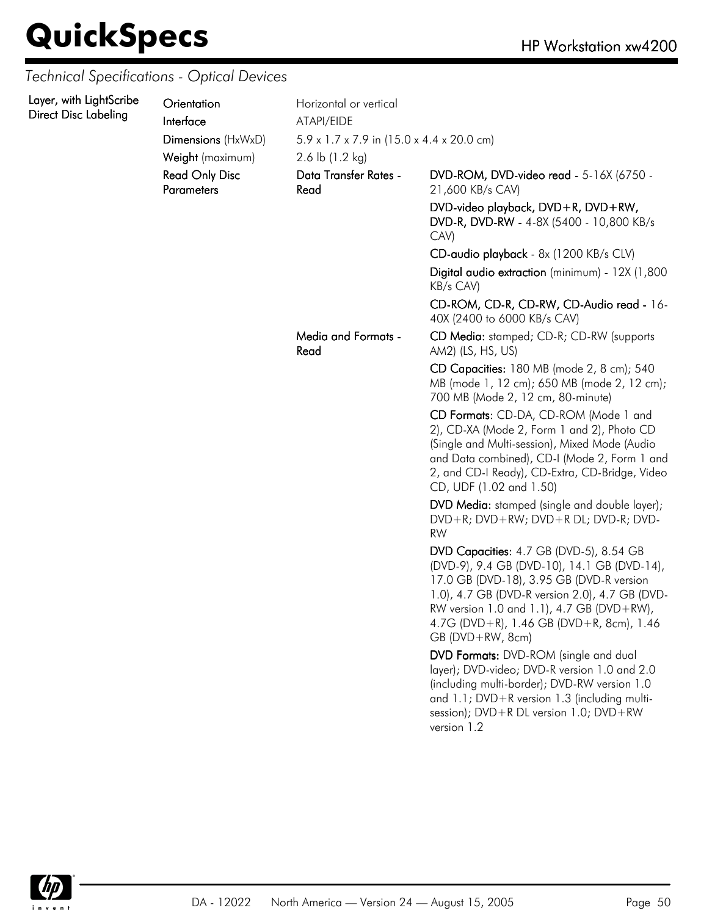### *Technical Specifications - Optical Devices*

| Layer, with LightScribe<br>Direct Disc Labeling | Orientation<br>Interface<br>Dimensions (HxWxD)<br>Weight (maximum)<br><b>Read Only Disc</b> | Horizontal or vertical<br>ATAPI/EIDE<br>$5.9 \times 1.7 \times 7.9$ in (15.0 x 4.4 x 20.0 cm)<br>2.6 lb $(1.2 \text{ kg})$<br>Data Transfer Rates - | DVD-ROM, DVD-video read - 5-16X (6750 -                                                                                                                                                                                                                                                           |
|-------------------------------------------------|---------------------------------------------------------------------------------------------|-----------------------------------------------------------------------------------------------------------------------------------------------------|---------------------------------------------------------------------------------------------------------------------------------------------------------------------------------------------------------------------------------------------------------------------------------------------------|
|                                                 | <b>Parameters</b>                                                                           | Read                                                                                                                                                | 21,600 KB/s CAV)<br>DVD-video playback, DVD+R, DVD+RW,<br>DVD-R, DVD-RW - 4-8X (5400 - 10,800 KB/s<br>CAV)                                                                                                                                                                                        |
|                                                 |                                                                                             |                                                                                                                                                     | CD-audio playback - 8x (1200 KB/s CLV)                                                                                                                                                                                                                                                            |
|                                                 |                                                                                             |                                                                                                                                                     | Digital audio extraction (minimum) - 12X (1,800<br>KB/s CAV)                                                                                                                                                                                                                                      |
|                                                 |                                                                                             |                                                                                                                                                     | CD-ROM, CD-R, CD-RW, CD-Audio read - 16-<br>40X (2400 to 6000 KB/s CAV)                                                                                                                                                                                                                           |
|                                                 |                                                                                             | Media and Formats -<br>Read                                                                                                                         | CD Media: stamped; CD-R; CD-RW (supports<br>AM2) (LS, HS, US)                                                                                                                                                                                                                                     |
|                                                 |                                                                                             |                                                                                                                                                     | CD Capacities: 180 MB (mode 2, 8 cm); 540<br>MB (mode 1, 12 cm); 650 MB (mode 2, 12 cm);<br>700 MB (Mode 2, 12 cm, 80-minute)                                                                                                                                                                     |
|                                                 |                                                                                             |                                                                                                                                                     | CD Formats: CD-DA, CD-ROM (Mode 1 and<br>2), CD-XA (Mode 2, Form 1 and 2), Photo CD<br>(Single and Multi-session), Mixed Mode (Audio<br>and Data combined), CD-I (Mode 2, Form 1 and<br>2, and CD-I Ready), CD-Extra, CD-Bridge, Video<br>CD, UDF (1.02 and 1.50)                                 |
|                                                 |                                                                                             |                                                                                                                                                     | DVD Media: stamped (single and double layer);<br>DVD+R; DVD+RW; DVD+R DL; DVD-R; DVD-<br><b>RW</b>                                                                                                                                                                                                |
|                                                 |                                                                                             |                                                                                                                                                     | DVD Capacities: 4.7 GB (DVD-5), 8.54 GB<br>(DVD-9), 9.4 GB (DVD-10), 14.1 GB (DVD-14),<br>17.0 GB (DVD-18), 3.95 GB (DVD-R version<br>1.0), 4.7 GB (DVD-R version 2.0), 4.7 GB (DVD-<br>RW version 1.0 and 1.1), 4.7 GB (DVD+RW),<br>4.7G (DVD+R), 1.46 GB (DVD+R, 8cm), 1.46<br>GB (DVD+RW, 8cm) |
|                                                 |                                                                                             |                                                                                                                                                     | DVD Formats: DVD-ROM (single and dual<br>layer); DVD-video; DVD-R version 1.0 and 2.0<br>(including multi-border); DVD-RW version 1.0<br>and 1.1; DVD+R version 1.3 (including multi-<br>session); DVD+R DL version 1.0; DVD+RW<br>version 1.2                                                    |

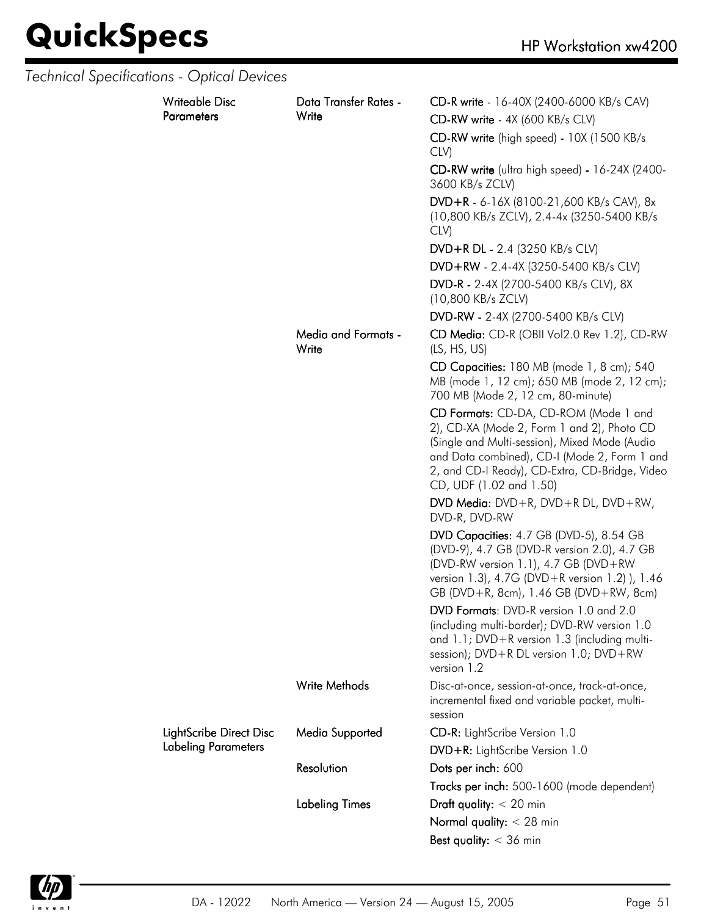| <b>Technical Specifications - Optical Devices</b> |                                     |                                                                                                                                                                                                                                                                   |
|---------------------------------------------------|-------------------------------------|-------------------------------------------------------------------------------------------------------------------------------------------------------------------------------------------------------------------------------------------------------------------|
| <b>Writeable Disc</b><br><b>Parameters</b>        | Data Transfer Rates -<br>Write      | CD-R write - 16-40X (2400-6000 KB/s CAV)<br>CD-RW write - 4X (600 KB/s CLV)                                                                                                                                                                                       |
|                                                   |                                     | CD-RW write (high speed) - 10X (1500 KB/s<br>CLV)                                                                                                                                                                                                                 |
|                                                   |                                     | CD-RW write (ultra high speed) - 16-24X (2400-<br>3600 KB/s ZCLV)                                                                                                                                                                                                 |
|                                                   |                                     | $DVD + R - 6 - 16X (8100 - 21,600 KB/s CAV), 8x$<br>(10,800 KB/s ZCLV), 2.4-4x (3250-5400 KB/s<br>CLV)                                                                                                                                                            |
|                                                   |                                     | DVD+R DL - 2.4 (3250 KB/s CLV)                                                                                                                                                                                                                                    |
|                                                   |                                     | DVD+RW - 2.4-4X (3250-5400 KB/s CLV)                                                                                                                                                                                                                              |
|                                                   |                                     | DVD-R - 2-4X (2700-5400 KB/s CLV), 8X<br>(10,800 KB/s ZCLV)                                                                                                                                                                                                       |
|                                                   |                                     | DVD-RW - 2-4X (2700-5400 KB/s CLV)                                                                                                                                                                                                                                |
|                                                   | <b>Media and Formats -</b><br>Write | CD Media: CD-R (OBII Vol2.0 Rev 1.2), CD-RW<br>(LS, HS, US)                                                                                                                                                                                                       |
|                                                   |                                     | CD Capacities: 180 MB (mode 1, 8 cm); 540<br>MB (mode 1, 12 cm); 650 MB (mode 2, 12 cm);<br>700 MB (Mode 2, 12 cm, 80-minute)                                                                                                                                     |
|                                                   |                                     | CD Formats: CD-DA, CD-ROM (Mode 1 and<br>2), CD-XA (Mode 2, Form 1 and 2), Photo CD<br>(Single and Multi-session), Mixed Mode (Audio<br>and Data combined), CD-I (Mode 2, Form 1 and<br>2, and CD-I Ready), CD-Extra, CD-Bridge, Video<br>CD, UDF (1.02 and 1.50) |
|                                                   |                                     | DVD Media: $DVD + R$ , $DVD + R DL$ , $DVD + RW$ ,<br>DVD-R, DVD-RW                                                                                                                                                                                               |
|                                                   |                                     | DVD Capacities: 4.7 GB (DVD-5), 8.54 GB<br>(DVD-9), 4.7 GB (DVD-R version 2.0), 4.7 GB<br>(DVD-RW version 1.1), 4.7 GB (DVD+RW<br>version 1.3), 4.7G (DVD+R version 1.2) ), 1.46<br>GB (DVD+R, 8cm), 1.46 GB (DVD+RW, 8cm)                                        |
|                                                   |                                     | DVD Formats: DVD-R version 1.0 and 2.0<br>(including multi-border); DVD-RW version 1.0<br>and 1.1; DVD+R version 1.3 (including multi-<br>session); DVD+R DL version 1.0; DVD+RW<br>version 1.2                                                                   |
|                                                   | <b>Write Methods</b>                | Disc-at-once, session-at-once, track-at-once,<br>incremental fixed and variable packet, multi-<br>session                                                                                                                                                         |
| LightScribe Direct Disc                           | Media Supported                     | CD-R: LightScribe Version 1.0                                                                                                                                                                                                                                     |
| <b>Labeling Parameters</b>                        |                                     | DVD+R: LightScribe Version 1.0                                                                                                                                                                                                                                    |
|                                                   | Resolution                          | Dots per inch: 600                                                                                                                                                                                                                                                |
|                                                   |                                     | Tracks per inch: 500-1600 (mode dependent)                                                                                                                                                                                                                        |
|                                                   | <b>Labeling Times</b>               | Draft quality: $<$ 20 min                                                                                                                                                                                                                                         |
|                                                   |                                     | Normal quality: $<$ 28 min                                                                                                                                                                                                                                        |
|                                                   |                                     | Best quality: $<$ 36 min                                                                                                                                                                                                                                          |

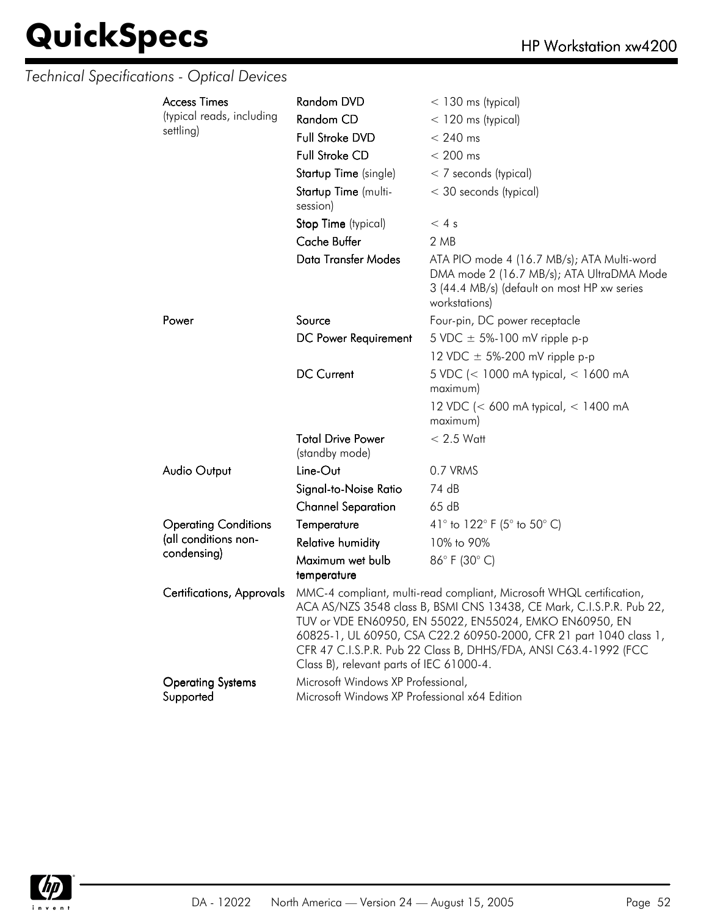### *Technical Specifications - Optical Devices*

| <b>Access Times</b>                                                                                                                                                                                                                                                                                                                                                                                                        | <b>Random DVD</b>                                                                   | $<$ 130 ms (typical)                                                                                                                                    |  |
|----------------------------------------------------------------------------------------------------------------------------------------------------------------------------------------------------------------------------------------------------------------------------------------------------------------------------------------------------------------------------------------------------------------------------|-------------------------------------------------------------------------------------|---------------------------------------------------------------------------------------------------------------------------------------------------------|--|
| (typical reads, including                                                                                                                                                                                                                                                                                                                                                                                                  | Random CD                                                                           | $<$ 120 ms (typical)                                                                                                                                    |  |
| settling)                                                                                                                                                                                                                                                                                                                                                                                                                  | Full Stroke DVD                                                                     | $< 240$ ms                                                                                                                                              |  |
|                                                                                                                                                                                                                                                                                                                                                                                                                            | <b>Full Stroke CD</b>                                                               | $< 200$ ms                                                                                                                                              |  |
|                                                                                                                                                                                                                                                                                                                                                                                                                            | Startup Time (single)                                                               | < 7 seconds (typical)                                                                                                                                   |  |
|                                                                                                                                                                                                                                                                                                                                                                                                                            | Startup Time (multi-<br>session)                                                    | < 30 seconds (typical)                                                                                                                                  |  |
|                                                                                                                                                                                                                                                                                                                                                                                                                            | Stop Time (typical)                                                                 | < 4s                                                                                                                                                    |  |
|                                                                                                                                                                                                                                                                                                                                                                                                                            | Cache Buffer                                                                        | 2 MB                                                                                                                                                    |  |
|                                                                                                                                                                                                                                                                                                                                                                                                                            | <b>Data Transfer Modes</b>                                                          | ATA PIO mode 4 (16.7 MB/s); ATA Multi-word<br>DMA mode 2 (16.7 MB/s); ATA UltraDMA Mode<br>3 (44.4 MB/s) (default on most HP xw series<br>workstations) |  |
| Power                                                                                                                                                                                                                                                                                                                                                                                                                      | Source                                                                              | Four-pin, DC power receptacle                                                                                                                           |  |
|                                                                                                                                                                                                                                                                                                                                                                                                                            | DC Power Requirement                                                                | 5 VDC $\pm$ 5%-100 mV ripple p-p                                                                                                                        |  |
|                                                                                                                                                                                                                                                                                                                                                                                                                            |                                                                                     | 12 VDC $\pm$ 5%-200 mV ripple p-p                                                                                                                       |  |
|                                                                                                                                                                                                                                                                                                                                                                                                                            | <b>DC Current</b>                                                                   | 5 VDC (< 1000 mA typical, < 1600 mA<br>maximum)                                                                                                         |  |
|                                                                                                                                                                                                                                                                                                                                                                                                                            |                                                                                     | 12 VDC (< 600 mA typical, < 1400 mA<br>maximum)                                                                                                         |  |
|                                                                                                                                                                                                                                                                                                                                                                                                                            | <b>Total Drive Power</b><br>(standby mode)                                          | $< 2.5$ Watt                                                                                                                                            |  |
| <b>Audio Output</b>                                                                                                                                                                                                                                                                                                                                                                                                        | Line-Out                                                                            | 0.7 VRMS                                                                                                                                                |  |
|                                                                                                                                                                                                                                                                                                                                                                                                                            | Signal-to-Noise Ratio                                                               | 74 dB                                                                                                                                                   |  |
|                                                                                                                                                                                                                                                                                                                                                                                                                            | <b>Channel Separation</b>                                                           | 65 dB                                                                                                                                                   |  |
| <b>Operating Conditions</b>                                                                                                                                                                                                                                                                                                                                                                                                | Temperature                                                                         | 41° to 122° F (5° to 50° C)                                                                                                                             |  |
| (all conditions non-                                                                                                                                                                                                                                                                                                                                                                                                       | Relative humidity                                                                   | 10% to 90%                                                                                                                                              |  |
| condensing)                                                                                                                                                                                                                                                                                                                                                                                                                | Maximum wet bulb<br>temperature                                                     | 86°F (30°C)                                                                                                                                             |  |
| MMC-4 compliant, multi-read compliant, Microsoft WHQL certification,<br>Certifications, Approvals<br>ACA AS/NZS 3548 class B, BSMI CNS 13438, CE Mark, C.I.S.P.R. Pub 22,<br>TUV or VDE EN60950, EN 55022, EN55024, EMKO EN60950, EN<br>60825-1, UL 60950, CSA C22.2 60950-2000, CFR 21 part 1040 class 1,<br>CFR 47 C.I.S.P.R. Pub 22 Class B, DHHS/FDA, ANSI C63.4-1992 (FCC<br>Class B), relevant parts of IEC 61000-4. |                                                                                     |                                                                                                                                                         |  |
| <b>Operating Systems</b><br>Supported                                                                                                                                                                                                                                                                                                                                                                                      | Microsoft Windows XP Professional,<br>Microsoft Windows XP Professional x64 Edition |                                                                                                                                                         |  |

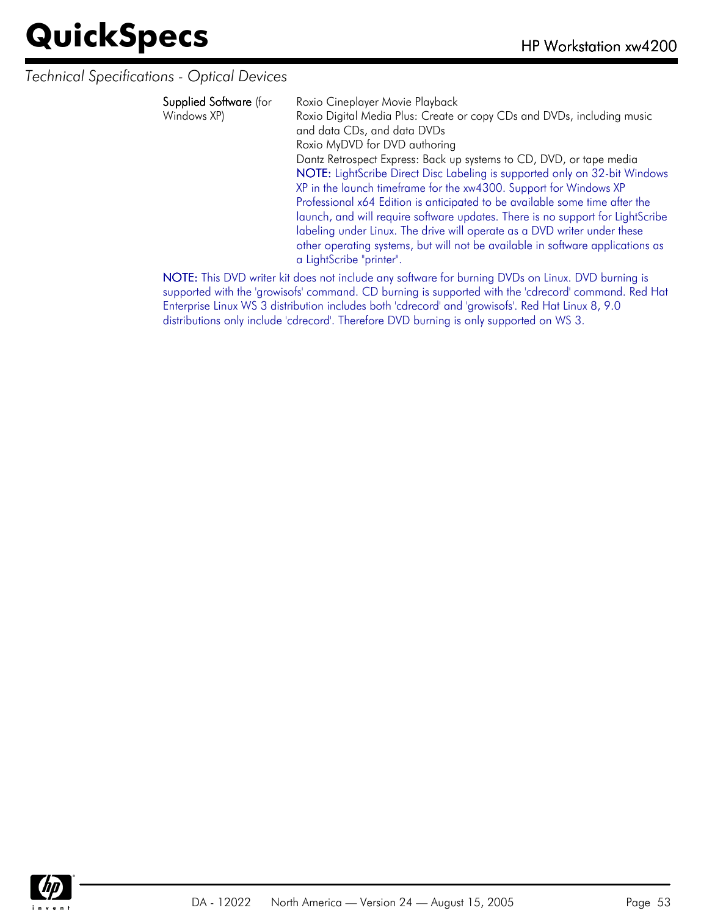*Technical Specifications - Optical Devices*

| Supplied Software (for<br>Windows XP) | Roxio Cineplayer Movie Playback<br>Roxio Digital Media Plus: Create or copy CDs and DVDs, including music<br>and data CDs, and data DVDs<br>Roxio MyDVD for DVD authoring<br>Dantz Retrospect Express: Back up systems to CD, DVD, or tape media<br>NOTE: LightScribe Direct Disc Labeling is supported only on 32-bit Windows<br>XP in the launch timeframe for the xw4300. Support for Windows XP<br>Professional x64 Edition is anticipated to be available some time after the<br>launch, and will require software updates. There is no support for LightScribe<br>labeling under Linux. The drive will operate as a DVD writer under these<br>other operating systems, but will not be available in software applications as<br>a LightScribe "printer". |
|---------------------------------------|----------------------------------------------------------------------------------------------------------------------------------------------------------------------------------------------------------------------------------------------------------------------------------------------------------------------------------------------------------------------------------------------------------------------------------------------------------------------------------------------------------------------------------------------------------------------------------------------------------------------------------------------------------------------------------------------------------------------------------------------------------------|
|                                       | MOTE THE DVD ISSUED CONTROL TO A CONTROL OF A DVD COLLECTION DVD CONTROL CONTROL                                                                                                                                                                                                                                                                                                                                                                                                                                                                                                                                                                                                                                                                               |

NOTE: This DVD writer kit does not include any software for burning DVDs on Linux. DVD burning is supported with the 'growisofs' command. CD burning is supported with the 'cdrecord' command. Red Hat Enterprise Linux WS 3 distribution includes both 'cdrecord' and 'growisofs'. Red Hat Linux 8, 9.0 distributions only include 'cdrecord'. Therefore DVD burning is only supported on WS 3.

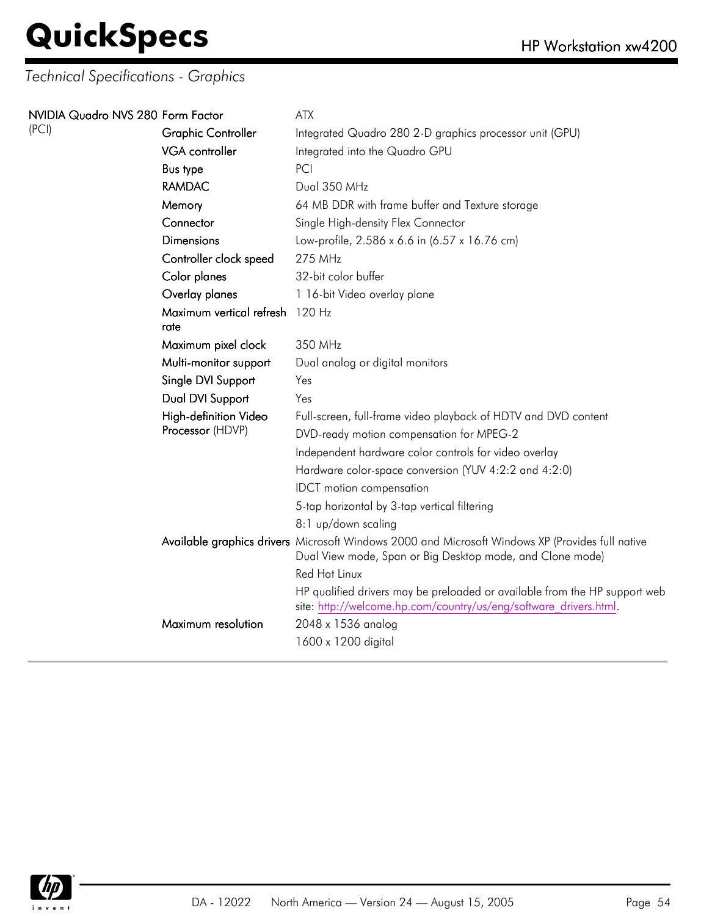| NVIDIA Quadro NVS 280 Form Factor |                                         | ATX                                                                                                                                                           |
|-----------------------------------|-----------------------------------------|---------------------------------------------------------------------------------------------------------------------------------------------------------------|
| (PCI)                             | <b>Graphic Controller</b>               | Integrated Quadro 280 2-D graphics processor unit (GPU)                                                                                                       |
|                                   | VGA controller                          | Integrated into the Quadro GPU                                                                                                                                |
|                                   | <b>Bus type</b>                         | PCI                                                                                                                                                           |
|                                   | <b>RAMDAC</b>                           | Dual 350 MHz                                                                                                                                                  |
|                                   | Memory                                  | 64 MB DDR with frame buffer and Texture storage                                                                                                               |
|                                   | Connector                               | Single High-density Flex Connector                                                                                                                            |
|                                   | <b>Dimensions</b>                       | Low-profile, 2.586 x 6.6 in (6.57 x 16.76 cm)                                                                                                                 |
|                                   | Controller clock speed                  | 275 MHz                                                                                                                                                       |
|                                   | Color planes                            | 32-bit color buffer                                                                                                                                           |
|                                   | Overlay planes                          | 1 16-bit Video overlay plane                                                                                                                                  |
|                                   | Maximum vertical refresh 120 Hz<br>rate |                                                                                                                                                               |
|                                   | Maximum pixel clock                     | 350 MHz                                                                                                                                                       |
|                                   | Multi-monitor support                   | Dual analog or digital monitors                                                                                                                               |
|                                   | Single DVI Support                      | Yes                                                                                                                                                           |
|                                   | Dual DVI Support                        | Yes                                                                                                                                                           |
|                                   | High-definition Video                   | Full-screen, full-frame video playback of HDTV and DVD content                                                                                                |
|                                   | Processor (HDVP)                        | DVD-ready motion compensation for MPEG-2                                                                                                                      |
|                                   |                                         | Independent hardware color controls for video overlay                                                                                                         |
|                                   |                                         | Hardware color-space conversion (YUV 4:2:2 and 4:2:0)                                                                                                         |
|                                   |                                         | <b>IDCT</b> motion compensation                                                                                                                               |
|                                   |                                         | 5-tap horizontal by 3-tap vertical filtering                                                                                                                  |
|                                   |                                         | 8:1 up/down scaling                                                                                                                                           |
|                                   |                                         | Available graphics drivers Microsoft Windows 2000 and Microsoft Windows XP (Provides full native<br>Dual View mode, Span or Big Desktop mode, and Clone mode) |
|                                   |                                         | Red Hat Linux                                                                                                                                                 |
|                                   |                                         | HP qualified drivers may be preloaded or available from the HP support web<br>site: http://welcome.hp.com/country/us/eng/software drivers.html.               |
|                                   | Maximum resolution                      | 2048 x 1536 analog                                                                                                                                            |
|                                   |                                         | 1600 x 1200 digital                                                                                                                                           |
|                                   |                                         |                                                                                                                                                               |

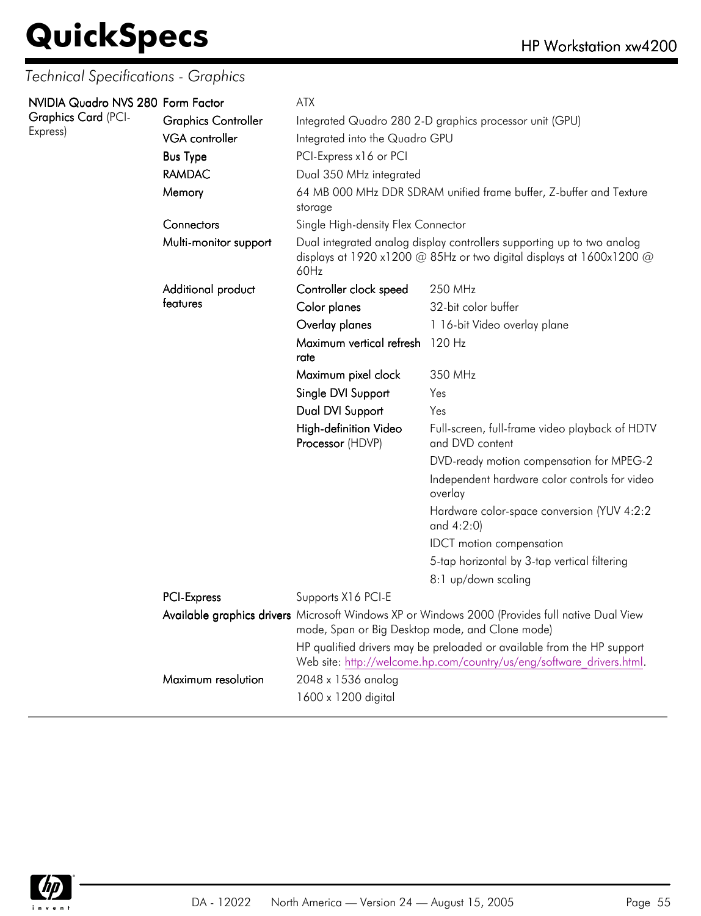| NVIDIA Quadro NVS 280 Form Factor |                            | <b>ATX</b>                                                                                                                                                 |                                                                                                                                                 |  |
|-----------------------------------|----------------------------|------------------------------------------------------------------------------------------------------------------------------------------------------------|-------------------------------------------------------------------------------------------------------------------------------------------------|--|
| Graphics Card (PCI-<br>Express)   | <b>Graphics Controller</b> | Integrated Quadro 280 2-D graphics processor unit (GPU)                                                                                                    |                                                                                                                                                 |  |
|                                   | <b>VGA</b> controller      | Integrated into the Quadro GPU                                                                                                                             |                                                                                                                                                 |  |
|                                   | <b>Bus Type</b>            | PCI-Express x16 or PCI<br>Dual 350 MHz integrated                                                                                                          |                                                                                                                                                 |  |
|                                   | <b>RAMDAC</b>              |                                                                                                                                                            |                                                                                                                                                 |  |
|                                   | Memory                     | storage                                                                                                                                                    | 64 MB 000 MHz DDR SDRAM unified frame buffer, Z-buffer and Texture                                                                              |  |
|                                   | Connectors                 | Single High-density Flex Connector                                                                                                                         |                                                                                                                                                 |  |
|                                   | Multi-monitor support      | Dual integrated analog display controllers supporting up to two analog<br>displays at 1920 x1200 $@$ 85Hz or two digital displays at 1600x1200 $@$<br>60Hz |                                                                                                                                                 |  |
|                                   | Additional product         | Controller clock speed                                                                                                                                     | 250 MHz                                                                                                                                         |  |
|                                   | teatures                   | Color planes                                                                                                                                               | 32-bit color buffer                                                                                                                             |  |
|                                   |                            | Overlay planes                                                                                                                                             | 1 16-bit Video overlay plane                                                                                                                    |  |
|                                   |                            | Maximum vertical refresh 120 Hz<br>rate                                                                                                                    |                                                                                                                                                 |  |
|                                   |                            | Maximum pixel clock                                                                                                                                        | 350 MHz                                                                                                                                         |  |
|                                   |                            | Single DVI Support                                                                                                                                         | Yes                                                                                                                                             |  |
|                                   |                            | Dual DVI Support                                                                                                                                           | Yes                                                                                                                                             |  |
|                                   |                            | High-definition Video<br>Processor (HDVP)                                                                                                                  | Full-screen, full-frame video playback of HDTV<br>and DVD content                                                                               |  |
|                                   |                            |                                                                                                                                                            | DVD-ready motion compensation for MPEG-2                                                                                                        |  |
|                                   |                            |                                                                                                                                                            | Independent hardware color controls for video<br>overlay                                                                                        |  |
|                                   |                            |                                                                                                                                                            | Hardware color-space conversion (YUV 4:2:2<br>and $4:2:0$                                                                                       |  |
|                                   |                            |                                                                                                                                                            | <b>IDCT</b> motion compensation                                                                                                                 |  |
|                                   |                            |                                                                                                                                                            | 5-tap horizontal by 3-tap vertical filtering                                                                                                    |  |
|                                   |                            |                                                                                                                                                            | 8:1 up/down scaling                                                                                                                             |  |
|                                   | PCI-Express                | Supports X16 PCI-E                                                                                                                                         |                                                                                                                                                 |  |
|                                   |                            | mode, Span or Big Desktop mode, and Clone mode)                                                                                                            | Available graphics drivers Microsoft Windows XP or Windows 2000 (Provides full native Dual View                                                 |  |
|                                   |                            |                                                                                                                                                            | HP qualified drivers may be preloaded or available from the HP support<br>Web site: http://welcome.hp.com/country/us/eng/software drivers.html. |  |
|                                   | Maximum resolution         | 2048 x 1536 analog                                                                                                                                         |                                                                                                                                                 |  |
|                                   |                            | 1600 x 1200 digital                                                                                                                                        |                                                                                                                                                 |  |

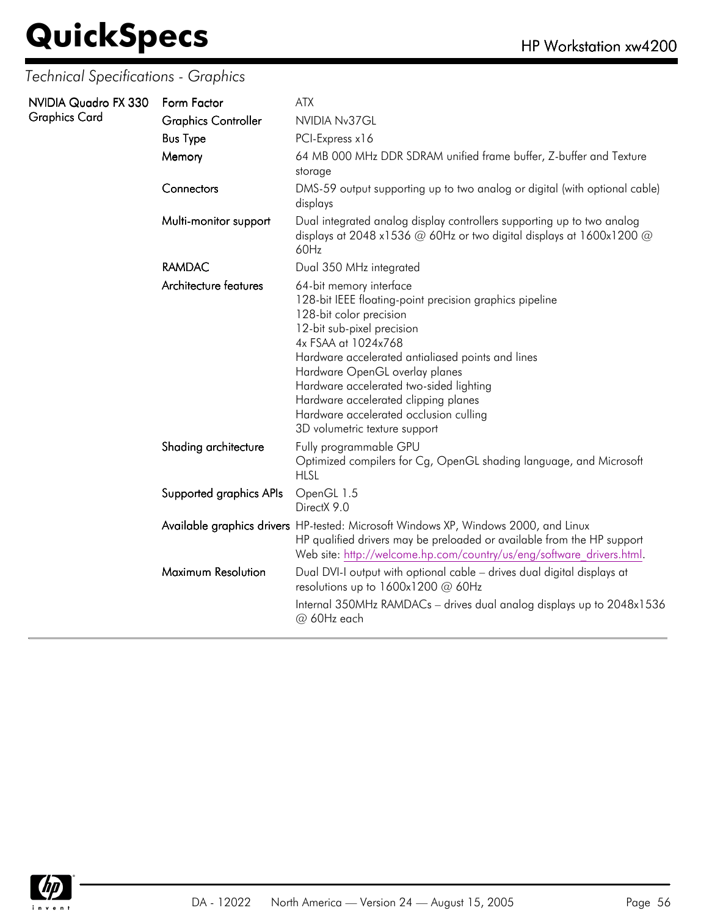| NVIDIA Quadro FX 330 | Form Factor                | <b>ATX</b>                                                                                                                                                                                                                                                                                                                                                                                                              |
|----------------------|----------------------------|-------------------------------------------------------------------------------------------------------------------------------------------------------------------------------------------------------------------------------------------------------------------------------------------------------------------------------------------------------------------------------------------------------------------------|
| <b>Graphics Card</b> | <b>Graphics Controller</b> | NVIDIA Nv37GL                                                                                                                                                                                                                                                                                                                                                                                                           |
|                      | <b>Bus Type</b>            | PCI-Express x16                                                                                                                                                                                                                                                                                                                                                                                                         |
|                      | Memory                     | 64 MB 000 MHz DDR SDRAM unified frame buffer, Z-buffer and Texture<br>storage                                                                                                                                                                                                                                                                                                                                           |
|                      | Connectors                 | DMS-59 output supporting up to two analog or digital (with optional cable)<br>displays                                                                                                                                                                                                                                                                                                                                  |
|                      | Multi-monitor support      | Dual integrated analog display controllers supporting up to two analog<br>displays at 2048 x1536 $@$ 60Hz or two digital displays at 1600x1200 $@$<br>60Hz                                                                                                                                                                                                                                                              |
|                      | <b>RAMDAC</b>              | Dual 350 MHz integrated                                                                                                                                                                                                                                                                                                                                                                                                 |
|                      | Architecture features      | 64-bit memory interface<br>128-bit IEEE floating-point precision graphics pipeline<br>128-bit color precision<br>12-bit sub-pixel precision<br>4x FSAA at 1024x768<br>Hardware accelerated antialiased points and lines<br>Hardware OpenGL overlay planes<br>Hardware accelerated two-sided lighting<br>Hardware accelerated clipping planes<br>Hardware accelerated occlusion culling<br>3D volumetric texture support |
|                      | Shading architecture       | Fully programmable GPU<br>Optimized compilers for Cg, OpenGL shading language, and Microsoft<br><b>HLSL</b>                                                                                                                                                                                                                                                                                                             |
|                      | Supported graphics APIs    | OpenGL 1.5<br>DirectX 9.0                                                                                                                                                                                                                                                                                                                                                                                               |
|                      |                            | Available graphics drivers HP-tested: Microsoft Windows XP, Windows 2000, and Linux<br>HP qualified drivers may be preloaded or available from the HP support<br>Web site: http://welcome.hp.com/country/us/eng/software drivers.html.                                                                                                                                                                                  |
|                      | Maximum Resolution         | Dual DVI-I output with optional cable - drives dual digital displays at<br>resolutions up to $1600x1200$ @ 60Hz                                                                                                                                                                                                                                                                                                         |
|                      |                            | Internal 350MHz RAMDACs - drives dual analog displays up to 2048x1536<br>@ 60Hz each                                                                                                                                                                                                                                                                                                                                    |
|                      |                            |                                                                                                                                                                                                                                                                                                                                                                                                                         |

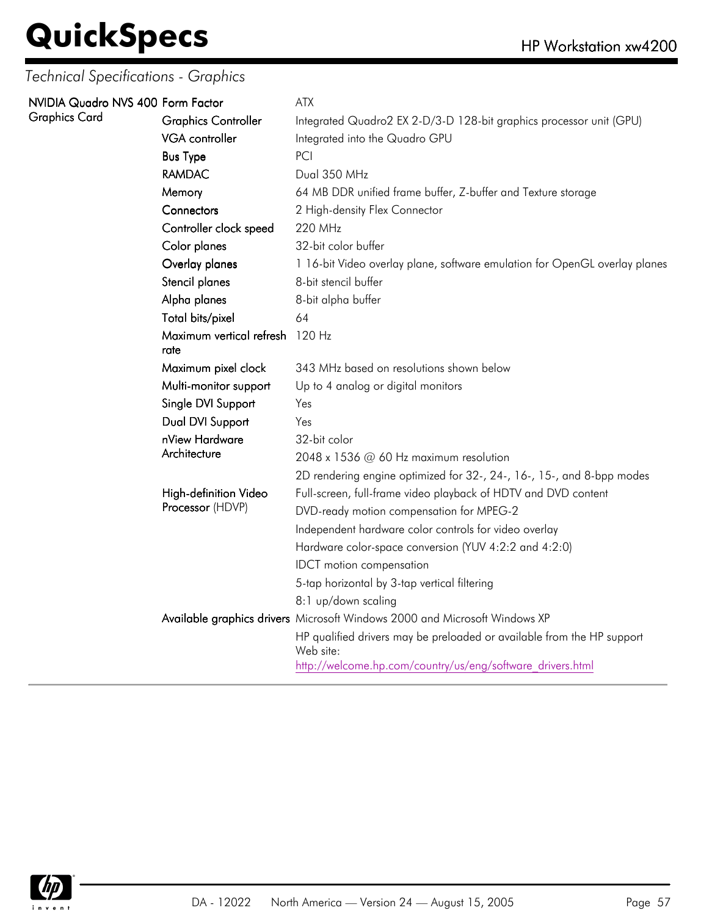| NVIDIA Quadro NVS 400 Form Factor |                                           | ATX                                                                                 |
|-----------------------------------|-------------------------------------------|-------------------------------------------------------------------------------------|
| Graphics Card                     | <b>Graphics Controller</b>                | Integrated Quadro2 EX 2-D/3-D 128-bit graphics processor unit (GPU)                 |
|                                   | VGA controller                            | Integrated into the Quadro GPU                                                      |
|                                   | <b>Bus Type</b>                           | PCI                                                                                 |
|                                   | <b>RAMDAC</b>                             | Dual 350 MHz                                                                        |
|                                   | Memory                                    | 64 MB DDR unified frame buffer, Z-buffer and Texture storage                        |
|                                   | Connectors                                | 2 High-density Flex Connector                                                       |
|                                   | Controller clock speed                    | 220 MHz                                                                             |
|                                   | Color planes                              | 32-bit color buffer                                                                 |
|                                   | Overlay planes                            | 1 16-bit Video overlay plane, software emulation for OpenGL overlay planes          |
|                                   | Stencil planes                            | 8-bit stencil buffer                                                                |
|                                   | Alpha planes                              | 8-bit alpha buffer                                                                  |
|                                   | Total bits/pixel                          | 64                                                                                  |
|                                   | Maximum vertical refresh 120 Hz<br>rate   |                                                                                     |
|                                   | Maximum pixel clock                       | 343 MHz based on resolutions shown below                                            |
|                                   | Multi-monitor support                     | Up to 4 analog or digital monitors                                                  |
|                                   | Single DVI Support                        | Yes                                                                                 |
|                                   | Dual DVI Support                          | Yes                                                                                 |
|                                   | nView Hardware                            | 32-bit color                                                                        |
|                                   | Architecture                              | 2048 x 1536 @ 60 Hz maximum resolution                                              |
|                                   |                                           | 2D rendering engine optimized for 32-, 24-, 16-, 15-, and 8-bpp modes               |
|                                   | High-definition Video<br>Processor (HDVP) | Full-screen, full-frame video playback of HDTV and DVD content                      |
|                                   |                                           | DVD-ready motion compensation for MPEG-2                                            |
|                                   |                                           | Independent hardware color controls for video overlay                               |
|                                   |                                           | Hardware color-space conversion (YUV 4:2:2 and 4:2:0)                               |
|                                   |                                           | <b>IDCT</b> motion compensation                                                     |
|                                   |                                           | 5-tap horizontal by 3-tap vertical filtering                                        |
|                                   |                                           | 8:1 up/down scaling                                                                 |
|                                   |                                           | Available graphics drivers Microsoft Windows 2000 and Microsoft Windows XP          |
|                                   |                                           | HP qualified drivers may be preloaded or available from the HP support<br>Web site: |
|                                   |                                           | http://welcome.hp.com/country/us/eng/software drivers.html                          |

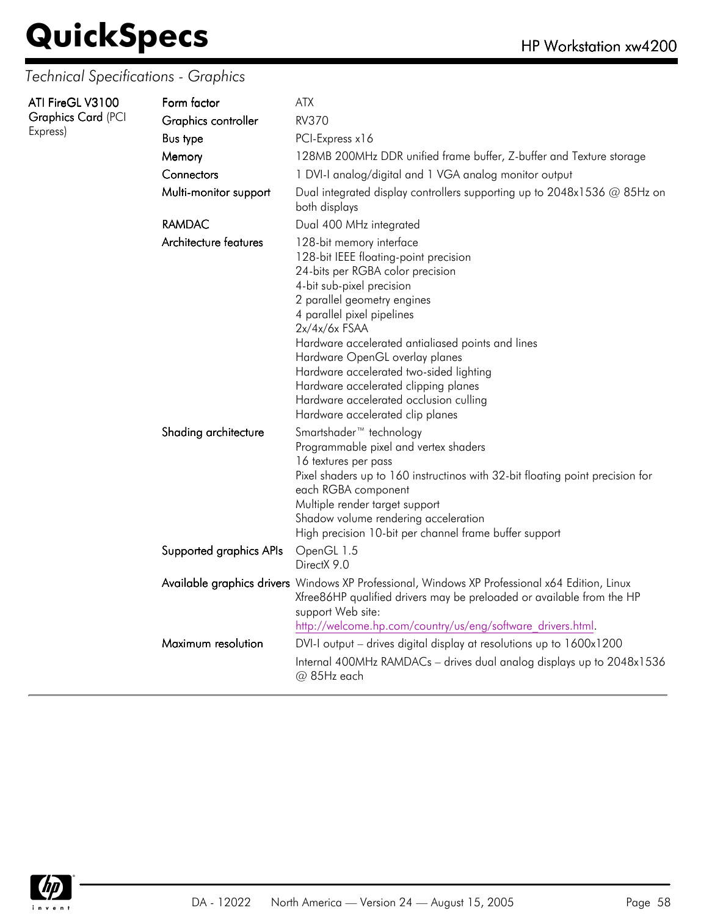| ATI FireGL V3100<br><b>Graphics Card (PCI</b><br>Express) | Form factor<br>Graphics controller<br><b>Bus type</b><br>Memory<br>Connectors<br>Multi-monitor support | <b>ATX</b><br><b>RV370</b><br>PCI-Express x16<br>128MB 200MHz DDR unified frame buffer, Z-buffer and Texture storage<br>1 DVI-I analog/digital and 1 VGA analog monitor output<br>Dual integrated display controllers supporting up to 2048x1536 @ 85Hz on<br>both displays                                                                                                                                                                                                |
|-----------------------------------------------------------|--------------------------------------------------------------------------------------------------------|----------------------------------------------------------------------------------------------------------------------------------------------------------------------------------------------------------------------------------------------------------------------------------------------------------------------------------------------------------------------------------------------------------------------------------------------------------------------------|
|                                                           | <b>RAMDAC</b>                                                                                          | Dual 400 MHz integrated                                                                                                                                                                                                                                                                                                                                                                                                                                                    |
|                                                           | Architecture features                                                                                  | 128-bit memory interface<br>128-bit IEEE floating-point precision<br>24-bits per RGBA color precision<br>4-bit sub-pixel precision<br>2 parallel geometry engines<br>4 parallel pixel pipelines<br>$2x/4x/6x$ FSAA<br>Hardware accelerated antialiased points and lines<br>Hardware OpenGL overlay planes<br>Hardware accelerated two-sided lighting<br>Hardware accelerated clipping planes<br>Hardware accelerated occlusion culling<br>Hardware accelerated clip planes |
|                                                           | Shading architecture                                                                                   | Smartshader <sup>™</sup> technology<br>Programmable pixel and vertex shaders<br>16 textures per pass<br>Pixel shaders up to 160 instructinos with 32-bit floating point precision for<br>each RGBA component<br>Multiple render target support<br>Shadow volume rendering acceleration<br>High precision 10-bit per channel frame buffer support                                                                                                                           |
|                                                           | Supported graphics APIs                                                                                | OpenGL 1.5<br>DirectX 9.0                                                                                                                                                                                                                                                                                                                                                                                                                                                  |
|                                                           | Maximum resolution                                                                                     | Available graphics drivers Windows XP Professional, Windows XP Professional x64 Edition, Linux<br>Xfree86HP qualified drivers may be preloaded or available from the HP<br>support Web site:<br>http://welcome.hp.com/country/us/eng/software drivers.html.<br>DVI-I output - drives digital display at resolutions up to 1600x1200<br>Internal 400MHz RAMDACs - drives dual analog displays up to 2048x1536<br>@ 85Hz each                                                |
|                                                           |                                                                                                        |                                                                                                                                                                                                                                                                                                                                                                                                                                                                            |

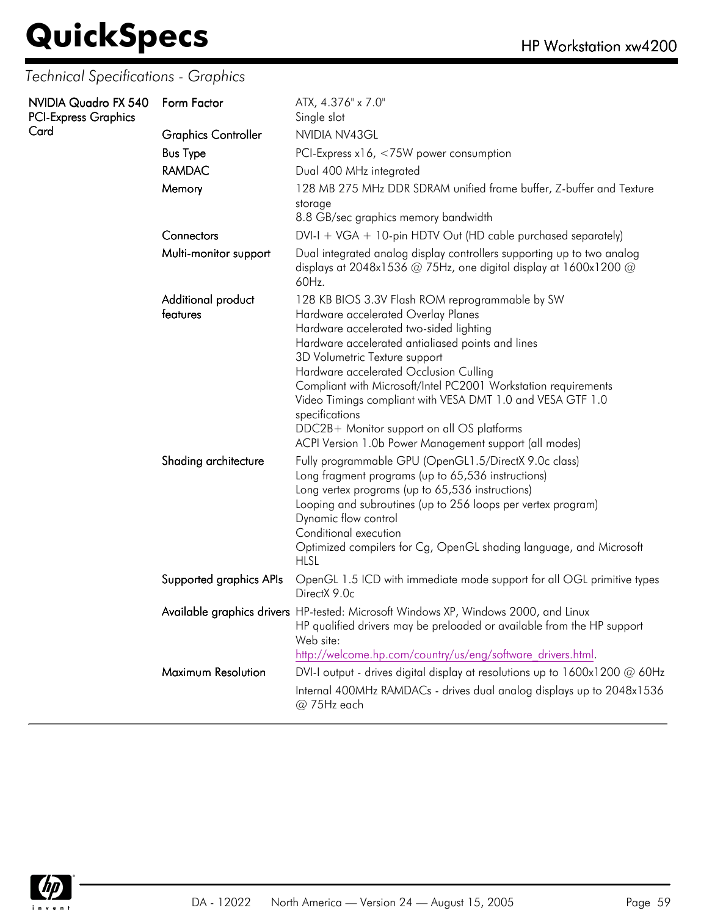| NVIDIA Quadro FX 540<br><b>PCI-Express Graphics</b> | Form Factor                    | ATX, 4.376" x 7.0"<br>Single slot                                                                                                                                                                                                                                                                                                                                                                                                                                                                                           |
|-----------------------------------------------------|--------------------------------|-----------------------------------------------------------------------------------------------------------------------------------------------------------------------------------------------------------------------------------------------------------------------------------------------------------------------------------------------------------------------------------------------------------------------------------------------------------------------------------------------------------------------------|
| Card                                                | <b>Graphics Controller</b>     | NVIDIA NV43GL                                                                                                                                                                                                                                                                                                                                                                                                                                                                                                               |
|                                                     | <b>Bus Type</b>                | PCI-Express $x16, < 75W$ power consumption                                                                                                                                                                                                                                                                                                                                                                                                                                                                                  |
|                                                     | <b>RAMDAC</b>                  | Dual 400 MHz integrated                                                                                                                                                                                                                                                                                                                                                                                                                                                                                                     |
|                                                     | Memory                         | 128 MB 275 MHz DDR SDRAM unified frame buffer, Z-buffer and Texture<br>storage<br>8.8 GB/sec graphics memory bandwidth                                                                                                                                                                                                                                                                                                                                                                                                      |
|                                                     | Connectors                     | DVI-I + VGA + 10-pin HDTV Out (HD cable purchased separately)                                                                                                                                                                                                                                                                                                                                                                                                                                                               |
|                                                     | Multi-monitor support          | Dual integrated analog display controllers supporting up to two analog<br>displays at 2048x1536 $@$ 75Hz, one digital display at 1600x1200 $@$<br>60Hz.                                                                                                                                                                                                                                                                                                                                                                     |
|                                                     | Additional product<br>features | 128 KB BIOS 3.3V Flash ROM reprogrammable by SW<br>Hardware accelerated Overlay Planes<br>Hardware accelerated two-sided lighting<br>Hardware accelerated antialiased points and lines<br>3D Volumetric Texture support<br>Hardware accelerated Occlusion Culling<br>Compliant with Microsoft/Intel PC2001 Workstation requirements<br>Video Timings compliant with VESA DMT 1.0 and VESA GTF 1.0<br>specifications<br>DDC2B+ Monitor support on all OS platforms<br>ACPI Version 1.0b Power Management support (all modes) |
|                                                     | Shading architecture           | Fully programmable GPU (OpenGL1.5/DirectX 9.0c class)<br>Long fragment programs (up to 65,536 instructions)<br>Long vertex programs (up to 65,536 instructions)<br>Looping and subroutines (up to 256 loops per vertex program)<br>Dynamic flow control<br>Conditional execution<br>Optimized compilers for Cg, OpenGL shading language, and Microsoft<br><b>HLSL</b>                                                                                                                                                       |
|                                                     | Supported graphics APIs        | OpenGL 1.5 ICD with immediate mode support for all OGL primitive types<br>DirectX 9.0c                                                                                                                                                                                                                                                                                                                                                                                                                                      |
|                                                     |                                | Available graphics drivers HP-tested: Microsoft Windows XP, Windows 2000, and Linux<br>HP qualified drivers may be preloaded or available from the HP support<br>Web site:<br>http://welcome.hp.com/country/us/eng/software drivers.html.                                                                                                                                                                                                                                                                                   |
|                                                     | Maximum Resolution             | DVI-I output - drives digital display at resolutions up to $1600x1200 \omega 60Hz$                                                                                                                                                                                                                                                                                                                                                                                                                                          |
|                                                     |                                | Internal 400MHz RAMDACs - drives dual analog displays up to 2048x1536<br>@ 75Hz each                                                                                                                                                                                                                                                                                                                                                                                                                                        |

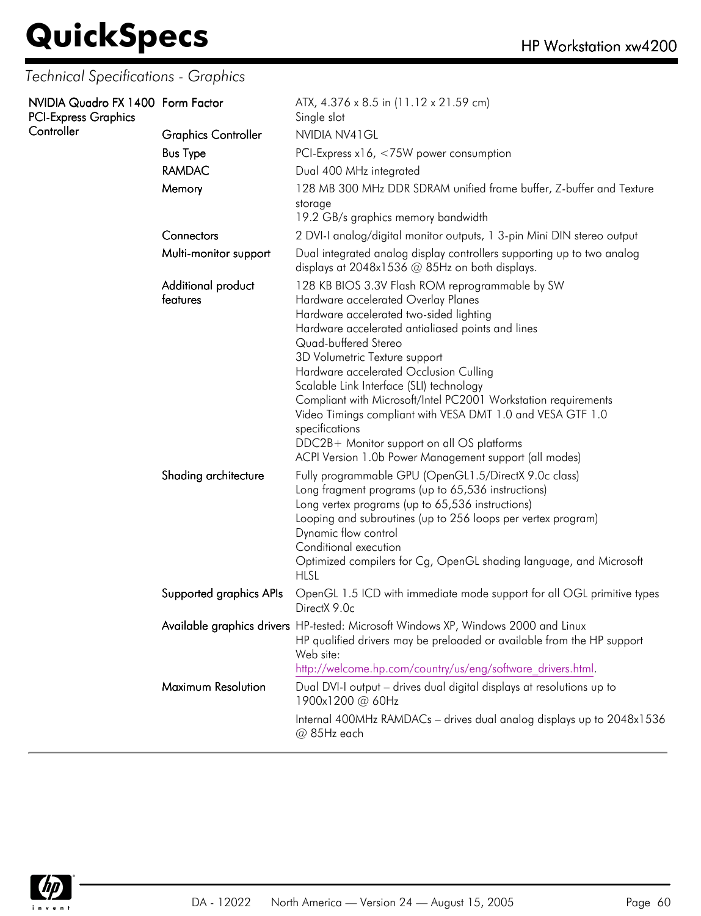| NVIDIA Quadro FX 1400 Form Factor<br><b>PCI-Express Graphics</b> |                                | ATX, 4.376 x 8.5 in (11.12 x 21.59 cm)<br>Single slot                                                                                                                                                                                                                                                                                                                                                                                                                                                                                                                                           |
|------------------------------------------------------------------|--------------------------------|-------------------------------------------------------------------------------------------------------------------------------------------------------------------------------------------------------------------------------------------------------------------------------------------------------------------------------------------------------------------------------------------------------------------------------------------------------------------------------------------------------------------------------------------------------------------------------------------------|
| Controller                                                       | <b>Graphics Controller</b>     | NVIDIA NV41GL                                                                                                                                                                                                                                                                                                                                                                                                                                                                                                                                                                                   |
|                                                                  | <b>Bus Type</b>                | PCI-Express $x16$ , <75W power consumption                                                                                                                                                                                                                                                                                                                                                                                                                                                                                                                                                      |
|                                                                  | <b>RAMDAC</b>                  | Dual 400 MHz integrated                                                                                                                                                                                                                                                                                                                                                                                                                                                                                                                                                                         |
|                                                                  | Memory                         | 128 MB 300 MHz DDR SDRAM unified frame buffer, Z-buffer and Texture                                                                                                                                                                                                                                                                                                                                                                                                                                                                                                                             |
|                                                                  |                                | storage<br>19.2 GB/s graphics memory bandwidth                                                                                                                                                                                                                                                                                                                                                                                                                                                                                                                                                  |
|                                                                  | Connectors                     | 2 DVI-I analog/digital monitor outputs, 1 3-pin Mini DIN stereo output                                                                                                                                                                                                                                                                                                                                                                                                                                                                                                                          |
|                                                                  | Multi-monitor support          | Dual integrated analog display controllers supporting up to two analog<br>displays at 2048x1536 @ 85Hz on both displays.                                                                                                                                                                                                                                                                                                                                                                                                                                                                        |
|                                                                  | Additional product<br>features | 128 KB BIOS 3.3V Flash ROM reprogrammable by SW<br>Hardware accelerated Overlay Planes<br>Hardware accelerated two-sided lighting<br>Hardware accelerated antialiased points and lines<br>Quad-buffered Stereo<br>3D Volumetric Texture support<br>Hardware accelerated Occlusion Culling<br>Scalable Link Interface (SLI) technology<br>Compliant with Microsoft/Intel PC2001 Workstation requirements<br>Video Timings compliant with VESA DMT 1.0 and VESA GTF 1.0<br>specifications<br>DDC2B+ Monitor support on all OS platforms<br>ACPI Version 1.0b Power Management support (all modes) |
|                                                                  | Shading architecture           | Fully programmable GPU (OpenGL1.5/DirectX 9.0c class)<br>Long fragment programs (up to 65,536 instructions)<br>Long vertex programs (up to 65,536 instructions)<br>Looping and subroutines (up to 256 loops per vertex program)<br>Dynamic flow control<br>Conditional execution<br>Optimized compilers for Cg, OpenGL shading language, and Microsoft<br><b>HLSL</b>                                                                                                                                                                                                                           |
|                                                                  | Supported graphics APIs        | OpenGL 1.5 ICD with immediate mode support for all OGL primitive types<br>DirectX 9.0c                                                                                                                                                                                                                                                                                                                                                                                                                                                                                                          |
|                                                                  |                                | Available graphics drivers HP-tested: Microsoft Windows XP, Windows 2000 and Linux<br>HP qualified drivers may be preloaded or available from the HP support<br>Web site:<br>http://welcome.hp.com/country/us/eng/software drivers.html.                                                                                                                                                                                                                                                                                                                                                        |
|                                                                  | Maximum Resolution             | Dual DVI-I output - drives dual digital displays at resolutions up to<br>1900x1200 @ 60Hz                                                                                                                                                                                                                                                                                                                                                                                                                                                                                                       |
|                                                                  |                                | Internal 400MHz RAMDACs - drives dual analog displays up to 2048x1536<br>@ 85Hz each                                                                                                                                                                                                                                                                                                                                                                                                                                                                                                            |

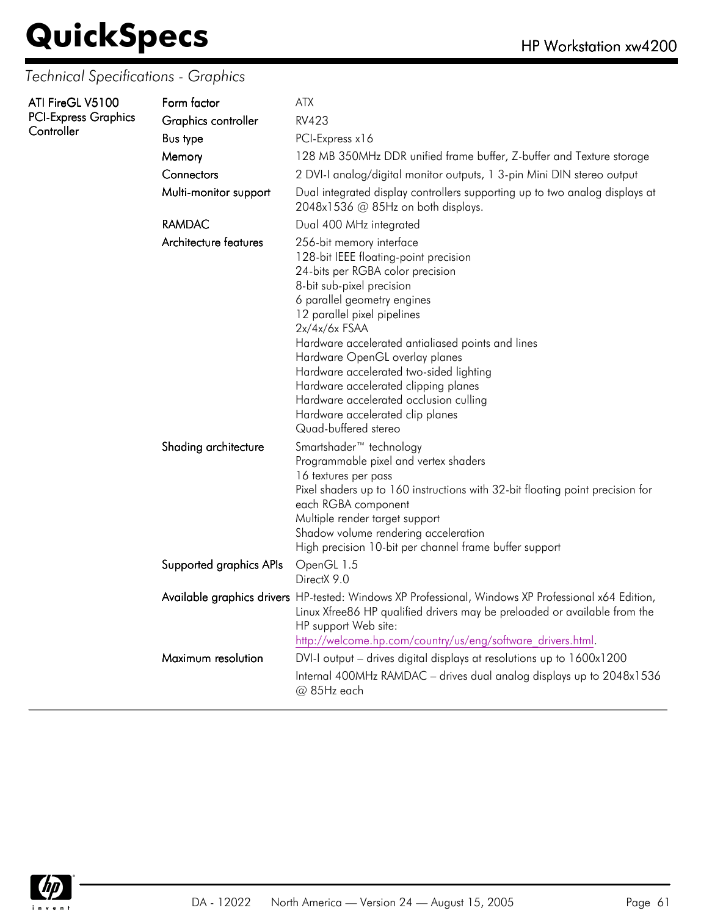| ATI FireGL V5100<br><b>PCI-Express Graphics</b><br>Controller | Form factor<br>Graphics controller<br><b>Bus type</b><br>Memory<br>Connectors<br>Multi-monitor support<br><b>RAMDAC</b> | <b>ATX</b><br><b>RV423</b><br>PCI-Express x16<br>128 MB 350MHz DDR unified frame buffer, Z-buffer and Texture storage<br>2 DVI-I analog/digital monitor outputs, 1 3-pin Mini DIN stereo output<br>Dual integrated display controllers supporting up to two analog displays at<br>2048x1536 @ 85Hz on both displays.<br>Dual 400 MHz integrated                                                                                                                                                     |
|---------------------------------------------------------------|-------------------------------------------------------------------------------------------------------------------------|-----------------------------------------------------------------------------------------------------------------------------------------------------------------------------------------------------------------------------------------------------------------------------------------------------------------------------------------------------------------------------------------------------------------------------------------------------------------------------------------------------|
|                                                               | Architecture features                                                                                                   | 256-bit memory interface<br>128-bit IEEE floating-point precision<br>24-bits per RGBA color precision<br>8-bit sub-pixel precision<br>6 parallel geometry engines<br>12 parallel pixel pipelines<br>$2x/4x/6x$ FSAA<br>Hardware accelerated antialiased points and lines<br>Hardware OpenGL overlay planes<br>Hardware accelerated two-sided lighting<br>Hardware accelerated clipping planes<br>Hardware accelerated occlusion culling<br>Hardware accelerated clip planes<br>Quad-buffered stereo |
|                                                               | Shading architecture                                                                                                    | Smartshader <sup>™</sup> technology<br>Programmable pixel and vertex shaders<br>16 textures per pass<br>Pixel shaders up to 160 instructions with 32-bit floating point precision for<br>each RGBA component<br>Multiple render target support<br>Shadow volume rendering acceleration<br>High precision 10-bit per channel frame buffer support                                                                                                                                                    |
|                                                               | Supported graphics APIs                                                                                                 | OpenGL 1.5<br>DirectX 9.0                                                                                                                                                                                                                                                                                                                                                                                                                                                                           |
|                                                               | Maximum resolution                                                                                                      | Available graphics drivers HP-tested: Windows XP Professional, Windows XP Professional x64 Edition,<br>Linux Xfree86 HP qualified drivers may be preloaded or available from the<br>HP support Web site:<br>http://welcome.hp.com/country/us/eng/software drivers.html.<br>DVI-I output - drives digital displays at resolutions up to 1600x1200<br>Internal 400MHz RAMDAC - drives dual analog displays up to 2048x1536                                                                            |
|                                                               |                                                                                                                         | @ 85Hz each                                                                                                                                                                                                                                                                                                                                                                                                                                                                                         |

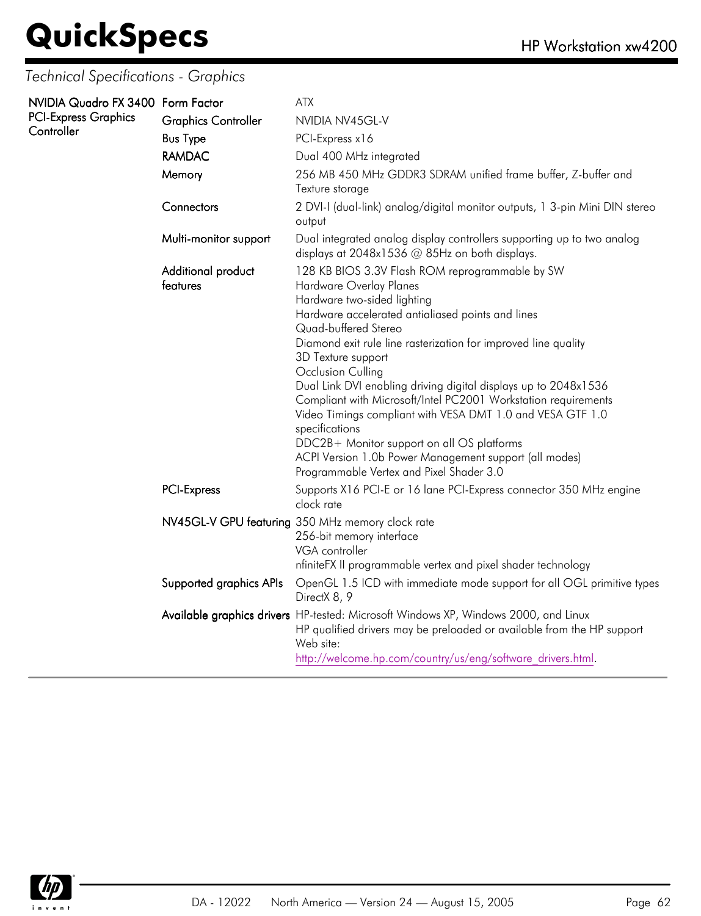| NVIDIA Quadro FX 3400 Form Factor |                                | <b>ATX</b>                                                                                                                                                                                                                                                                                                                                                                                                                                                                                                                                                                                                                                                                   |
|-----------------------------------|--------------------------------|------------------------------------------------------------------------------------------------------------------------------------------------------------------------------------------------------------------------------------------------------------------------------------------------------------------------------------------------------------------------------------------------------------------------------------------------------------------------------------------------------------------------------------------------------------------------------------------------------------------------------------------------------------------------------|
| <b>PCI-Express Graphics</b>       | <b>Graphics Controller</b>     | NVIDIA NV45GL-V                                                                                                                                                                                                                                                                                                                                                                                                                                                                                                                                                                                                                                                              |
| Controller                        | <b>Bus Type</b>                | PCI-Express x16                                                                                                                                                                                                                                                                                                                                                                                                                                                                                                                                                                                                                                                              |
|                                   | <b>RAMDAC</b>                  | Dual 400 MHz integrated                                                                                                                                                                                                                                                                                                                                                                                                                                                                                                                                                                                                                                                      |
|                                   | Memory                         | 256 MB 450 MHz GDDR3 SDRAM unified frame buffer, Z-buffer and<br>Texture storage                                                                                                                                                                                                                                                                                                                                                                                                                                                                                                                                                                                             |
|                                   | Connectors                     | 2 DVI-I (dual-link) analog/digital monitor outputs, 1 3-pin Mini DIN stereo<br>output                                                                                                                                                                                                                                                                                                                                                                                                                                                                                                                                                                                        |
|                                   | Multi-monitor support          | Dual integrated analog display controllers supporting up to two analog<br>displays at 2048x1536 @ 85Hz on both displays.                                                                                                                                                                                                                                                                                                                                                                                                                                                                                                                                                     |
|                                   | Additional product<br>features | 128 KB BIOS 3.3V Flash ROM reprogrammable by SW<br>Hardware Overlay Planes<br>Hardware two-sided lighting<br>Hardware accelerated antialiased points and lines<br>Quad-buffered Stereo<br>Diamond exit rule line rasterization for improved line quality<br>3D Texture support<br>Occlusion Culling<br>Dual Link DVI enabling driving digital displays up to 2048x1536<br>Compliant with Microsoft/Intel PC2001 Workstation requirements<br>Video Timings compliant with VESA DMT 1.0 and VESA GTF 1.0<br>specifications<br>DDC2B+ Monitor support on all OS platforms<br>ACPI Version 1.0b Power Management support (all modes)<br>Programmable Vertex and Pixel Shader 3.0 |
|                                   | PCI-Express                    | Supports X16 PCI-E or 16 Iane PCI-Express connector 350 MHz engine<br>clock rate                                                                                                                                                                                                                                                                                                                                                                                                                                                                                                                                                                                             |
|                                   |                                | NV45GL-V GPU featuring 350 MHz memory clock rate<br>256-bit memory interface<br>VGA controller<br>nfiniteFX II programmable vertex and pixel shader technology                                                                                                                                                                                                                                                                                                                                                                                                                                                                                                               |
|                                   | Supported graphics APIs        | OpenGL 1.5 ICD with immediate mode support for all OGL primitive types<br>DirectX 8, 9                                                                                                                                                                                                                                                                                                                                                                                                                                                                                                                                                                                       |
|                                   |                                | Available graphics drivers HP-tested: Microsoft Windows XP, Windows 2000, and Linux<br>HP qualified drivers may be preloaded or available from the HP support<br>Web site:<br>http://welcome.hp.com/country/us/eng/software drivers.html.                                                                                                                                                                                                                                                                                                                                                                                                                                    |

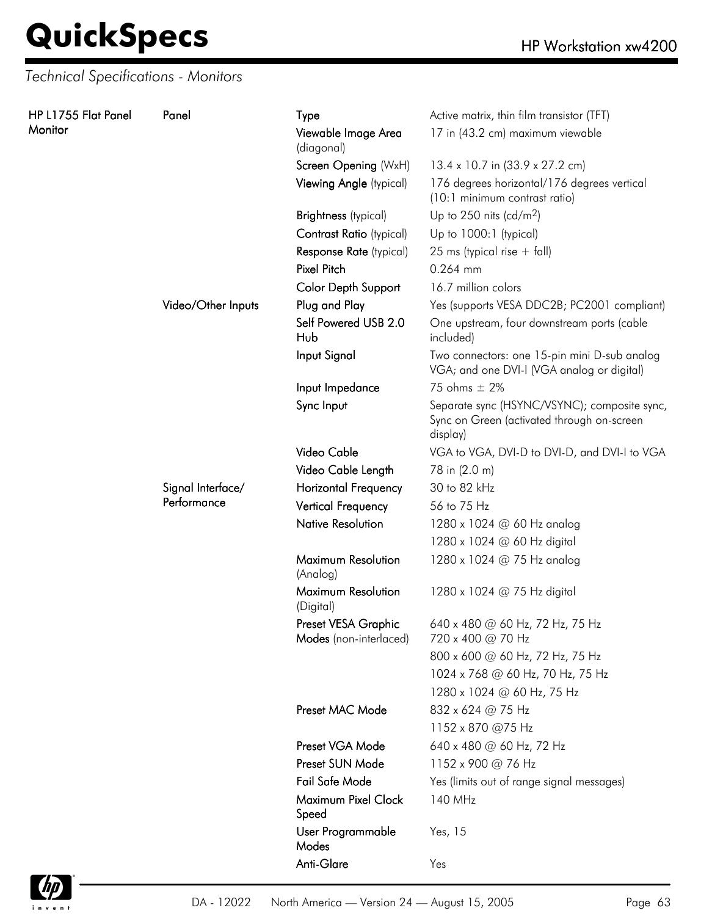*Technical Specifications - Monitors*

| HP L1755 Flat Panel | Panel              | Type                                          | Active matrix, thin film transistor (TFT)                                                              |
|---------------------|--------------------|-----------------------------------------------|--------------------------------------------------------------------------------------------------------|
| Monitor             |                    | Viewable Image Area<br>(diagonal)             | 17 in (43.2 cm) maximum viewable                                                                       |
|                     |                    | Screen Opening (WxH)                          | 13.4 x 10.7 in (33.9 x 27.2 cm)                                                                        |
|                     |                    | Viewing Angle (typical)                       | 176 degrees horizontal/176 degrees vertical<br>(10:1 minimum contrast ratio)                           |
|                     |                    | <b>Brightness</b> (typical)                   | Up to 250 nits (cd/m <sup>2</sup> )                                                                    |
|                     |                    | Contrast Ratio (typical)                      | Up to 1000:1 (typical)                                                                                 |
|                     |                    | Response Rate (typical)                       | 25 ms (typical rise $+$ fall)                                                                          |
|                     |                    | <b>Pixel Pitch</b>                            | 0.264 mm                                                                                               |
|                     |                    | Color Depth Support                           | 16.7 million colors                                                                                    |
|                     | Video/Other Inputs | Plug and Play                                 | Yes (supports VESA DDC2B; PC2001 compliant)                                                            |
|                     |                    | Self Powered USB 2.0<br>Hub                   | One upstream, four downstream ports (cable<br>included)                                                |
|                     |                    | Input Signal                                  | Two connectors: one 15-pin mini D-sub analog<br>VGA; and one DVI-I (VGA analog or digital)             |
|                     |                    | Input Impedance                               | 75 ohms $\pm$ 2%                                                                                       |
|                     |                    | Sync Input                                    | Separate sync (HSYNC/VSYNC); composite sync,<br>Sync on Green (activated through on-screen<br>display) |
|                     |                    | Video Cable                                   | VGA to VGA, DVI-D to DVI-D, and DVI-I to VGA                                                           |
|                     |                    | Video Cable Length                            | 78 in (2.0 m)                                                                                          |
|                     | Signal Interface/  | <b>Horizontal Frequency</b>                   | 30 to 82 kHz                                                                                           |
|                     | Performance        | <b>Vertical Frequency</b>                     | 56 to 75 Hz                                                                                            |
|                     |                    | <b>Native Resolution</b>                      | 1280 x 1024 @ 60 Hz analog                                                                             |
|                     |                    |                                               | 1280 x 1024 @ 60 Hz digital                                                                            |
|                     |                    | Maximum Resolution<br>(Analog)                | 1280 x 1024 @ 75 Hz analog                                                                             |
|                     |                    | Maximum Resolution<br>(Digital)               | 1280 x 1024 @ 75 Hz digital                                                                            |
|                     |                    | Preset VESA Graphic<br>Modes (non-interlaced) | 640 x 480 @ 60 Hz, 72 Hz, 75 Hz<br>720 x 400 @ 70 Hz                                                   |
|                     |                    |                                               | 800 x 600 @ 60 Hz, 72 Hz, 75 Hz                                                                        |
|                     |                    |                                               | 1024 x 768 @ 60 Hz, 70 Hz, 75 Hz                                                                       |
|                     |                    |                                               | 1280 x 1024 @ 60 Hz, 75 Hz                                                                             |
|                     |                    | Preset MAC Mode                               | 832 x 624 @ 75 Hz                                                                                      |
|                     |                    |                                               | 1152 x 870 @75 Hz                                                                                      |
|                     |                    | Preset VGA Mode                               | 640 x 480 @ 60 Hz, 72 Hz                                                                               |
|                     |                    | Preset SUN Mode                               | 1152 x 900 @ 76 Hz                                                                                     |
|                     |                    | Fail Safe Mode                                | Yes (limits out of range signal messages)                                                              |
|                     |                    | Maximum Pixel Clock<br>Speed                  | 140 MHz                                                                                                |
|                     |                    | User Programmable<br>Modes                    | Yes, 15                                                                                                |
|                     |                    | Anti-Glare                                    | Yes                                                                                                    |

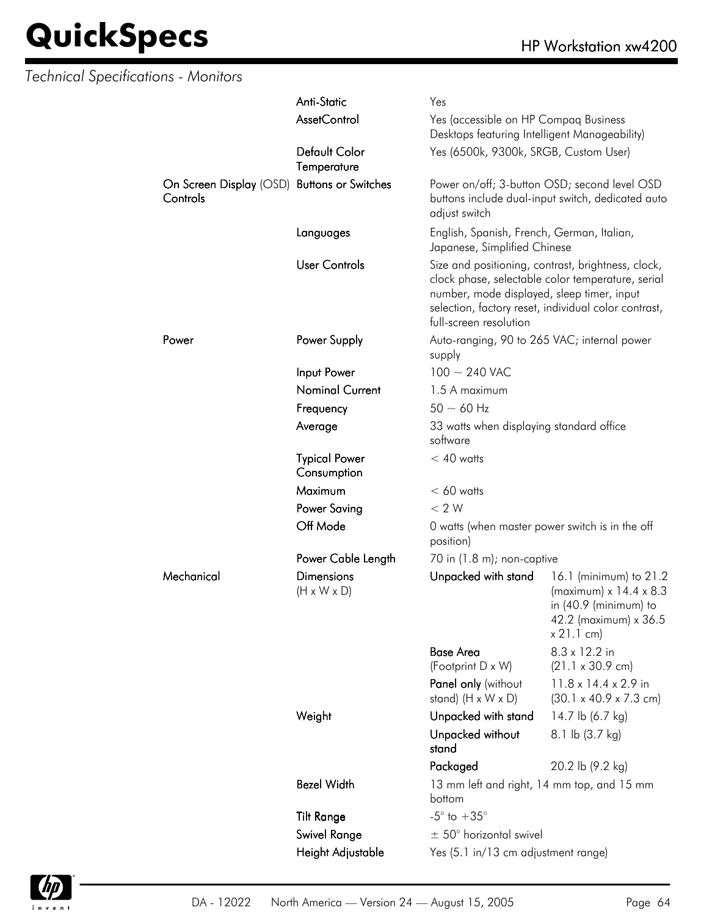| <b>Technical Specifications - Monitors</b> |                                                         |                                              |                                                                                        |                                                                                                                                                                 |
|--------------------------------------------|---------------------------------------------------------|----------------------------------------------|----------------------------------------------------------------------------------------|-----------------------------------------------------------------------------------------------------------------------------------------------------------------|
|                                            |                                                         | Anti-Static                                  | Yes                                                                                    |                                                                                                                                                                 |
|                                            |                                                         | <b>AssetControl</b>                          | Yes (accessible on HP Compaq Business<br>Desktops featuring Intelligent Manageability) |                                                                                                                                                                 |
|                                            |                                                         | Default Color<br>Temperature                 | Yes (6500k, 9300k, SRGB, Custom User)                                                  |                                                                                                                                                                 |
|                                            | On Screen Display (OSD) Buttons or Switches<br>Controls |                                              | adjust switch                                                                          | Power on/off; 3-button OSD; second level OSD<br>buttons include dual-input switch, dedicated auto                                                               |
|                                            |                                                         | Languages                                    | English, Spanish, French, German, Italian,<br>Japanese, Simplified Chinese             |                                                                                                                                                                 |
|                                            |                                                         | <b>User Controls</b>                         | number, mode displayed, sleep timer, input<br>full-screen resolution                   | Size and positioning, contrast, brightness, clock,<br>clock phase, selectable color temperature, serial<br>selection, factory reset, individual color contrast, |
|                                            | Power                                                   | Power Supply                                 | Auto-ranging, 90 to 265 VAC; internal power<br>supply                                  |                                                                                                                                                                 |
|                                            |                                                         | Input Power                                  | $100 \sim 240$ VAC                                                                     |                                                                                                                                                                 |
|                                            |                                                         | <b>Nominal Current</b>                       | 1.5 A maximum                                                                          |                                                                                                                                                                 |
|                                            |                                                         | Frequency                                    | $50 - 60$ Hz                                                                           |                                                                                                                                                                 |
|                                            |                                                         | Average                                      | 33 watts when displaying standard office<br>software                                   |                                                                                                                                                                 |
|                                            |                                                         | <b>Typical Power</b><br>Consumption          | $< 40$ watts                                                                           |                                                                                                                                                                 |
|                                            |                                                         | Maximum                                      | $< 60$ watts                                                                           |                                                                                                                                                                 |
|                                            |                                                         | <b>Power Saving</b>                          | < 2 W                                                                                  |                                                                                                                                                                 |
|                                            |                                                         | Off Mode                                     | 0 watts (when master power switch is in the off<br>position)                           |                                                                                                                                                                 |
|                                            |                                                         | Power Cable Length                           | 70 in (1.8 m); non-captive                                                             |                                                                                                                                                                 |
|                                            | Mechanical                                              | <b>Dimensions</b><br>$(H \times W \times D)$ | Unpacked with stand                                                                    | 16.1 (minimum) to 21.2<br>(maximum) $x$ 14.4 $x$ 8.3<br>in $(40.9 \text{ (minimum)}$ to<br>42.2 (maximum) x 36.5<br>x 21.1 cm)                                  |
|                                            |                                                         |                                              | <b>Base Area</b>                                                                       | 8.3 x 12.2 in                                                                                                                                                   |
|                                            |                                                         |                                              | (Footprint D x W)                                                                      | $(21.1 \times 30.9 \text{ cm})$                                                                                                                                 |
|                                            |                                                         |                                              | Panel only (without<br>stand) $(H \times W \times D)$                                  | $11.8 \times 14.4 \times 2.9$ in<br>$(30.1 \times 40.9 \times 7.3 \text{ cm})$                                                                                  |
|                                            |                                                         | Weight                                       | Unpacked with stand                                                                    | 14.7 lb (6.7 kg)                                                                                                                                                |
|                                            |                                                         |                                              | Unpacked without<br>stand                                                              | 8.1 lb (3.7 kg)                                                                                                                                                 |
|                                            |                                                         |                                              | Packaged                                                                               | 20.2 lb (9.2 kg)                                                                                                                                                |
|                                            |                                                         | <b>Bezel Width</b>                           | 13 mm left and right, 14 mm top, and 15 mm<br>bottom                                   |                                                                                                                                                                 |
|                                            |                                                         | <b>Tilt Range</b>                            | $-5^{\circ}$ to $+35^{\circ}$                                                          |                                                                                                                                                                 |
|                                            |                                                         | Swivel Range                                 | $\pm$ 50° horizontal swivel                                                            |                                                                                                                                                                 |
|                                            |                                                         | Height Adjustable                            | Yes (5.1 in/13 cm adjustment range)                                                    |                                                                                                                                                                 |

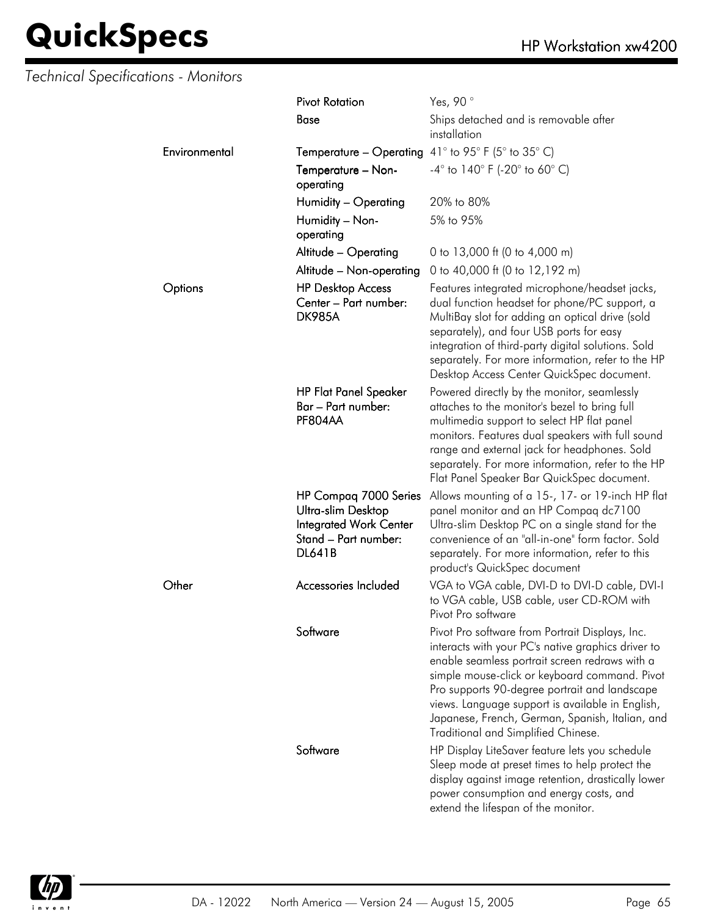### *Technical Specifications - Monitors*

|               | <b>Pivot Rotation</b>                                                                                                 | Yes, 90°                                                                                                                                                                                                                                                                                                                                                                                                |
|---------------|-----------------------------------------------------------------------------------------------------------------------|---------------------------------------------------------------------------------------------------------------------------------------------------------------------------------------------------------------------------------------------------------------------------------------------------------------------------------------------------------------------------------------------------------|
|               | Base                                                                                                                  | Ships detached and is removable after<br>installation                                                                                                                                                                                                                                                                                                                                                   |
| Environmental | <b>Temperature – Operating</b> $41^{\circ}$ to 95° F (5° to 35° C)                                                    |                                                                                                                                                                                                                                                                                                                                                                                                         |
|               | Temperature - Non-<br>operating                                                                                       | $-4^{\circ}$ to 140 $^{\circ}$ F (-20 $^{\circ}$ to 60 $^{\circ}$ C)                                                                                                                                                                                                                                                                                                                                    |
|               | Humidity - Operating                                                                                                  | 20% to 80%                                                                                                                                                                                                                                                                                                                                                                                              |
|               | Humidity - Non-<br>operating                                                                                          | 5% to 95%                                                                                                                                                                                                                                                                                                                                                                                               |
|               | Altitude - Operating                                                                                                  | 0 to 13,000 ft (0 to 4,000 m)                                                                                                                                                                                                                                                                                                                                                                           |
|               | Altitude - Non-operating                                                                                              | 0 to 40,000 ft (0 to 12,192 m)                                                                                                                                                                                                                                                                                                                                                                          |
| Options       | <b>HP Desktop Access</b><br>Center – Part number:<br><b>DK985A</b>                                                    | Features integrated microphone/headset jacks,<br>dual function headset for phone/PC support, a<br>MultiBay slot for adding an optical drive (sold<br>separately), and four USB ports for easy<br>integration of third-party digital solutions. Sold<br>separately. For more information, refer to the HP<br>Desktop Access Center QuickSpec document.                                                   |
|               | <b>HP Flat Panel Speaker</b><br>Bar – Part number:<br>PF804AA                                                         | Powered directly by the monitor, seamlessly<br>attaches to the monitor's bezel to bring full<br>multimedia support to select HP flat panel<br>monitors. Features dual speakers with full sound<br>range and external jack for headphones. Sold<br>separately. For more information, refer to the HP<br>Flat Panel Speaker Bar QuickSpec document.                                                       |
|               | HP Compaq 7000 Series<br>Ultra-slim Desktop<br><b>Integrated Work Center</b><br>Stand - Part number:<br><b>DL641B</b> | Allows mounting of a 15-, 17- or 19-inch HP flat<br>panel monitor and an HP Compaq dc7100<br>Ultra-slim Desktop PC on a single stand for the<br>convenience of an "all-in-one" form factor. Sold<br>separately. For more information, refer to this<br>product's QuickSpec document                                                                                                                     |
| Other         | Accessories Included                                                                                                  | VGA to VGA cable, DVI-D to DVI-D cable, DVI-I<br>to VGA cable, USB cable, user CD-ROM with<br>Pivot Pro sottware                                                                                                                                                                                                                                                                                        |
|               | Software                                                                                                              | Pivot Pro software from Portrait Displays, Inc.<br>interacts with your PC's native graphics driver to<br>enable seamless portrait screen redraws with a<br>simple mouse-click or keyboard command. Pivot<br>Pro supports 90-degree portrait and landscape<br>views. Language support is available in English,<br>Japanese, French, German, Spanish, Italian, and<br>Traditional and Simplified Chinese. |
|               | Software                                                                                                              | HP Display LiteSaver feature lets you schedule<br>Sleep mode at preset times to help protect the<br>display against image retention, drastically lower<br>power consumption and energy costs, and<br>extend the lifespan of the monitor.                                                                                                                                                                |

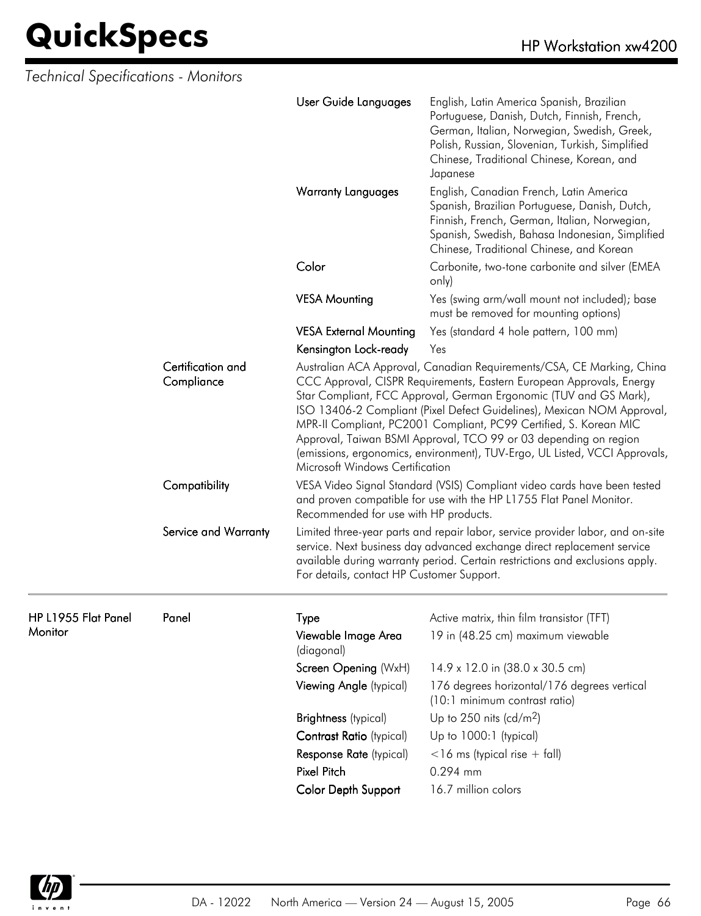| Technical Specifications - Monitors |                                 |                                                                                                                                                                                          |                                                                                                                                                                                                                                                                                                                                                                                                                                                                                                                     |  |
|-------------------------------------|---------------------------------|------------------------------------------------------------------------------------------------------------------------------------------------------------------------------------------|---------------------------------------------------------------------------------------------------------------------------------------------------------------------------------------------------------------------------------------------------------------------------------------------------------------------------------------------------------------------------------------------------------------------------------------------------------------------------------------------------------------------|--|
|                                     |                                 | User Guide Languages                                                                                                                                                                     | English, Latin America Spanish, Brazilian<br>Portuguese, Danish, Dutch, Finnish, French,<br>German, Italian, Norwegian, Swedish, Greek,<br>Polish, Russian, Slovenian, Turkish, Simplified<br>Chinese, Traditional Chinese, Korean, and<br>Japanese                                                                                                                                                                                                                                                                 |  |
|                                     |                                 | <b>Warranty Languages</b>                                                                                                                                                                | English, Canadian French, Latin America<br>Spanish, Brazilian Portuguese, Danish, Dutch,<br>Finnish, French, German, Italian, Norwegian,<br>Spanish, Swedish, Bahasa Indonesian, Simplified<br>Chinese, Traditional Chinese, and Korean                                                                                                                                                                                                                                                                             |  |
|                                     |                                 | Color                                                                                                                                                                                    | Carbonite, two-tone carbonite and silver (EMEA<br>only)                                                                                                                                                                                                                                                                                                                                                                                                                                                             |  |
|                                     |                                 | <b>VESA Mounting</b>                                                                                                                                                                     | Yes (swing arm/wall mount not included); base<br>must be removed for mounting options)                                                                                                                                                                                                                                                                                                                                                                                                                              |  |
|                                     |                                 | <b>VESA External Mounting</b>                                                                                                                                                            | Yes (standard 4 hole pattern, 100 mm)                                                                                                                                                                                                                                                                                                                                                                                                                                                                               |  |
|                                     |                                 | Kensington Lock-ready                                                                                                                                                                    | Yes                                                                                                                                                                                                                                                                                                                                                                                                                                                                                                                 |  |
|                                     | Certification and<br>Compliance | Microsoft Windows Certification                                                                                                                                                          | Australian ACA Approval, Canadian Requirements/CSA, CE Marking, China<br>CCC Approval, CISPR Requirements, Eastern European Approvals, Energy<br>Star Compliant, FCC Approval, German Ergonomic (TUV and GS Mark),<br>ISO 13406-2 Compliant (Pixel Defect Guidelines), Mexican NOM Approval,<br>MPR-II Compliant, PC2001 Compliant, PC99 Certified, S. Korean MIC<br>Approval, Taiwan BSMI Approval, TCO 99 or 03 depending on region<br>(emissions, ergonomics, environment), TUV-Ergo, UL Listed, VCCI Approvals, |  |
|                                     | Compatibility                   | VESA Video Signal Standard (VSIS) Compliant video cards have been tested<br>and proven compatible for use with the HP L1755 Flat Panel Monitor.<br>Recommended for use with HP products. |                                                                                                                                                                                                                                                                                                                                                                                                                                                                                                                     |  |
|                                     | Service and Warranty            | For details, contact HP Customer Support.                                                                                                                                                | Limited three-year parts and repair labor, service provider labor, and on-site<br>service. Next business day advanced exchange direct replacement service<br>available during warranty period. Certain restrictions and exclusions apply.                                                                                                                                                                                                                                                                           |  |
| HP L1955 Flat Panel                 | Panel                           | Type                                                                                                                                                                                     | Active matrix, thin film transistor (TFT)                                                                                                                                                                                                                                                                                                                                                                                                                                                                           |  |
| Monitor                             |                                 | Viewable Image Area<br>(diagonal)                                                                                                                                                        | 19 in (48.25 cm) maximum viewable                                                                                                                                                                                                                                                                                                                                                                                                                                                                                   |  |
|                                     |                                 | Screen Opening (WxH)                                                                                                                                                                     | 14.9 x 12.0 in (38.0 x 30.5 cm)                                                                                                                                                                                                                                                                                                                                                                                                                                                                                     |  |
|                                     |                                 | Viewing Angle (typical)                                                                                                                                                                  | 176 degrees horizontal/176 degrees vertical<br>(10:1 minimum contrast ratio)                                                                                                                                                                                                                                                                                                                                                                                                                                        |  |
|                                     |                                 | <b>Brightness</b> (typical)                                                                                                                                                              | Up to 250 nits (cd/m <sup>2</sup> )                                                                                                                                                                                                                                                                                                                                                                                                                                                                                 |  |
|                                     |                                 | Contrast Ratio (typical)                                                                                                                                                                 | Up to 1000:1 (typical)                                                                                                                                                                                                                                                                                                                                                                                                                                                                                              |  |
|                                     |                                 | Response Rate (typical)                                                                                                                                                                  | $<$ 16 ms (typical rise + fall)                                                                                                                                                                                                                                                                                                                                                                                                                                                                                     |  |
|                                     |                                 | Pixel Pitch                                                                                                                                                                              | 0.294 mm                                                                                                                                                                                                                                                                                                                                                                                                                                                                                                            |  |
|                                     |                                 | Color Depth Support                                                                                                                                                                      | 16.7 million colors                                                                                                                                                                                                                                                                                                                                                                                                                                                                                                 |  |

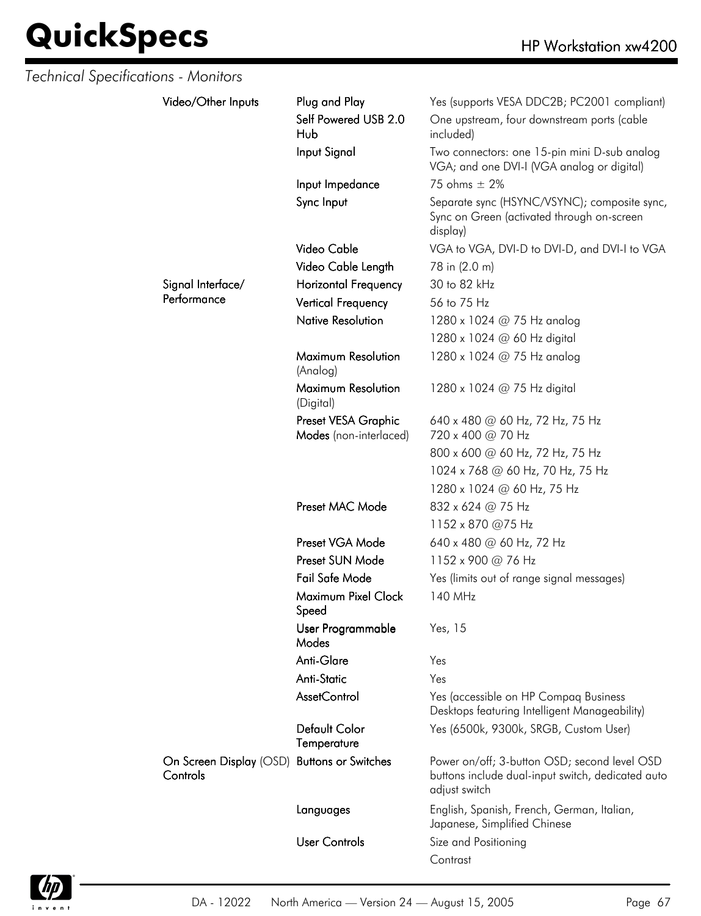| <b>Technical Specifications - Monitors</b> |                                     |                                               |                                                                                                                    |
|--------------------------------------------|-------------------------------------|-----------------------------------------------|--------------------------------------------------------------------------------------------------------------------|
|                                            | Video/Other Inputs                  | Plug and Play                                 | Yes (supports VESA DDC2B; PC2001 compliant)                                                                        |
|                                            |                                     | Self Powered USB 2.0<br>Hub                   | One upstream, four downstream ports (cable<br>included)                                                            |
|                                            |                                     | Input Signal                                  | Two connectors: one 15-pin mini D-sub analog<br>VGA; and one DVI-I (VGA analog or digital)                         |
|                                            |                                     | Input Impedance                               | 75 ohms $\pm$ 2%                                                                                                   |
|                                            |                                     | Sync Input                                    | Separate sync (HSYNC/VSYNC); composite sync,<br>Sync on Green (activated through on-screen<br>display)             |
|                                            |                                     | Video Cable                                   | VGA to VGA, DVI-D to DVI-D, and DVI-I to VGA                                                                       |
|                                            |                                     | Video Cable Length                            | 78 in (2.0 m)                                                                                                      |
|                                            | Signal Interface/                   | <b>Horizontal Frequency</b>                   | 30 to 82 kHz                                                                                                       |
|                                            | Performance                         | <b>Vertical Frequency</b>                     | 56 to 75 Hz                                                                                                        |
|                                            |                                     | <b>Native Resolution</b>                      | 1280 x 1024 $@$ 75 Hz analog                                                                                       |
|                                            |                                     |                                               | 1280 x 1024 @ 60 Hz digital                                                                                        |
|                                            |                                     | Maximum Resolution<br>(Analog)                | 1280 x 1024 @ 75 Hz analog                                                                                         |
|                                            |                                     | Maximum Resolution<br>(Digital)               | 1280 x 1024 @ 75 Hz digital                                                                                        |
|                                            |                                     | Preset VESA Graphic<br>Modes (non-interlaced) | 640 x 480 @ 60 Hz, 72 Hz, 75 Hz<br>720 x 400 @ 70 Hz                                                               |
|                                            |                                     | 800 x 600 @ 60 Hz, 72 Hz, 75 Hz               |                                                                                                                    |
|                                            |                                     | 1024 x 768 @ 60 Hz, 70 Hz, 75 Hz              |                                                                                                                    |
|                                            |                                     |                                               | 1280 x 1024 @ 60 Hz, 75 Hz                                                                                         |
|                                            |                                     | Preset MAC Mode                               | 832 x 624 @ 75 Hz                                                                                                  |
|                                            |                                     |                                               | 1152 x 870 @75 Hz                                                                                                  |
|                                            |                                     | Preset VGA Mode                               | 640 x 480 @ 60 Hz, 72 Hz                                                                                           |
|                                            |                                     | Preset SUN Mode                               | 1152 x 900 @ 76 Hz                                                                                                 |
|                                            |                                     | Fail Safe Mode                                | Yes (limits out of range signal messages)                                                                          |
|                                            |                                     | Maximum Pixel Clock<br>Speed                  | 140 MHz                                                                                                            |
|                                            |                                     | User Programmable<br>Modes                    | Yes, 15                                                                                                            |
|                                            |                                     | Anti-Glare                                    | Yes                                                                                                                |
|                                            |                                     | Anti-Static                                   | Yes                                                                                                                |
|                                            |                                     | AssetControl                                  | Yes (accessible on HP Compaq Business<br>Desktops featuring Intelligent Manageability)                             |
|                                            |                                     | Default Color<br>Temperature                  | Yes (6500k, 9300k, SRGB, Custom User)                                                                              |
|                                            | On Screen Display (OSD)<br>Controls | <b>Buttons or Switches</b>                    | Power on/off; 3-button OSD; second level OSD<br>buttons include dual-input switch, dedicated auto<br>adjust switch |
|                                            |                                     | Languages                                     | English, Spanish, French, German, Italian,<br>Japanese, Simplified Chinese                                         |
|                                            |                                     | <b>User Controls</b>                          | Size and Positioning<br>Contrast                                                                                   |

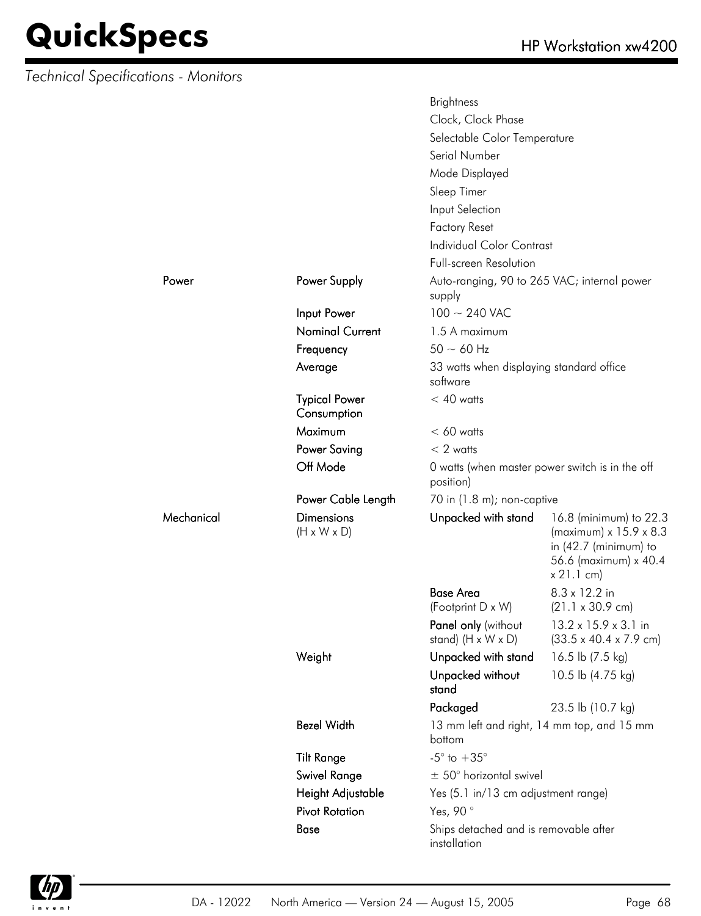*Technical Specifications - Monitors*

Mechanical

|            |                                              | <b>Brightness</b>                                     |                                                                                                                            |  |
|------------|----------------------------------------------|-------------------------------------------------------|----------------------------------------------------------------------------------------------------------------------------|--|
|            |                                              | Clock, Clock Phase                                    |                                                                                                                            |  |
|            |                                              | Selectable Color Temperature                          |                                                                                                                            |  |
|            |                                              | Serial Number                                         |                                                                                                                            |  |
|            |                                              | Mode Displayed                                        |                                                                                                                            |  |
|            |                                              | Sleep Timer                                           |                                                                                                                            |  |
|            |                                              | Input Selection                                       |                                                                                                                            |  |
|            |                                              | <b>Factory Reset</b>                                  |                                                                                                                            |  |
|            |                                              | <b>Individual Color Contrast</b>                      |                                                                                                                            |  |
|            |                                              | <b>Full-screen Resolution</b>                         |                                                                                                                            |  |
| Power      | Power Supply                                 | Auto-ranging, 90 to 265 VAC; internal power           |                                                                                                                            |  |
|            |                                              | supply                                                |                                                                                                                            |  |
|            | Input Power                                  | $100 \sim 240$ VAC                                    |                                                                                                                            |  |
|            | <b>Nominal Current</b>                       | 1.5 A maximum                                         |                                                                                                                            |  |
|            | Frequency                                    | $50 \sim 60$ Hz                                       |                                                                                                                            |  |
|            | Average                                      | 33 watts when displaying standard office<br>software  |                                                                                                                            |  |
|            | <b>Typical Power</b><br>Consumption          | $< 40$ watts                                          |                                                                                                                            |  |
|            | <b>Maximum</b>                               | $< 60$ watts                                          |                                                                                                                            |  |
|            | <b>Power Saving</b>                          | $< 2$ watts                                           |                                                                                                                            |  |
|            | Off Mode                                     | position)                                             | 0 watts (when master power switch is in the off                                                                            |  |
|            | Power Cable Length                           | 70 in (1.8 m); non-captive                            |                                                                                                                            |  |
| Mechanical | <b>Dimensions</b><br>$(H \times W \times D)$ | Unpacked with stand                                   | 16.8 (minimum) to 22.3<br>(maximum) x 15.9 x 8.3<br>in $(42.7 \text{ (minimum)}$ to<br>56.6 (maximum) x 40.4<br>x 21.1 cm) |  |
|            |                                              | <b>Base Area</b>                                      | 8.3 x 12.2 in                                                                                                              |  |
|            |                                              | (Footprint D x W)                                     | $(21.1 \times 30.9 \text{ cm})$                                                                                            |  |
|            |                                              | Panel only (without<br>stand) $(H \times W \times D)$ | 13.2 x 15.9 x 3.1 in<br>$(33.5 \times 40.4 \times 7.9 \text{ cm})$                                                         |  |
|            | Weight                                       | Unpacked with stand                                   | 16.5 lb (7.5 kg)                                                                                                           |  |
|            |                                              | Unpacked without<br>stand                             | 10.5 lb (4.75 kg)                                                                                                          |  |
|            |                                              | Packaged                                              | 23.5 lb (10.7 kg)                                                                                                          |  |
|            | <b>Bezel Width</b>                           | bottom                                                | 13 mm left and right, 14 mm top, and 15 mm                                                                                 |  |
|            | <b>Tilt Range</b>                            | $-5^{\circ}$ to $+35^{\circ}$                         |                                                                                                                            |  |
|            | <b>Swivel Range</b>                          | $\pm$ 50° horizontal swivel                           |                                                                                                                            |  |
|            | Height Adjustable                            | Yes (5.1 in/13 cm adjustment range)                   |                                                                                                                            |  |
|            | <b>Pivot Rotation</b>                        | Yes, 90°                                              |                                                                                                                            |  |
|            | Base                                         | Ships detached and is removable after<br>installation |                                                                                                                            |  |

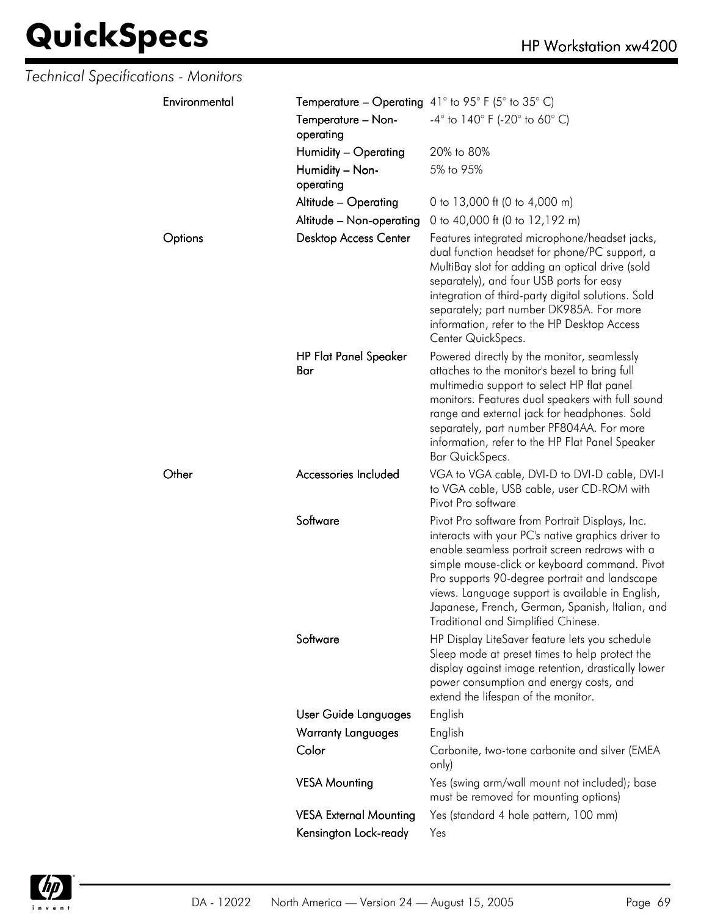| Technical Specifications - Monitors |                                     |                                                                                                                                                                                                                                                                                                                                                                                                         |
|-------------------------------------|-------------------------------------|---------------------------------------------------------------------------------------------------------------------------------------------------------------------------------------------------------------------------------------------------------------------------------------------------------------------------------------------------------------------------------------------------------|
| Environmental                       |                                     | <b>Temperature – Operating</b> 41° to 95° F (5° to 35° C)                                                                                                                                                                                                                                                                                                                                               |
|                                     | Temperature - Non-<br>operating     | $-4^{\circ}$ to 140° F (-20° to 60° C)                                                                                                                                                                                                                                                                                                                                                                  |
|                                     | Humidity - Operating                | 20% to 80%                                                                                                                                                                                                                                                                                                                                                                                              |
|                                     | Humidity - Non-<br>operating        | 5% to 95%                                                                                                                                                                                                                                                                                                                                                                                               |
|                                     | Altitude - Operating                | 0 to 13,000 ft (0 to 4,000 m)                                                                                                                                                                                                                                                                                                                                                                           |
|                                     | Altitude - Non-operating            | 0 to 40,000 ft (0 to 12,192 m)                                                                                                                                                                                                                                                                                                                                                                          |
| Options                             | <b>Desktop Access Center</b>        | Features integrated microphone/headset jacks,<br>dual function headset for phone/PC support, a<br>MultiBay slot for adding an optical drive (sold<br>separately), and four USB ports for easy<br>integration of third-party digital solutions. Sold<br>separately; part number DK985A. For more<br>information, refer to the HP Desktop Access<br>Center QuickSpecs.                                    |
|                                     | <b>HP Flat Panel Speaker</b><br>Bar | Powered directly by the monitor, seamlessly<br>attaches to the monitor's bezel to bring full<br>multimedia support to select HP flat panel<br>monitors. Features dual speakers with full sound<br>range and external jack for headphones. Sold<br>separately, part number PF804AA. For more<br>information, refer to the HP Flat Panel Speaker<br>Bar QuickSpecs.                                       |
| Other                               | Accessories Included                | VGA to VGA cable, DVI-D to DVI-D cable, DVI-I<br>to VGA cable, USB cable, user CD-ROM with<br>Pivot Pro software                                                                                                                                                                                                                                                                                        |
|                                     | Software                            | Pivot Pro software from Portrait Displays, Inc.<br>interacts with your PC's native graphics driver to<br>enable seamless portrait screen redraws with a<br>simple mouse-click or keyboard command. Pivot<br>Pro supports 90-degree portrait and landscape<br>views. Language support is available in English,<br>Japanese, French, German, Spanish, Italian, and<br>Traditional and Simplified Chinese. |
|                                     | Software                            | HP Display LiteSaver feature lets you schedule<br>Sleep mode at preset times to help protect the<br>display against image retention, drastically lower<br>power consumption and energy costs, and<br>extend the lifespan of the monitor.                                                                                                                                                                |
|                                     | User Guide Languages                | English                                                                                                                                                                                                                                                                                                                                                                                                 |
|                                     | <b>Warranty Languages</b>           | English                                                                                                                                                                                                                                                                                                                                                                                                 |
|                                     | Color                               | Carbonite, two-tone carbonite and silver (EMEA<br>only)                                                                                                                                                                                                                                                                                                                                                 |
|                                     | <b>VESA Mounting</b>                | Yes (swing arm/wall mount not included); base<br>must be removed for mounting options)                                                                                                                                                                                                                                                                                                                  |
|                                     | <b>VESA External Mounting</b>       | Yes (standard 4 hole pattern, 100 mm)                                                                                                                                                                                                                                                                                                                                                                   |
|                                     | Kensington Lock-ready               | Yes                                                                                                                                                                                                                                                                                                                                                                                                     |

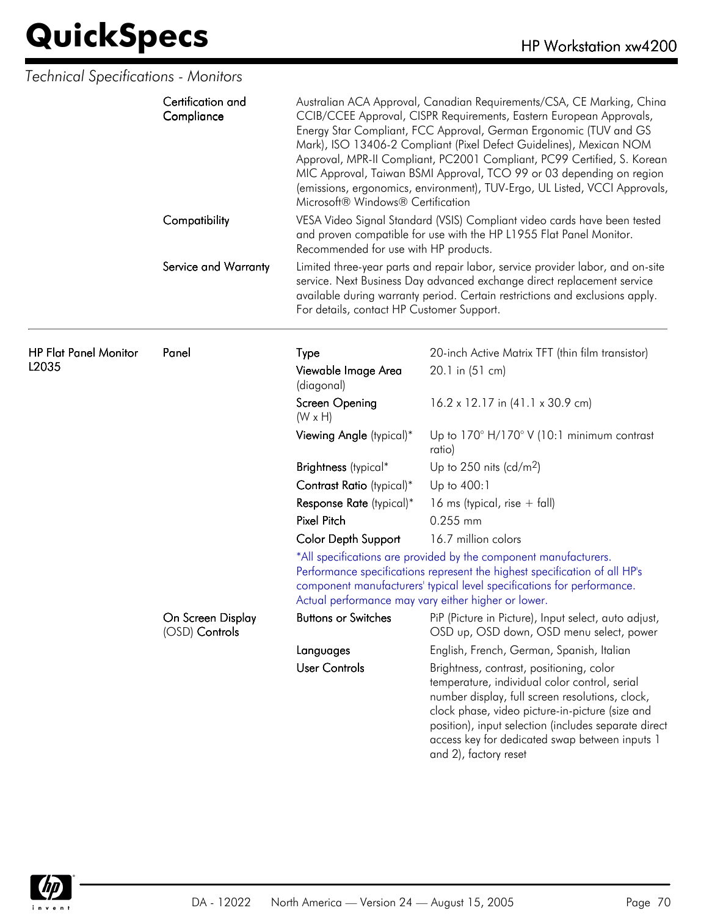| Technical Specifications - Monitors   |                                     |                                                                                                                                                                                                                                                                                                                                                                                                                                                                                                                                                                |                                                                                                                                                                                                                                                                                                                                    |
|---------------------------------------|-------------------------------------|----------------------------------------------------------------------------------------------------------------------------------------------------------------------------------------------------------------------------------------------------------------------------------------------------------------------------------------------------------------------------------------------------------------------------------------------------------------------------------------------------------------------------------------------------------------|------------------------------------------------------------------------------------------------------------------------------------------------------------------------------------------------------------------------------------------------------------------------------------------------------------------------------------|
|                                       | Certification and<br>Compliance     | Australian ACA Approval, Canadian Requirements/CSA, CE Marking, China<br>CCIB/CCEE Approval, CISPR Requirements, Eastern European Approvals,<br>Energy Star Compliant, FCC Approval, German Ergonomic (TUV and GS<br>Mark), ISO 13406-2 Compliant (Pixel Defect Guidelines), Mexican NOM<br>Approval, MPR-II Compliant, PC2001 Compliant, PC99 Certified, S. Korean<br>MIC Approval, Taiwan BSMI Approval, TCO 99 or 03 depending on region<br>(emissions, ergonomics, environment), TUV-Ergo, UL Listed, VCCI Approvals,<br>Microsoft® Windows® Certification |                                                                                                                                                                                                                                                                                                                                    |
|                                       | Compatibility                       | Recommended for use with HP products.                                                                                                                                                                                                                                                                                                                                                                                                                                                                                                                          | VESA Video Signal Standard (VSIS) Compliant video cards have been tested<br>and proven compatible for use with the HP L1955 Flat Panel Monitor.                                                                                                                                                                                    |
|                                       | Service and Warranty                | For details, contact HP Customer Support.                                                                                                                                                                                                                                                                                                                                                                                                                                                                                                                      | Limited three-year parts and repair labor, service provider labor, and on-site<br>service. Next Business Day advanced exchange direct replacement service<br>available during warranty period. Certain restrictions and exclusions apply.                                                                                          |
| <b>HP Flat Panel Monitor</b><br>L2035 | Panel                               | Type                                                                                                                                                                                                                                                                                                                                                                                                                                                                                                                                                           | 20-inch Active Matrix TFT (thin film transistor)                                                                                                                                                                                                                                                                                   |
|                                       |                                     | Viewable Image Area<br>(diagonal)                                                                                                                                                                                                                                                                                                                                                                                                                                                                                                                              | 20.1 in (51 cm)                                                                                                                                                                                                                                                                                                                    |
|                                       |                                     | Screen Opening<br>$(W \times H)$                                                                                                                                                                                                                                                                                                                                                                                                                                                                                                                               | 16.2 x 12.17 in (41.1 x 30.9 cm)                                                                                                                                                                                                                                                                                                   |
|                                       |                                     | Viewing Angle (typical)*                                                                                                                                                                                                                                                                                                                                                                                                                                                                                                                                       | Up to $170^\circ$ H/170° V (10:1 minimum contrast<br>ratio)                                                                                                                                                                                                                                                                        |
|                                       |                                     | Brightness (typical*                                                                                                                                                                                                                                                                                                                                                                                                                                                                                                                                           | Up to 250 nits (cd/m <sup>2</sup> )                                                                                                                                                                                                                                                                                                |
|                                       |                                     | Contrast Ratio (typical)*                                                                                                                                                                                                                                                                                                                                                                                                                                                                                                                                      | Up to 400:1                                                                                                                                                                                                                                                                                                                        |
|                                       |                                     | Response Rate (typical)*                                                                                                                                                                                                                                                                                                                                                                                                                                                                                                                                       | 16 ms (typical, rise $+$ fall)                                                                                                                                                                                                                                                                                                     |
|                                       |                                     | <b>Pixel Pitch</b>                                                                                                                                                                                                                                                                                                                                                                                                                                                                                                                                             | 0.255 mm                                                                                                                                                                                                                                                                                                                           |
|                                       |                                     | <b>Color Depth Support</b>                                                                                                                                                                                                                                                                                                                                                                                                                                                                                                                                     | 16.7 million colors                                                                                                                                                                                                                                                                                                                |
|                                       |                                     |                                                                                                                                                                                                                                                                                                                                                                                                                                                                                                                                                                | *All specifications are provided by the component manufacturers.<br>Performance specifications represent the highest specification of all HP's<br>component manufacturers' typical level specifications for performance.<br>Actual performance may vary either higher or lower.                                                    |
|                                       | On Screen Display<br>(OSD) Controls | <b>Buttons or Switches</b>                                                                                                                                                                                                                                                                                                                                                                                                                                                                                                                                     | PiP (Picture in Picture), Input select, auto adjust,<br>OSD up, OSD down, OSD menu select, power                                                                                                                                                                                                                                   |
|                                       |                                     | Languages                                                                                                                                                                                                                                                                                                                                                                                                                                                                                                                                                      | English, French, German, Spanish, Italian                                                                                                                                                                                                                                                                                          |
|                                       |                                     | <b>User Controls</b>                                                                                                                                                                                                                                                                                                                                                                                                                                                                                                                                           | Brightness, contrast, positioning, color<br>temperature, individual color control, serial<br>number display, full screen resolutions, clock,<br>clock phase, video picture-in-picture (size and<br>position), input selection (includes separate direct<br>access key for dedicated swap between inputs 1<br>and 2), factory reset |

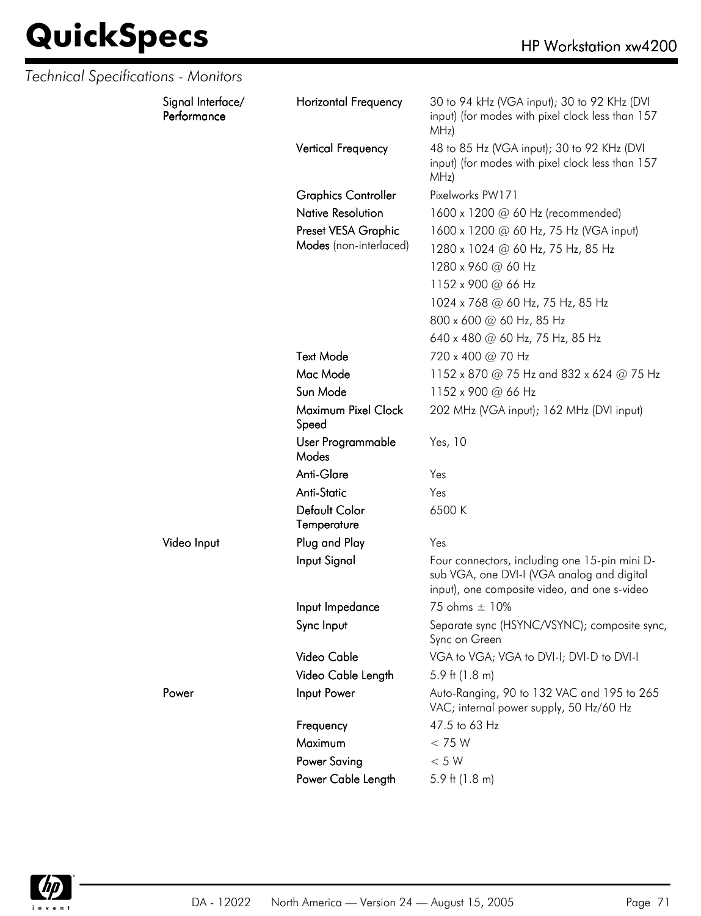| Technical Specifications - Monitors |                                  |                              |                                                                                                                                             |
|-------------------------------------|----------------------------------|------------------------------|---------------------------------------------------------------------------------------------------------------------------------------------|
|                                     | Signal Interface/<br>Performance | <b>Horizontal Frequency</b>  | 30 to 94 kHz (VGA input); 30 to 92 KHz (DVI<br>input) (for modes with pixel clock less than 157<br>MHz)                                     |
|                                     |                                  | Vertical Frequency           | 48 to 85 Hz (VGA input); 30 to 92 KHz (DVI<br>input) (for modes with pixel clock less than 157<br>MHz)                                      |
|                                     |                                  | <b>Graphics Controller</b>   | Pixelworks PW171                                                                                                                            |
|                                     |                                  | <b>Native Resolution</b>     | 1600 x 1200 @ 60 Hz (recommended)                                                                                                           |
|                                     |                                  | Preset VESA Graphic          | 1600 x 1200 @ 60 Hz, 75 Hz (VGA input)                                                                                                      |
|                                     |                                  | Modes (non-interlaced)       | 1280 x 1024 @ 60 Hz, 75 Hz, 85 Hz                                                                                                           |
|                                     |                                  |                              | 1280 x 960 @ 60 Hz                                                                                                                          |
|                                     |                                  |                              | 1152 x 900 @ 66 Hz                                                                                                                          |
|                                     |                                  |                              | 1024 x 768 @ 60 Hz, 75 Hz, 85 Hz                                                                                                            |
|                                     |                                  |                              | 800 x 600 @ 60 Hz, 85 Hz                                                                                                                    |
|                                     |                                  |                              | 640 x 480 @ 60 Hz, 75 Hz, 85 Hz                                                                                                             |
|                                     |                                  | <b>Text Mode</b>             | 720 x 400 @ 70 Hz                                                                                                                           |
|                                     |                                  | Mac Mode                     | 1152 x 870 @ 75 Hz and 832 x 624 @ 75 Hz                                                                                                    |
|                                     |                                  | Sun Mode                     | 1152 x 900 @ 66 Hz                                                                                                                          |
|                                     |                                  | Maximum Pixel Clock<br>Speed | 202 MHz (VGA input); 162 MHz (DVI input)                                                                                                    |
|                                     |                                  | User Programmable<br>Modes   | Yes, 10                                                                                                                                     |
|                                     |                                  | Anti-Glare                   | Yes                                                                                                                                         |
|                                     |                                  | <b>Anti-Static</b>           | Yes                                                                                                                                         |
|                                     |                                  | Default Color<br>Temperature | 6500K                                                                                                                                       |
|                                     | Video Input                      | Plug and Play                | Yes                                                                                                                                         |
|                                     |                                  | Input Signal                 | Four connectors, including one 15-pin mini D-<br>sub VGA, one DVI-I (VGA analog and digital<br>input), one composite video, and one s-video |
|                                     |                                  | Input Impedance              | 75 ohms $\pm$ 10%                                                                                                                           |
|                                     |                                  | Sync Input                   | Separate sync (HSYNC/VSYNC); composite sync,<br>Sync on Green                                                                               |
|                                     |                                  | Video Cable                  | VGA to VGA; VGA to DVI-I; DVI-D to DVI-I                                                                                                    |
|                                     |                                  | Video Cable Length           | 5.9 ft $(1.8 \text{ m})$                                                                                                                    |
|                                     | Power                            | Input Power                  | Auto-Ranging, 90 to 132 VAC and 195 to 265<br>VAC; internal power supply, 50 Hz/60 Hz                                                       |
|                                     |                                  | Frequency                    | 47.5 to 63 Hz                                                                                                                               |
|                                     |                                  | Maximum                      | < 75 W                                                                                                                                      |
|                                     |                                  | <b>Power Saving</b>          | < 5 W                                                                                                                                       |
|                                     |                                  | Power Cable Length           | 5.9 ft $(1.8 \text{ m})$                                                                                                                    |

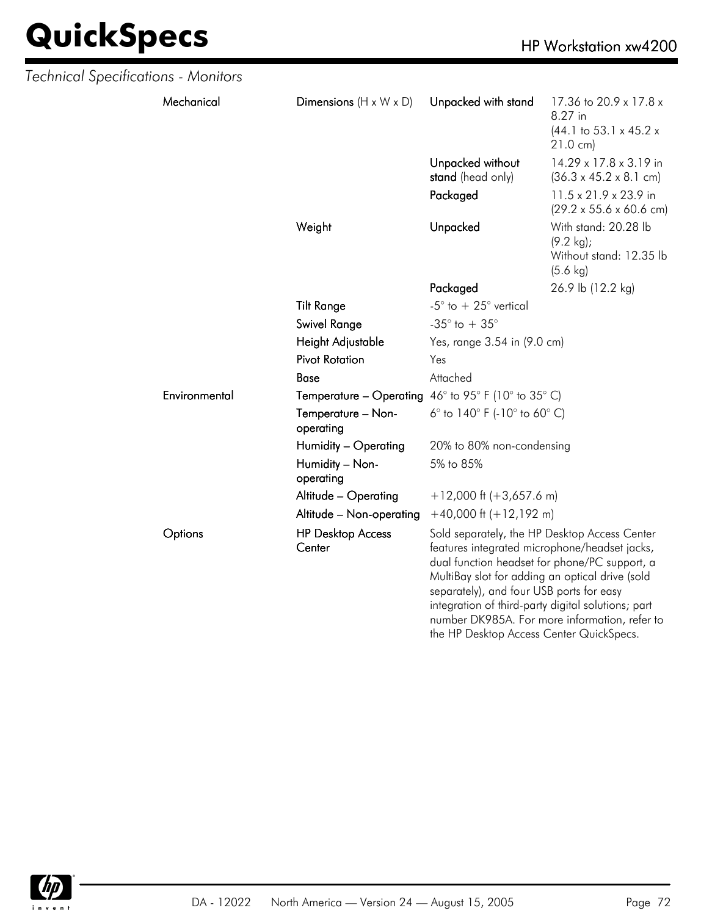| Technical Specifications - Monitors |               |                                    |                                                            |                                                                                                                                                                                                                                                                                                                                                       |  |
|-------------------------------------|---------------|------------------------------------|------------------------------------------------------------|-------------------------------------------------------------------------------------------------------------------------------------------------------------------------------------------------------------------------------------------------------------------------------------------------------------------------------------------------------|--|
|                                     | Mechanical    | Dimensions $(H \times W \times D)$ | Unpacked with stand                                        | 17.36 to 20.9 x 17.8 x<br>8.27 in<br>$(44.1 \text{ to } 53.1 \times 45.2 \times$<br>$21.0 \text{ cm}$                                                                                                                                                                                                                                                 |  |
|                                     |               |                                    | Unpacked without<br>stand (head only)                      | 14.29 x 17.8 x 3.19 in<br>$(36.3 \times 45.2 \times 8.1 \text{ cm})$                                                                                                                                                                                                                                                                                  |  |
|                                     |               |                                    | Packaged                                                   | 11.5 x 21.9 x 23.9 in<br>$(29.2 \times 55.6 \times 60.6 \text{ cm})$                                                                                                                                                                                                                                                                                  |  |
|                                     |               | Weight                             | Unpacked                                                   | With stand: 20.28 lb<br>$(9.2 \text{ kg})$ ;<br>Without stand: 12.35 lb<br>$(5.6 \text{ kg})$                                                                                                                                                                                                                                                         |  |
|                                     |               |                                    | Packaged                                                   | 26.9 lb (12.2 kg)                                                                                                                                                                                                                                                                                                                                     |  |
|                                     |               | <b>Tilt Range</b>                  | -5 $^{\circ}$ to + 25 $^{\circ}$ vertical                  |                                                                                                                                                                                                                                                                                                                                                       |  |
|                                     |               | <b>Swivel Range</b>                | -35 $^{\circ}$ to + 35 $^{\circ}$                          |                                                                                                                                                                                                                                                                                                                                                       |  |
|                                     |               | Height Adjustable                  | Yes, range 3.54 in (9.0 cm)                                |                                                                                                                                                                                                                                                                                                                                                       |  |
|                                     |               | <b>Pivot Rotation</b>              | Yes                                                        |                                                                                                                                                                                                                                                                                                                                                       |  |
|                                     |               | <b>Base</b>                        | Attached                                                   |                                                                                                                                                                                                                                                                                                                                                       |  |
|                                     | Environmental |                                    | <b>Temperature – Operating</b> 46° to 95° F (10° to 35° C) |                                                                                                                                                                                                                                                                                                                                                       |  |
|                                     |               | Temperature - Non-<br>operating    | 6° to $140^{\circ}$ F (-10° to 60° C)                      |                                                                                                                                                                                                                                                                                                                                                       |  |
|                                     |               | Humidity - Operating               | 20% to 80% non-condensing                                  |                                                                                                                                                                                                                                                                                                                                                       |  |
|                                     |               | Humidity - Non-<br>operating       | 5% to 85%                                                  |                                                                                                                                                                                                                                                                                                                                                       |  |
|                                     |               | Altitude - Operating               | $+12,000$ ft (+3,657.6 m)                                  |                                                                                                                                                                                                                                                                                                                                                       |  |
|                                     |               | Altitude - Non-operating           | $+40,000$ ft $(+12,192$ m)                                 |                                                                                                                                                                                                                                                                                                                                                       |  |
|                                     | Options       | <b>HP Desktop Access</b><br>Center | separately), and four USB ports for easy                   | Sold separately, the HP Desktop Access Center<br>features integrated microphone/headset jacks,<br>dual function headset for phone/PC support, a<br>MultiBay slot for adding an optical drive (sold<br>integration of third-party digital solutions; part<br>number DK985A. For more information, refer to<br>the HP Desktop Access Center QuickSpecs. |  |

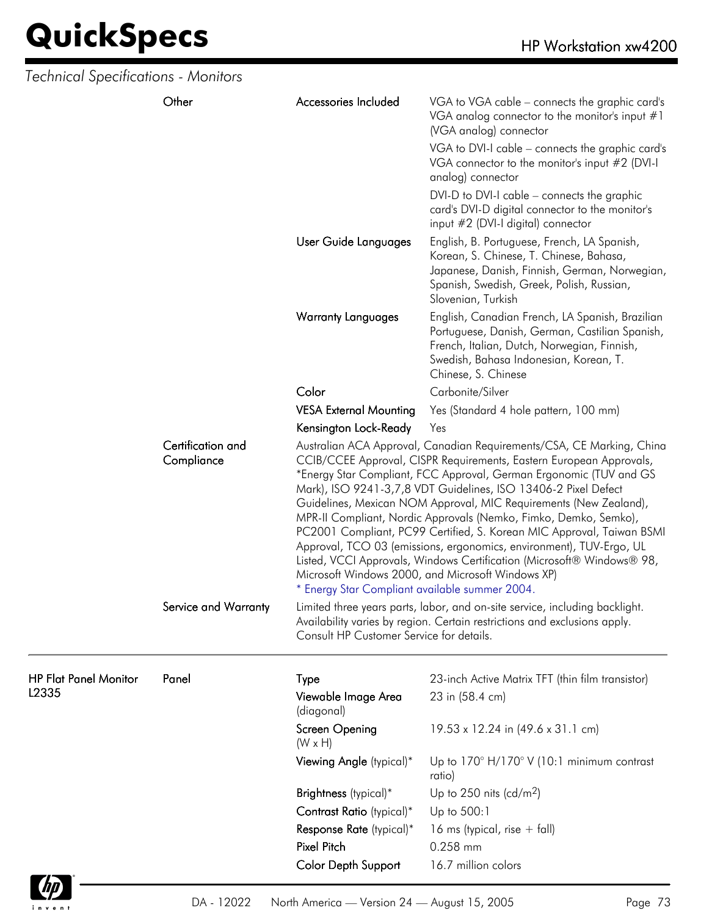| Technical Specifications - Monitors |                                 |                                                                                                                                                                                                                                                                                                                                                                                                                                                                                                                                                                                                                                                                                                                                                                                                                                                                                                                                                                        |                                                                                                                                                                                                                   |  |
|-------------------------------------|---------------------------------|------------------------------------------------------------------------------------------------------------------------------------------------------------------------------------------------------------------------------------------------------------------------------------------------------------------------------------------------------------------------------------------------------------------------------------------------------------------------------------------------------------------------------------------------------------------------------------------------------------------------------------------------------------------------------------------------------------------------------------------------------------------------------------------------------------------------------------------------------------------------------------------------------------------------------------------------------------------------|-------------------------------------------------------------------------------------------------------------------------------------------------------------------------------------------------------------------|--|
|                                     | Other                           | Accessories Included                                                                                                                                                                                                                                                                                                                                                                                                                                                                                                                                                                                                                                                                                                                                                                                                                                                                                                                                                   | VGA to VGA cable – connects the graphic card's<br>VGA analog connector to the monitor's input $#1$<br>(VGA analog) connector                                                                                      |  |
|                                     |                                 |                                                                                                                                                                                                                                                                                                                                                                                                                                                                                                                                                                                                                                                                                                                                                                                                                                                                                                                                                                        | VGA to DVI-I cable - connects the graphic card's<br>VGA connector to the monitor's input #2 (DVI-I<br>analog) connector                                                                                           |  |
|                                     |                                 |                                                                                                                                                                                                                                                                                                                                                                                                                                                                                                                                                                                                                                                                                                                                                                                                                                                                                                                                                                        | DVI-D to DVI-I cable – connects the graphic<br>card's DVI-D digital connector to the monitor's<br>input #2 (DVI-I digital) connector                                                                              |  |
|                                     |                                 | User Guide Languages                                                                                                                                                                                                                                                                                                                                                                                                                                                                                                                                                                                                                                                                                                                                                                                                                                                                                                                                                   | English, B. Portuguese, French, LA Spanish,<br>Korean, S. Chinese, T. Chinese, Bahasa,<br>Japanese, Danish, Finnish, German, Norwegian,<br>Spanish, Swedish, Greek, Polish, Russian,<br>Slovenian, Turkish        |  |
|                                     |                                 | <b>Warranty Languages</b>                                                                                                                                                                                                                                                                                                                                                                                                                                                                                                                                                                                                                                                                                                                                                                                                                                                                                                                                              | English, Canadian French, LA Spanish, Brazilian<br>Portuguese, Danish, German, Castilian Spanish,<br>French, Italian, Dutch, Norwegian, Finnish,<br>Swedish, Bahasa Indonesian, Korean, T.<br>Chinese, S. Chinese |  |
|                                     |                                 | Color                                                                                                                                                                                                                                                                                                                                                                                                                                                                                                                                                                                                                                                                                                                                                                                                                                                                                                                                                                  | Carbonite/Silver                                                                                                                                                                                                  |  |
|                                     |                                 | <b>VESA External Mounting</b>                                                                                                                                                                                                                                                                                                                                                                                                                                                                                                                                                                                                                                                                                                                                                                                                                                                                                                                                          | Yes (Standard 4 hole pattern, 100 mm)                                                                                                                                                                             |  |
|                                     |                                 | Kensington Lock-Ready                                                                                                                                                                                                                                                                                                                                                                                                                                                                                                                                                                                                                                                                                                                                                                                                                                                                                                                                                  | Yes                                                                                                                                                                                                               |  |
|                                     | Certification and<br>Compliance | Australian ACA Approval, Canadian Requirements/CSA, CE Marking, China<br>CCIB/CCEE Approval, CISPR Requirements, Eastern European Approvals,<br>*Energy Star Compliant, FCC Approval, German Ergonomic (TUV and GS<br>Mark), ISO 9241-3,7,8 VDT Guidelines, ISO 13406-2 Pixel Defect<br>Guidelines, Mexican NOM Approval, MIC Requirements (New Zealand),<br>MPR-II Compliant, Nordic Approvals (Nemko, Fimko, Demko, Semko),<br>PC2001 Compliant, PC99 Certified, S. Korean MIC Approval, Taiwan BSMI<br>Approval, TCO 03 (emissions, ergonomics, environment), TUV-Ergo, UL<br>Listed, VCCI Approvals, Windows Certification (Microsoft® Windows® 98,<br>Microsoft Windows 2000, and Microsoft Windows XP)<br>* Energy Star Compliant available summer 2004.<br>Limited three years parts, labor, and on-site service, including backlight.<br>Availability varies by region. Certain restrictions and exclusions apply.<br>Consult HP Customer Service for details. |                                                                                                                                                                                                                   |  |
|                                     | Service and Warranty            |                                                                                                                                                                                                                                                                                                                                                                                                                                                                                                                                                                                                                                                                                                                                                                                                                                                                                                                                                                        |                                                                                                                                                                                                                   |  |
| <b>HP Flat Panel Monitor</b>        | Panel                           | Type                                                                                                                                                                                                                                                                                                                                                                                                                                                                                                                                                                                                                                                                                                                                                                                                                                                                                                                                                                   | 23-inch Active Matrix TFT (thin film transistor)                                                                                                                                                                  |  |
| L2335                               |                                 | Viewable Image Area<br>(diagonal)                                                                                                                                                                                                                                                                                                                                                                                                                                                                                                                                                                                                                                                                                                                                                                                                                                                                                                                                      | 23 in (58.4 cm)                                                                                                                                                                                                   |  |
|                                     |                                 | Screen Opening<br>$(W \times H)$                                                                                                                                                                                                                                                                                                                                                                                                                                                                                                                                                                                                                                                                                                                                                                                                                                                                                                                                       | 19.53 x 12.24 in (49.6 x 31.1 cm)                                                                                                                                                                                 |  |
|                                     |                                 | Viewing Angle (typical)*                                                                                                                                                                                                                                                                                                                                                                                                                                                                                                                                                                                                                                                                                                                                                                                                                                                                                                                                               | Up to $170^\circ$ H/170 $^\circ$ V (10:1 minimum contrast<br>ratio)                                                                                                                                               |  |
|                                     |                                 | Brightness (typical)*                                                                                                                                                                                                                                                                                                                                                                                                                                                                                                                                                                                                                                                                                                                                                                                                                                                                                                                                                  | Up to 250 nits (cd/m <sup>2</sup> )                                                                                                                                                                               |  |
|                                     |                                 | Contrast Ratio (typical)*                                                                                                                                                                                                                                                                                                                                                                                                                                                                                                                                                                                                                                                                                                                                                                                                                                                                                                                                              | Up to 500:1                                                                                                                                                                                                       |  |
|                                     |                                 | Response Rate (typical)*                                                                                                                                                                                                                                                                                                                                                                                                                                                                                                                                                                                                                                                                                                                                                                                                                                                                                                                                               | 16 ms (typical, rise $+$ fall)                                                                                                                                                                                    |  |
|                                     |                                 | Pixel Pitch                                                                                                                                                                                                                                                                                                                                                                                                                                                                                                                                                                                                                                                                                                                                                                                                                                                                                                                                                            | 0.258 mm                                                                                                                                                                                                          |  |
|                                     |                                 | Color Depth Support                                                                                                                                                                                                                                                                                                                                                                                                                                                                                                                                                                                                                                                                                                                                                                                                                                                                                                                                                    | 16.7 million colors                                                                                                                                                                                               |  |

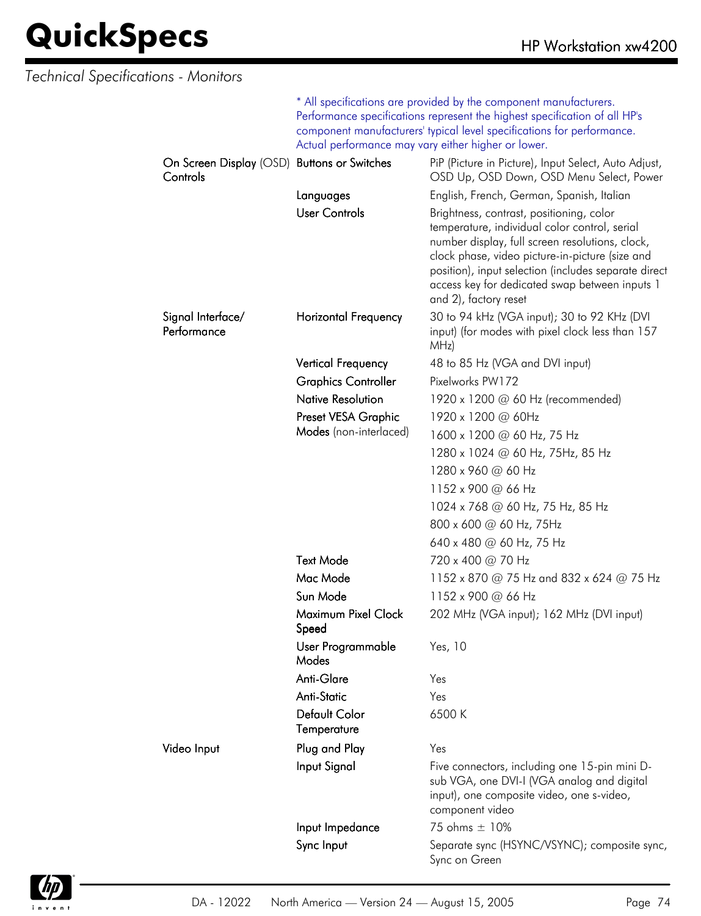| <b>Technical Specifications - Monitors</b>              |                                                                                                                                                                                                                                                                                  |                                                                                                                                                                                                                                                                                                                                    |
|---------------------------------------------------------|----------------------------------------------------------------------------------------------------------------------------------------------------------------------------------------------------------------------------------------------------------------------------------|------------------------------------------------------------------------------------------------------------------------------------------------------------------------------------------------------------------------------------------------------------------------------------------------------------------------------------|
|                                                         | * All specifications are provided by the component manufacturers.<br>Performance specifications represent the highest specification of all HP's<br>component manufacturers' typical level specifications for performance.<br>Actual performance may vary either higher or lower. |                                                                                                                                                                                                                                                                                                                                    |
| On Screen Display (OSD) Buttons or Switches<br>Controls |                                                                                                                                                                                                                                                                                  | PiP (Picture in Picture), Input Select, Auto Adjust,<br>OSD Up, OSD Down, OSD Menu Select, Power                                                                                                                                                                                                                                   |
|                                                         | Languages                                                                                                                                                                                                                                                                        | English, French, German, Spanish, Italian                                                                                                                                                                                                                                                                                          |
|                                                         | <b>User Controls</b>                                                                                                                                                                                                                                                             | Brightness, contrast, positioning, color<br>temperature, individual color control, serial<br>number display, full screen resolutions, clock,<br>clock phase, video picture-in-picture (size and<br>position), input selection (includes separate direct<br>access key for dedicated swap between inputs 1<br>and 2), factory reset |
| Signal Interface/<br>Performance                        | <b>Horizontal Frequency</b>                                                                                                                                                                                                                                                      | 30 to 94 kHz (VGA input); 30 to 92 KHz (DVI<br>input) (for modes with pixel clock less than 157<br>MHz)                                                                                                                                                                                                                            |
|                                                         | <b>Vertical Frequency</b>                                                                                                                                                                                                                                                        | 48 to 85 Hz (VGA and DVI input)                                                                                                                                                                                                                                                                                                    |
|                                                         | <b>Graphics Controller</b>                                                                                                                                                                                                                                                       | Pixelworks PW172                                                                                                                                                                                                                                                                                                                   |
|                                                         | <b>Native Resolution</b>                                                                                                                                                                                                                                                         | 1920 x 1200 @ 60 Hz (recommended)                                                                                                                                                                                                                                                                                                  |
|                                                         | Preset VESA Graphic                                                                                                                                                                                                                                                              | 1920 x 1200 @ 60Hz                                                                                                                                                                                                                                                                                                                 |
|                                                         | Modes (non-interlaced)                                                                                                                                                                                                                                                           | 1600 x 1200 @ 60 Hz, 75 Hz                                                                                                                                                                                                                                                                                                         |
|                                                         |                                                                                                                                                                                                                                                                                  | 1280 x 1024 @ 60 Hz, 75Hz, 85 Hz                                                                                                                                                                                                                                                                                                   |
|                                                         |                                                                                                                                                                                                                                                                                  | 1280 x 960 @ 60 Hz                                                                                                                                                                                                                                                                                                                 |
|                                                         |                                                                                                                                                                                                                                                                                  | 1152 x 900 @ 66 Hz                                                                                                                                                                                                                                                                                                                 |
|                                                         |                                                                                                                                                                                                                                                                                  | 1024 x 768 @ 60 Hz, 75 Hz, 85 Hz                                                                                                                                                                                                                                                                                                   |
|                                                         |                                                                                                                                                                                                                                                                                  | 800 x 600 @ 60 Hz, 75Hz                                                                                                                                                                                                                                                                                                            |
|                                                         |                                                                                                                                                                                                                                                                                  | 640 x 480 @ 60 Hz, 75 Hz                                                                                                                                                                                                                                                                                                           |
|                                                         | <b>Text Mode</b>                                                                                                                                                                                                                                                                 | 720 x 400 @ 70 Hz                                                                                                                                                                                                                                                                                                                  |
|                                                         | Mac Mode                                                                                                                                                                                                                                                                         | 1152 x 870 @ 75 Hz and 832 x 624 @ 75 Hz                                                                                                                                                                                                                                                                                           |
|                                                         | Sun Mode                                                                                                                                                                                                                                                                         | 1152 x 900 @ 66 Hz                                                                                                                                                                                                                                                                                                                 |
|                                                         | Maximum Pixel Clock<br>Speed                                                                                                                                                                                                                                                     | 202 MHz (VGA input); 162 MHz (DVI input)                                                                                                                                                                                                                                                                                           |
|                                                         | User Programmable<br>Modes                                                                                                                                                                                                                                                       | Yes, 10                                                                                                                                                                                                                                                                                                                            |
|                                                         | Anti-Glare                                                                                                                                                                                                                                                                       | Yes                                                                                                                                                                                                                                                                                                                                |
|                                                         | <b>Anti-Static</b>                                                                                                                                                                                                                                                               | Yes                                                                                                                                                                                                                                                                                                                                |
|                                                         | Default Color<br>Temperature                                                                                                                                                                                                                                                     | 6500K                                                                                                                                                                                                                                                                                                                              |
| Video Input                                             | Plug and Play                                                                                                                                                                                                                                                                    | Yes                                                                                                                                                                                                                                                                                                                                |
|                                                         | Input Signal                                                                                                                                                                                                                                                                     | Five connectors, including one 15-pin mini D-<br>sub VGA, one DVI-I (VGA analog and digital<br>input), one composite video, one s-video,<br>component video                                                                                                                                                                        |
|                                                         | Input Impedance                                                                                                                                                                                                                                                                  | 75 ohms ± 10%                                                                                                                                                                                                                                                                                                                      |
|                                                         | Sync Input                                                                                                                                                                                                                                                                       | Separate sync (HSYNC/VSYNC); composite sync,<br>Sync on Green                                                                                                                                                                                                                                                                      |

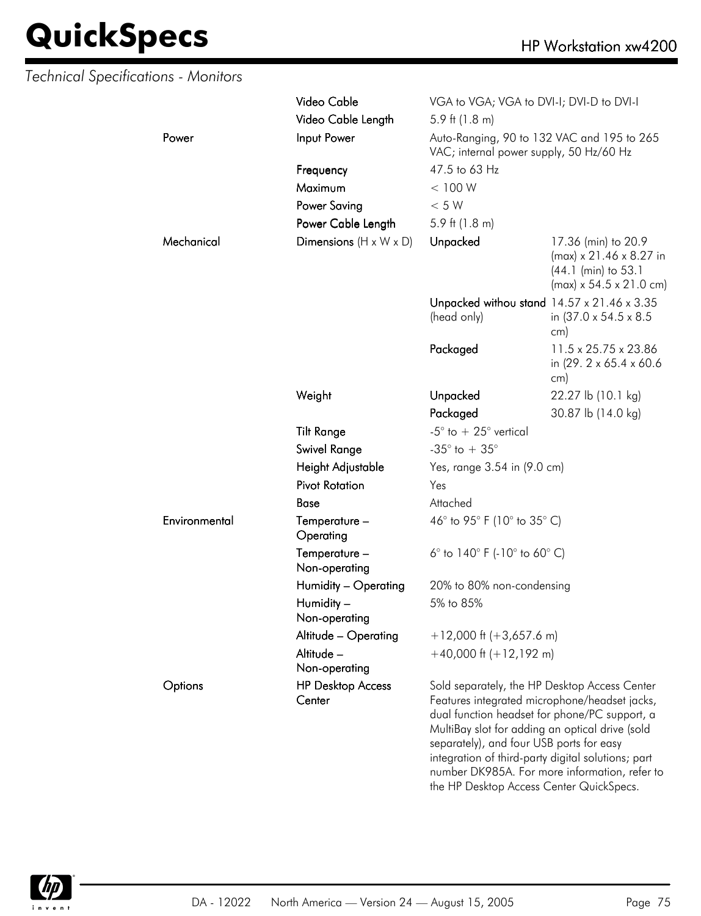|  | Technical Specifications - Monitors |                                    |                                                                                      |                                                                                                                                                                                                                                                                                                           |  |
|--|-------------------------------------|------------------------------------|--------------------------------------------------------------------------------------|-----------------------------------------------------------------------------------------------------------------------------------------------------------------------------------------------------------------------------------------------------------------------------------------------------------|--|
|  |                                     | Video Cable                        | VGA to VGA; VGA to DVI-I; DVI-D to DVI-I                                             |                                                                                                                                                                                                                                                                                                           |  |
|  |                                     | Video Cable Length                 | 5.9 ft $(1.8 \text{ m})$                                                             |                                                                                                                                                                                                                                                                                                           |  |
|  | Power                               | Input Power                        | VAC; internal power supply, 50 Hz/60 Hz                                              | Auto-Ranging, 90 to 132 VAC and 195 to 265                                                                                                                                                                                                                                                                |  |
|  |                                     | Frequency                          | 47.5 to 63 Hz                                                                        |                                                                                                                                                                                                                                                                                                           |  |
|  |                                     | Maximum                            | < 100 W                                                                              |                                                                                                                                                                                                                                                                                                           |  |
|  |                                     | <b>Power Saving</b>                | < 5 W                                                                                |                                                                                                                                                                                                                                                                                                           |  |
|  |                                     | Power Cable Length                 | 5.9 ft $(1.8 \text{ m})$                                                             |                                                                                                                                                                                                                                                                                                           |  |
|  | Mechanical                          | Dimensions $(H \times W \times D)$ | Unpacked                                                                             | 17.36 (min) to 20.9<br>$(max) \times 21.46 \times 8.27$ in<br>(44.1 (min) to 53.1<br>$(max) \times 54.5 \times 21.0$ cm)                                                                                                                                                                                  |  |
|  |                                     |                                    | (head only)                                                                          | Unpacked withou stand 14.57 x 21.46 x 3.35<br>in (37.0 x 54.5 x 8.5)<br>cm)                                                                                                                                                                                                                               |  |
|  |                                     |                                    | Packaged                                                                             | 11.5 x 25.75 x 23.86<br>in (29. 2 x 65.4 x 60.6)<br>cm)                                                                                                                                                                                                                                                   |  |
|  |                                     | Weight                             | Unpacked                                                                             | 22.27 lb (10.1 kg)                                                                                                                                                                                                                                                                                        |  |
|  |                                     |                                    | Packaged                                                                             | 30.87 lb (14.0 kg)                                                                                                                                                                                                                                                                                        |  |
|  |                                     | <b>Tilt Range</b>                  | -5 $^{\circ}$ to $+25^{\circ}$ vertical                                              |                                                                                                                                                                                                                                                                                                           |  |
|  |                                     | <b>Swivel Range</b>                | -35 $^{\circ}$ to + 35 $^{\circ}$                                                    |                                                                                                                                                                                                                                                                                                           |  |
|  |                                     | Height Adjustable                  | Yes, range 3.54 in (9.0 cm)                                                          |                                                                                                                                                                                                                                                                                                           |  |
|  |                                     | <b>Pivot Rotation</b>              | Yes                                                                                  |                                                                                                                                                                                                                                                                                                           |  |
|  |                                     | <b>Base</b>                        | Attached                                                                             |                                                                                                                                                                                                                                                                                                           |  |
|  | Environmental                       | Temperature -<br>Operating         | 46° to 95° F (10° to 35° C)                                                          |                                                                                                                                                                                                                                                                                                           |  |
|  |                                     | Temperature -<br>Non-operating     | 6 $^{\circ}$ to 140 $^{\circ}$ F (-10 $^{\circ}$ to 60 $^{\circ}$ C)                 |                                                                                                                                                                                                                                                                                                           |  |
|  |                                     | Humidity - Operating               | 20% to 80% non-condensing                                                            |                                                                                                                                                                                                                                                                                                           |  |
|  |                                     | Humidity -<br>Non-operating        | 5% to 85%                                                                            |                                                                                                                                                                                                                                                                                                           |  |
|  |                                     | Altitude - Operating               | $+12,000$ ft (+3,657.6 m)                                                            |                                                                                                                                                                                                                                                                                                           |  |
|  |                                     | Altitude -<br>Non-operating        | $+40,000$ ft $(+12,192$ m)                                                           |                                                                                                                                                                                                                                                                                                           |  |
|  | Options                             | <b>HP Desktop Access</b><br>Center | separately), and four USB ports for easy<br>the HP Desktop Access Center QuickSpecs. | Sold separately, the HP Desktop Access Center<br>Features integrated microphone/headset jacks,<br>dual function headset for phone/PC support, a<br>MultiBay slot for adding an optical drive (sold<br>integration of third-party digital solutions; part<br>number DK985A. For more information, refer to |  |